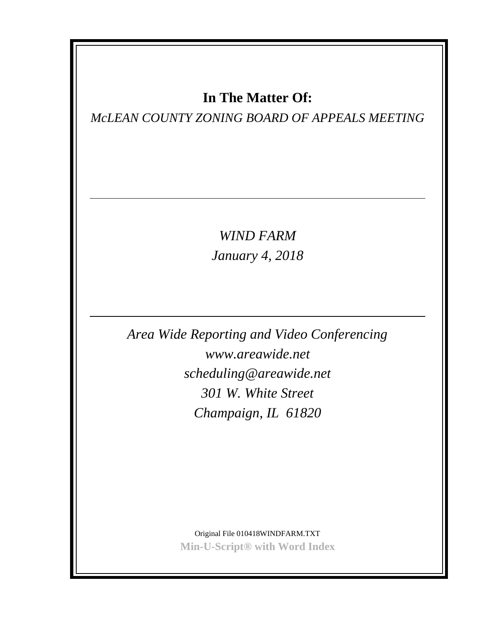### **In The Matter Of:**

*McLEAN COUNTY ZONING BOARD OF APPEALS MEETING*

*WIND FARM January 4, 2018*

*Area Wide Reporting and Video Conferencing www.areawide.net scheduling@areawide.net 301 W. White Street Champaign, IL 61820*

> Original File 010418WINDFARM.TXT **Min-U-Script® with Word Index**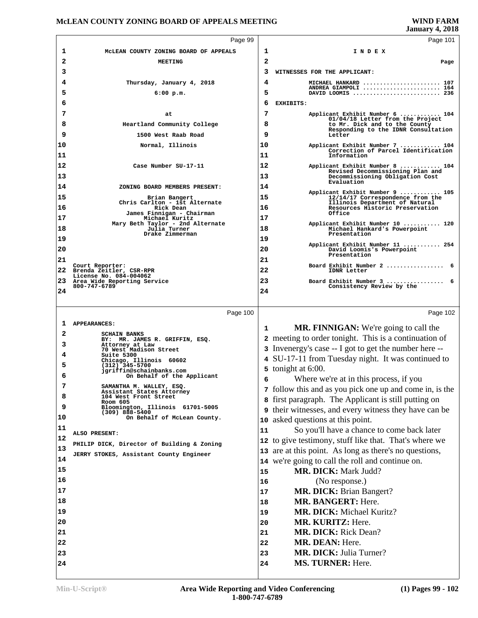|          |                                                                                |    | <b>January 4, 2018</b>                                                                                     |  |
|----------|--------------------------------------------------------------------------------|----|------------------------------------------------------------------------------------------------------------|--|
|          | Page 99                                                                        |    | Page 101                                                                                                   |  |
| 1        | MCLEAN COUNTY ZONING BOARD OF APPEALS                                          | 1  | INDEX                                                                                                      |  |
| 2        | <b>MEETING</b>                                                                 | 2  | Page                                                                                                       |  |
| 3        |                                                                                | 3  | WITNESSES FOR THE APPLICANT:                                                                               |  |
| 4        | Thursday, January 4, 2018                                                      | 4  | MICHAEL HANKARD  107<br>ANDREA GIAMPOLI  164                                                               |  |
| 5        | $6:00$ p.m.                                                                    | 5  | DAVID LOOMIS  236                                                                                          |  |
| 6        |                                                                                | 6  | EXHIBITS:                                                                                                  |  |
| 7        | at                                                                             | 7  | Applicant Exhibit Number 6  104<br>01/04/18 Letter from the Project                                        |  |
| 8        | Heartland Community College                                                    | 8  | to Mr. Dick and to the County<br>Responding to the IDNR Consultation                                       |  |
| 9        | 1500 West Raab Road                                                            | 9  | Letter                                                                                                     |  |
| 10       | Normal, Illinois                                                               | 10 | Applicant Exhibit Number 7  104<br>Correction of Parcel Identification                                     |  |
| 11       |                                                                                | 11 | Information                                                                                                |  |
| 12       | Case Number SU-17-11                                                           | 12 | Applicant Exhibit Number 8  104<br>Revised Decommissioning Plan and                                        |  |
| 13       |                                                                                | 13 | Decommissioning Obligation Cost<br>Evaluation                                                              |  |
| 14       | ZONING BOARD MEMBERS PRESENT:                                                  | 14 | Applicant Exhibit Number 9  105                                                                            |  |
| 15       | Brian Bangert<br>Chris Carlton - 1st Alternate                                 | 15 | 12/14/17 Correspondence from the<br>Illinois Department of Natural                                         |  |
| 16       | Rick Dean<br>James Finnigan - Chairman                                         | 16 | Resources Historic Preservation<br>Office                                                                  |  |
| 17       | Michael Kuritz<br>Mary Beth Taylor - 2nd Alternate                             | 17 | Applicant Exhibit Number 10  120                                                                           |  |
| 18       | Julia Turner<br>Drake Zimmerman                                                | 18 | Michael Hankard's Powerpoint<br>Presentation                                                               |  |
| 19       |                                                                                | 19 | Applicant Exhibit Number 11  254                                                                           |  |
| 20       |                                                                                | 20 | David Loomis's Powerpoint<br>Presentation                                                                  |  |
| 21       | Court Reporter:                                                                | 21 | Board Exhibit Number 2<br>-6                                                                               |  |
| 22       | Brenda Zeitler, CSR-RPR<br>License No. 084-004062                              | 22 | IDNR Letter                                                                                                |  |
| 23       | Area Wide Reporting Service<br>800-747-6789                                    | 23 | Board Exhibit Number 3<br>6<br>Consistency Review by the                                                   |  |
| 24       |                                                                                | 24 |                                                                                                            |  |
|          |                                                                                |    |                                                                                                            |  |
| ı        | Page 100<br><b>APPEARANCES:</b>                                                |    | Page 102                                                                                                   |  |
| 2        | <b>SCHAIN BANKS</b>                                                            | 1  | <b>MR. FINNIGAN:</b> We're going to call the                                                               |  |
| 3        | BY: MR. JAMES R. GRIFFIN, ESQ.<br>Attorney at Law                              |    | <b>2</b> meeting to order tonight. This is a continuation of                                               |  |
| 4.       | 70 West Madison Street<br>Suite 5300                                           |    | 3 Invenergy's case -- I got to get the number here --                                                      |  |
| 5        | Chicago, Illinois 60602<br>$(312)$ 345-5700                                    |    | 4 SU-17-11 from Tuesday night. It was continued to                                                         |  |
| 6        | jgriffin@schainbanks.com<br>On Behalf of the Applicant                         |    | 5 tonight at 6:00.                                                                                         |  |
| 7        |                                                                                |    | Where we're at in this process, if you                                                                     |  |
| 8        | SAMANTHA M. WALLEY, ESQ.<br>Assistant States Attorney<br>104 West Front Street |    | 7 follow this and as you pick one up and come in, is the                                                   |  |
| 9        | Room 605<br>Bloomington, Illinois 61701-5005                                   |    | 8 first paragraph. The Applicant is still putting on                                                       |  |
| 10       | $(309)$ 888-5400<br>On Behalf of McLean County.                                |    | <b>9</b> their witnesses, and every witness they have can be                                               |  |
| 11       |                                                                                | 10 | asked questions at this point.                                                                             |  |
| 12       | ALSO PRESENT:                                                                  | 11 | So you'll have a chance to come back later                                                                 |  |
| 13       | PHILIP DICK, Director of Building & Zoning                                     |    | 12 to give testimony, stuff like that. That's where we                                                     |  |
| 14       | JERRY STOKES, Assistant County Engineer                                        |    | 13 are at this point. As long as there's no questions,<br>14 we're going to call the roll and continue on. |  |
| 15       |                                                                                | 15 | <b>MR. DICK: Mark Judd?</b>                                                                                |  |
| 16       |                                                                                | 16 | (No response.)                                                                                             |  |
| 17       |                                                                                | 17 | MR. DICK: Brian Bangert?                                                                                   |  |
| 18       |                                                                                | 18 | MR. BANGERT: Here.                                                                                         |  |
| 19       |                                                                                | 19 | MR. DICK: Michael Kuritz?                                                                                  |  |
| 20       |                                                                                | 20 | MR. KURITZ: Here.                                                                                          |  |
| 21       |                                                                                | 21 | MR. DICK: Rick Dean?                                                                                       |  |
|          |                                                                                |    | MR. DEAN: Here.                                                                                            |  |
|          |                                                                                | 22 |                                                                                                            |  |
| 22<br>23 |                                                                                | 23 | <b>MR. DICK: Julia Turner?</b>                                                                             |  |
| 24       |                                                                                | 24 | <b>MS. TURNER: Here.</b>                                                                                   |  |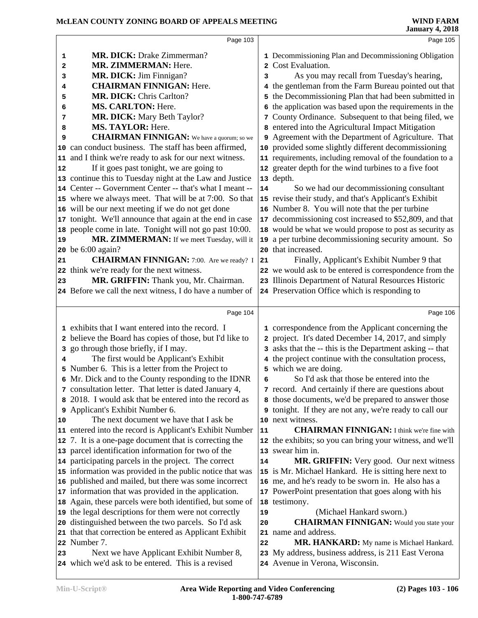|    | Page 103                                                                                       |    | Page 105                                                                               |  |
|----|------------------------------------------------------------------------------------------------|----|----------------------------------------------------------------------------------------|--|
| 1  | <b>MR. DICK: Drake Zimmerman?</b>                                                              |    | 1 Decommissioning Plan and Decommissioning Obligation                                  |  |
| 2  | MR. ZIMMERMAN: Here.                                                                           |    | 2 Cost Evaluation.                                                                     |  |
| 3  | MR. DICK: Jim Finnigan?                                                                        | 3  | As you may recall from Tuesday's hearing,                                              |  |
| 4  | <b>CHAIRMAN FINNIGAN: Here.</b>                                                                |    | 4 the gentleman from the Farm Bureau pointed out that                                  |  |
| 5  | MR. DICK: Chris Carlton?                                                                       |    | 5 the Decommissioning Plan that had been submitted in                                  |  |
| 6  | <b>MS. CARLTON: Here.</b>                                                                      |    | 6 the application was based upon the requirements in the                               |  |
| 7  | <b>MR. DICK:</b> Mary Beth Taylor?                                                             |    | 7 County Ordinance. Subsequent to that being filed, we                                 |  |
| 8  | MS. TAYLOR: Here.                                                                              |    | 8 entered into the Agricultural Impact Mitigation                                      |  |
| 9  | <b>CHAIRMAN FINNIGAN:</b> We have a quorum; so we                                              |    | 9 Agreement with the Department of Agriculture. That                                   |  |
|    | 10 can conduct business. The staff has been affirmed,                                          |    | 10 provided some slightly different decommissioning                                    |  |
|    | 11 and I think we're ready to ask for our next witness.                                        |    | 11 requirements, including removal of the foundation to a                              |  |
| 12 | If it goes past tonight, we are going to                                                       |    | 12 greater depth for the wind turbines to a five foot                                  |  |
|    | 13 continue this to Tuesday night at the Law and Justice                                       |    | 13 depth.                                                                              |  |
|    | 14 Center -- Government Center -- that's what I meant --                                       | 14 | So we had our decommissioning consultant                                               |  |
|    | 15 where we always meet. That will be at 7:00. So that                                         |    | 15 revise their study, and that's Applicant's Exhibit                                  |  |
|    | 16 will be our next meeting if we do not get done                                              |    | 16 Number 8. You will note that the per turbine                                        |  |
|    | 17 tonight. We'll announce that again at the end in case                                       |    | 17 decommissioning cost increased to \$52,809, and that                                |  |
|    | 18 people come in late. Tonight will not go past 10:00.                                        |    | 18 would be what we would propose to post as security as                               |  |
| 19 | MR. ZIMMERMAN: If we meet Tuesday, will it                                                     |    | 19 a per turbine decommissioning security amount. So                                   |  |
|    | 20 be 6:00 again?                                                                              |    | 20 that increased.                                                                     |  |
| 21 | <b>CHAIRMAN FINNIGAN:</b> 7:00. Are we ready? I                                                | 21 | Finally, Applicant's Exhibit Number 9 that                                             |  |
|    | 22 think we're ready for the next witness.                                                     |    | 22 we would ask to be entered is correspondence from the                               |  |
| 23 | MR. GRIFFIN: Thank you, Mr. Chairman.                                                          |    | 23 Illinois Department of Natural Resources Historic                                   |  |
|    | 24 Before we call the next witness, I do have a number of                                      |    | 24 Preservation Office which is responding to                                          |  |
|    |                                                                                                |    |                                                                                        |  |
|    |                                                                                                |    |                                                                                        |  |
|    | Page 104                                                                                       |    | Page 106                                                                               |  |
|    | 1 exhibits that I want entered into the record. I                                              |    | 1 correspondence from the Applicant concerning the                                     |  |
|    | 2 believe the Board has copies of those, but I'd like to                                       |    | 2 project. It's dated December 14, 2017, and simply                                    |  |
|    | 3 go through those briefly, if I may.                                                          |    | 3 asks that the -- this is the Department asking -- that                               |  |
| 4  | The first would be Applicant's Exhibit                                                         |    | 4 the project continue with the consultation process,                                  |  |
|    | 5 Number 6. This is a letter from the Project to                                               |    | 5 which we are doing.                                                                  |  |
|    | 6 Mr. Dick and to the County responding to the IDNR                                            | 6  | So I'd ask that those be entered into the                                              |  |
|    | 7 consultation letter. That letter is dated January 4,                                         |    | 7 record. And certainly if there are questions about                                   |  |
|    | 8 2018. I would ask that be entered into the record as                                         |    | 8 those documents, we'd be prepared to answer those                                    |  |
|    | 9 Applicant's Exhibit Number 6.                                                                |    | <b>9</b> tonight. If they are not any, we're ready to call our                         |  |
| 10 | The next document we have that I ask be                                                        |    | 10 next witness.                                                                       |  |
|    | 11 entered into the record is Applicant's Exhibit Number                                       | 11 | <b>CHAIRMAN FINNIGAN:</b> I think we're fine with                                      |  |
|    | 12 7. It is a one-page document that is correcting the                                         |    | 12 the exhibits; so you can bring your witness, and we'll                              |  |
|    | 13 parcel identification information for two of the                                            |    | 13 swear him in.                                                                       |  |
|    | 14 participating parcels in the project. The correct                                           | 14 | MR. GRIFFIN: Very good. Our next witness                                               |  |
|    | 15 information was provided in the public notice that was                                      |    | 15 is Mr. Michael Hankard. He is sitting here next to                                  |  |
|    | 16 published and mailed, but there was some incorrect                                          |    | 16 me, and he's ready to be sworn in. He also has a                                    |  |
|    | 17 information that was provided in the application.                                           |    | 17 PowerPoint presentation that goes along with his                                    |  |
|    | 18 Again, these parcels were both identified, but some of                                      |    | 18 testimony.                                                                          |  |
|    | 19 the legal descriptions for them were not correctly                                          | 19 | (Michael Hankard sworn.)                                                               |  |
|    | 20 distinguished between the two parcels. So I'd ask                                           | 20 | <b>CHAIRMAN FINNIGAN:</b> Would you state your                                         |  |
|    | 21 that that correction be entered as Applicant Exhibit                                        | 21 | name and address.                                                                      |  |
|    | 22 Number 7.                                                                                   | 22 | MR. HANKARD: My name is Michael Hankard.                                               |  |
| 23 | Next we have Applicant Exhibit Number 8,<br>24 which we'd ask to be entered. This is a revised |    | 23 My address, business address, is 211 East Verona<br>24 Avenue in Verona, Wisconsin. |  |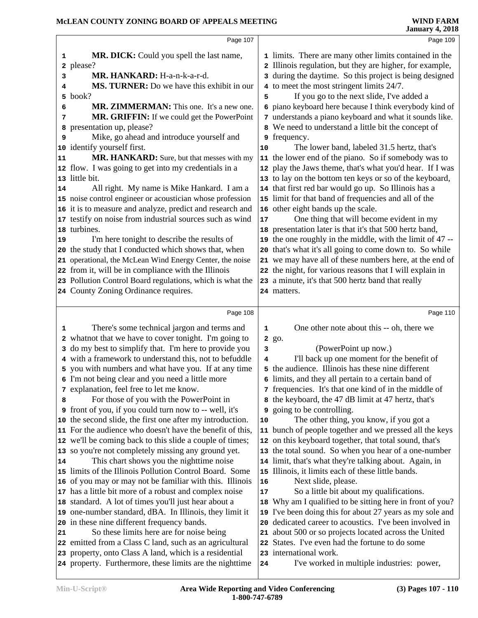|          | Page 107                                                                                                           |        | Page 109                                                                                                            |  |
|----------|--------------------------------------------------------------------------------------------------------------------|--------|---------------------------------------------------------------------------------------------------------------------|--|
| 1        | MR. DICK: Could you spell the last name,                                                                           |        | 1 limits. There are many other limits contained in the                                                              |  |
|          | 2 please?                                                                                                          |        | 2 Illinois regulation, but they are higher, for example,                                                            |  |
| 3        | MR. HANKARD: H-a-n-k-a-r-d.                                                                                        |        | 3 during the daytime. So this project is being designed                                                             |  |
| 4        | MS. TURNER: Do we have this exhibit in our                                                                         |        | 4 to meet the most stringent limits 24/7.                                                                           |  |
| 5        | book?                                                                                                              | 5      | If you go to the next slide, I've added a                                                                           |  |
| 6        | MR. ZIMMERMAN: This one. It's a new one.                                                                           |        | 6 piano keyboard here because I think everybody kind of                                                             |  |
| 7        | MR. GRIFFIN: If we could get the PowerPoint                                                                        |        | 7 understands a piano keyboard and what it sounds like.                                                             |  |
| 8        | presentation up, please?                                                                                           |        | 8 We need to understand a little bit the concept of                                                                 |  |
| 9        | Mike, go ahead and introduce yourself and                                                                          |        | <b>9</b> frequency.                                                                                                 |  |
|          | 10 identify yourself first.                                                                                        | 10     | The lower band, labeled 31.5 hertz, that's                                                                          |  |
| 11       | MR. HANKARD: Sure, but that messes with my                                                                         |        | 11 the lower end of the piano. So if somebody was to                                                                |  |
|          | 12 flow. I was going to get into my credentials in a                                                               |        | 12 play the Jaws theme, that's what you'd hear. If I was                                                            |  |
|          | 13 little bit.                                                                                                     |        | 13 to lay on the bottom ten keys or so of the keyboard,                                                             |  |
| 14       | All right. My name is Mike Hankard. I am a                                                                         |        | 14 that first red bar would go up. So Illinois has a                                                                |  |
|          | 15 noise control engineer or acoustician whose profession                                                          |        | 15 limit for that band of frequencies and all of the                                                                |  |
|          | 16 it is to measure and analyze, predict and research and                                                          |        | 16 other eight bands up the scale.                                                                                  |  |
|          | 17 testify on noise from industrial sources such as wind                                                           | 17     | One thing that will become evident in my                                                                            |  |
|          | 18 turbines.                                                                                                       |        | 18 presentation later is that it's that 500 hertz band,                                                             |  |
| 19       | I'm here tonight to describe the results of                                                                        |        | 19 the one roughly in the middle, with the limit of 47 --                                                           |  |
|          | 20 the study that I conducted which shows that, when                                                               |        | 20 that's what it's all going to come down to. So while                                                             |  |
|          | 21 operational, the McLean Wind Energy Center, the noise<br>22 from it, will be in compliance with the Illinois    |        | 21 we may have all of these numbers here, at the end of<br>22 the night, for various reasons that I will explain in |  |
|          | 23 Pollution Control Board regulations, which is what the                                                          |        | 23 a minute, it's that 500 hertz band that really                                                                   |  |
|          | 24 County Zoning Ordinance requires.                                                                               |        | 24 matters.                                                                                                         |  |
|          |                                                                                                                    |        |                                                                                                                     |  |
|          | Page 108                                                                                                           |        | Page 110                                                                                                            |  |
| 1        | There's some technical jargon and terms and                                                                        | 1      | One other note about this -- oh, there we                                                                           |  |
|          | 2 whatnot that we have to cover tonight. I'm going to                                                              |        | 2 go.                                                                                                               |  |
|          | 3 do my best to simplify that. I'm here to provide you                                                             |        |                                                                                                                     |  |
|          |                                                                                                                    |        |                                                                                                                     |  |
|          |                                                                                                                    | 3<br>4 | (PowerPoint up now.)                                                                                                |  |
|          | 4 with a framework to understand this, not to befuddle                                                             |        | I'll back up one moment for the benefit of<br>5 the audience. Illinois has these nine different                     |  |
|          | 5 you with numbers and what have you. If at any time<br>6 I'm not being clear and you need a little more           | 6      |                                                                                                                     |  |
|          | 7 explanation, feel free to let me know.                                                                           |        | limits, and they all pertain to a certain band of<br>7 frequencies. It's that one kind of in the middle of          |  |
| 8        | For those of you with the PowerPoint in                                                                            |        | 8 the keyboard, the 47 dB limit at 47 hertz, that's                                                                 |  |
|          | <b>9</b> front of you, if you could turn now to -- well, it's                                                      | 9      | going to be controlling.                                                                                            |  |
|          | 10 the second slide, the first one after my introduction.                                                          | 10     | The other thing, you know, if you got a                                                                             |  |
|          | 11 For the audience who doesn't have the benefit of this,                                                          | 11     | bunch of people together and we pressed all the keys                                                                |  |
|          | 12 we'll be coming back to this slide a couple of times;                                                           |        | 12 on this keyboard together, that total sound, that's                                                              |  |
|          | 13 so you're not completely missing any ground yet.                                                                |        | 13 the total sound. So when you hear of a one-number                                                                |  |
|          | This chart shows you the nighttime noise                                                                           |        | 14 limit, that's what they're talking about. Again, in                                                              |  |
|          | 15 limits of the Illinois Pollution Control Board. Some                                                            |        | 15 Illinois, it limits each of these little bands.                                                                  |  |
|          | 16 of you may or may not be familiar with this. Illinois                                                           | 16     | Next slide, please.                                                                                                 |  |
|          | 17 has a little bit more of a robust and complex noise                                                             | 17     | So a little bit about my qualifications.                                                                            |  |
|          | 18 standard. A lot of times you'll just hear about a                                                               |        | 18 Why am I qualified to be sitting here in front of you?                                                           |  |
|          | 19 one-number standard, dBA. In Illinois, they limit it                                                            | 19     | I've been doing this for about 27 years as my sole and                                                              |  |
|          | 20 in these nine different frequency bands.                                                                        | 20     | dedicated career to acoustics. I've been involved in                                                                |  |
| 14<br>21 | So these limits here are for noise being                                                                           |        | 21 about 500 or so projects located across the United                                                               |  |
|          | 22 emitted from a Class C land, such as an agricultural                                                            |        | 22 States. I've even had the fortune to do some                                                                     |  |
|          | 23 property, onto Class A land, which is a residential<br>24 property. Furthermore, these limits are the nighttime | 24     | 23 international work.<br>I've worked in multiple industries: power,                                                |  |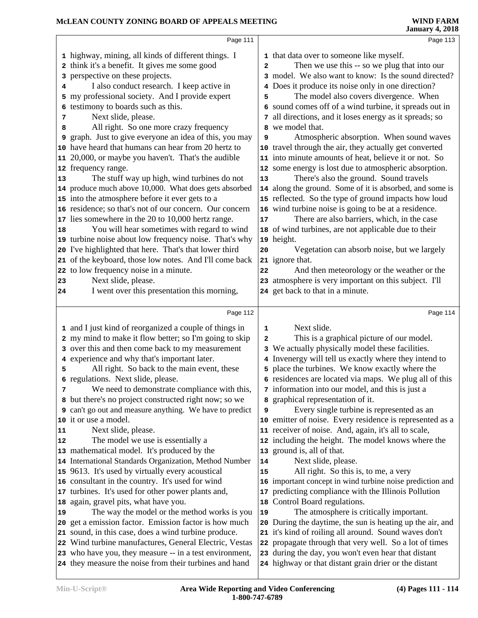### **McLEAN COUNTY ZONING BOARD OF APPEALS MEETING**

|    | Page 111                                                                                                          |              | Page 113                                                                                                     |  |
|----|-------------------------------------------------------------------------------------------------------------------|--------------|--------------------------------------------------------------------------------------------------------------|--|
|    | 1 highway, mining, all kinds of different things. I                                                               |              | 1 that data over to some one like myself.                                                                    |  |
|    | 2 think it's a benefit. It gives me some good                                                                     | $\mathbf{2}$ | Then we use this -- so we plug that into our                                                                 |  |
| 3  | perspective on these projects.                                                                                    |              | 3 model. We also want to know: Is the sound directed?                                                        |  |
| 4  | I also conduct research. I keep active in                                                                         |              | 4 Does it produce its noise only in one direction?                                                           |  |
|    | 5 my professional society. And I provide expert                                                                   | 5            | The model also covers divergence. When                                                                       |  |
|    | 6 testimony to boards such as this.                                                                               |              | 6 sound comes off of a wind turbine, it spreads out in                                                       |  |
| 7  | Next slide, please.                                                                                               |              | 7 all directions, and it loses energy as it spreads; so                                                      |  |
| 8  | All right. So one more crazy frequency                                                                            |              | 8 we model that.                                                                                             |  |
| 9  | graph. Just to give everyone an idea of this, you may                                                             | 9            | Atmospheric absorption. When sound waves                                                                     |  |
|    | 10 have heard that humans can hear from 20 hertz to                                                               |              | 10 travel through the air, they actually get converted                                                       |  |
|    | 11 20,000, or maybe you haven't. That's the audible                                                               |              | 11 into minute amounts of heat, believe it or not. So                                                        |  |
|    | 12 frequency range.                                                                                               |              | 12 some energy is lost due to atmospheric absorption.                                                        |  |
| 13 | The stuff way up high, wind turbines do not                                                                       | 13           | There's also the ground. Sound travels                                                                       |  |
|    | 14 produce much above 10,000. What does gets absorbed                                                             |              | 14 along the ground. Some of it is absorbed, and some is                                                     |  |
|    | 15 into the atmosphere before it ever gets to a                                                                   |              | 15 reflected. So the type of ground impacts how loud                                                         |  |
|    | 16 residence; so that's not of our concern. Our concern                                                           |              | 16 wind turbine noise is going to be at a residence.                                                         |  |
|    | 17 lies somewhere in the 20 to 10,000 hertz range.                                                                | 17           | There are also barriers, which, in the case                                                                  |  |
| 18 | You will hear sometimes with regard to wind                                                                       |              | 18 of wind turbines, are not applicable due to their                                                         |  |
|    | 19 turbine noise about low frequency noise. That's why                                                            |              | 19 height.                                                                                                   |  |
|    | 20 I've highlighted that here. That's that lower third                                                            | 20           | Vegetation can absorb noise, but we largely                                                                  |  |
|    | 21 of the keyboard, those low notes. And I'll come back                                                           |              | 21 ignore that.                                                                                              |  |
|    | 22 to low frequency noise in a minute.                                                                            | 22           | And then meteorology or the weather or the                                                                   |  |
| 23 | Next slide, please.                                                                                               |              | 23 atmosphere is very important on this subject. I'll                                                        |  |
| 24 | I went over this presentation this morning,                                                                       |              | 24 get back to that in a minute.                                                                             |  |
|    |                                                                                                                   |              |                                                                                                              |  |
|    |                                                                                                                   |              |                                                                                                              |  |
|    | Page 112                                                                                                          |              | Page 114                                                                                                     |  |
|    | 1 and I just kind of reorganized a couple of things in                                                            | 1            | Next slide.                                                                                                  |  |
|    | 2 my mind to make it flow better; so I'm going to skip                                                            | $\mathbf{2}$ | This is a graphical picture of our model.                                                                    |  |
|    | 3 over this and then come back to my measurement                                                                  |              |                                                                                                              |  |
|    | 4 experience and why that's important later.                                                                      |              | 3 We actually physically model these facilities.<br>4 Invenergy will tell us exactly where they intend to    |  |
| 5  | All right. So back to the main event, these                                                                       |              | 5 place the turbines. We know exactly where the                                                              |  |
|    | 6 regulations. Next slide, please.                                                                                |              | 6 residences are located via maps. We plug all of this                                                       |  |
| 7  | We need to demonstrate compliance with this,                                                                      |              | 7 information into our model, and this is just a                                                             |  |
|    | 8 but there's no project constructed right now; so we                                                             |              | 8 graphical representation of it.                                                                            |  |
|    | <b>9</b> can't go out and measure anything. We have to predict                                                    | 9            | Every single turbine is represented as an                                                                    |  |
|    | 10 it or use a model.                                                                                             |              | 10 emitter of noise. Every residence is represented as a                                                     |  |
| 11 | Next slide, please.                                                                                               |              | 11 receiver of noise. And, again, it's all to scale,                                                         |  |
| 12 | The model we use is essentially a                                                                                 |              | 12 including the height. The model knows where the                                                           |  |
|    | 13 mathematical model. It's produced by the                                                                       |              | 13 ground is, all of that.                                                                                   |  |
|    | 14 International Standards Organization, Method Number                                                            | 14           | Next slide, please.                                                                                          |  |
|    | 15 9613. It's used by virtually every acoustical                                                                  | 15           | All right. So this is, to me, a very                                                                         |  |
|    | 16 consultant in the country. It's used for wind                                                                  |              | 16 important concept in wind turbine noise prediction and                                                    |  |
|    | 17 turbines. It's used for other power plants and,                                                                |              | 17 predicting compliance with the Illinois Pollution                                                         |  |
|    | 18 again, gravel pits, what have you.                                                                             |              | 18 Control Board regulations.                                                                                |  |
| 19 | The way the model or the method works is you                                                                      | 19           | The atmosphere is critically important.                                                                      |  |
|    | 20 get a emission factor. Emission factor is how much                                                             |              | 20 During the daytime, the sun is heating up the air, and                                                    |  |
|    | 21 sound, in this case, does a wind turbine produce.                                                              |              | 21 it's kind of roiling all around. Sound waves don't                                                        |  |
|    | 22 Wind turbine manufactures, General Electric, Vestas                                                            |              | 22 propagate through that very well. So a lot of times                                                       |  |
|    | 23 who have you, they measure -- in a test environment,<br>24 they measure the noise from their turbines and hand |              | 23 during the day, you won't even hear that distant<br>24 highway or that distant grain drier or the distant |  |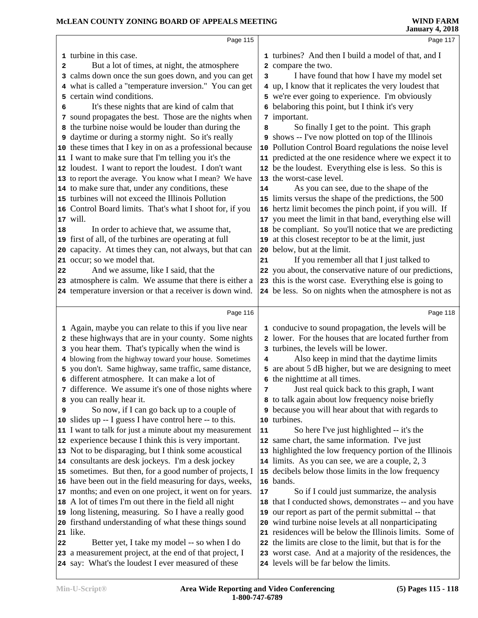|    | Page 115                                                                                                       |    | Page 117                                                                                           |
|----|----------------------------------------------------------------------------------------------------------------|----|----------------------------------------------------------------------------------------------------|
|    |                                                                                                                |    |                                                                                                    |
|    | 1 turbine in this case.                                                                                        |    | 1 turbines? And then I build a model of that, and I                                                |
| 2  | But a lot of times, at night, the atmosphere                                                                   |    | 2 compare the two.                                                                                 |
|    | 3 calms down once the sun goes down, and you can get                                                           | 3  | I have found that how I have my model set                                                          |
|    | 4 what is called a "temperature inversion." You can get                                                        |    | 4 up, I know that it replicates the very loudest that                                              |
| 5  | certain wind conditions.                                                                                       |    | 5 we're ever going to experience. I'm obviously                                                    |
| 6  | It's these nights that are kind of calm that                                                                   |    | 6 belaboring this point, but I think it's very                                                     |
|    | 7 sound propagates the best. Those are the nights when                                                         |    | 7 important.                                                                                       |
|    | 8 the turbine noise would be louder than during the                                                            | 8  | So finally I get to the point. This graph                                                          |
|    | <b>9</b> daytime or during a stormy night. So it's really                                                      |    | 9 shows -- I've now plotted on top of the Illinois                                                 |
|    | 10 these times that I key in on as a professional because                                                      | 10 | Pollution Control Board regulations the noise level                                                |
|    | 11 I want to make sure that I'm telling you it's the                                                           |    | 11 predicted at the one residence where we expect it to                                            |
|    | 12 loudest. I want to report the loudest. I don't want                                                         |    | 12 be the loudest. Everything else is less. So this is                                             |
|    | 13 to report the average. You know what I mean? We have                                                        |    | 13 the worst-case level.                                                                           |
|    | 14 to make sure that, under any conditions, these                                                              | 14 | As you can see, due to the shape of the                                                            |
|    | 15 turbines will not exceed the Illinois Pollution                                                             |    | 15 limits versus the shape of the predictions, the 500                                             |
|    | 16 Control Board limits. That's what I shoot for, if you                                                       | 16 | hertz limit becomes the pinch point, if you will. If                                               |
|    | 17 will.                                                                                                       |    | 17 you meet the limit in that band, everything else will                                           |
| 18 | In order to achieve that, we assume that,                                                                      |    | 18 be compliant. So you'll notice that we are predicting                                           |
|    | 19 first of all, of the turbines are operating at full                                                         | 19 | at this closest receptor to be at the limit, just                                                  |
|    | 20 capacity. At times they can, not always, but that can                                                       | 20 | below, but at the limit.                                                                           |
|    | 21 occur; so we model that.                                                                                    | 21 | If you remember all that I just talked to                                                          |
| 22 | And we assume, like I said, that the                                                                           |    | 22 you about, the conservative nature of our predictions,                                          |
|    | 23 atmosphere is calm. We assume that there is either a                                                        |    | 23 this is the worst case. Everything else is going to                                             |
|    | 24 temperature inversion or that a receiver is down wind.                                                      |    | 24 be less. So on nights when the atmosphere is not as                                             |
|    | Page 116                                                                                                       |    | Page 118                                                                                           |
|    |                                                                                                                |    |                                                                                                    |
|    | 1 Again, maybe you can relate to this if you live near                                                         |    | 1 conducive to sound propagation, the levels will be                                               |
|    |                                                                                                                |    |                                                                                                    |
|    | 2 these highways that are in your county. Some nights                                                          |    | 2 lower. For the houses that are located further from                                              |
|    | 3 you hear them. That's typically when the wind is                                                             |    | 3 turbines, the levels will be lower.                                                              |
|    | 4 blowing from the highway toward your house. Sometimes                                                        | 4  | Also keep in mind that the daytime limits                                                          |
|    | 5 you don't. Same highway, same traffic, same distance,                                                        |    | 5 are about 5 dB higher, but we are designing to meet                                              |
|    | 6 different atmosphere. It can make a lot of                                                                   |    | 6 the nighttime at all times.                                                                      |
|    | 7 difference. We assume it's one of those nights where                                                         | 7  | Just real quick back to this graph, I want                                                         |
|    | 8 you can really hear it.                                                                                      |    | 8 to talk again about low frequency noise briefly                                                  |
| 9  | So now, if I can go back up to a couple of                                                                     |    | 9 because you will hear about that with regards to                                                 |
|    | 10 slides up -- I guess I have control here -- to this.                                                        | 10 | turbines.                                                                                          |
|    | 11 I want to talk for just a minute about my measurement                                                       | 11 | So here I've just highlighted -- it's the                                                          |
|    | 12 experience because I think this is very important.                                                          |    | 12 same chart, the same information. I've just                                                     |
|    | 13 Not to be disparaging, but I think some acoustical                                                          | 13 | highlighted the low frequency portion of the Illinois                                              |
|    | 14 consultants are desk jockeys. I'm a desk jockey                                                             |    | 14 limits. As you can see, we are a couple, 2, 3                                                   |
|    | 15 sometimes. But then, for a good number of projects, I                                                       | 15 | decibels below those limits in the low frequency                                                   |
|    | 16 have been out in the field measuring for days, weeks,                                                       |    | 16 bands.                                                                                          |
|    | 17 months; and even on one project, it went on for years.                                                      | 17 | So if I could just summarize, the analysis                                                         |
|    | 18 A lot of times I'm out there in the field all night                                                         | 18 | that I conducted shows, demonstrates -- and you have                                               |
|    | 19 long listening, measuring. So I have a really good                                                          | 19 | our report as part of the permit submittal -- that                                                 |
|    | 20 firsthand understanding of what these things sound                                                          | 20 | wind turbine noise levels at all nonparticipating                                                  |
|    | 21 like.                                                                                                       | 21 | residences will be below the Illinois limits. Some of                                              |
| 22 | Better yet, I take my model -- so when I do                                                                    |    | 22 the limits are close to the limit, but that is for the                                          |
|    | 23 a measurement project, at the end of that project, I<br>24 say: What's the loudest I ever measured of these |    | 23 worst case. And at a majority of the residences, the<br>24 levels will be far below the limits. |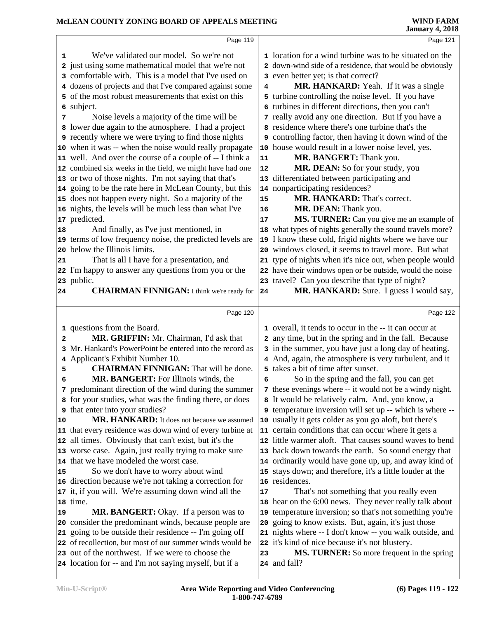| McLEAN COUNTY ZONING BOARD OF APPEALS MEETING               |            | <b>WIND FARM</b><br><b>January 4, 2018</b>                |
|-------------------------------------------------------------|------------|-----------------------------------------------------------|
| Page 119                                                    |            | Page 121                                                  |
| We've validated our model. So we're not<br>1                |            | 1 location for a wind turbine was to be situated on the   |
| 2 just using some mathematical model that we're not         |            | 2 down-wind side of a residence, that would be obviously  |
| 3 comfortable with. This is a model that I've used on       |            | 3 even better yet; is that correct?                       |
| 4 dozens of projects and that I've compared against some    | 4          | MR. HANKARD: Yeah. If it was a single                     |
| 5 of the most robust measurements that exist on this        |            | 5 turbine controlling the noise level. If you have        |
| subject.<br>6                                               |            | 6 turbines in different directions, then you can't        |
| Noise levels a majority of the time will be<br>7            |            | 7 really avoid any one direction. But if you have a       |
| 8 lower due again to the atmosphere. I had a project        |            | 8 residence where there's one turbine that's the          |
| <b>9</b> recently where we were trying to find those nights |            | 9 controlling factor, then having it down wind of the     |
| 10 when it was -- when the noise would really propagate     |            | 10 house would result in a lower noise level, yes.        |
| 11 well. And over the course of a couple of -- I think a    | 11         | MR. BANGERT: Thank you.                                   |
| 12 combined six weeks in the field, we might have had one   | 12         | MR. DEAN: So for your study, you                          |
| 13 or two of those nights. I'm not saying that that's       |            | 13 differentiated between participating and               |
| 14 going to be the rate here in McLean County, but this     |            | 14 nonparticipating residences?                           |
| 15 does not happen every night. So a majority of the        | ${\bf 15}$ | MR. HANKARD: That's correct.                              |
| 16 nights, the levels will be much less than what I've      | 16         | MR. DEAN: Thank you.                                      |
| 17 predicted.                                               | 17         | MS. TURNER: Can you give me an example of                 |
| And finally, as I've just mentioned, in<br>18               |            | 18 what types of nights generally the sound travels more? |
| 19 terms of low frequency noise, the predicted levels are   |            | 19 I know these cold, frigid nights where we have our     |
| 20 below the Illinois limits.                               |            | 20 windows closed, it seems to travel more. But what      |
| That is all I have for a presentation, and<br>21            |            | 21 type of nights when it's nice out, when people would   |
| 22 I'm happy to answer any questions from you or the        |            | 22 have their windows open or be outside, would the noise |
| 23 public.                                                  |            | 23 travel? Can you describe that type of night?           |
| <b>CHAIRMAN FINNIGAN:</b> I think we're ready for<br>24     | 24         | MR. HANKARD: Sure. I guess I would say,                   |
| Page 120                                                    |            | Page 122                                                  |
| 1 questions from the Board.                                 |            | 1 overall, it tends to occur in the -- it can occur at    |
| MR. GRIFFIN: Mr. Chairman, I'd ask that<br>$\mathbf{2}$     |            | 2 any time, but in the spring and in the fall. Because    |
| 3 Mr. Hankard's PowerPoint be entered into the record as    |            | 3 in the summer, you have just a long day of heating.     |
| 4 Applicant's Exhibit Number 10.                            |            | 4 And, again, the atmosphere is very turbulent, and it    |
| <b>CHAIRMAN FINNIGAN:</b> That will be done.<br>5           |            | 5 takes a bit of time after sunset.                       |
| <b>MR. BANGERT:</b> For Illinois winds, the<br>6            | 6          | So in the spring and the fall, you can get                |
| predominant direction of the wind during the summer<br>7    |            | 7 these evenings where -- it would not be a windy night.  |
| for your studies, what was the finding there, or does<br>8  |            | 8 It would be relatively calm. And, you know, a           |
| that enter into your studies?<br>9                          |            | 9 temperature inversion will set up -- which is where --  |
| MR. HANKARD: It does not because we assumed<br>10           |            | 10 usually it gets colder as you go aloft, but there's    |
| 11 that every residence was down wind of every turbine at   |            | 11 certain conditions that can occur where it gets a      |
| 12 all times. Obviously that can't exist, but it's the      |            | 12 little warmer aloft. That causes sound waves to bend   |
| 13 worse case. Again, just really trying to make sure       |            | 13 back down towards the earth. So sound energy that      |
| 14 that we have modeled the worst case.                     |            | 14 ordinarily would have gone up, up, and away kind of    |
| So we don't have to worry about wind<br>15                  |            | 15 stays down; and therefore, it's a little louder at the |
| 16 direction because we're not taking a correction for      |            | 16 residences.                                            |
| 17 it, if you will. We're assuming down wind all the        | 17         | That's not something that you really even                 |
| 18 time.                                                    |            | 18 hear on the 6:00 news. They never really talk about    |
| <b>MR. BANGERT:</b> Okay. If a person was to<br>19          |            | 19 temperature inversion; so that's not something you're  |
| 20 consider the predominant winds, because people are       | 20         | going to know exists. But, again, it's just those         |
| 21 going to be outside their residence -- I'm going off     |            | 21 nights where -- I don't know -- you walk outside, and  |
| 22 of recollection, but most of our summer winds would be   |            | 22 it's kind of nice because it's not blustery.           |
| 23 out of the northwest. If we were to choose the           | 23         | <b>MS. TURNER:</b> So more frequent in the spring         |
| 24 location for -- and I'm not saying myself, but if a      |            | 24 and fall?                                              |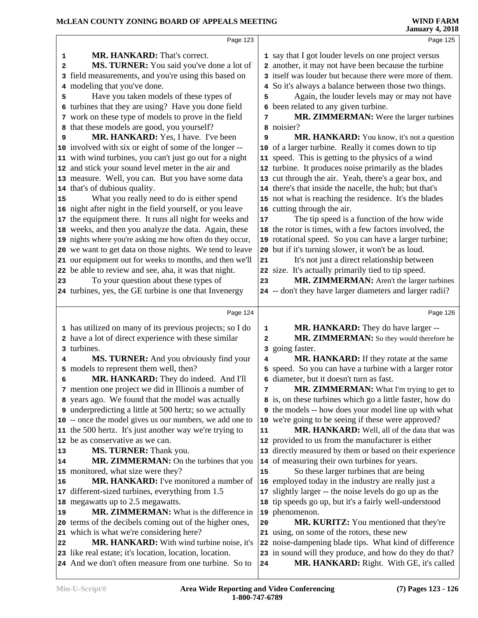|    | Page 123                                                  |        | Page 125                                                     |
|----|-----------------------------------------------------------|--------|--------------------------------------------------------------|
| 1  | <b>MR. HANKARD:</b> That's correct.                       |        | 1 say that I got louder levels on one project versus         |
| 2  | MS. TURNER: You said you've done a lot of                 |        | 2 another, it may not have been because the turbine          |
|    | 3 field measurements, and you're using this based on      |        | 3 itself was louder but because there were more of them.     |
|    | 4 modeling that you've done.                              |        | 4 So it's always a balance between those two things.         |
| 5  | Have you taken models of these types of                   | 5      | Again, the louder levels may or may not have                 |
|    | 6 turbines that they are using? Have you done field       |        | 6 been related to any given turbine.                         |
|    | 7 work on these type of models to prove in the field      | 7      | MR. ZIMMERMAN: Were the larger turbines                      |
|    | 8 that these models are good, you yourself?               |        | 8 noisier?                                                   |
| 9  | MR. HANKARD: Yes, I have. I've been                       | 9      | MR. HANKARD: You know, it's not a question                   |
|    | 10 involved with six or eight of some of the longer --    |        | 10 of a larger turbine. Really it comes down to tip          |
|    | 11 with wind turbines, you can't just go out for a night  |        | 11 speed. This is getting to the physics of a wind           |
|    | 12 and stick your sound level meter in the air and        |        | 12 turbine. It produces noise primarily as the blades        |
|    | 13 measure. Well, you can. But you have some data         |        | 13 cut through the air. Yeah, there's a gear box, and        |
|    | 14 that's of dubious quality.                             |        | 14 there's that inside the nacelle, the hub; but that's      |
| 15 | What you really need to do is either spend                |        | 15 not what is reaching the residence. It's the blades       |
|    | 16 night after night in the field yourself, or you leave  |        | 16 cutting through the air.                                  |
|    | 17 the equipment there. It runs all night for weeks and   | $17\,$ | The tip speed is a function of the how wide                  |
|    | 18 weeks, and then you analyze the data. Again, these     |        | 18 the rotor is times, with a few factors involved, the      |
|    | 19 nights where you're asking me how often do they occur, |        | 19 rotational speed. So you can have a larger turbine;       |
|    | 20 we want to get data on those nights. We tend to leave  |        | 20 but if it's turning slower, it won't be as loud.          |
|    | 21 our equipment out for weeks to months, and then we'll  | 21     | It's not just a direct relationship between                  |
|    | 22 be able to review and see, aha, it was that night.     |        | 22 size. It's actually primarily tied to tip speed.          |
| 23 | To your question about these types of                     | 23     | MR. ZIMMERMAN: Aren't the larger turbines                    |
|    | 24 turbines, yes, the GE turbine is one that Invenergy    |        | 24 -- don't they have larger diameters and larger radii?     |
|    |                                                           |        |                                                              |
|    | Page 124                                                  |        | Page 126                                                     |
|    | 1 has utilized on many of its previous projects; so I do  | 1      | MR. HANKARD: They do have larger --                          |
|    | 2 have a lot of direct experience with these similar      | 2      | MR. ZIMMERMAN: So they would therefore be                    |
|    | 3 turbines.                                               | з      | going faster.                                                |
| 4  | MS. TURNER: And you obviously find your                   | 4      | MR. HANKARD: If they rotate at the same                      |
|    | 5 models to represent them well, then?                    |        | 5 speed. So you can have a turbine with a larger rotor       |
| 6  | MR. HANKARD: They do indeed. And I'll                     |        | 6 diameter, but it doesn't turn as fast.                     |
|    | 7 mention one project we did in Illinois a number of      | 7      | MR. ZIMMERMAN: What I'm trying to get to                     |
|    | 8 years ago. We found that the model was actually         |        | 8 is, on these turbines which go a little faster, how do     |
|    | 9 underpredicting a little at 500 hertz; so we actually   |        | <b>9</b> the models -- how does your model line up with what |
|    | 10 -- once the model gives us our numbers, we add one to  |        | 10 we're going to be seeing if these were approved?          |
|    | 11 the 500 hertz. It's just another way we're trying to   | 11     | MR. HANKARD: Well, all of the data that was                  |
|    | 12 be as conservative as we can.                          |        | 12 provided to us from the manufacturer is either            |
| 13 | MS. TURNER: Thank you.                                    |        | 13 directly measured by them or based on their experience    |
| 14 | MR. ZIMMERMAN: On the turbines that you                   |        | 14 of measuring their own turbines for years.                |
|    | 15 monitored, what size were they?                        | 15     | So these larger turbines that are being                      |
| 16 | MR. HANKARD: I've monitored a number of                   |        | 16 employed today in the industry are really just a          |
|    | 17 different-sized turbines, everything from 1.5          |        | 17 slightly larger -- the noise levels do go up as the       |
|    | 18 megawatts up to 2.5 megawatts.                         |        | 18 tip speeds go up, but it's a fairly well-understood       |
| 19 | MR. ZIMMERMAN: What is the difference in                  |        | 19 phenomenon.                                               |
|    | 20 terms of the decibels coming out of the higher ones,   | 20     | MR. KURITZ: You mentioned that they're                       |
|    | 21 which is what we're considering here?                  |        | 21 using, on some of the rotors, these new                   |
| 22 | <b>MR. HANKARD:</b> With wind turbine noise, it's         |        | 22 noise-dampening blade tips. What kind of difference       |
|    | 23 like real estate; it's location, location, location.   |        | 23 in sound will they produce, and how do they do that?      |
|    | 24 And we don't often measure from one turbine. So to     | 24     | <b>MR. HANKARD:</b> Right. With GE, it's called              |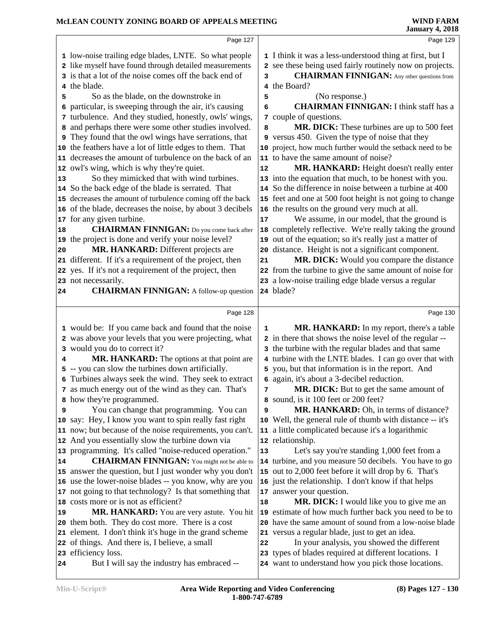|    | Page 127                                                                                                        |    | Page 129                                                                                                         |
|----|-----------------------------------------------------------------------------------------------------------------|----|------------------------------------------------------------------------------------------------------------------|
|    | 1 low-noise trailing edge blades, LNTE. So what people                                                          |    | 1 I think it was a less-understood thing at first, but I                                                         |
|    | 2 like myself have found through detailed measurements                                                          |    | 2 see these being used fairly routinely now on projects.                                                         |
|    | 3 is that a lot of the noise comes off the back end of                                                          | 3  | <b>CHAIRMAN FINNIGAN:</b> Any other questions from                                                               |
|    | 4 the blade.                                                                                                    |    | 4 the Board?                                                                                                     |
| 5  | So as the blade, on the downstroke in                                                                           | 5  | (No response.)<br><b>CHAIRMAN FINNIGAN: I think staff has a</b>                                                  |
| 6  | particular, is sweeping through the air, it's causing<br>7 turbulence. And they studied, honestly, owls' wings, | 6  | 7 couple of questions.                                                                                           |
| 8  | and perhaps there were some other studies involved.                                                             | 8  | MR. DICK: These turbines are up to 500 feet                                                                      |
|    | <b>9</b> They found that the owl wings have serrations, that                                                    |    | 9 versus 450. Given the type of noise that they                                                                  |
|    | 10 the feathers have a lot of little edges to them. That                                                        |    | 10 project, how much further would the setback need to be                                                        |
|    | 11 decreases the amount of turbulence on the back of an                                                         |    | 11 to have the same amount of noise?                                                                             |
|    | 12 owl's wing, which is why they're quiet.                                                                      | 12 | MR. HANKARD: Height doesn't really enter                                                                         |
| 13 | So they mimicked that with wind turbines.                                                                       |    | 13 into the equation that much, to be honest with you.                                                           |
|    | 14 So the back edge of the blade is serrated. That                                                              |    | 14 So the difference in noise between a turbine at 400                                                           |
|    | 15 decreases the amount of turbulence coming off the back                                                       |    | 15 feet and one at 500 foot height is not going to change                                                        |
|    | 16 of the blade, decreases the noise, by about 3 decibels                                                       |    | 16 the results on the ground very much at all.                                                                   |
|    | 17 for any given turbine.                                                                                       | 17 | We assume, in our model, that the ground is                                                                      |
| 18 | <b>CHAIRMAN FINNIGAN:</b> Do you come back after                                                                |    | 18 completely reflective. We're really taking the ground                                                         |
|    | 19 the project is done and verify your noise level?                                                             |    | 19 out of the equation; so it's really just a matter of                                                          |
| 20 | MR. HANKARD: Different projects are                                                                             |    | 20 distance. Height is not a significant component.                                                              |
|    | 21 different. If it's a requirement of the project, then                                                        | 21 | MR. DICK: Would you compare the distance                                                                         |
|    | 22 yes. If it's not a requirement of the project, then                                                          |    | 22 from the turbine to give the same amount of noise for                                                         |
| 24 | 23 not necessarily.<br><b>CHAIRMAN FINNIGAN:</b> A follow-up question                                           |    | 23 a low-noise trailing edge blade versus a regular<br>24 blade?                                                 |
|    |                                                                                                                 |    |                                                                                                                  |
|    | Page 128                                                                                                        |    | Page 130                                                                                                         |
|    |                                                                                                                 |    |                                                                                                                  |
|    | 1 would be: If you came back and found that the noise                                                           | 1  | MR. HANKARD: In my report, there's a table                                                                       |
|    | 2 was above your levels that you were projecting, what                                                          |    | 2 in there that shows the noise level of the regular --                                                          |
|    | 3 would you do to correct it?                                                                                   |    | 3 the turbine with the regular blades and that same                                                              |
| 4  | MR. HANKARD: The options at that point are                                                                      |    | 4 turbine with the LNTE blades. I can go over that with                                                          |
|    | 5 -- you can slow the turbines down artificially.                                                               |    | 5 you, but that information is in the report. And                                                                |
|    | 6 Turbines always seek the wind. They seek to extract                                                           |    | 6 again, it's about a 3-decibel reduction.                                                                       |
|    | 7 as much energy out of the wind as they can. That's                                                            | 7  | MR. DICK: But to get the same amount of                                                                          |
|    | 8 how they're programmed.                                                                                       |    | 8 sound, is it 100 feet or 200 feet?                                                                             |
| 9  | You can change that programming. You can                                                                        | 9  | MR. HANKARD: Oh, in terms of distance?                                                                           |
|    | 10 say: Hey, I know you want to spin really fast right                                                          |    | 10 Well, the general rule of thumb with distance -- it's                                                         |
|    | 11 now; but because of the noise requirements, you can't.                                                       |    | 11 a little complicated because it's a logarithmic                                                               |
|    | 12 And you essentially slow the turbine down via                                                                |    | 12 relationship.                                                                                                 |
| 14 | 13 programming. It's called "noise-reduced operation."<br><b>CHAIRMAN FINNIGAN:</b> You might not be able to    | 13 | Let's say you're standing 1,000 feet from a                                                                      |
|    | 15 answer the question, but I just wonder why you don't                                                         |    | 14 turbine, and you measure 50 decibels. You have to go<br>15 out to 2,000 feet before it will drop by 6. That's |
|    | 16 use the lower-noise blades -- you know, why are you                                                          |    | 16 just the relationship. I don't know if that helps                                                             |
|    | 17 not going to that technology? Is that something that                                                         |    | 17 answer your question.                                                                                         |
|    | 18 costs more or is not as efficient?                                                                           | 18 | MR. DICK: I would like you to give me an                                                                         |
| 19 | MR. HANKARD: You are very astute. You hit                                                                       |    | 19 estimate of how much further back you need to be to                                                           |
|    | 20 them both. They do cost more. There is a cost                                                                |    | 20 have the same amount of sound from a low-noise blade                                                          |
|    | 21 element. I don't think it's huge in the grand scheme                                                         |    | 21 versus a regular blade, just to get an idea.                                                                  |
|    | 22 of things. And there is, I believe, a small                                                                  | 22 | In your analysis, you showed the different                                                                       |
| 24 | 23 efficiency loss.<br>But I will say the industry has embraced --                                              |    | 23 types of blades required at different locations. I<br>24 want to understand how you pick those locations.     |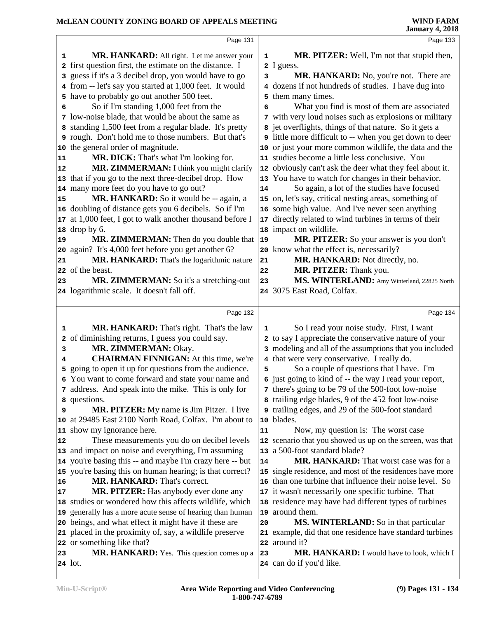|                | Page 131                                                                                              |    | Page 133                                                       |  |
|----------------|-------------------------------------------------------------------------------------------------------|----|----------------------------------------------------------------|--|
|                |                                                                                                       |    |                                                                |  |
| 1              | MR. HANKARD: All right. Let me answer your<br>2 first question first, the estimate on the distance. I | 1  | MR. PITZER: Well, I'm not that stupid then,                    |  |
|                | 3 guess if it's a 3 decibel drop, you would have to go                                                |    | 2 I guess.<br>MR. HANKARD: No, you're not. There are           |  |
|                | 4 from -- let's say you started at 1,000 feet. It would                                               | 3  | 4 dozens if not hundreds of studies. I have dug into           |  |
|                | 5 have to probably go out another 500 feet.                                                           |    | 5 them many times.                                             |  |
| 6              | So if I'm standing 1,000 feet from the                                                                | 6  | What you find is most of them are associated                   |  |
|                | 7 low-noise blade, that would be about the same as                                                    |    | 7 with very loud noises such as explosions or military         |  |
|                | 8 standing 1,500 feet from a regular blade. It's pretty                                               |    | 8 jet overflights, things of that nature. So it gets a         |  |
|                | <b>9</b> rough. Don't hold me to those numbers. But that's                                            |    | <b>9</b> little more difficult to -- when you get down to deer |  |
|                | 10 the general order of magnitude.                                                                    |    | 10 or just your more common wildlife, the data and the         |  |
| 11             | MR. DICK: That's what I'm looking for.                                                                |    | 11 studies become a little less conclusive. You                |  |
| 12             | MR. ZIMMERMAN: I think you might clarify                                                              |    | 12 obviously can't ask the deer what they feel about it.       |  |
|                | 13 that if you go to the next three-decibel drop. How                                                 |    | 13 You have to watch for changes in their behavior.            |  |
|                | 14 many more feet do you have to go out?                                                              | 14 | So again, a lot of the studies have focused                    |  |
| 15             | MR. HANKARD: So it would be -- again, a                                                               |    | 15 on, let's say, critical nesting areas, something of         |  |
|                | 16 doubling of distance gets you 6 decibels. So if I'm                                                |    | 16 some high value. And I've never seen anything               |  |
|                | 17 at 1,000 feet, I got to walk another thousand before I                                             |    | 17 directly related to wind turbines in terms of their         |  |
|                | 18 drop by 6.                                                                                         |    | 18 impact on wildlife.                                         |  |
| 19             | MR. ZIMMERMAN: Then do you double that                                                                | 19 | MR. PITZER: So your answer is you don't                        |  |
|                | 20 again? It's 4,000 feet before you get another 6?                                                   |    | 20 know what the effect is, necessarily?                       |  |
| 21             | MR. HANKARD: That's the logarithmic nature                                                            | 21 | MR. HANKARD: Not directly, no.                                 |  |
|                | 22 of the beast.                                                                                      | 22 | MR. PITZER: Thank you.                                         |  |
| 23             | MR. ZIMMERMAN: So it's a stretching-out                                                               | 23 | MS. WINTERLAND: Amy Winterland, 22825 North                    |  |
|                | 24 logarithmic scale. It doesn't fall off.                                                            |    | 24 3075 East Road, Colfax.                                     |  |
|                |                                                                                                       |    |                                                                |  |
|                |                                                                                                       |    |                                                                |  |
|                | Page 132                                                                                              |    | Page 134                                                       |  |
| 1              | <b>MR. HANKARD:</b> That's right. That's the law                                                      | 1  | So I read your noise study. First, I want                      |  |
|                | 2 of diminishing returns, I guess you could say.                                                      |    | 2 to say I appreciate the conservative nature of your          |  |
| 3              | MR. ZIMMERMAN: Okay.                                                                                  |    | 3 modeling and all of the assumptions that you included        |  |
| 4              | <b>CHAIRMAN FINNIGAN:</b> At this time, we're                                                         |    | 4 that were very conservative. I really do.                    |  |
| 5              | going to open it up for questions from the audience.                                                  | 5  | So a couple of questions that I have. I'm                      |  |
| 6              | You want to come forward and state your name and                                                      |    | 6 just going to kind of -- the way I read your report,         |  |
|                | 7 address. And speak into the mike. This is only for                                                  |    | 7 there's going to be 79 of the 500-foot low-noise             |  |
|                | 8 questions.                                                                                          |    | 8 trailing edge blades, 9 of the 452 foot low-noise            |  |
| 9              | MR. PITZER: My name is Jim Pitzer. I live                                                             |    | 9 trailing edges, and 29 of the 500-foot standard              |  |
|                | 10 at 29485 East 2100 North Road, Colfax. I'm about to                                                |    | 10 blades.                                                     |  |
|                | 11 show my ignorance here.                                                                            | 11 | Now, my question is: The worst case                            |  |
|                | These measurements you do on decibel levels                                                           |    | 12 scenario that you showed us up on the screen, was that      |  |
|                | 13 and impact on noise and everything, I'm assuming                                                   |    | 13 a 500-foot standard blade?                                  |  |
|                | 14 you're basing this -- and maybe I'm crazy here -- but                                              | 14 | <b>MR. HANKARD:</b> That worst case was for a                  |  |
|                | 15 you're basing this on human hearing; is that correct?                                              |    | 15 single residence, and most of the residences have more      |  |
|                | MR. HANKARD: That's correct.                                                                          |    | 16 than one turbine that influence their noise level. So       |  |
|                | MR. PITZER: Has anybody ever done any                                                                 |    | 17 it wasn't necessarily one specific turbine. That            |  |
|                | 18 studies or wondered how this affects wildlife, which                                               |    | 18 residence may have had different types of turbines          |  |
|                | 19 generally has a more acute sense of hearing than human                                             |    | 19 around them.                                                |  |
| 12<br>16<br>17 | 20 beings, and what effect it might have if these are                                                 | 20 | <b>MS. WINTERLAND:</b> So in that particular                   |  |
|                | 21 placed in the proximity of, say, a wildlife preserve                                               |    | 21 example, did that one residence have standard turbines      |  |
| 23             | 22 or something like that?<br>MR. HANKARD: Yes. This question comes up a                              | 23 | 22 around it?<br>MR. HANKARD: I would have to look, which I    |  |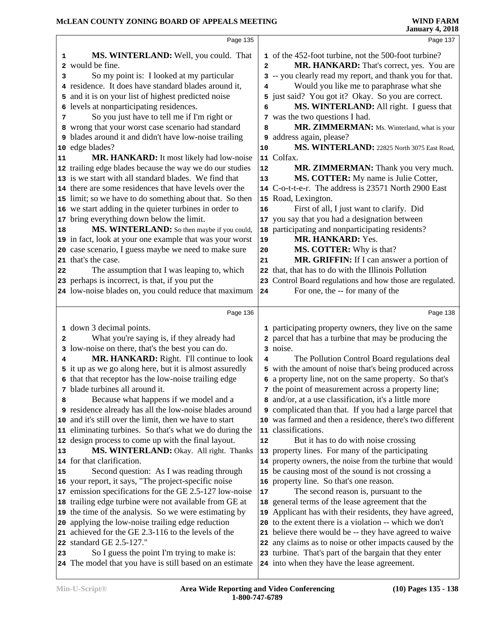|    | Page 135                                                                                                |              | Page 137                                                                                              |  |
|----|---------------------------------------------------------------------------------------------------------|--------------|-------------------------------------------------------------------------------------------------------|--|
|    |                                                                                                         |              |                                                                                                       |  |
| 1  | MS. WINTERLAND: Well, you could. That                                                                   |              | 1 of the 452-foot turbine, not the 500-foot turbine?                                                  |  |
| 2  | would be fine.                                                                                          | $\mathbf{z}$ | MR. HANKARD: That's correct, yes. You are                                                             |  |
| 3  | So my point is: I looked at my particular                                                               |              | 3 -- you clearly read my report, and thank you for that.                                              |  |
|    | 4 residence. It does have standard blades around it,                                                    | 4            | Would you like me to paraphrase what she                                                              |  |
|    | 5 and it is on your list of highest predicted noise                                                     |              | 5 just said? You got it? Okay. So you are correct.                                                    |  |
|    | 6 levels at nonparticipating residences.                                                                | 6            | MS. WINTERLAND: All right. I guess that                                                               |  |
| 7  | So you just have to tell me if I'm right or                                                             |              | 7 was the two questions I had.                                                                        |  |
|    | 8 wrong that your worst case scenario had standard                                                      | 8            | MR. ZIMMERMAN: Ms. Winterland, what is your                                                           |  |
|    | <b>9</b> blades around it and didn't have low-noise trailing                                            | 9            | address again, please?                                                                                |  |
| 10 | edge blades?                                                                                            | 10           | MS. WINTERLAND: 22825 North 3075 East Road,                                                           |  |
| 11 | MR. HANKARD: It most likely had low-noise                                                               |              | 11 Colfax.                                                                                            |  |
|    | 12 trailing edge blades because the way we do our studies                                               | 12           | MR. ZIMMERMAN: Thank you very much.                                                                   |  |
|    | 13 is we start with all standard blades. We find that                                                   | 13           | MS. COTTER: My name is Julie Cotter,                                                                  |  |
|    | 14 there are some residences that have levels over the                                                  |              | 14 C-o-t-t-e-r. The address is 23571 North 2900 East                                                  |  |
|    | 15 limit; so we have to do something about that. So then                                                |              | 15 Road, Lexington.                                                                                   |  |
|    | 16 we start adding in the quieter turbines in order to                                                  | 16           | First of all, I just want to clarify. Did                                                             |  |
|    | 17 bring everything down below the limit.                                                               |              | 17 you say that you had a designation between                                                         |  |
| 18 | MS. WINTERLAND: So then maybe if you could,                                                             |              | 18 participating and nonparticipating residents?                                                      |  |
|    | 19 in fact, look at your one example that was your worst                                                | 19           | MR. HANKARD: Yes.                                                                                     |  |
|    | 20 case scenario, I guess maybe we need to make sure                                                    | 20           | MS. COTTER: Why is that?                                                                              |  |
|    | 21 that's the case.                                                                                     | 21           | MR. GRIFFIN: If I can answer a portion of                                                             |  |
| 22 | The assumption that I was leaping to, which                                                             |              | 22 that, that has to do with the Illinois Pollution                                                   |  |
|    | 23 perhaps is incorrect, is that, if you put the                                                        | 23           | Control Board regulations and how those are regulated.                                                |  |
|    | 24 low-noise blades on, you could reduce that maximum                                                   | 24           | For one, the -- for many of the                                                                       |  |
|    |                                                                                                         |              |                                                                                                       |  |
|    | Page 136                                                                                                |              | Page 138                                                                                              |  |
|    | 1 down 3 decimal points.                                                                                |              | 1 participating property owners, they live on the same                                                |  |
| 2  | What you're saying is, if they already had                                                              |              | 2 parcel that has a turbine that may be producing the                                                 |  |
|    | 3 low-noise on there, that's the best you can do.                                                       |              | 3 noise.                                                                                              |  |
| 4  | MR. HANKARD: Right. I'll continue to look                                                               | 4            | The Pollution Control Board regulations deal                                                          |  |
|    | 5 it up as we go along here, but it is almost assuredly                                                 |              | 5 with the amount of noise that's being produced across                                               |  |
|    | 6 that that receptor has the low-noise trailing edge                                                    |              | 6 a property line, not on the same property. So that's                                                |  |
|    | 7 blade turbines all around it.                                                                         |              | 7 the point of measurement across a property line;                                                    |  |
| 8  | Because what happens if we model and a                                                                  |              | 8 and/or, at a use classification, it's a little more                                                 |  |
|    | 9 residence already has all the low-noise blades around                                                 |              | <b>9</b> complicated than that. If you had a large parcel that                                        |  |
|    | 10 and it's still over the limit, then we have to start                                                 |              | 10 was farmed and then a residence, there's two different                                             |  |
|    | 11 eliminating turbines. So that's what we do during the                                                |              | 11 classifications.                                                                                   |  |
|    |                                                                                                         |              |                                                                                                       |  |
|    |                                                                                                         |              |                                                                                                       |  |
|    | 12 design process to come up with the final layout.                                                     | 12           | But it has to do with noise crossing                                                                  |  |
|    | MS. WINTERLAND: Okay. All right. Thanks                                                                 | 13           | property lines. For many of the participating                                                         |  |
| 15 | 14 for that clarification.                                                                              |              | 14 property owners, the noise from the turbine that would                                             |  |
|    | Second question: As I was reading through                                                               |              | 15 be causing most of the sound is not crossing a                                                     |  |
|    | 16 your report, it says, "The project-specific noise                                                    |              | 16 property line. So that's one reason.                                                               |  |
|    | 17 emission specifications for the GE 2.5-127 low-noise                                                 | 17           | The second reason is, pursuant to the                                                                 |  |
|    | 18 trailing edge turbine were not available from GE at                                                  |              | 18 general terms of the lease agreement that the                                                      |  |
|    | 19 the time of the analysis. So we were estimating by                                                   |              | 19 Applicant has with their residents, they have agreed,                                              |  |
|    | 20 applying the low-noise trailing edge reduction                                                       | 20           | to the extent there is a violation -- which we don't                                                  |  |
| 13 | 21 achieved for the GE 2.3-116 to the levels of the                                                     |              | 21 believe there would be -- they have agreed to waive                                                |  |
|    | 22 standard GE 2.5-127."                                                                                |              | 22 any claims as to noise or other impacts caused by the                                              |  |
| 23 | So I guess the point I'm trying to make is:<br>24 The model that you have is still based on an estimate |              | 23 turbine. That's part of the bargain that they enter<br>24 into when they have the lease agreement. |  |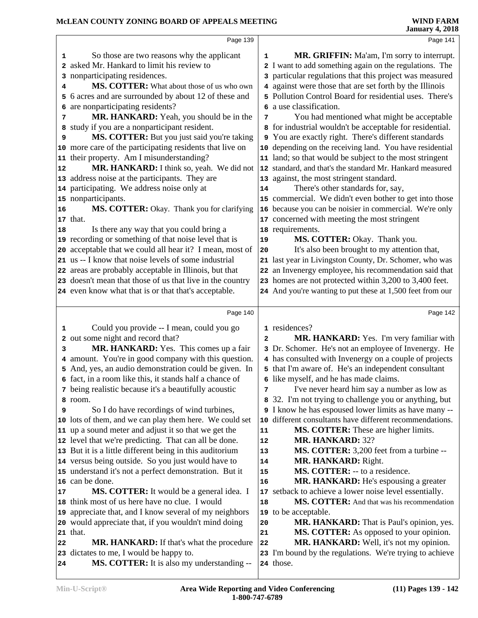|    | Page 139                                                                              |                | Page 141                                                              |
|----|---------------------------------------------------------------------------------------|----------------|-----------------------------------------------------------------------|
| 1  | So those are two reasons why the applicant                                            | 1              | MR. GRIFFIN: Ma'am, I'm sorry to interrupt.                           |
|    | 2 asked Mr. Hankard to limit his review to                                            |                | 2 I want to add something again on the regulations. The               |
|    | 3 nonparticipating residences.                                                        |                | 3 particular regulations that this project was measured               |
| 4  | MS. COTTER: What about those of us who own                                            |                | 4 against were those that are set forth by the Illinois               |
|    | 5 6 acres and are surrounded by about 12 of these and                                 |                | 5 Pollution Control Board for residential uses. There's               |
|    | 6 are nonparticipating residents?                                                     | 6              | a use classification.                                                 |
| 7  | MR. HANKARD: Yeah, you should be in the                                               | 7              | You had mentioned what might be acceptable                            |
|    | 8 study if you are a nonparticipant resident.                                         |                | 8 for industrial wouldn't be acceptable for residential.              |
| 9  | MS. COTTER: But you just said you're taking                                           |                | 9 You are exactly right. There's different standards                  |
|    | 10 more care of the participating residents that live on                              |                | 10 depending on the receiving land. You have residential              |
|    | 11 their property. Am I misunderstanding?                                             |                | 11 land; so that would be subject to the most stringent               |
| 12 | MR. HANKARD: I think so, yeah. We did not                                             |                | 12 standard, and that's the standard Mr. Hankard measured             |
|    | 13 address noise at the participants. They are                                        |                | 13 against, the most stringent standard.                              |
|    | 14 participating. We address noise only at                                            | 14             | There's other standards for, say,                                     |
|    | 15 nonparticipants.                                                                   |                | 15 commercial. We didn't even bother to get into those                |
| 16 | MS. COTTER: Okay. Thank you for clarifying                                            |                | 16 because you can be noisier in commercial. We're only               |
|    | 17 that.                                                                              |                | 17 concerned with meeting the most stringent                          |
| 18 | Is there any way that you could bring a                                               |                | 18 requirements.                                                      |
|    | 19 recording or something of that noise level that is                                 | 19             | MS. COTTER: Okay. Thank you.                                          |
|    | 20 acceptable that we could all hear it? I mean, most of                              | 20             | It's also been brought to my attention that,                          |
|    | 21 us -- I know that noise levels of some industrial                                  |                | 21 last year in Livingston County, Dr. Schomer, who was               |
|    | 22 areas are probably acceptable in Illinois, but that                                |                | 22 an Invenergy employee, his recommendation said that                |
|    | 23 doesn't mean that those of us that live in the country                             |                | 23 homes are not protected within 3,200 to 3,400 feet.                |
|    | 24 even know what that is or that that's acceptable.                                  |                | 24 And you're wanting to put these at 1,500 feet from our             |
|    |                                                                                       |                |                                                                       |
|    |                                                                                       |                |                                                                       |
|    | Page 140                                                                              |                | Page 142                                                              |
| 1  | Could you provide -- I mean, could you go                                             |                | 1 residences?                                                         |
|    | 2 out some night and record that?                                                     | $\overline{2}$ | MR. HANKARD: Yes. I'm very familiar with                              |
| 3  | MR. HANKARD: Yes. This comes up a fair                                                |                | 3 Dr. Schomer. He's not an employee of Invenergy. He                  |
|    | 4 amount. You're in good company with this question.                                  |                | 4 has consulted with Invenergy on a couple of projects                |
|    | 5 And, yes, an audio demonstration could be given. In                                 |                | 5 that I'm aware of. He's an independent consultant                   |
|    | 6 fact, in a room like this, it stands half a chance of                               |                | 6 like myself, and he has made claims.                                |
|    | 7 being realistic because it's a beautifully acoustic                                 | 7              | I've never heard him say a number as low as                           |
|    | 8 room.                                                                               | 8              | 32. I'm not trying to challenge you or anything, but                  |
| 9  | So I do have recordings of wind turbines,                                             |                | I know he has espoused lower limits as have many --                   |
|    | 10 lots of them, and we can play them here. We could set                              | 10             | different consultants have different recommendations.                 |
|    | 11 up a sound meter and adjust it so that we get the                                  | 11             | MS. COTTER: These are higher limits.                                  |
|    | 12 level that we're predicting. That can all be done.                                 | 12             | <b>MR. HANKARD: 32?</b>                                               |
|    | 13 But it is a little different being in this auditorium                              | 13             | MS. COTTER: 3,200 feet from a turbine --                              |
|    | 14 versus being outside. So you just would have to                                    | 14             | MR. HANKARD: Right.                                                   |
|    | 15 understand it's not a perfect demonstration. But it                                | 15             | MS. COTTER: -- to a residence.                                        |
|    | 16 can be done.                                                                       | 16             | MR. HANKARD: He's espousing a greater                                 |
| 17 | MS. COTTER: It would be a general idea. I                                             | 17             | setback to achieve a lower noise level essentially.                   |
|    | 18 think most of us here have no clue. I would                                        | 18             | MS. COTTER: And that was his recommendation                           |
|    | 19 appreciate that, and I know several of my neighbors                                | 19             | to be acceptable.                                                     |
|    | 20 would appreciate that, if you wouldn't mind doing                                  | 20             | MR. HANKARD: That is Paul's opinion, yes.                             |
|    | 21 that.                                                                              | 21             | MS. COTTER: As opposed to your opinion.                               |
| 22 | <b>MR. HANKARD:</b> If that's what the procedure                                      | 22             | MR. HANKARD: Well, it's not my opinion.                               |
| 24 | 23 dictates to me, I would be happy to.<br>MS. COTTER: It is also my understanding -- |                | 23 I'm bound by the regulations. We're trying to achieve<br>24 those. |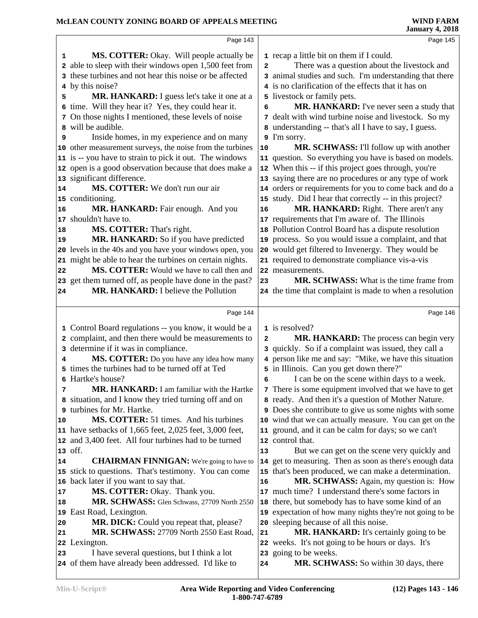|    | Page 143                                                  |    | Page 145                                                  |
|----|-----------------------------------------------------------|----|-----------------------------------------------------------|
| 1  | <b>MS. COTTER:</b> Okay. Will people actually be          |    | 1 recap a little bit on them if I could.                  |
|    | 2 able to sleep with their windows open 1,500 feet from   | 2  | There was a question about the livestock and              |
|    | 3 these turbines and not hear this noise or be affected   |    | 3 animal studies and such. I'm understanding that there   |
|    | 4 by this noise?                                          |    | 4 is no clarification of the effects that it has on       |
| 5  | MR. HANKARD: I guess let's take it one at a               |    | 5 livestock or family pets.                               |
|    | 6 time. Will they hear it? Yes, they could hear it.       | 6  | <b>MR. HANKARD:</b> I've never seen a study that          |
|    | 7 On those nights I mentioned, these levels of noise      | 7  | dealt with wind turbine noise and livestock. So my        |
|    | 8 will be audible.                                        | 8  | understanding -- that's all I have to say, I guess.       |
| 9  | Inside homes, in my experience and on many                | 9  | I'm sorry.                                                |
|    | 10 other measurement surveys, the noise from the turbines | 10 | MR. SCHWASS: I'll follow up with another                  |
|    | 11 is -- you have to strain to pick it out. The windows   |    | 11 question. So everything you have is based on models.   |
|    | 12 open is a good observation because that does make a    |    | 12 When this -- if this project goes through, you're      |
|    | 13 significant difference.                                |    | 13 saying there are no procedures or any type of work     |
| 14 | MS. COTTER: We don't run our air                          |    | 14 orders or requirements for you to come back and do a   |
|    | 15 conditioning.                                          |    | 15 study. Did I hear that correctly -- in this project?   |
| 16 | MR. HANKARD: Fair enough. And you                         | 16 | MR. HANKARD: Right. There aren't any                      |
|    | 17 shouldn't have to.                                     |    | 17 requirements that I'm aware of. The Illinois           |
| 18 | MS. COTTER: That's right.                                 |    | 18 Pollution Control Board has a dispute resolution       |
| 19 | MR. HANKARD: So if you have predicted                     |    | 19 process. So you would issue a complaint, and that      |
|    | 20 levels in the 40s and you have your windows open, you  |    | 20 would get filtered to Invenergy. They would be         |
|    | 21 might be able to hear the turbines on certain nights.  |    | 21 required to demonstrate compliance vis-a-vis           |
| 22 | MS. COTTER: Would we have to call then and                |    | 22 measurements.                                          |
|    | 23 get them turned off, as people have done in the past?  | 23 | MR. SCHWASS: What is the time frame from                  |
| 24 | MR. HANKARD: I believe the Pollution                      |    | 24 the time that complaint is made to when a resolution   |
|    |                                                           |    |                                                           |
|    | Page 144                                                  |    | Page 146                                                  |
|    | 1 Control Board regulations -- you know, it would be a    |    | 1 is resolved?                                            |
|    | 2 complaint, and then there would be measurements to      | 2  | MR. HANKARD: The process can begin very                   |
|    | 3 determine if it was in compliance.                      | 3  | quickly. So if a complaint was issued, they call a        |
| 4  | MS. COTTER: Do you have any idea how many                 |    | 4 person like me and say: "Mike, we have this situation   |
|    | 5 times the turbines had to be turned off at Ted          |    | 5 in Illinois. Can you get down there?"                   |
|    | 6 Hartke's house?                                         | 6  | I can be on the scene within days to a week.              |
| 7  | <b>MR. HANKARD:</b> I am familiar with the Hartke         |    | 7 There is some equipment involved that we have to get    |
|    | 8 situation, and I know they tried turning off and on     |    | 8 ready. And then it's a question of Mother Nature.       |
|    | 9 turbines for Mr. Hartke.                                |    | 9 Does she contribute to give us some nights with some    |
| 10 | MS. COTTER: 51 times. And his turbines                    |    | 10 wind that we can actually measure. You can get on the  |
|    | 11 have setbacks of 1,665 feet, 2,025 feet, 3,000 feet,   |    | 11 ground, and it can be calm for days; so we can't       |
|    | 12 and 3,400 feet. All four turbines had to be turned     |    | 12 control that.                                          |
|    | $ 13$ off.                                                | 13 | But we can get on the scene very quickly and              |
| 14 | <b>CHAIRMAN FINNIGAN:</b> We're going to have to          |    | 14 get to measuring. Then as soon as there's enough data  |
|    | 15 stick to questions. That's testimony. You can come     |    | 15 that's been produced, we can make a determination.     |
|    | 16 back later if you want to say that.                    | 16 | <b>MR. SCHWASS:</b> Again, my question is: How            |
| 17 | MS. COTTER: Okay. Thank you.                              |    | 17 much time? I understand there's some factors in        |
| 18 | MR. SCHWASS: Glen Schwass, 27709 North 2550               |    | 18 there, but somebody has to have some kind of an        |
|    | 19 East Road, Lexington.                                  |    | 19 expectation of how many nights they're not going to be |
| 20 | MR. DICK: Could you repeat that, please?                  | 20 | sleeping because of all this noise.                       |
| 21 | MR. SCHWASS: 27709 North 2550 East Road,                  | 21 | MR. HANKARD: It's certainly going to be                   |
|    | 22 Lexington.                                             |    | 22 weeks. It's not going to be hours or days. It's        |
| 23 | I have several questions, but I think a lot               |    | 23 going to be weeks.                                     |
|    | 24 of them have already been addressed. I'd like to       | 24 | MR. SCHWASS: So within 30 days, there                     |
|    |                                                           |    |                                                           |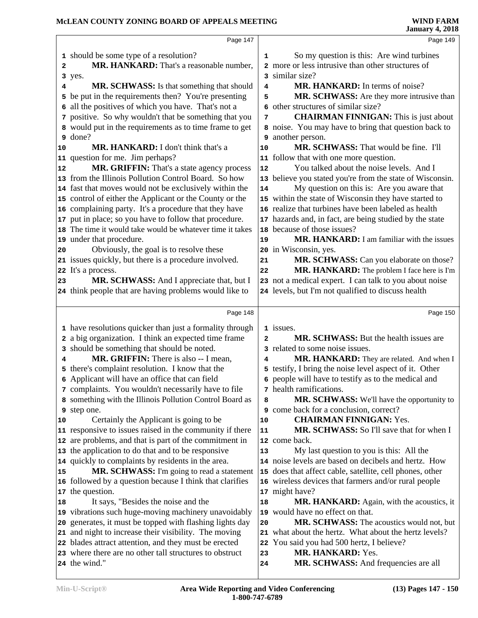|    | Page 147                                                                                                            |                | Page 149                                                                                           |
|----|---------------------------------------------------------------------------------------------------------------------|----------------|----------------------------------------------------------------------------------------------------|
|    | 1 should be some type of a resolution?                                                                              | 1              | So my question is this: Are wind turbines                                                          |
| 2  | MR. HANKARD: That's a reasonable number,                                                                            |                | 2 more or less intrusive than other structures of                                                  |
|    | 3 yes.                                                                                                              |                | 3 similar size?                                                                                    |
| 4  | MR. SCHWASS: Is that something that should                                                                          | 4              | MR. HANKARD: In terms of noise?                                                                    |
|    | 5 be put in the requirements then? You're presenting                                                                | 5              | MR. SCHWASS: Are they more intrusive than                                                          |
|    | 6 all the positives of which you have. That's not a                                                                 | 6              | other structures of similar size?                                                                  |
|    | 7 positive. So why wouldn't that be something that you                                                              | 7              | <b>CHAIRMAN FINNIGAN:</b> This is just about                                                       |
|    | 8 would put in the requirements as to time frame to get                                                             |                | 8 noise. You may have to bring that question back to                                               |
|    | 9 done?                                                                                                             |                | 9 another person.                                                                                  |
| 10 | MR. HANKARD: I don't think that's a                                                                                 | 10             | <b>MR. SCHWASS:</b> That would be fine. I'll                                                       |
|    | 11 question for me. Jim perhaps?                                                                                    |                | 11 follow that with one more question.                                                             |
| 12 | MR. GRIFFIN: That's a state agency process                                                                          | 12             | You talked about the noise levels. And I                                                           |
|    | 13 from the Illinois Pollution Control Board. So how                                                                |                | 13 believe you stated you're from the state of Wisconsin.                                          |
|    | 14 fast that moves would not be exclusively within the                                                              | 14             | My question on this is: Are you aware that                                                         |
|    | 15 control of either the Applicant or the County or the                                                             |                | 15 within the state of Wisconsin they have started to                                              |
|    | 16 complaining party. It's a procedure that they have                                                               |                | 16 realize that turbines have been labeled as health                                               |
|    | 17 put in place; so you have to follow that procedure.<br>18 The time it would take would be whatever time it takes |                | 17 hazards and, in fact, are being studied by the state<br>18 because of those issues?             |
|    | 19 under that procedure.                                                                                            | 19             | MR. HANKARD: I am familiar with the issues                                                         |
| 20 | Obviously, the goal is to resolve these                                                                             |                | 20 in Wisconsin, yes.                                                                              |
|    | 21 issues quickly, but there is a procedure involved.                                                               | 21             | MR. SCHWASS: Can you elaborate on those?                                                           |
|    | 22 It's a process.                                                                                                  | 22             | MR. HANKARD: The problem I face here is I'm                                                        |
| 23 | MR. SCHWASS: And I appreciate that, but I                                                                           |                | 23 not a medical expert. I can talk to you about noise                                             |
|    | 24 think people that are having problems would like to                                                              |                | 24 levels, but I'm not qualified to discuss health                                                 |
|    |                                                                                                                     |                |                                                                                                    |
|    | Page 148                                                                                                            |                | Page 150                                                                                           |
|    | 1 have resolutions quicker than just a formality through                                                            |                | 1 issues.                                                                                          |
|    | 2 a big organization. I think an expected time frame                                                                | $\overline{a}$ | <b>MR. SCHWASS:</b> But the health issues are                                                      |
|    | 3 should be something that should be noted.                                                                         |                | 3 related to some noise issues.                                                                    |
|    | <b>MR. GRIFFIN:</b> There is also -- I mean,                                                                        | 4              | MR. HANKARD: They are related. And when I                                                          |
|    | 5 there's complaint resolution. I know that the                                                                     |                | 5 testify, I bring the noise level aspect of it. Other                                             |
|    | 6 Applicant will have an office that can field                                                                      |                | 6 people will have to testify as to the medical and                                                |
|    | 7 complaints. You wouldn't necessarily have to file                                                                 |                | 7 health ramifications.                                                                            |
|    | 8 something with the Illinois Pollution Control Board as                                                            | 8              | MR. SCHWASS: We'll have the opportunity to                                                         |
|    | 9 step one.                                                                                                         |                | 9 come back for a conclusion, correct?                                                             |
| 10 | Certainly the Applicant is going to be                                                                              | 10             | <b>CHAIRMAN FINNIGAN: Yes.</b>                                                                     |
|    | 11 responsive to issues raised in the community if there<br>12 are problems, and that is part of the commitment in  | 11             | MR. SCHWASS: So I'll save that for when I                                                          |
|    |                                                                                                                     |                | 12 come back.                                                                                      |
|    |                                                                                                                     |                |                                                                                                    |
|    | 13 the application to do that and to be responsive                                                                  | 13             | My last question to you is this: All the                                                           |
|    | 14 quickly to complaints by residents in the area.                                                                  |                | 14 noise levels are based on decibels and hertz. How                                               |
| 15 | MR. SCHWASS: I'm going to read a statement                                                                          |                | 15 does that affect cable, satellite, cell phones, other                                           |
|    | 16 followed by a question because I think that clarifies                                                            |                | 16 wireless devices that farmers and/or rural people                                               |
|    | 17 the question.                                                                                                    |                | 17 might have?                                                                                     |
|    | It says, "Besides the noise and the                                                                                 | 18             | MR. HANKARD: Again, with the acoustics, it                                                         |
| 18 | 19 vibrations such huge-moving machinery unavoidably                                                                | 20             | 19 would have no effect on that.                                                                   |
|    | 20 generates, it must be topped with flashing lights day<br>21 and night to increase their visibility. The moving   |                | MR. SCHWASS: The acoustics would not, but<br>21 what about the hertz. What about the hertz levels? |
|    | 22 blades attract attention, and they must be erected                                                               |                | 22 You said you had 500 hertz, I believe?                                                          |
|    | 23 where there are no other tall structures to obstruct                                                             | 23             | MR. HANKARD: Yes.                                                                                  |
|    | 24 the wind."                                                                                                       | 24             | MR. SCHWASS: And frequencies are all                                                               |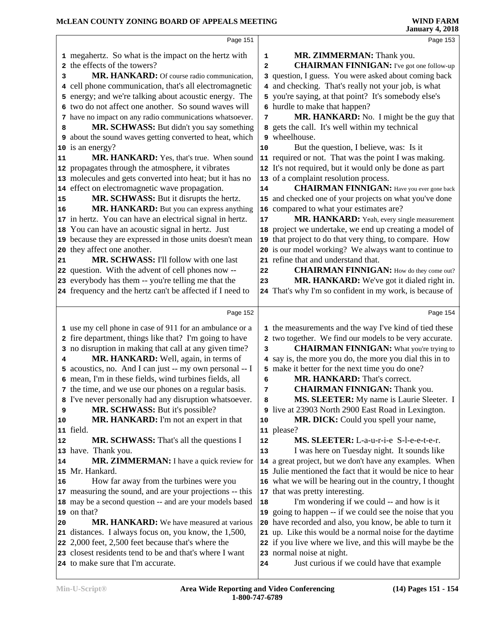| Page 151                                                                                      |                | Page 153                                                                |
|-----------------------------------------------------------------------------------------------|----------------|-------------------------------------------------------------------------|
| 1 megahertz. So what is the impact on the hertz with                                          | 1              | MR. ZIMMERMAN: Thank you.                                               |
| 2 the effects of the towers?                                                                  | $\overline{a}$ | <b>CHAIRMAN FINNIGAN:</b> I've got one follow-up                        |
| MR. HANKARD: Of course radio communication,<br>з                                              |                | 3 question, I guess. You were asked about coming back                   |
| cell phone communication, that's all electromagnetic<br>4                                     |                | 4 and checking. That's really not your job, is what                     |
| energy; and we're talking about acoustic energy. The<br>5                                     |                | 5 you're saying, at that point? It's somebody else's                    |
| 6 two do not affect one another. So sound waves will                                          |                | 6 hurdle to make that happen?                                           |
| 7 have no impact on any radio communications whatsoever.                                      | 7              | MR. HANKARD: No. I might be the guy that                                |
| MR. SCHWASS: But didn't you say something<br>8                                                |                | 8 gets the call. It's well within my technical                          |
| <b>9</b> about the sound waves getting converted to heat, which                               |                | 9 wheelhouse.                                                           |
| 10 is an energy?                                                                              | 10             | But the question, I believe, was: Is it                                 |
| MR. HANKARD: Yes, that's true. When sound<br>11                                               |                | 11 required or not. That was the point I was making.                    |
| 12 propagates through the atmosphere, it vibrates                                             |                | 12 It's not required, but it would only be done as part                 |
| 13 molecules and gets converted into heat; but it has no                                      |                | 13 of a complaint resolution process.                                   |
| 14 effect on electromagnetic wave propagation.                                                | 14             | <b>CHAIRMAN FINNIGAN:</b> Have you ever gone back                       |
| MR. SCHWASS: But it disrupts the hertz.<br>15                                                 |                | 15 and checked one of your projects on what you've done                 |
| MR. HANKARD: But you can express anything<br>16                                               |                | 16 compared to what your estimates are?                                 |
| 17 in hertz. You can have an electrical signal in hertz.                                      | 17             | MR. HANKARD: Yeah, every single measurement                             |
| 18 You can have an acoustic signal in hertz. Just                                             | 18             | project we undertake, we end up creating a model of                     |
| 19 because they are expressed in those units doesn't mean                                     | 19             | that project to do that very thing, to compare. How                     |
| 20 they affect one another.                                                                   |                | 20 is our model working? We always want to continue to                  |
| MR. SCHWASS: I'll follow with one last<br>21                                                  |                | 21 refine that and understand that.                                     |
| 22 question. With the advent of cell phones now --                                            | 22             | <b>CHAIRMAN FINNIGAN:</b> How do they come out?                         |
| 23 everybody has them -- you're telling me that the                                           | 23             | MR. HANKARD: We've got it dialed right in.                              |
| 24 frequency and the hertz can't be affected if I need to                                     |                | 24 That's why I'm so confident in my work, is because of                |
|                                                                                               |                |                                                                         |
| Page 152                                                                                      |                | Page 154                                                                |
| 1 use my cell phone in case of 911 for an ambulance or a                                      |                | 1 the measurements and the way I've kind of tied these                  |
| 2 fire department, things like that? I'm going to have                                        |                | 2 two together. We find our models to be very accurate.                 |
|                                                                                               |                |                                                                         |
| 3 no disruption in making that call at any given time?                                        | 3              | <b>CHAIRMAN FINNIGAN:</b> What you're trying to                         |
| MR. HANKARD: Well, again, in terms of<br>4                                                    |                | 4 say is, the more you do, the more you dial this in to                 |
| 5 acoustics, no. And I can just -- my own personal -- I                                       |                | 5 make it better for the next time you do one?                          |
| 6 mean, I'm in these fields, wind turbines fields, all                                        | 6              | MR. HANKARD: That's correct.                                            |
| 7 the time, and we use our phones on a regular basis.                                         | 7              | <b>CHAIRMAN FINNIGAN:</b> Thank you.                                    |
| 8 I've never personally had any disruption whatsoever.                                        | 8              | MS. SLEETER: My name is Laurie Sleeter. I                               |
| MR. SCHWASS: But it's possible?<br>9                                                          | 9              | live at 23903 North 2900 East Road in Lexington.                        |
| MR. HANKARD: I'm not an expert in that<br>10                                                  | 10             | MR. DICK: Could you spell your name,                                    |
| 11 field.                                                                                     |                | 11 please?                                                              |
| <b>MR. SCHWASS:</b> That's all the questions I<br>12                                          | 12             | MS. SLEETER: L-a-u-r-i-e S-l-e-e-t-e-r.                                 |
| 13 have. Thank you.                                                                           | 13             | I was here on Tuesday night. It sounds like                             |
| MR. ZIMMERMAN: I have a quick review for<br>14                                                |                | 14 a great project, but we don't have any examples. When                |
| 15 Mr. Hankard.                                                                               | 15             | Julie mentioned the fact that it would be nice to hear                  |
| How far away from the turbines were you<br>16                                                 |                | 16 what we will be hearing out in the country, I thought                |
| 17 measuring the sound, and are your projections -- this                                      | 17             | that was pretty interesting.                                            |
| 18 may be a second question -- and are your models based                                      | 18             | I'm wondering if we could -- and how is it                              |
| 19 on that?                                                                                   | 19             | going to happen -- if we could see the noise that you                   |
| <b>MR. HANKARD:</b> We have measured at various<br>20                                         | 20             | have recorded and also, you know, be able to turn it                    |
| 21 distances. I always focus on, you know, the 1,500,                                         |                | 21 up. Like this would be a normal noise for the daytime                |
| 22 2,000 feet, 2,500 feet because that's where the                                            |                | if you live where we live, and this will maybe be the                   |
| 23 closest residents tend to be and that's where I want<br>24 to make sure that I'm accurate. | 24             | 23 normal noise at night.<br>Just curious if we could have that example |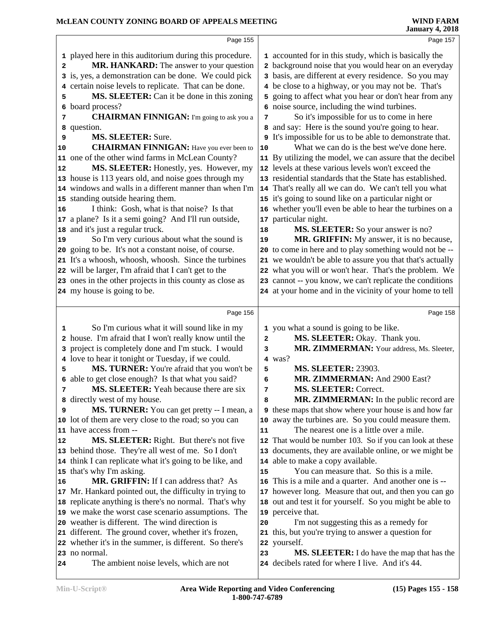|    | Page 155                                                 |                         | Page 157                                                                                        |
|----|----------------------------------------------------------|-------------------------|-------------------------------------------------------------------------------------------------|
|    | 1 played here in this auditorium during this procedure.  |                         | 1 accounted for in this study, which is basically the                                           |
| 2  | MR. HANKARD: The answer to your question                 |                         | 2 background noise that you would hear on an everyday                                           |
|    | 3 is, yes, a demonstration can be done. We could pick    |                         | 3 basis, are different at every residence. So you may                                           |
|    | 4 certain noise levels to replicate. That can be done.   |                         | 4 be close to a highway, or you may not be. That's                                              |
| 5  | MS. SLEETER: Can it be done in this zoning               |                         | 5 going to affect what you hear or don't hear from any                                          |
| 6  | board process?                                           |                         | 6 noise source, including the wind turbines.                                                    |
| 7  | <b>CHAIRMAN FINNIGAN:</b> I'm going to ask you a         | 7                       | So it's impossible for us to come in here                                                       |
|    | 8 question.                                              |                         | 8 and say: Here is the sound you're going to hear.                                              |
| 9  | <b>MS. SLEETER: Sure.</b>                                |                         | It's impossible for us to be able to demonstrate that.                                          |
| 10 | <b>CHAIRMAN FINNIGAN:</b> Have you ever been to          | 10                      | What we can do is the best we've done here.                                                     |
|    | 11 one of the other wind farms in McLean County?         |                         | 11 By utilizing the model, we can assure that the decibel                                       |
| 12 | MS. SLEETER: Honestly, yes. However, my                  |                         | 12 levels at these various levels won't exceed the                                              |
|    | 13 house is 113 years old, and noise goes through my     |                         | 13 residential standards that the State has established.                                        |
|    | 14 windows and walls in a different manner than when I'm |                         | 14 That's really all we can do. We can't tell you what                                          |
|    | 15 standing outside hearing them.                        |                         | 15 it's going to sound like on a particular night or                                            |
| 16 | I think: Gosh, what is that noise? Is that               |                         | 16 whether you'll even be able to hear the turbines on a                                        |
|    | 17 a plane? Is it a semi going? And I'll run outside,    |                         | 17 particular night.                                                                            |
|    | 18 and it's just a regular truck.                        | ${\bf 18}$              | MS. SLEETER: So your answer is no?                                                              |
| 19 | So I'm very curious about what the sound is              | 19                      | MR. GRIFFIN: My answer, it is no because,                                                       |
|    | 20 going to be. It's not a constant noise, of course.    |                         | 20 to come in here and to play something would not be --                                        |
|    | 21 It's a whoosh, whoosh, whoosh. Since the turbines     |                         | 21 we wouldn't be able to assure you that that's actually                                       |
|    | 22 will be larger, I'm afraid that I can't get to the    |                         | 22 what you will or won't hear. That's the problem. We                                          |
|    | 23 ones in the other projects in this county as close as |                         | 23 cannot -- you know, we can't replicate the conditions                                        |
|    | 24 my house is going to be.                              |                         | 24 at your home and in the vicinity of your home to tell                                        |
|    |                                                          |                         |                                                                                                 |
|    | Page 156                                                 |                         | Page 158                                                                                        |
| 1  | So I'm curious what it will sound like in my             |                         | 1 you what a sound is going to be like.                                                         |
|    | 2 house. I'm afraid that I won't really know until the   | $\overline{\mathbf{2}}$ | MS. SLEETER: Okay. Thank you.                                                                   |
|    | 3 project is completely done and I'm stuck. I would      | 3                       | MR. ZIMMERMAN: Your address, Ms. Sleeter,                                                       |
|    | 4 love to hear it tonight or Tuesday, if we could.       |                         | 4 was?                                                                                          |
| 5  | MS. TURNER: You're afraid that you won't be              | 5                       | <b>MS. SLEETER: 23903.</b>                                                                      |
|    | 6 able to get close enough? Is that what you said?       | 6                       | MR. ZIMMERMAN: And 2900 East?                                                                   |
| 7  | <b>MS. SLEETER:</b> Yeah because there are six           | 7                       | <b>MS. SLEETER: Correct.</b>                                                                    |
| 8  |                                                          |                         |                                                                                                 |
|    | directly west of my house.                               | 8                       | MR. ZIMMERMAN: In the public record are                                                         |
| 9  | MS. TURNER: You can get pretty -- I mean, a              |                         | <b>9</b> these maps that show where your house is and how far                                   |
|    | 10 lot of them are very close to the road; so you can    | 10                      | away the turbines are. So you could measure them.                                               |
|    | 11 have access from --                                   | 11                      | The nearest one is a little over a mile.                                                        |
| 12 | <b>MS. SLEETER:</b> Right. But there's not five          |                         | 12 That would be number 103. So if you can look at these                                        |
|    | 13 behind those. They're all west of me. So I don't      |                         | 13 documents, they are available online, or we might be                                         |
|    | 14 think I can replicate what it's going to be like, and |                         | 14 able to make a copy available.                                                               |
|    | 15 that's why I'm asking.                                | 15                      | You can measure that. So this is a mile.                                                        |
| 16 | MR. GRIFFIN: If I can address that? As                   |                         | 16 This is a mile and a quarter. And another one is --                                          |
|    | 17 Mr. Hankard pointed out, the difficulty in trying to  |                         | 17 however long. Measure that out, and then you can go                                          |
|    | 18 replicate anything is there's no normal. That's why   |                         | 18 out and test it for yourself. So you might be able to                                        |
|    | 19 we make the worst case scenario assumptions. The      |                         | 19 perceive that.                                                                               |
|    | 20 weather is different. The wind direction is           | 20                      | I'm not suggesting this as a remedy for                                                         |
|    | 21 different. The ground cover, whether it's frozen,     |                         | 21 this, but you're trying to answer a question for                                             |
|    | 22 whether it's in the summer, is different. So there's  |                         | 22 yourself.                                                                                    |
| 24 | 23 no normal.<br>The ambient noise levels, which are not | 23                      | MS. SLEETER: I do have the map that has the<br>24 decibels rated for where I live. And it's 44. |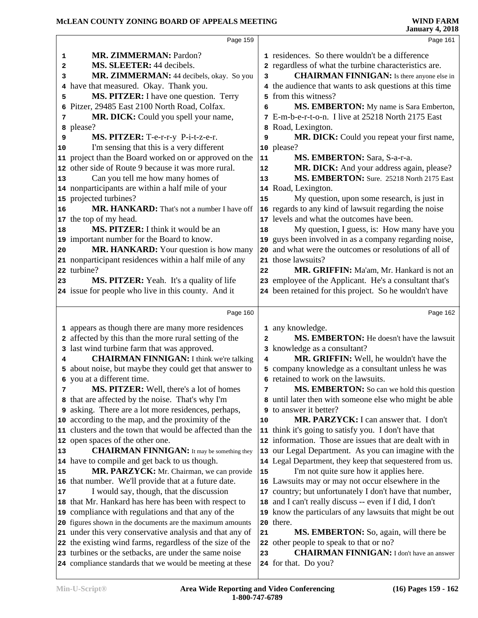|                | Page 159                                                                                                           |                         | Page 161                                                                                 |
|----------------|--------------------------------------------------------------------------------------------------------------------|-------------------------|------------------------------------------------------------------------------------------|
| 1              | <b>MR. ZIMMERMAN: Pardon?</b>                                                                                      |                         | 1 residences. So there wouldn't be a difference                                          |
| 2              | MS. SLEETER: 44 decibels.                                                                                          |                         | 2 regardless of what the turbine characteristics are.                                    |
| 3              | MR. ZIMMERMAN: 44 decibels, okay. So you                                                                           | 3                       | <b>CHAIRMAN FINNIGAN:</b> Is there anyone else in                                        |
| 4              | have that measured. Okay. Thank you.                                                                               |                         | 4 the audience that wants to ask questions at this time                                  |
| 5              | MS. PITZER: I have one question. Terry                                                                             |                         | 5 from this witness?                                                                     |
| 6              | Pitzer, 29485 East 2100 North Road, Colfax.                                                                        | 6                       | MS. EMBERTON: My name is Sara Emberton,                                                  |
| 7              | MR. DICK: Could you spell your name,                                                                               |                         | 7 E-m-b-e-r-t-o-n. I live at 25218 North 2175 East                                       |
|                | a please?                                                                                                          |                         | 8 Road, Lexington.                                                                       |
| 9              | MS. PITZER: T-e-r-r-y P-i-t-z-e-r.                                                                                 | 9                       | MR. DICK: Could you repeat your first name,                                              |
| 10             | I'm sensing that this is a very different                                                                          |                         | 10 please?                                                                               |
|                | 11 project than the Board worked on or approved on the                                                             | 11                      | MS. EMBERTON: Sara, S-a-r-a.                                                             |
|                | 12 other side of Route 9 because it was more rural.                                                                | 12                      | MR. DICK: And your address again, please?                                                |
| 13             | Can you tell me how many homes of                                                                                  | 13                      | MS. EMBERTON: Sure. 25218 North 2175 East                                                |
|                | 14 nonparticipants are within a half mile of your                                                                  |                         | 14 Road, Lexington.                                                                      |
|                | 15 projected turbines?                                                                                             | 15                      | My question, upon some research, is just in                                              |
| 16             | MR. HANKARD: That's not a number I have off                                                                        |                         | 16 regards to any kind of lawsuit regarding the noise                                    |
|                | 17 the top of my head.                                                                                             |                         | 17 levels and what the outcomes have been.                                               |
| 18             | MS. PITZER: I think it would be an                                                                                 | 18                      | My question, I guess, is: How many have you                                              |
|                | 19 important number for the Board to know.                                                                         |                         | 19 guys been involved in as a company regarding noise,                                   |
| 20             | MR. HANKARD: Your question is how many                                                                             |                         | 20 and what were the outcomes or resolutions of all of                                   |
|                | 21 nonparticipant residences within a half mile of any                                                             |                         | 21 those lawsuits?                                                                       |
|                | 22 turbine?                                                                                                        | 22                      | MR. GRIFFIN: Ma'am, Mr. Hankard is not an                                                |
| 23             | MS. PITZER: Yeah. It's a quality of life                                                                           |                         | 23 employee of the Applicant. He's a consultant that's                                   |
|                | 24 issue for people who live in this county. And it                                                                |                         | 24 been retained for this project. So he wouldn't have                                   |
|                |                                                                                                                    |                         |                                                                                          |
|                |                                                                                                                    |                         |                                                                                          |
|                | Page 160                                                                                                           |                         | Page 162                                                                                 |
|                |                                                                                                                    |                         |                                                                                          |
|                | 1 appears as though there are many more residences                                                                 | $\overline{\mathbf{2}}$ | 1 any knowledge.                                                                         |
|                | 2 affected by this than the more rural setting of the                                                              |                         | MS. EMBERTON: He doesn't have the lawsuit                                                |
| 4              | 3 last wind turbine farm that was approved.                                                                        | 4                       | 3 knowledge as a consultant?                                                             |
|                | <b>CHAIRMAN FINNIGAN:</b> I think we're talking                                                                    |                         | MR. GRIFFIN: Well, he wouldn't have the                                                  |
|                | 5 about noise, but maybe they could get that answer to                                                             |                         | 5 company knowledge as a consultant unless he was<br>6 retained to work on the lawsuits. |
| 7              | 6 you at a different time.                                                                                         | 7                       |                                                                                          |
|                | <b>MS. PITZER:</b> Well, there's a lot of homes                                                                    |                         | <b>MS. EMBERTON:</b> So can we hold this question                                        |
|                | 8 that are affected by the noise. That's why I'm<br><b>9</b> asking. There are a lot more residences, perhaps,     |                         | until later then with someone else who might be able<br>to answer it better?             |
|                | 10 according to the map, and the proximity of the                                                                  | 10                      | <b>MR. PARZYCK:</b> I can answer that. I don't                                           |
|                | 11 clusters and the town that would be affected than the                                                           | 11                      | think it's going to satisfy you. I don't have that                                       |
|                | 12 open spaces of the other one.                                                                                   |                         | 12 information. Those are issues that are dealt with in                                  |
|                | <b>CHAIRMAN FINNIGAN:</b> It may be something they                                                                 |                         | 13 our Legal Department. As you can imagine with the                                     |
|                | 14 have to compile and get back to us though.                                                                      |                         | 14 Legal Department, they keep that sequestered from us.                                 |
|                | MR. PARZYCK: Mr. Chairman, we can provide                                                                          | 15                      | I'm not quite sure how it applies here.                                                  |
|                | 16 that number. We'll provide that at a future date.                                                               |                         | 16 Lawsuits may or may not occur elsewhere in the                                        |
|                | I would say, though, that the discussion                                                                           |                         | 17 country; but unfortunately I don't have that number,                                  |
|                | 18 that Mr. Hankard has here has been with respect to                                                              |                         | 18 and I can't really discuss -- even if I did, I don't                                  |
|                | 19 compliance with regulations and that any of the                                                                 |                         | 19 know the particulars of any lawsuits that might be out                                |
|                | 20 figures shown in the documents are the maximum amounts                                                          |                         | 20 there.                                                                                |
|                | 21 under this very conservative analysis and that any of                                                           | 21                      | MS. EMBERTON: So, again, will there be                                                   |
| 13<br>15<br>17 | 22 the existing wind farms, regardless of the size of the                                                          |                         | 22 other people to speak to that or no?                                                  |
|                | 23 turbines or the setbacks, are under the same noise<br>24 compliance standards that we would be meeting at these | 23                      | <b>CHAIRMAN FINNIGAN:</b> I don't have an answer<br>24 for that. Do you?                 |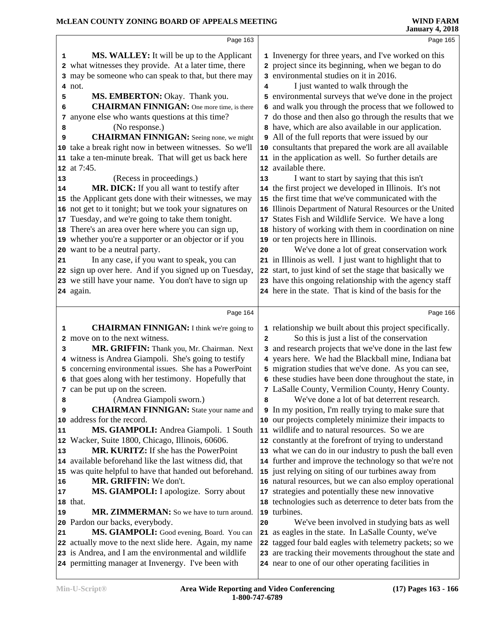|    | Page 163                                                                                                      |                | Page 165                                                                                                           |
|----|---------------------------------------------------------------------------------------------------------------|----------------|--------------------------------------------------------------------------------------------------------------------|
| 1  | MS. WALLEY: It will be up to the Applicant                                                                    |                | 1 Invenergy for three years, and I've worked on this                                                               |
|    | 2 what witnesses they provide. At a later time, there                                                         |                | 2 project since its beginning, when we began to do                                                                 |
|    | 3 may be someone who can speak to that, but there may                                                         |                | 3 environmental studies on it in 2016.                                                                             |
|    | 4 not.                                                                                                        |                | I just wanted to walk through the                                                                                  |
| 5  | MS. EMBERTON: Okay. Thank you.                                                                                |                | 5 environmental surveys that we've done in the project                                                             |
| 6  | <b>CHAIRMAN FINNIGAN:</b> One more time, is there                                                             | 6              | and walk you through the process that we followed to                                                               |
| 7  | anyone else who wants questions at this time?                                                                 |                | 7 do those and then also go through the results that we                                                            |
| 8  | (No response.)                                                                                                |                | 8 have, which are also available in our application.                                                               |
| 9  | <b>CHAIRMAN FINNIGAN:</b> Seeing none, we might                                                               | 9              | All of the full reports that were issued by our                                                                    |
|    | 10 take a break right now in between witnesses. So we'll                                                      |                | 10 consultants that prepared the work are all available                                                            |
|    | 11 take a ten-minute break. That will get us back here                                                        |                | 11 in the application as well. So further details are                                                              |
|    | 12 at 7:45.                                                                                                   |                | 12 available there.                                                                                                |
| 13 | (Recess in proceedings.)                                                                                      | 13             | I want to start by saying that this isn't                                                                          |
| 14 | MR. DICK: If you all want to testify after                                                                    |                | 14 the first project we developed in Illinois. It's not                                                            |
|    | 15 the Applicant gets done with their witnesses, we may                                                       | 15             | the first time that we've communicated with the                                                                    |
|    | 16 not get to it tonight; but we took your signatures on                                                      | 16             | Illinois Department of Natural Resources or the United                                                             |
|    | 17 Tuesday, and we're going to take them tonight.                                                             | 17             | States Fish and Wildlife Service. We have a long                                                                   |
|    |                                                                                                               |                | 18 history of working with them in coordination on nine                                                            |
|    | 18 There's an area over here where you can sign up,<br>19 whether you're a supporter or an objector or if you |                |                                                                                                                    |
|    | 20 want to be a neutral party.                                                                                | 20             | 19 or ten projects here in Illinois.<br>We've done a lot of great conservation work                                |
|    | In any case, if you want to speak, you can                                                                    |                | 21 in Illinois as well. I just want to highlight that to                                                           |
| 21 |                                                                                                               |                | start, to just kind of set the stage that basically we                                                             |
|    | 22 sign up over here. And if you signed up on Tuesday,                                                        | 22             |                                                                                                                    |
|    | 23 we still have your name. You don't have to sign up                                                         |                | 23 have this ongoing relationship with the agency staff<br>24 here in the state. That is kind of the basis for the |
|    | 24 again.                                                                                                     |                |                                                                                                                    |
|    |                                                                                                               |                |                                                                                                                    |
|    |                                                                                                               |                |                                                                                                                    |
|    | Page 164                                                                                                      |                | Page 166                                                                                                           |
| 1  | <b>CHAIRMAN FINNIGAN:</b> I think we're going to                                                              |                | 1 relationship we built about this project specifically.                                                           |
|    | 2 move on to the next witness.                                                                                | $\overline{2}$ | So this is just a list of the conservation                                                                         |
| з  | MR. GRIFFIN: Thank you, Mr. Chairman. Next                                                                    |                | 3 and research projects that we've done in the last few                                                            |
|    | 4 witness is Andrea Giampoli. She's going to testify                                                          |                | 4 years here. We had the Blackball mine, Indiana bat                                                               |
|    | 5 concerning environmental issues. She has a PowerPoint                                                       |                | 5 migration studies that we've done. As you can see,                                                               |
|    | 6 that goes along with her testimony. Hopefully that                                                          |                | 6 these studies have been done throughout the state, in                                                            |
|    | 7 can be put up on the screen.                                                                                |                | 7 LaSalle County, Vermilion County, Henry County.                                                                  |
| 8  | (Andrea Giampoli sworn.)                                                                                      | 8              | We've done a lot of bat deterrent research.                                                                        |
| 9  | <b>CHAIRMAN FINNIGAN:</b> State your name and                                                                 |                | <b>9</b> In my position, I'm really trying to make sure that                                                       |
| 10 | address for the record.                                                                                       |                | 10 our projects completely minimize their impacts to                                                               |
| 11 | MS. GIAMPOLI: Andrea Giampoli. 1 South                                                                        |                | 11 wildlife and to natural resources. So we are                                                                    |
|    | 12 Wacker, Suite 1800, Chicago, Illinois, 60606.                                                              |                | 12 constantly at the forefront of trying to understand                                                             |
| 13 | <b>MR. KURITZ:</b> If she has the PowerPoint                                                                  |                | 13 what we can do in our industry to push the ball even                                                            |
|    | 14 available beforehand like the last witness did, that                                                       |                | 14 further and improve the technology so that we're not                                                            |
|    | 15 was quite helpful to have that handed out beforehand.                                                      |                | 15 just relying on siting of our turbines away from                                                                |
| 16 | MR. GRIFFIN: We don't.                                                                                        |                | 16 natural resources, but we can also employ operational                                                           |
| 17 | MS. GIAMPOLI: I apologize. Sorry about                                                                        | 17             | strategies and potentially these new innovative                                                                    |
|    | 18 that.                                                                                                      |                | 18 technologies such as deterrence to deter bats from the                                                          |
| 19 | MR. ZIMMERMAN: So we have to turn around.                                                                     | 19             | turbines.                                                                                                          |
|    | 20 Pardon our backs, everybody.                                                                               | 20             | We've been involved in studying bats as well                                                                       |
| 21 | MS. GIAMPOLI: Good evening, Board. You can                                                                    | 21             | as eagles in the state. In LaSalle County, we've                                                                   |
|    | 22 actually move to the next slide here. Again, my name                                                       | 22             | tagged four bald eagles with telemetry packets; so we                                                              |
|    | 23 is Andrea, and I am the environmental and wildlife<br>24 permitting manager at Invenergy. I've been with   |                | 23 are tracking their movements throughout the state and<br>24 near to one of our other operating facilities in    |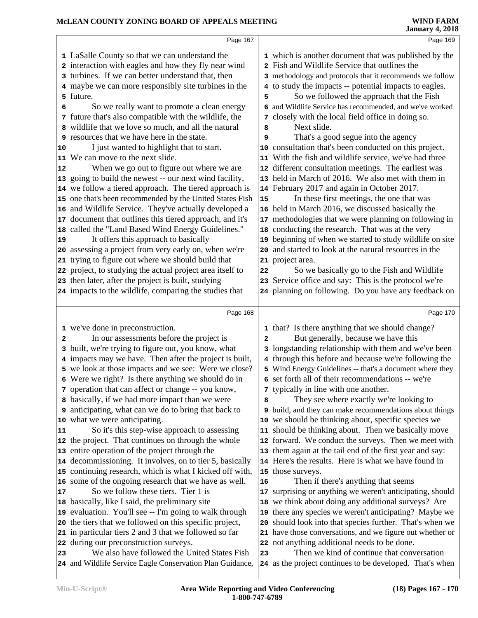|    | Page 167                                                                                                  |    | Page 169                                                                                               |
|----|-----------------------------------------------------------------------------------------------------------|----|--------------------------------------------------------------------------------------------------------|
|    | 1 LaSalle County so that we can understand the                                                            |    | 1 which is another document that was published by the                                                  |
|    | 2 interaction with eagles and how they fly near wind                                                      |    | 2 Fish and Wildlife Service that outlines the                                                          |
|    | 3 turbines. If we can better understand that, then                                                        |    | 3 methodology and protocols that it recommends we follow                                               |
|    | 4 maybe we can more responsibly site turbines in the                                                      |    | 4 to study the impacts -- potential impacts to eagles.                                                 |
|    | 5 future.                                                                                                 | 5  | So we followed the approach that the Fish                                                              |
| 6  | So we really want to promote a clean energy                                                               |    | 6 and Wildlife Service has recommended, and we've worked                                               |
|    | 7 future that's also compatible with the wildlife, the                                                    |    | 7 closely with the local field office in doing so.                                                     |
|    | 8 wildlife that we love so much, and all the natural                                                      | 8  | Next slide.                                                                                            |
|    | <b>9</b> resources that we have here in the state.                                                        | 9  | That's a good segue into the agency                                                                    |
| 10 | I just wanted to highlight that to start.                                                                 |    | 10 consultation that's been conducted on this project.                                                 |
| 11 | We can move to the next slide.                                                                            |    | 11 With the fish and wildlife service, we've had three                                                 |
| 12 | When we go out to figure out where we are                                                                 |    | 12 different consultation meetings. The earliest was                                                   |
|    | 13 going to build the newest -- our next wind facility,                                                   |    | 13 held in March of 2016. We also met with them in                                                     |
|    | 14 we follow a tiered approach. The tiered approach is                                                    |    | 14 February 2017 and again in October 2017.                                                            |
|    | 15 one that's been recommended by the United States Fish                                                  | 15 | In these first meetings, the one that was                                                              |
|    | 16 and Wildlife Service. They've actually developed a                                                     |    | 16 held in March 2016, we discussed basically the                                                      |
|    | 17 document that outlines this tiered approach, and it's                                                  |    | 17 methodologies that we were planning on following in                                                 |
|    | 18 called the "Land Based Wind Energy Guidelines."                                                        |    | 18 conducting the research. That was at the very                                                       |
| 19 | It offers this approach to basically                                                                      |    | 19 beginning of when we started to study wildlife on site                                              |
|    | 20 assessing a project from very early on, when we're                                                     |    | 20 and started to look at the natural resources in the                                                 |
| 21 | trying to figure out where we should build that                                                           |    | 21 project area.                                                                                       |
|    | 22 project, to studying the actual project area itself to                                                 | 22 | So we basically go to the Fish and Wildlife                                                            |
|    | 23 then later, after the project is built, studying                                                       |    | 23 Service office and say: This is the protocol we're                                                  |
|    | 24 impacts to the wildlife, comparing the studies that                                                    |    | 24 planning on following. Do you have any feedback on                                                  |
|    | Page 168                                                                                                  |    | Page 170                                                                                               |
|    | 1 we've done in preconstruction.                                                                          |    | 1 that? Is there anything that we should change?                                                       |
| 2  | In our assessments before the project is                                                                  | 2  | But generally, because we have this                                                                    |
|    | 3 built, we're trying to figure out, you know, what                                                       |    | 3 longstanding relationship with them and we've been                                                   |
|    | 4 impacts may we have. Then after the project is built,                                                   |    | 4 through this before and because we're following the                                                  |
|    | 5 we look at those impacts and we see: Were we close?                                                     |    | 5 Wind Energy Guidelines -- that's a document where they                                               |
|    | 6 Were we right? Is there anything we should do in                                                        |    | 6 set forth all of their recommendations -- we're                                                      |
|    | 7 operation that can affect or change -- you know,                                                        |    | 7 typically in line with one another.                                                                  |
|    | 8 basically, if we had more impact than we were                                                           |    | They see where exactly we're looking to                                                                |
|    | <b>9</b> anticipating, what can we do to bring that back to                                               |    | <b>9</b> build, and they can make recommendations about things                                         |
|    | 10 what we were anticipating.                                                                             |    | 10 we should be thinking about, specific species we                                                    |
| 11 | So it's this step-wise approach to assessing                                                              |    | 11 should be thinking about. Then we basically move                                                    |
|    | 12 the project. That continues on through the whole                                                       |    | 12 forward. We conduct the surveys. Then we meet with                                                  |
|    | 13 entire operation of the project through the                                                            |    | 13 them again at the tail end of the first year and say:                                               |
|    | 14 decommissioning. It involves, on to tier 5, basically                                                  |    | 14 Here's the results. Here is what we have found in                                                   |
|    | 15 continuing research, which is what I kicked off with,                                                  |    | 15 those surveys.                                                                                      |
|    | 16 some of the ongoing research that we have as well.                                                     | 16 | Then if there's anything that seems                                                                    |
| 17 | So we follow these tiers. Tier 1 is                                                                       |    | 17 surprising or anything we weren't anticipating, should                                              |
|    | 18 basically, like I said, the preliminary site                                                           |    | 18 we think about doing any additional surveys? Are                                                    |
|    | 19 evaluation. You'll see -- I'm going to walk through                                                    | 19 | there any species we weren't anticipating? Maybe we                                                    |
|    |                                                                                                           | 20 | should look into that species further. That's when we                                                  |
|    | 20 the tiers that we followed on this specific project,                                                   |    |                                                                                                        |
|    | 21 in particular tiers 2 and 3 that we followed so far                                                    |    | 21 have those conversations, and we figure out whether or                                              |
|    | 22 during our preconstruction surveys.                                                                    |    | 22 not anything additional needs to be done.                                                           |
| 23 | We also have followed the United States Fish<br>24 and Wildlife Service Eagle Conservation Plan Guidance, | 23 | Then we kind of continue that conversation<br>24 as the project continues to be developed. That's when |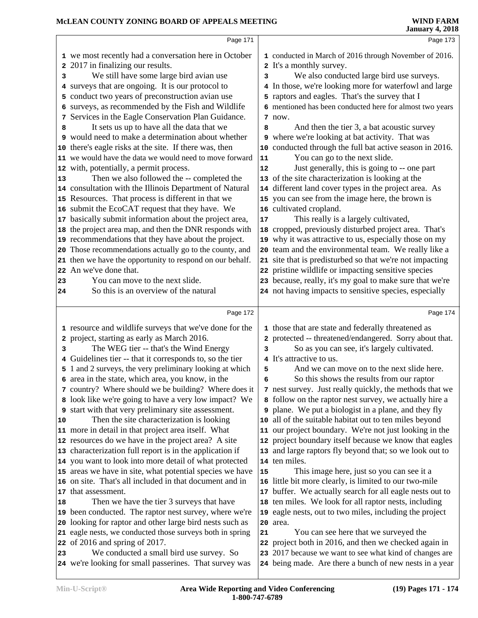|    | Page 171                                                                                                   |    | Page 173                                                                                                         |
|----|------------------------------------------------------------------------------------------------------------|----|------------------------------------------------------------------------------------------------------------------|
|    | 1 we most recently had a conversation here in October                                                      |    | 1 conducted in March of 2016 through November of 2016.                                                           |
|    | 2017 in finalizing our results.                                                                            |    | 2 It's a monthly survey.                                                                                         |
| 3  | We still have some large bird avian use                                                                    | 3  | We also conducted large bird use surveys.                                                                        |
|    | 4 surveys that are ongoing. It is our protocol to                                                          |    | 4 In those, we're looking more for waterfowl and large                                                           |
|    | 5 conduct two years of preconstruction avian use                                                           |    | 5 raptors and eagles. That's the survey that I                                                                   |
|    | 6 surveys, as recommended by the Fish and Wildlife                                                         |    | 6 mentioned has been conducted here for almost two years                                                         |
| 7  | Services in the Eagle Conservation Plan Guidance.                                                          |    | 7 now.                                                                                                           |
| 8  | It sets us up to have all the data that we                                                                 | 8  | And then the tier 3, a bat acoustic survey                                                                       |
|    | <b>9</b> would need to make a determination about whether                                                  |    | 9 where we're looking at bat activity. That was                                                                  |
|    | 10 there's eagle risks at the site. If there was, then                                                     |    | 10 conducted through the full bat active season in 2016.                                                         |
|    | 11 we would have the data we would need to move forward                                                    | 11 | You can go to the next slide.                                                                                    |
|    | 12 with, potentially, a permit process.                                                                    | 12 | Just generally, this is going to -- one part                                                                     |
| 13 | Then we also followed the -- completed the                                                                 |    | 13 of the site characterization is looking at the                                                                |
|    | 14 consultation with the Illinois Department of Natural                                                    |    | 14 different land cover types in the project area. As                                                            |
|    | 15 Resources. That process is different in that we                                                         |    | 15 you can see from the image here, the brown is                                                                 |
|    | 16 submit the EcoCAT request that they have. We                                                            |    | 16 cultivated cropland.                                                                                          |
|    | 17 basically submit information about the project area,                                                    | 17 | This really is a largely cultivated,                                                                             |
|    | 18 the project area map, and then the DNR responds with                                                    |    | 18 cropped, previously disturbed project area. That's                                                            |
|    | 19 recommendations that they have about the project.                                                       |    | 19 why it was attractive to us, especially those on my                                                           |
|    | 20 Those recommendations actually go to the county, and                                                    |    | 20 team and the environmental team. We really like a                                                             |
|    | 21 then we have the opportunity to respond on our behalf.                                                  |    | 21 site that is predisturbed so that we're not impacting                                                         |
|    | 22 An we've done that.                                                                                     |    | 22 pristine wildlife or impacting sensitive species                                                              |
| 23 | You can move to the next slide.                                                                            |    | 23 because, really, it's my goal to make sure that we're                                                         |
| 24 | So this is an overview of the natural                                                                      |    | 24 not having impacts to sensitive species, especially                                                           |
|    | Page 172                                                                                                   |    | Page 174                                                                                                         |
|    |                                                                                                            |    |                                                                                                                  |
|    | 1 resource and wildlife surveys that we've done for the                                                    |    | 1 those that are state and federally threatened as                                                               |
|    | 2 project, starting as early as March 2016.                                                                |    | 2 protected -- threatened/endangered. Sorry about that.                                                          |
| 3  | The WEG tier -- that's the Wind Energy                                                                     | 3  | So as you can see, it's largely cultivated.                                                                      |
|    | 4 Guidelines tier -- that it corresponds to, so the tier                                                   |    | 4 It's attractive to us.                                                                                         |
|    | 5 1 and 2 surveys, the very preliminary looking at which                                                   | 5  | And we can move on to the next slide here.                                                                       |
|    | 6 area in the state, which area, you know, in the                                                          | 6  | So this shows the results from our raptor                                                                        |
|    | 7 country? Where should we be building? Where does it                                                      |    | 7 nest survey. Just really quickly, the methods that we                                                          |
|    | 8 look like we're going to have a very low impact? We                                                      |    | 8 follow on the raptor nest survey, we actually hire a                                                           |
|    | <b>9</b> start with that very preliminary site assessment.                                                 |    | <b>9</b> plane. We put a biologist in a plane, and they fly                                                      |
| 10 | Then the site characterization is looking                                                                  |    | 10 all of the suitable habitat out to ten miles beyond<br>11 our project boundary. We're not just looking in the |
|    | 11 more in detail in that project area itself. What<br>12 resources do we have in the project area? A site |    | 12 project boundary itself because we know that eagles                                                           |
|    | 13 characterization full report is in the application if                                                   |    | 13 and large raptors fly beyond that; so we look out to                                                          |
|    |                                                                                                            |    | 14 ten miles.                                                                                                    |
|    |                                                                                                            |    |                                                                                                                  |
|    | 14 you want to look into more detail of what protected                                                     |    |                                                                                                                  |
|    | 15 areas we have in site, what potential species we have                                                   | 15 | This image here, just so you can see it a                                                                        |
|    | 16 on site. That's all included in that document and in                                                    |    | 16 little bit more clearly, is limited to our two-mile                                                           |
|    | 17 that assessment.                                                                                        |    | 17 buffer. We actually search for all eagle nests out to                                                         |
| 18 | Then we have the tier 3 surveys that have                                                                  |    | 18 ten miles. We look for all raptor nests, including                                                            |
|    | 19 been conducted. The raptor nest survey, where we're                                                     |    | 19 eagle nests, out to two miles, including the project                                                          |
|    | 20 looking for raptor and other large bird nests such as                                                   |    | 20 area.                                                                                                         |
|    | 21 eagle nests, we conducted those surveys both in spring                                                  | 21 | You can see here that we surveyed the                                                                            |
| 23 | 22 of 2016 and spring of 2017.<br>We conducted a small bird use survey. So                                 |    | 22 project both in 2016, and then we checked again in<br>23 2017 because we want to see what kind of changes are |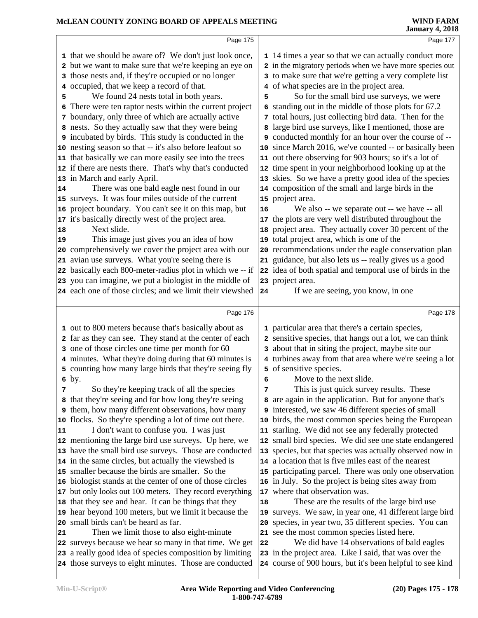|        | Page 175                                                                                                                                                                                                                                                                                                                                                                                                                                                                                                                                                                                                                                                                                                           |    | Page 177                                                                                                                                                                                                                                                                                                                                                                                                                                                                                                                                                                                                                                                                                                                                            |  |
|--------|--------------------------------------------------------------------------------------------------------------------------------------------------------------------------------------------------------------------------------------------------------------------------------------------------------------------------------------------------------------------------------------------------------------------------------------------------------------------------------------------------------------------------------------------------------------------------------------------------------------------------------------------------------------------------------------------------------------------|----|-----------------------------------------------------------------------------------------------------------------------------------------------------------------------------------------------------------------------------------------------------------------------------------------------------------------------------------------------------------------------------------------------------------------------------------------------------------------------------------------------------------------------------------------------------------------------------------------------------------------------------------------------------------------------------------------------------------------------------------------------------|--|
| 5<br>6 | 1 that we should be aware of? We don't just look once,<br>2 but we want to make sure that we're keeping an eye on<br>3 those nests and, if they're occupied or no longer<br>4 occupied, that we keep a record of that.<br>We found 24 nests total in both years.<br>There were ten raptor nests within the current project<br>7 boundary, only three of which are actually active<br>8 nests. So they actually saw that they were being<br>9 incubated by birds. This study is conducted in the<br>10 nesting season so that -- it's also before leafout so<br>11 that basically we can more easily see into the trees<br>12 if there are nests there. That's why that's conducted<br>13 in March and early April. | 5  | 1 14 times a year so that we can actually conduct more<br>2 in the migratory periods when we have more species out<br>3 to make sure that we're getting a very complete list<br>4 of what species are in the project area.<br>So for the small bird use surveys, we were<br>6 standing out in the middle of those plots for 67.2<br>7 total hours, just collecting bird data. Then for the<br>8 large bird use surveys, like I mentioned, those are<br>9 conducted monthly for an hour over the course of --<br>10 since March 2016, we've counted -- or basically been<br>11 out there observing for 903 hours; so it's a lot of<br>12 time spent in your neighborhood looking up at the<br>13 skies. So we have a pretty good idea of the species |  |
| 14     | There was one bald eagle nest found in our<br>15 surveys. It was four miles outside of the current                                                                                                                                                                                                                                                                                                                                                                                                                                                                                                                                                                                                                 |    | 14 composition of the small and large birds in the<br>15 project area.                                                                                                                                                                                                                                                                                                                                                                                                                                                                                                                                                                                                                                                                              |  |
|        | 16 project boundary. You can't see it on this map, but                                                                                                                                                                                                                                                                                                                                                                                                                                                                                                                                                                                                                                                             | 16 | We also -- we separate out -- we have -- all                                                                                                                                                                                                                                                                                                                                                                                                                                                                                                                                                                                                                                                                                                        |  |
|        | 17 it's basically directly west of the project area.                                                                                                                                                                                                                                                                                                                                                                                                                                                                                                                                                                                                                                                               |    | 17 the plots are very well distributed throughout the                                                                                                                                                                                                                                                                                                                                                                                                                                                                                                                                                                                                                                                                                               |  |
| 18     | Next slide.                                                                                                                                                                                                                                                                                                                                                                                                                                                                                                                                                                                                                                                                                                        |    | 18 project area. They actually cover 30 percent of the                                                                                                                                                                                                                                                                                                                                                                                                                                                                                                                                                                                                                                                                                              |  |
| 19     | This image just gives you an idea of how                                                                                                                                                                                                                                                                                                                                                                                                                                                                                                                                                                                                                                                                           |    | 19 total project area, which is one of the                                                                                                                                                                                                                                                                                                                                                                                                                                                                                                                                                                                                                                                                                                          |  |
|        | 20 comprehensively we cover the project area with our                                                                                                                                                                                                                                                                                                                                                                                                                                                                                                                                                                                                                                                              |    | 20 recommendations under the eagle conservation plan                                                                                                                                                                                                                                                                                                                                                                                                                                                                                                                                                                                                                                                                                                |  |
|        | 21 avian use surveys. What you're seeing there is<br>22 basically each 800-meter-radius plot in which we -- if                                                                                                                                                                                                                                                                                                                                                                                                                                                                                                                                                                                                     |    | 21 guidance, but also lets us -- really gives us a good<br>22 idea of both spatial and temporal use of birds in the                                                                                                                                                                                                                                                                                                                                                                                                                                                                                                                                                                                                                                 |  |
|        | 23 you can imagine, we put a biologist in the middle of                                                                                                                                                                                                                                                                                                                                                                                                                                                                                                                                                                                                                                                            |    | 23 project area.                                                                                                                                                                                                                                                                                                                                                                                                                                                                                                                                                                                                                                                                                                                                    |  |
|        | 24 each one of those circles; and we limit their viewshed                                                                                                                                                                                                                                                                                                                                                                                                                                                                                                                                                                                                                                                          | 24 | If we are seeing, you know, in one                                                                                                                                                                                                                                                                                                                                                                                                                                                                                                                                                                                                                                                                                                                  |  |
|        |                                                                                                                                                                                                                                                                                                                                                                                                                                                                                                                                                                                                                                                                                                                    |    |                                                                                                                                                                                                                                                                                                                                                                                                                                                                                                                                                                                                                                                                                                                                                     |  |
|        |                                                                                                                                                                                                                                                                                                                                                                                                                                                                                                                                                                                                                                                                                                                    |    |                                                                                                                                                                                                                                                                                                                                                                                                                                                                                                                                                                                                                                                                                                                                                     |  |
|        | Page 176                                                                                                                                                                                                                                                                                                                                                                                                                                                                                                                                                                                                                                                                                                           |    | Page 178                                                                                                                                                                                                                                                                                                                                                                                                                                                                                                                                                                                                                                                                                                                                            |  |
|        |                                                                                                                                                                                                                                                                                                                                                                                                                                                                                                                                                                                                                                                                                                                    |    |                                                                                                                                                                                                                                                                                                                                                                                                                                                                                                                                                                                                                                                                                                                                                     |  |
|        | 1 out to 800 meters because that's basically about as<br>2 far as they can see. They stand at the center of each                                                                                                                                                                                                                                                                                                                                                                                                                                                                                                                                                                                                   |    | 1 particular area that there's a certain species,<br>2 sensitive species, that hangs out a lot, we can think                                                                                                                                                                                                                                                                                                                                                                                                                                                                                                                                                                                                                                        |  |
|        | 3 one of those circles one time per month for 60                                                                                                                                                                                                                                                                                                                                                                                                                                                                                                                                                                                                                                                                   |    | 3 about that in siting the project, maybe site our                                                                                                                                                                                                                                                                                                                                                                                                                                                                                                                                                                                                                                                                                                  |  |
|        | 4 minutes. What they're doing during that 60 minutes is                                                                                                                                                                                                                                                                                                                                                                                                                                                                                                                                                                                                                                                            |    | 4 turbines away from that area where we're seeing a lot                                                                                                                                                                                                                                                                                                                                                                                                                                                                                                                                                                                                                                                                                             |  |
|        | 5 counting how many large birds that they're seeing fly                                                                                                                                                                                                                                                                                                                                                                                                                                                                                                                                                                                                                                                            |    | 5 of sensitive species.                                                                                                                                                                                                                                                                                                                                                                                                                                                                                                                                                                                                                                                                                                                             |  |
|        | 6 by.                                                                                                                                                                                                                                                                                                                                                                                                                                                                                                                                                                                                                                                                                                              | 6  | Move to the next slide.                                                                                                                                                                                                                                                                                                                                                                                                                                                                                                                                                                                                                                                                                                                             |  |
|        | So they're keeping track of all the species                                                                                                                                                                                                                                                                                                                                                                                                                                                                                                                                                                                                                                                                        | 7  | This is just quick survey results. These                                                                                                                                                                                                                                                                                                                                                                                                                                                                                                                                                                                                                                                                                                            |  |
|        | 8 that they're seeing and for how long they're seeing                                                                                                                                                                                                                                                                                                                                                                                                                                                                                                                                                                                                                                                              |    | 8 are again in the application. But for anyone that's                                                                                                                                                                                                                                                                                                                                                                                                                                                                                                                                                                                                                                                                                               |  |
|        | <b>9</b> them, how many different observations, how many<br>10 flocks. So they're spending a lot of time out there.                                                                                                                                                                                                                                                                                                                                                                                                                                                                                                                                                                                                |    | 9 interested, we saw 46 different species of small<br>10 birds, the most common species being the European                                                                                                                                                                                                                                                                                                                                                                                                                                                                                                                                                                                                                                          |  |
| 11     | I don't want to confuse you. I was just                                                                                                                                                                                                                                                                                                                                                                                                                                                                                                                                                                                                                                                                            |    | 11 starling. We did not see any federally protected                                                                                                                                                                                                                                                                                                                                                                                                                                                                                                                                                                                                                                                                                                 |  |
|        | 12 mentioning the large bird use surveys. Up here, we                                                                                                                                                                                                                                                                                                                                                                                                                                                                                                                                                                                                                                                              |    | 12 small bird species. We did see one state endangered                                                                                                                                                                                                                                                                                                                                                                                                                                                                                                                                                                                                                                                                                              |  |
|        | 13 have the small bird use surveys. Those are conducted                                                                                                                                                                                                                                                                                                                                                                                                                                                                                                                                                                                                                                                            |    | 13 species, but that species was actually observed now in                                                                                                                                                                                                                                                                                                                                                                                                                                                                                                                                                                                                                                                                                           |  |
|        | 14 in the same circles, but actually the viewshed is                                                                                                                                                                                                                                                                                                                                                                                                                                                                                                                                                                                                                                                               |    | 14 a location that is five miles east of the nearest                                                                                                                                                                                                                                                                                                                                                                                                                                                                                                                                                                                                                                                                                                |  |
|        | 15 smaller because the birds are smaller. So the                                                                                                                                                                                                                                                                                                                                                                                                                                                                                                                                                                                                                                                                   |    | 15 participating parcel. There was only one observation                                                                                                                                                                                                                                                                                                                                                                                                                                                                                                                                                                                                                                                                                             |  |
|        | 16 biologist stands at the center of one of those circles                                                                                                                                                                                                                                                                                                                                                                                                                                                                                                                                                                                                                                                          |    | 16 in July. So the project is being sites away from                                                                                                                                                                                                                                                                                                                                                                                                                                                                                                                                                                                                                                                                                                 |  |
|        | 17 but only looks out 100 meters. They record everything                                                                                                                                                                                                                                                                                                                                                                                                                                                                                                                                                                                                                                                           | 18 | 17 where that observation was.                                                                                                                                                                                                                                                                                                                                                                                                                                                                                                                                                                                                                                                                                                                      |  |
|        | 18 that they see and hear. It can be things that they<br>19 hear beyond 100 meters, but we limit it because the                                                                                                                                                                                                                                                                                                                                                                                                                                                                                                                                                                                                    |    | These are the results of the large bird use<br>19 surveys. We saw, in year one, 41 different large bird                                                                                                                                                                                                                                                                                                                                                                                                                                                                                                                                                                                                                                             |  |
|        | 20 small birds can't be heard as far.                                                                                                                                                                                                                                                                                                                                                                                                                                                                                                                                                                                                                                                                              |    | 20 species, in year two, 35 different species. You can                                                                                                                                                                                                                                                                                                                                                                                                                                                                                                                                                                                                                                                                                              |  |
| 21     | Then we limit those to also eight-minute                                                                                                                                                                                                                                                                                                                                                                                                                                                                                                                                                                                                                                                                           |    | 21 see the most common species listed here.                                                                                                                                                                                                                                                                                                                                                                                                                                                                                                                                                                                                                                                                                                         |  |
|        | 22 surveys because we hear so many in that time. We get                                                                                                                                                                                                                                                                                                                                                                                                                                                                                                                                                                                                                                                            | 22 | We did have 14 observations of bald eagles                                                                                                                                                                                                                                                                                                                                                                                                                                                                                                                                                                                                                                                                                                          |  |
|        | 23 a really good idea of species composition by limiting<br>24 those surveys to eight minutes. Those are conducted                                                                                                                                                                                                                                                                                                                                                                                                                                                                                                                                                                                                 |    | 23 in the project area. Like I said, that was over the<br>24 course of 900 hours, but it's been helpful to see kind                                                                                                                                                                                                                                                                                                                                                                                                                                                                                                                                                                                                                                 |  |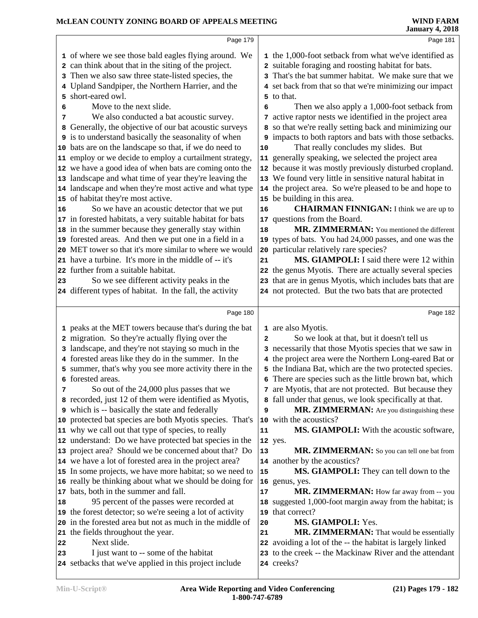### **McLEAN COUNTY ZONING BOARD OF APPEALS MEETING**

| McLEAN COUNTY ZONING BOARD OF APPEALS MEETING                                                                                                                                                                                                                                                                                                                                                                                                                                                                                                                                                                                                                                                                                                                                                                                                                                                                                                                                                                                                                                                                                                                                                                                                 | <b>WIND FARM</b><br><b>January 4, 2018</b>                                                                                                                                                                                                                                                                                                                                                                                                                                                                                                                                                                                                                                                                                                                                                                                                                                                                                                                                                                                                                                                                                                                                      |
|-----------------------------------------------------------------------------------------------------------------------------------------------------------------------------------------------------------------------------------------------------------------------------------------------------------------------------------------------------------------------------------------------------------------------------------------------------------------------------------------------------------------------------------------------------------------------------------------------------------------------------------------------------------------------------------------------------------------------------------------------------------------------------------------------------------------------------------------------------------------------------------------------------------------------------------------------------------------------------------------------------------------------------------------------------------------------------------------------------------------------------------------------------------------------------------------------------------------------------------------------|---------------------------------------------------------------------------------------------------------------------------------------------------------------------------------------------------------------------------------------------------------------------------------------------------------------------------------------------------------------------------------------------------------------------------------------------------------------------------------------------------------------------------------------------------------------------------------------------------------------------------------------------------------------------------------------------------------------------------------------------------------------------------------------------------------------------------------------------------------------------------------------------------------------------------------------------------------------------------------------------------------------------------------------------------------------------------------------------------------------------------------------------------------------------------------|
| Page 179                                                                                                                                                                                                                                                                                                                                                                                                                                                                                                                                                                                                                                                                                                                                                                                                                                                                                                                                                                                                                                                                                                                                                                                                                                      | Page 181                                                                                                                                                                                                                                                                                                                                                                                                                                                                                                                                                                                                                                                                                                                                                                                                                                                                                                                                                                                                                                                                                                                                                                        |
| 1 of where we see those bald eagles flying around. We<br>2 can think about that in the siting of the project.<br>3 Then we also saw three state-listed species, the<br>4 Upland Sandpiper, the Northern Harrier, and the<br>5 short-eared owl.<br>Move to the next slide.<br>6<br>We also conducted a bat acoustic survey.<br>7<br>8 Generally, the objective of our bat acoustic surveys<br><b>9</b> is to understand basically the seasonality of when<br>10 bats are on the landscape so that, if we do need to<br>11 employ or we decide to employ a curtailment strategy,<br>12 we have a good idea of when bats are coming onto the<br>13 landscape and what time of year they're leaving the<br>14 landscape and when they're most active and what type<br>15 of habitat they're most active.<br>So we have an acoustic detector that we put<br>16<br>17 in forested habitats, a very suitable habitat for bats<br>18 in the summer because they generally stay within<br>19 forested areas. And then we put one in a field in a<br>20 MET tower so that it's more similar to where we would<br>21 have a turbine. It's more in the middle of -- it's<br>further from a suitable habitat.<br>22                                        | 1 the 1,000-foot setback from what we've identified as<br>2 suitable foraging and roosting habitat for bats.<br>3 That's the bat summer habitat. We make sure that we<br>4 set back from that so that we're minimizing our impact<br>5 to that.<br>Then we also apply a 1,000-foot setback from<br>6<br>7 active raptor nests we identified in the project area<br>so that we're really setting back and minimizing our<br>8<br>9 impacts to both raptors and bats with those setbacks.<br>That really concludes my slides. But<br>$10$<br>11 generally speaking, we selected the project area<br>12 because it was mostly previously disturbed cropland.<br>13 We found very little in sensitive natural habitat in<br>14 the project area. So we're pleased to be and hope to<br>15 be building in this area.<br><b>CHAIRMAN FINNIGAN:</b> I think we are up to<br>16<br>17 questions from the Board.<br>MR. ZIMMERMAN: You mentioned the different<br>18<br>19 types of bats. You had 24,000 passes, and one was the<br>20 particular relatively rare species?<br>MS. GIAMPOLI: I said there were 12 within<br>21<br>22 the genus Myotis. There are actually several species |
| So we see different activity peaks in the<br>23<br>24 different types of habitat. In the fall, the activity                                                                                                                                                                                                                                                                                                                                                                                                                                                                                                                                                                                                                                                                                                                                                                                                                                                                                                                                                                                                                                                                                                                                   | 23 that are in genus Myotis, which includes bats that are<br>24 not protected. But the two bats that are protected                                                                                                                                                                                                                                                                                                                                                                                                                                                                                                                                                                                                                                                                                                                                                                                                                                                                                                                                                                                                                                                              |
| Page 180                                                                                                                                                                                                                                                                                                                                                                                                                                                                                                                                                                                                                                                                                                                                                                                                                                                                                                                                                                                                                                                                                                                                                                                                                                      | Page 182                                                                                                                                                                                                                                                                                                                                                                                                                                                                                                                                                                                                                                                                                                                                                                                                                                                                                                                                                                                                                                                                                                                                                                        |
| 1 peaks at the MET towers because that's during the bat<br>2 migration. So they're actually flying over the<br>3 landscape, and they're not staying so much in the<br>4 forested areas like they do in the summer. In the<br>5 summer, that's why you see more activity there in the<br>6 forested areas.<br>So out of the 24,000 plus passes that we<br>7<br>8 recorded, just 12 of them were identified as Myotis,<br><b>9</b> which is -- basically the state and federally<br>10 protected bat species are both Myotis species. That's<br>11 why we call out that type of species, to really<br>12 understand: Do we have protected bat species in the<br>13 project area? Should we be concerned about that? Do<br>14 we have a lot of forested area in the project area?<br>15 In some projects, we have more habitat; so we need to<br>16 really be thinking about what we should be doing for<br>bats, both in the summer and fall.<br>17<br>95 percent of the passes were recorded at<br>18<br>19 the forest detector; so we're seeing a lot of activity<br>in the forested area but not as much in the middle of<br>20<br>the fields throughout the year.<br>21<br>Next slide.<br>22<br>I just want to -- some of the habitat<br>23 | 1 are also Myotis.<br>So we look at that, but it doesn't tell us<br>$\overline{a}$<br>3 necessarily that those Myotis species that we saw in<br>4 the project area were the Northern Long-eared Bat or<br>5 the Indiana Bat, which are the two protected species.<br>6 There are species such as the little brown bat, which<br>are Myotis, that are not protected. But because they<br>7<br>8 fall under that genus, we look specifically at that.<br>MR. ZIMMERMAN: Are you distinguishing these<br>9<br>10 with the acoustics?<br>MS. GIAMPOLI: With the acoustic software,<br>11<br>12 yes.<br>MR. ZIMMERMAN: So you can tell one bat from<br>13<br>14 another by the acoustics?<br><b>MS. GIAMPOLI:</b> They can tell down to the<br>15<br>16 genus, yes.<br>MR. ZIMMERMAN: How far away from -- you<br>17<br>18 suggested 1,000-foot margin away from the habitat; is<br>19 that correct?<br>MS. GIAMPOLI: Yes.<br>20<br>MR. ZIMMERMAN: That would be essentially<br>21<br>22 avoiding a lot of the -- the habitat is largely linked<br>23 to the creek -- the Mackinaw River and the attendant                                                                           |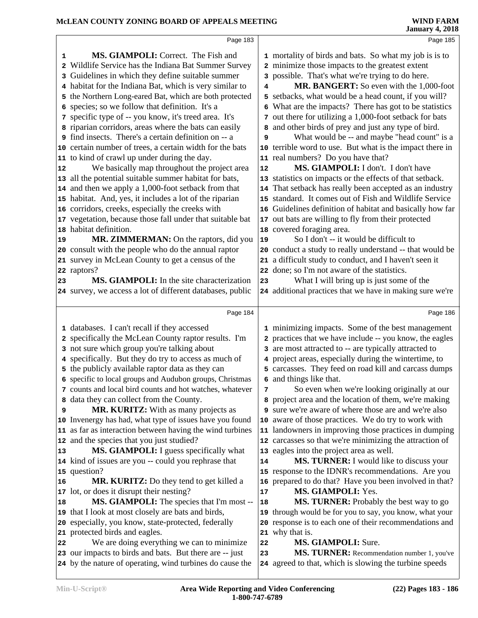|                                    | Page 183                                                                                                                                                                                                                                                                                                                                                                                                                                                                                                                                                                                                                                                                                                                                                                                                                                                                                                                                                                                                                                                                                                                                                                                            |                                     | Page 185                                                                                                                                                                                                                                                                                                                                                                                                                                                                                                                                                                                                                                                                                                                                                                                                                                                                                                                                                                                                                                                                                                                                                                                                                         |
|------------------------------------|-----------------------------------------------------------------------------------------------------------------------------------------------------------------------------------------------------------------------------------------------------------------------------------------------------------------------------------------------------------------------------------------------------------------------------------------------------------------------------------------------------------------------------------------------------------------------------------------------------------------------------------------------------------------------------------------------------------------------------------------------------------------------------------------------------------------------------------------------------------------------------------------------------------------------------------------------------------------------------------------------------------------------------------------------------------------------------------------------------------------------------------------------------------------------------------------------------|-------------------------------------|----------------------------------------------------------------------------------------------------------------------------------------------------------------------------------------------------------------------------------------------------------------------------------------------------------------------------------------------------------------------------------------------------------------------------------------------------------------------------------------------------------------------------------------------------------------------------------------------------------------------------------------------------------------------------------------------------------------------------------------------------------------------------------------------------------------------------------------------------------------------------------------------------------------------------------------------------------------------------------------------------------------------------------------------------------------------------------------------------------------------------------------------------------------------------------------------------------------------------------|
| 1<br>2<br>3<br>6<br>12<br>19<br>23 | MS. GIAMPOLI: Correct. The Fish and<br>Wildlife Service has the Indiana Bat Summer Survey<br>Guidelines in which they define suitable summer<br>4 habitat for the Indiana Bat, which is very similar to<br>5 the Northern Long-eared Bat, which are both protected<br>species; so we follow that definition. It's a<br>7 specific type of -- you know, it's treed area. It's<br>8 riparian corridors, areas where the bats can easily<br>9 find insects. There's a certain definition on -- a<br>10 certain number of trees, a certain width for the bats<br>11 to kind of crawl up under during the day.<br>We basically map throughout the project area<br>13 all the potential suitable summer habitat for bats,<br>14 and then we apply a 1,000-foot setback from that<br>15 habitat. And, yes, it includes a lot of the riparian<br>16 corridors, creeks, especially the creeks with<br>17 vegetation, because those fall under that suitable bat<br>18 habitat definition.<br>MR. ZIMMERMAN: On the raptors, did you<br>20 consult with the people who do the annual raptor<br>21 survey in McLean County to get a census of the<br>22 raptors?<br>MS. GIAMPOLI: In the site characterization | 4<br>8<br>9<br>12<br>19<br>21<br>23 | 1 mortality of birds and bats. So what my job is is to<br>2 minimize those impacts to the greatest extent<br>3 possible. That's what we're trying to do here.<br>MR. BANGERT: So even with the 1,000-foot<br>5 setbacks, what would be a head count, if you will?<br>6 What are the impacts? There has got to be statistics<br>7 out there for utilizing a 1,000-foot setback for bats<br>and other birds of prey and just any type of bird.<br>What would be -- and maybe "head count" is a<br>10 terrible word to use. But what is the impact there in<br>11 real numbers? Do you have that?<br>MS. GIAMPOLI: I don't. I don't have<br>13 statistics on impacts or the effects of that setback.<br>14 That setback has really been accepted as an industry<br>15 standard. It comes out of Fish and Wildlife Service<br>16 Guidelines definition of habitat and basically how far<br>17 out bats are willing to fly from their protected<br>18 covered foraging area.<br>So I don't -- it would be difficult to<br>20 conduct a study to really understand -- that would be<br>a difficult study to conduct, and I haven't seen it<br>22 done; so I'm not aware of the statistics.<br>What I will bring up is just some of the |
|                                    | 24 survey, we access a lot of different databases, public                                                                                                                                                                                                                                                                                                                                                                                                                                                                                                                                                                                                                                                                                                                                                                                                                                                                                                                                                                                                                                                                                                                                           |                                     | 24 additional practices that we have in making sure we're                                                                                                                                                                                                                                                                                                                                                                                                                                                                                                                                                                                                                                                                                                                                                                                                                                                                                                                                                                                                                                                                                                                                                                        |
|                                    | Page 184                                                                                                                                                                                                                                                                                                                                                                                                                                                                                                                                                                                                                                                                                                                                                                                                                                                                                                                                                                                                                                                                                                                                                                                            |                                     |                                                                                                                                                                                                                                                                                                                                                                                                                                                                                                                                                                                                                                                                                                                                                                                                                                                                                                                                                                                                                                                                                                                                                                                                                                  |
|                                    |                                                                                                                                                                                                                                                                                                                                                                                                                                                                                                                                                                                                                                                                                                                                                                                                                                                                                                                                                                                                                                                                                                                                                                                                     |                                     | Page 186                                                                                                                                                                                                                                                                                                                                                                                                                                                                                                                                                                                                                                                                                                                                                                                                                                                                                                                                                                                                                                                                                                                                                                                                                         |
|                                    | 1 databases. I can't recall if they accessed<br>2 specifically the McLean County raptor results. I'm<br>3 not sure which group you're talking about<br>4 specifically. But they do try to access as much of<br>5 the publicly available raptor data as they can<br>6 specific to local groups and Audubon groups, Christmas                                                                                                                                                                                                                                                                                                                                                                                                                                                                                                                                                                                                                                                                                                                                                                                                                                                                         |                                     | 1 minimizing impacts. Some of the best management<br>2 practices that we have include -- you know, the eagles<br>3 are most attracted to -- are typically attracted to<br>4 project areas, especially during the wintertime, to<br>5 carcasses. They feed on road kill and carcass dumps<br>6 and things like that.                                                                                                                                                                                                                                                                                                                                                                                                                                                                                                                                                                                                                                                                                                                                                                                                                                                                                                              |
|                                    | 7 counts and local bird counts and hot watches, whatever<br>8 data they can collect from the County.                                                                                                                                                                                                                                                                                                                                                                                                                                                                                                                                                                                                                                                                                                                                                                                                                                                                                                                                                                                                                                                                                                | 7                                   | So even when we're looking originally at our<br>8 project area and the location of them, we're making                                                                                                                                                                                                                                                                                                                                                                                                                                                                                                                                                                                                                                                                                                                                                                                                                                                                                                                                                                                                                                                                                                                            |
| 9<br>13                            | MR. KURITZ: With as many projects as<br>10 Invenergy has had, what type of issues have you found<br>11 as far as interaction between having the wind turbines<br>12 and the species that you just studied?<br>MS. GIAMPOLI: I guess specifically what                                                                                                                                                                                                                                                                                                                                                                                                                                                                                                                                                                                                                                                                                                                                                                                                                                                                                                                                               | 10                                  | 9 sure we're aware of where those are and we're also<br>aware of those practices. We do try to work with<br>11 landowners in improving those practices in dumping<br>12 carcasses so that we're minimizing the attraction of<br>13 eagles into the project area as well.                                                                                                                                                                                                                                                                                                                                                                                                                                                                                                                                                                                                                                                                                                                                                                                                                                                                                                                                                         |
| 16                                 | 14 kind of issues are you -- could you rephrase that<br>15 question?<br><b>MR. KURITZ:</b> Do they tend to get killed a                                                                                                                                                                                                                                                                                                                                                                                                                                                                                                                                                                                                                                                                                                                                                                                                                                                                                                                                                                                                                                                                             | 14<br>16<br>17                      | MS. TURNER: I would like to discuss your<br>15 response to the IDNR's recommendations. Are you<br>prepared to do that? Have you been involved in that?                                                                                                                                                                                                                                                                                                                                                                                                                                                                                                                                                                                                                                                                                                                                                                                                                                                                                                                                                                                                                                                                           |
| 18<br>22                           | 17 lot, or does it disrupt their nesting?<br>MS. GIAMPOLI: The species that I'm most --<br>19 that I look at most closely are bats and birds,<br>20 especially, you know, state-protected, federally<br>21 protected birds and eagles.<br>We are doing everything we can to minimize                                                                                                                                                                                                                                                                                                                                                                                                                                                                                                                                                                                                                                                                                                                                                                                                                                                                                                                | 18<br>19<br>20<br>22                | MS. GIAMPOLI: Yes.<br>MS. TURNER: Probably the best way to go<br>through would be for you to say, you know, what your<br>response is to each one of their recommendations and<br>21 why that is.<br>MS. GIAMPOLI: Sure.                                                                                                                                                                                                                                                                                                                                                                                                                                                                                                                                                                                                                                                                                                                                                                                                                                                                                                                                                                                                          |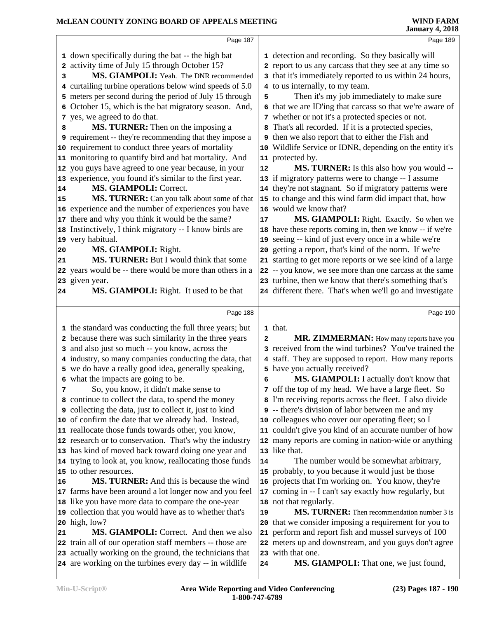|    | Page 187                                                                                                           |              | Page 189                                                    |
|----|--------------------------------------------------------------------------------------------------------------------|--------------|-------------------------------------------------------------|
|    | 1 down specifically during the bat -- the high bat                                                                 |              | 1 detection and recording. So they basically will           |
|    | 2 activity time of July 15 through October 15?                                                                     |              | 2 report to us any carcass that they see at any time so     |
| з  | MS. GIAMPOLI: Yeah. The DNR recommended                                                                            |              | 3 that it's immediately reported to us within 24 hours,     |
|    | 4 curtailing turbine operations below wind speeds of 5.0                                                           |              | 4 to us internally, to my team.                             |
|    | 5 meters per second during the period of July 15 through                                                           | 5            | Then it's my job immediately to make sure                   |
|    | 6 October 15, which is the bat migratory season. And,                                                              |              | 6 that we are ID'ing that carcass so that we're aware of    |
|    | 7 yes, we agreed to do that.                                                                                       |              | 7 whether or not it's a protected species or not.           |
| 8  | MS. TURNER: Then on the imposing a                                                                                 |              | That's all recorded. If it is a protected species,          |
|    | <b>9</b> requirement -- they're recommending that they impose a                                                    |              | then we also report that to either the Fish and             |
|    | 10 requirement to conduct three years of mortality                                                                 |              | 10 Wildlife Service or IDNR, depending on the entity it's   |
|    | 11 monitoring to quantify bird and bat mortality. And                                                              |              | 11 protected by.                                            |
|    | 12 you guys have agreed to one year because, in your                                                               | 12           | MS. TURNER: Is this also how you would --                   |
|    | 13 experience, you found it's similar to the first year.                                                           |              | 13 if migratory patterns were to change -- I assume         |
| 14 | MS. GIAMPOLI: Correct.                                                                                             |              | 14 they're not stagnant. So if migratory patterns were      |
| 15 | MS. TURNER: Can you talk about some of that                                                                        |              | 15 to change and this wind farm did impact that, how        |
|    | 16 experience and the number of experiences you have                                                               |              | 16 would we know that?                                      |
|    | 17 there and why you think it would be the same?                                                                   | 17           | MS. GIAMPOLI: Right. Exactly. So when we                    |
|    | 18 Instinctively, I think migratory -- I know birds are                                                            |              | 18 have these reports coming in, then we know -- if we're   |
|    | 19 very habitual.                                                                                                  |              | 19 seeing -- kind of just every once in a while we're       |
| 20 | MS. GIAMPOLI: Right.                                                                                               | 20           | getting a report, that's kind of the norm. If we're         |
| 21 | MS. TURNER: But I would think that some                                                                            |              | 21 starting to get more reports or we see kind of a large   |
|    | 22 years would be -- there would be more than others in a                                                          |              | 22 -- you know, we see more than one carcass at the same    |
|    | 23 given year.                                                                                                     |              | 23 turbine, then we know that there's something that's      |
| 24 | MS. GIAMPOLI: Right. It used to be that                                                                            |              | 24 different there. That's when we'll go and investigate    |
|    |                                                                                                                    |              |                                                             |
|    | Page 188                                                                                                           |              | Page 190                                                    |
|    |                                                                                                                    |              |                                                             |
|    |                                                                                                                    |              | 1 that.                                                     |
|    | 1 the standard was conducting the full three years; but<br>2 because there was such similarity in the three years  | $\mathbf{2}$ | MR. ZIMMERMAN: How many reports have you                    |
|    | 3 and also just so much -- you know, across the                                                                    |              | 3 received from the wind turbines? You've trained the       |
|    | 4 industry, so many companies conducting the data, that                                                            |              | 4 staff. They are supposed to report. How many reports      |
|    | 5 we do have a really good idea, generally speaking,                                                               |              | 5 have you actually received?                               |
|    | 6 what the impacts are going to be.                                                                                | 6            | MS. GIAMPOLI: I actually don't know that                    |
| 7  | So, you know, it didn't make sense to                                                                              |              | 7 off the top of my head. We have a large fleet. So         |
|    | 8 continue to collect the data, to spend the money                                                                 |              | 8 I'm receiving reports across the fleet. I also divide     |
|    | <b>9</b> collecting the data, just to collect it, just to kind                                                     |              | <b>9</b> -- there's division of labor between me and my     |
|    | 10 of confirm the date that we already had. Instead,                                                               |              | 10 colleagues who cover our operating fleet; so I           |
|    | 11 reallocate those funds towards other, you know,                                                                 |              | 11 couldn't give you kind of an accurate number of how      |
|    | 12 research or to conservation. That's why the industry                                                            |              | 12 many reports are coming in nation-wide or anything       |
|    | 13 has kind of moved back toward doing one year and                                                                |              | 13 like that.                                               |
|    | 14 trying to look at, you know, reallocating those funds                                                           | 14           | The number would be somewhat arbitrary,                     |
|    | 15 to other resources.                                                                                             |              | 15 probably, to you because it would just be those          |
| 16 | MS. TURNER: And this is because the wind                                                                           | 16           | projects that I'm working on. You know, they're             |
|    | 17 farms have been around a lot longer now and you feel                                                            | 17           | coming in -- I can't say exactly how regularly, but         |
|    | 18 like you have more data to compare the one-year                                                                 |              | 18 not that regularly.                                      |
|    | 19 collection that you would have as to whether that's                                                             | 19           | MS. TURNER: Then recommendation number 3 is                 |
|    | 20 high, low?                                                                                                      | 20           | that we consider imposing a requirement for you to          |
| 21 | MS. GIAMPOLI: Correct. And then we also                                                                            | 21           | perform and report fish and mussel surveys of 100           |
|    | 22 train all of our operation staff members -- those are                                                           | 22           | meters up and downstream, and you guys don't agree          |
|    | 23 actually working on the ground, the technicians that<br>24 are working on the turbines every day -- in wildlife |              | 23 with that one.<br>MS. GIAMPOLI: That one, we just found, |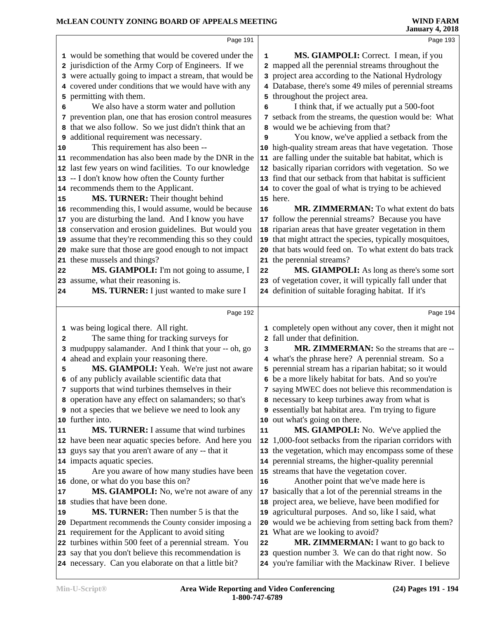|                       | Page 191                                                                                                                                                                                                                                                                                                                                                                                                                                                                                                                                                                                                                                                                                    |                        | Page 193                                                                                                                                                                                                                                                                                                                                                                                                                                                                                                                                                                                                                                                                                |
|-----------------------|---------------------------------------------------------------------------------------------------------------------------------------------------------------------------------------------------------------------------------------------------------------------------------------------------------------------------------------------------------------------------------------------------------------------------------------------------------------------------------------------------------------------------------------------------------------------------------------------------------------------------------------------------------------------------------------------|------------------------|-----------------------------------------------------------------------------------------------------------------------------------------------------------------------------------------------------------------------------------------------------------------------------------------------------------------------------------------------------------------------------------------------------------------------------------------------------------------------------------------------------------------------------------------------------------------------------------------------------------------------------------------------------------------------------------------|
| 10                    | 1 would be something that would be covered under the<br>2 jurisdiction of the Army Corp of Engineers. If we<br>3 were actually going to impact a stream, that would be<br>4 covered under conditions that we would have with any<br>5 permitting with them.<br>We also have a storm water and pollution<br>7 prevention plan, one that has erosion control measures<br>8 that we also follow. So we just didn't think that an<br><b>9</b> additional requirement was necessary.<br>This requirement has also been --<br>11 recommendation has also been made by the DNR in the<br>12 last few years on wind facilities. To our knowledge<br>13 -- I don't know how often the County further | $\mathbf{1}$<br>6<br>9 | MS. GIAMPOLI: Correct. I mean, if you<br>2 mapped all the perennial streams throughout the<br>3 project area according to the National Hydrology<br>4 Database, there's some 49 miles of perennial streams<br>5 throughout the project area.<br>I think that, if we actually put a 500-foot<br>7 setback from the streams, the question would be: What<br>8 would we be achieving from that?<br>You know, we've applied a setback from the<br>10 high-quality stream areas that have vegetation. Those<br>11 are falling under the suitable bat habitat, which is<br>12 basically riparian corridors with vegetation. So we<br>13 find that our setback from that habitat is sufficient |
|                       | 14 recommends them to the Applicant.                                                                                                                                                                                                                                                                                                                                                                                                                                                                                                                                                                                                                                                        |                        | 14 to cover the goal of what is trying to be achieved                                                                                                                                                                                                                                                                                                                                                                                                                                                                                                                                                                                                                                   |
| 15                    | MS. TURNER: Their thought behind                                                                                                                                                                                                                                                                                                                                                                                                                                                                                                                                                                                                                                                            |                        | 15 here.                                                                                                                                                                                                                                                                                                                                                                                                                                                                                                                                                                                                                                                                                |
| 22<br>24              | 16 recommending this, I would assume, would be because<br>17 you are disturbing the land. And I know you have<br>18 conservation and erosion guidelines. But would you<br>19 assume that they're recommending this so they could<br>20 make sure that those are good enough to not impact<br>21 these mussels and things?<br>MS. GIAMPOLI: I'm not going to assume, I<br>23 assume, what their reasoning is.<br>MS. TURNER: I just wanted to make sure I                                                                                                                                                                                                                                    | 16<br>22               | MR. ZIMMERMAN: To what extent do bats<br>17 follow the perennial streams? Because you have<br>18 riparian areas that have greater vegetation in them<br>19 that might attract the species, typically mosquitoes,<br>20 that bats would feed on. To what extent do bats track<br>21 the perennial streams?<br>MS. GIAMPOLI: As long as there's some sort<br>23 of vegetation cover, it will typically fall under that<br>24 definition of suitable foraging habitat. If it's                                                                                                                                                                                                             |
|                       | Page 192                                                                                                                                                                                                                                                                                                                                                                                                                                                                                                                                                                                                                                                                                    |                        | Page 194                                                                                                                                                                                                                                                                                                                                                                                                                                                                                                                                                                                                                                                                                |
|                       |                                                                                                                                                                                                                                                                                                                                                                                                                                                                                                                                                                                                                                                                                             |                        |                                                                                                                                                                                                                                                                                                                                                                                                                                                                                                                                                                                                                                                                                         |
| 2<br>5                | 1 was being logical there. All right.<br>The same thing for tracking surveys for<br>3 mudpuppy salamander. And I think that your -- oh, go<br>4 ahead and explain your reasoning there.<br>MS. GIAMPOLI: Yeah. We're just not aware                                                                                                                                                                                                                                                                                                                                                                                                                                                         | з                      | 1 completely open without any cover, then it might not<br>2 fall under that definition.<br>MR. ZIMMERMAN: So the streams that are --<br>4 what's the phrase here? A perennial stream. So a<br>5 perennial stream has a riparian habitat; so it would                                                                                                                                                                                                                                                                                                                                                                                                                                    |
|                       | 6 of any publicly available scientific data that                                                                                                                                                                                                                                                                                                                                                                                                                                                                                                                                                                                                                                            |                        | 6 be a more likely habitat for bats. And so you're                                                                                                                                                                                                                                                                                                                                                                                                                                                                                                                                                                                                                                      |
|                       | 7 supports that wind turbines themselves in their<br>8 operation have any effect on salamanders; so that's<br><b>9</b> not a species that we believe we need to look any<br>10 further into.                                                                                                                                                                                                                                                                                                                                                                                                                                                                                                |                        | 7 saying MWEC does not believe this recommendation is<br>8 necessary to keep turbines away from what is<br>9 essentially bat habitat area. I'm trying to figure<br>10 out what's going on there.                                                                                                                                                                                                                                                                                                                                                                                                                                                                                        |
|                       | <b>MS. TURNER:</b> I assume that wind turbines                                                                                                                                                                                                                                                                                                                                                                                                                                                                                                                                                                                                                                              | ${\bf 11}$             | <b>MS. GIAMPOLI:</b> No. We've applied the                                                                                                                                                                                                                                                                                                                                                                                                                                                                                                                                                                                                                                              |
|                       | 12 have been near aquatic species before. And here you<br>13 guys say that you aren't aware of any -- that it<br>14 impacts aquatic species.<br>Are you aware of how many studies have been                                                                                                                                                                                                                                                                                                                                                                                                                                                                                                 |                        | 12 1,000-foot setbacks from the riparian corridors with<br>13 the vegetation, which may encompass some of these<br>14 perennial streams, the higher-quality perennial<br>15 streams that have the vegetation cover.                                                                                                                                                                                                                                                                                                                                                                                                                                                                     |
|                       | 16 done, or what do you base this on?                                                                                                                                                                                                                                                                                                                                                                                                                                                                                                                                                                                                                                                       | 16                     | Another point that we've made here is                                                                                                                                                                                                                                                                                                                                                                                                                                                                                                                                                                                                                                                   |
| 11<br>15<br>17<br> 19 | MS. GIAMPOLI: No, we're not aware of any<br>18 studies that have been done.<br><b>MS. TURNER:</b> Then number 5 is that the<br>20 Department recommends the County consider imposing a                                                                                                                                                                                                                                                                                                                                                                                                                                                                                                      |                        | 17 basically that a lot of the perennial streams in the<br>18 project area, we believe, have been modified for<br>19 agricultural purposes. And so, like I said, what<br>20 would we be achieving from setting back from them?                                                                                                                                                                                                                                                                                                                                                                                                                                                          |
|                       | 21 requirement for the Applicant to avoid siting<br>22 turbines within 500 feet of a perennial stream. You<br>23 say that you don't believe this recommendation is<br>24 necessary. Can you elaborate on that a little bit?                                                                                                                                                                                                                                                                                                                                                                                                                                                                 | 22                     | 21 What are we looking to avoid?<br>MR. ZIMMERMAN: I want to go back to<br>23 question number 3. We can do that right now. So<br>24 you're familiar with the Mackinaw River. I believe                                                                                                                                                                                                                                                                                                                                                                                                                                                                                                  |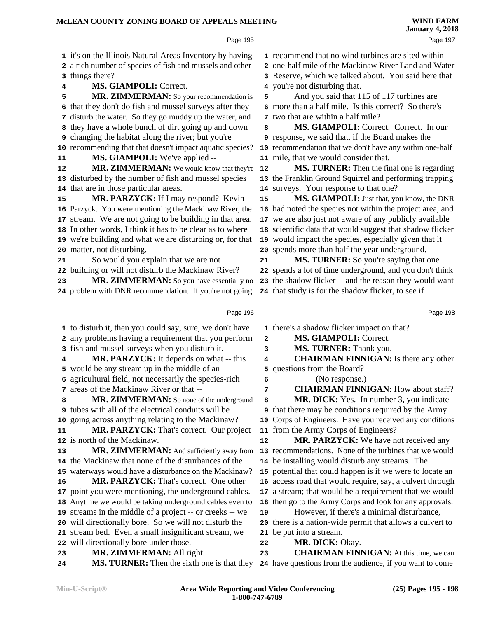|          | Page 195                                                                        |              | Page 197                                                                                                   |
|----------|---------------------------------------------------------------------------------|--------------|------------------------------------------------------------------------------------------------------------|
|          | 1 it's on the Illinois Natural Areas Inventory by having                        |              | 1 recommend that no wind turbines are sited within                                                         |
|          | 2 a rich number of species of fish and mussels and other                        |              | 2 one-half mile of the Mackinaw River Land and Water                                                       |
|          | 3 things there?                                                                 |              | 3 Reserve, which we talked about. You said here that                                                       |
| 4        | MS. GIAMPOLI: Correct.                                                          |              | 4 you're not disturbing that.                                                                              |
| 5        | MR. ZIMMERMAN: So your recommendation is                                        | 5            | And you said that 115 of 117 turbines are                                                                  |
| 6        | that they don't do fish and mussel surveys after they                           |              | 6 more than a half mile. Is this correct? So there's                                                       |
|          | 7 disturb the water. So they go muddy up the water, and                         |              | 7 two that are within a half mile?                                                                         |
|          | 8 they have a whole bunch of dirt going up and down                             | 8            | MS. GIAMPOLI: Correct. Correct. In our                                                                     |
|          | 9 changing the habitat along the river; but you're                              |              | 9 response, we said that, if the Board makes the                                                           |
|          | 10 recommending that that doesn't impact aquatic species?                       |              | 10 recommendation that we don't have any within one-half                                                   |
| 11       | <b>MS. GIAMPOLI:</b> We've applied --                                           |              | 11 mile, that we would consider that.                                                                      |
| 12       | MR. ZIMMERMAN: We would know that they're                                       | 12           | MS. TURNER: Then the final one is regarding                                                                |
|          | 13 disturbed by the number of fish and mussel species                           |              | 13 the Franklin Ground Squirrel and performing trapping                                                    |
|          | 14 that are in those particular areas.                                          |              | 14 surveys. Your response to that one?                                                                     |
| 15       | MR. PARZYCK: If I may respond? Kevin                                            | 15           | MS. GIAMPOLI: Just that, you know, the DNR                                                                 |
|          | 16 Parzyck. You were mentioning the Mackinaw River, the                         |              | 16 had noted the species not within the project area, and                                                  |
|          | 17 stream. We are not going to be building in that area.                        |              | 17 we are also just not aware of any publicly available                                                    |
|          | 18 In other words, I think it has to be clear as to where                       |              | 18 scientific data that would suggest that shadow flicker                                                  |
|          | 19 we're building and what we are disturbing or, for that                       |              | 19 would impact the species, especially given that it                                                      |
|          | 20 matter, not disturbing.                                                      |              | 20 spends more than half the year underground.                                                             |
| 21       | So would you explain that we are not                                            | 21           | MS. TURNER: So you're saying that one                                                                      |
|          | 22 building or will not disturb the Mackinaw River?                             |              | 22 spends a lot of time underground, and you don't think                                                   |
| 23       | MR. ZIMMERMAN: So you have essentially no                                       |              | 23 the shadow flicker -- and the reason they would want                                                    |
|          | 24 problem with DNR recommendation. If you're not going                         |              | 24 that study is for the shadow flicker, to see if                                                         |
|          | Page 196                                                                        |              | Page 198                                                                                                   |
|          | 1 to disturb it, then you could say, sure, we don't have                        |              | 1 there's a shadow flicker impact on that?                                                                 |
|          | 2 any problems having a requirement that you perform                            | $\mathbf{2}$ | <b>MS. GIAMPOLI: Correct.</b>                                                                              |
|          | 3 fish and mussel surveys when you disturb it.                                  | 3            | MS. TURNER: Thank you.                                                                                     |
| 4        | MR. PARZYCK: It depends on what -- this                                         | 4            | <b>CHAIRMAN FINNIGAN:</b> Is there any other                                                               |
|          | 5 would be any stream up in the middle of an                                    | 5            | questions from the Board?                                                                                  |
|          | 6 agricultural field, not necessarily the species-rich                          | 6            | (No response.)                                                                                             |
|          | 7 areas of the Mackinaw River or that --                                        | 7            | <b>CHAIRMAN FINNIGAN:</b> How about staff?                                                                 |
| 8        | MR. ZIMMERMAN: So none of the underground                                       | 8            | MR. DICK: Yes. In number 3, you indicate                                                                   |
|          | <b>9</b> tubes with all of the electrical conduits will be                      |              | <b>9</b> that there may be conditions required by the Army                                                 |
|          | 10 going across anything relating to the Mackinaw?                              |              | 10 Corps of Engineers. Have you received any conditions                                                    |
| 11       | MR. PARZYCK: That's correct. Our project                                        |              | 11 from the Army Corps of Engineers?                                                                       |
|          | 12 is north of the Mackinaw.                                                    | 12           | MR. PARZYCK: We have not received any                                                                      |
| 13       | MR. ZIMMERMAN: And sufficiently away from                                       |              | 13 recommendations. None of the turbines that we would                                                     |
|          | 14 the Mackinaw that none of the disturbances of the                            |              | 14 be installing would disturb any streams. The                                                            |
|          | 15 waterways would have a disturbance on the Mackinaw?                          |              | 15 potential that could happen is if we were to locate an                                                  |
| 16       | <b>MR. PARZYCK:</b> That's correct. One other                                   |              | 16 access road that would require, say, a culvert through                                                  |
|          | 17 point you were mentioning, the underground cables.                           |              | 17 a stream; that would be a requirement that we would                                                     |
|          | 18 Anytime we would be taking underground cables even to                        |              | 18 then go to the Army Corps and look for any approvals.                                                   |
|          | 19 streams in the middle of a project -- or creeks -- we                        | 19           | However, if there's a minimal disturbance,                                                                 |
|          | 20 will directionally bore. So we will not disturb the                          |              | 20 there is a nation-wide permit that allows a culvert to                                                  |
|          | 21 stream bed. Even a small insignificant stream, we                            |              | 21 be put into a stream.                                                                                   |
|          |                                                                                 |              |                                                                                                            |
|          | 22 will directionally bore under those.                                         | 22           | MR. DICK: Okay.                                                                                            |
| 23<br>24 | MR. ZIMMERMAN: All right.<br><b>MS. TURNER:</b> Then the sixth one is that they | 23           | <b>CHAIRMAN FINNIGAN:</b> At this time, we can<br>24 have questions from the audience, if you want to come |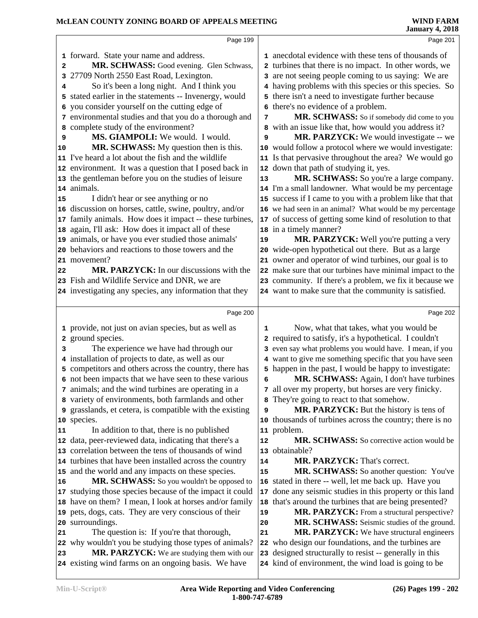|    | Page 199                                                                                          |    | Page 201                                                                                                     |  |
|----|---------------------------------------------------------------------------------------------------|----|--------------------------------------------------------------------------------------------------------------|--|
|    | 1 forward. State your name and address.                                                           |    | 1 anecdotal evidence with these tens of thousands of                                                         |  |
| 2  | MR. SCHWASS: Good evening. Glen Schwass,                                                          |    | 2 turbines that there is no impact. In other words, we                                                       |  |
| 3  | 27709 North 2550 East Road, Lexington.                                                            |    | 3 are not seeing people coming to us saying: We are                                                          |  |
| 4  | So it's been a long night. And I think you                                                        |    | 4 having problems with this species or this species. So                                                      |  |
| 5  | stated earlier in the statements -- Invenergy, would                                              |    | 5 there isn't a need to investigate further because                                                          |  |
| 6  | you consider yourself on the cutting edge of                                                      |    | 6 there's no evidence of a problem.                                                                          |  |
|    | 7 environmental studies and that you do a thorough and                                            | 7  | MR. SCHWASS: So if somebody did come to you                                                                  |  |
| 8  | complete study of the environment?                                                                |    | 8 with an issue like that, how would you address it?                                                         |  |
| 9  | MS. GIAMPOLI: We would. I would.                                                                  | 9  | MR. PARZYCK: We would investigate -- we                                                                      |  |
| 10 | MR. SCHWASS: My question then is this.                                                            |    | 10 would follow a protocol where we would investigate:                                                       |  |
|    | 11 I've heard a lot about the fish and the wildlife                                               |    | 11 Is that pervasive throughout the area? We would go                                                        |  |
|    | 12 environment. It was a question that I posed back in                                            |    | 12 down that path of studying it, yes.                                                                       |  |
|    | 13 the gentleman before you on the studies of leisure                                             | 13 | MR. SCHWASS: So you're a large company.                                                                      |  |
|    | 14 animals.                                                                                       |    | 14 I'm a small landowner. What would be my percentage                                                        |  |
| 15 | I didn't hear or see anything or no                                                               |    | 15 success if I came to you with a problem like that that                                                    |  |
|    | 16 discussion on horses, cattle, swine, poultry, and/or                                           |    | 16 we had seen in an animal? What would be my percentage                                                     |  |
|    | 17 family animals. How does it impact -- these turbines,                                          |    | 17 of success of getting some kind of resolution to that                                                     |  |
|    | 18 again, I'll ask: How does it impact all of these                                               |    | 18 in a timely manner?                                                                                       |  |
|    | 19 animals, or have you ever studied those animals'                                               | 19 | MR. PARZYCK: Well you're putting a very                                                                      |  |
|    | 20 behaviors and reactions to those towers and the                                                |    | 20 wide-open hypothetical out there. But as a large                                                          |  |
|    | 21 movement?                                                                                      |    | 21 owner and operator of wind turbines, our goal is to                                                       |  |
| 22 | MR. PARZYCK: In our discussions with the                                                          |    | 22 make sure that our turbines have minimal impact to the                                                    |  |
|    | 23 Fish and Wildlife Service and DNR, we are                                                      |    | 23 community. If there's a problem, we fix it because we                                                     |  |
|    | 24 investigating any species, any information that they                                           |    | 24 want to make sure that the community is satisfied.                                                        |  |
|    |                                                                                                   |    |                                                                                                              |  |
|    |                                                                                                   |    |                                                                                                              |  |
|    | Page 200                                                                                          |    | Page 202                                                                                                     |  |
|    | 1 provide, not just on avian species, but as well as                                              | 1  | Now, what that takes, what you would be                                                                      |  |
|    | 2 ground species.                                                                                 |    | 2 required to satisfy, it's a hypothetical. I couldn't                                                       |  |
| з  | The experience we have had through our                                                            |    | 3 even say what problems you would have. I mean, if you                                                      |  |
|    | 4 installation of projects to date, as well as our                                                |    | 4 want to give me something specific that you have seen                                                      |  |
|    | 5 competitors and others across the country, there has                                            |    | 5 happen in the past, I would be happy to investigate:                                                       |  |
|    | 6 not been impacts that we have seen to these various                                             | 6  | MR. SCHWASS: Again, I don't have turbines                                                                    |  |
|    | 7 animals; and the wind turbines are operating in a                                               |    | 7 all over my property, but horses are very finicky.                                                         |  |
|    | 8 variety of environments, both farmlands and other                                               |    | They're going to react to that somehow.                                                                      |  |
| 9  | grasslands, et cetera, is compatible with the existing                                            | 9  | MR. PARZYCK: But the history is tens of                                                                      |  |
|    | 10 species.                                                                                       | 10 | thousands of turbines across the country; there is no                                                        |  |
| 11 | In addition to that, there is no published                                                        |    | 11 problem.                                                                                                  |  |
|    | 12 data, peer-reviewed data, indicating that there's a                                            | 12 | <b>MR. SCHWASS:</b> So corrective action would be                                                            |  |
|    | 13 correlation between the tens of thousands of wind                                              |    | 13 obtainable?                                                                                               |  |
|    | 14 turbines that have been installed across the country                                           | 14 | MR. PARZYCK: That's correct.                                                                                 |  |
|    | 15 and the world and any impacts on these species.                                                | 15 | MR. SCHWASS: So another question: You've                                                                     |  |
| 16 | MR. SCHWASS: So you wouldn't be opposed to                                                        |    | 16 stated in there -- well, let me back up. Have you                                                         |  |
|    | 17 studying those species because of the impact it could                                          | 17 | done any seismic studies in this property or this land                                                       |  |
|    | 18 have on them? I mean, I look at horses and/or family                                           | 18 | that's around the turbines that are being presented?                                                         |  |
|    | 19 pets, dogs, cats. They are very conscious of their                                             | 19 | MR. PARZYCK: From a structural perspective?                                                                  |  |
|    | 20 surroundings.                                                                                  | 20 | MR. SCHWASS: Seismic studies of the ground.                                                                  |  |
| 21 | The question is: If you're that thorough,                                                         | 21 | MR. PARZYCK: We have structural engineers                                                                    |  |
|    | 22 why wouldn't you be studying those types of animals?                                           |    | 22 who design our foundations, and the turbines are                                                          |  |
| 23 | MR. PARZYCK: We are studying them with our<br>24 existing wind farms on an ongoing basis. We have | 23 | designed structurally to resist -- generally in this<br>24 kind of environment, the wind load is going to be |  |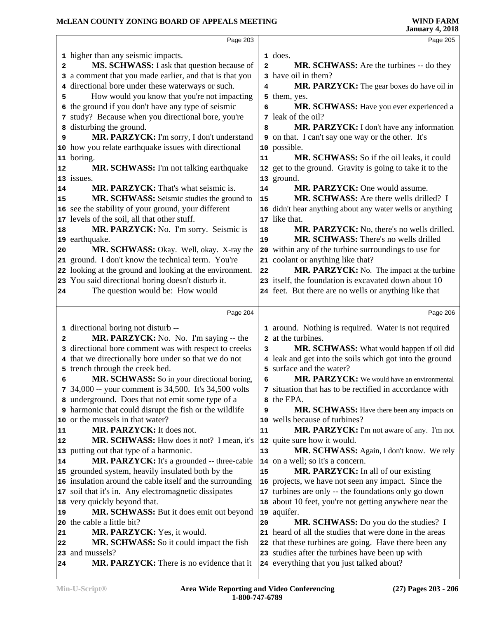|                                  | Page 203                                                                      |                | Page 205                                                                                     |
|----------------------------------|-------------------------------------------------------------------------------|----------------|----------------------------------------------------------------------------------------------|
|                                  | 1 higher than any seismic impacts.                                            |                | 1 does.                                                                                      |
| 2                                | MS. SCHWASS: I ask that question because of                                   | $\overline{a}$ | <b>MR. SCHWASS:</b> Are the turbines -- do they                                              |
|                                  | 3 a comment that you made earlier, and that is that you                       |                | 3 have oil in them?                                                                          |
|                                  | 4 directional bore under these waterways or such.                             | 4              | MR. PARZYCK: The gear boxes do have oil in                                                   |
| 5                                | How would you know that you're not impacting                                  |                | 5 them, yes.                                                                                 |
| 6                                | the ground if you don't have any type of seismic                              | 6              | MR. SCHWASS: Have you ever experienced a                                                     |
|                                  | 7 study? Because when you directional bore, you're                            |                | 7 leak of the oil?                                                                           |
| 8                                | disturbing the ground.                                                        | 8              | MR. PARZYCK: I don't have any information                                                    |
| 9                                | MR. PARZYCK: I'm sorry, I don't understand                                    |                | <b>9</b> on that. I can't say one way or the other. It's                                     |
|                                  | 10 how you relate earthquake issues with directional                          |                | 10 possible.                                                                                 |
|                                  | 11 boring.                                                                    | 11             | MR. SCHWASS: So if the oil leaks, it could                                                   |
| 12                               | MR. SCHWASS: I'm not talking earthquake                                       |                | 12 get to the ground. Gravity is going to take it to the                                     |
|                                  | 13 issues.                                                                    |                | 13 ground.                                                                                   |
| 14                               | <b>MR. PARZYCK:</b> That's what seismic is.                                   | 14             | <b>MR. PARZYCK: One would assume.</b>                                                        |
| 15                               | MR. SCHWASS: Seismic studies the ground to                                    | 15             | MR. SCHWASS: Are there wells drilled? I                                                      |
|                                  | 16 see the stability of your ground, your different                           |                | 16 didn't hear anything about any water wells or anything                                    |
|                                  | 17 levels of the soil, all that other stuff.                                  |                | 17 like that.                                                                                |
| 18                               | MR. PARZYCK: No. I'm sorry. Seismic is                                        | 18             | MR. PARZYCK: No, there's no wells drilled.                                                   |
|                                  | 19 earthquake.                                                                | 19             | MR. SCHWASS: There's no wells drilled                                                        |
| 20                               | MR. SCHWASS: Okay. Well, okay. X-ray the                                      |                | 20 within any of the turbine surroundings to use for                                         |
|                                  | 21 ground. I don't know the technical term. You're                            |                | 21 coolant or anything like that?                                                            |
|                                  | 22 looking at the ground and looking at the environment.                      | 22             | MR. PARZYCK: No. The impact at the turbine                                                   |
|                                  | 23 You said directional boring doesn't disturb it.                            |                | 23 itself, the foundation is excavated down about 10                                         |
| 24                               | The question would be: How would                                              |                | 24 feet. But there are no wells or anything like that                                        |
|                                  |                                                                               |                |                                                                                              |
|                                  |                                                                               |                |                                                                                              |
|                                  | Page 204                                                                      |                | Page 206                                                                                     |
|                                  |                                                                               |                | 1 around. Nothing is required. Water is not required                                         |
| 2                                | 1 directional boring not disturb --<br>MR. PARZYCK: No. No. I'm saying -- the |                | 2 at the turbines.                                                                           |
|                                  | 3 directional bore comment was with respect to creeks                         | 3              | MR. SCHWASS: What would happen if oil did                                                    |
|                                  | 4 that we directionally bore under so that we do not                          |                | 4 leak and get into the soils which got into the ground                                      |
|                                  | 5 trench through the creek bed.                                               |                | 5 surface and the water?                                                                     |
| 6                                | MR. SCHWASS: So in your directional boring,                                   | 6              | MR. PARZYCK: We would have an environmental                                                  |
|                                  | 7 34,000 -- your comment is 34,500. It's 34,500 volts                         |                | 7 situation that has to be rectified in accordance with                                      |
|                                  | 8 underground. Does that not emit some type of a                              |                | the EPA.                                                                                     |
|                                  | <b>9</b> harmonic that could disrupt the fish or the wildlife                 | 9              | MR. SCHWASS: Have there been any impacts on                                                  |
|                                  | 10 or the mussels in that water?                                              |                | 10 wells because of turbines?                                                                |
|                                  | MR. PARZYCK: It does not.                                                     | 11             | MR. PARZYCK: I'm not aware of any. I'm not                                                   |
|                                  | MR. SCHWASS: How does it not? I mean, it's                                    |                | 12 quite sure how it would.                                                                  |
|                                  | 13 putting out that type of a harmonic.                                       | 13             | MR. SCHWASS: Again, I don't know. We rely                                                    |
|                                  | MR. PARZYCK: It's a grounded -- three-cable                                   |                | 14 on a well; so it's a concern.                                                             |
|                                  | 15 grounded system, heavily insulated both by the                             | 15             | MR. PARZYCK: In all of our existing                                                          |
|                                  | 16 insulation around the cable itself and the surrounding                     |                | 16 projects, we have not seen any impact. Since the                                          |
|                                  | 17 soil that it's in. Any electromagnetic dissipates                          |                | 17 turbines are only -- the foundations only go down                                         |
|                                  | 18 very quickly beyond that.                                                  |                | 18 about 10 feet, you're not getting anywhere near the                                       |
|                                  | MR. SCHWASS: But it does emit out beyond                                      |                | 19 aquifer.                                                                                  |
|                                  | 20 the cable a little bit?                                                    | 20             | MR. SCHWASS: Do you do the studies? I                                                        |
|                                  | MR. PARZYCK: Yes, it would.                                                   |                | 21 heard of all the studies that were done in the areas                                      |
| 21                               | MR. SCHWASS: So it could impact the fish                                      |                | 22 that these turbines are going. Have there been any                                        |
| 11<br>12<br>14<br>19<br>22<br>24 | 23 and mussels?<br>MR. PARZYCK: There is no evidence that it                  |                | 23 studies after the turbines have been up with<br>24 everything that you just talked about? |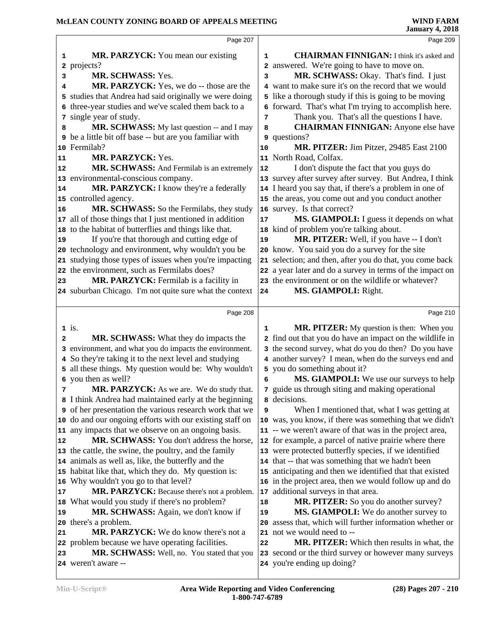|                                      | Page 207                                                                                                                                                                                                                                                                                                                                                                                                                                                                                                 |                                  | Page 209                                                                                                                                                                                                                                                                                                                                                                                                                                                                         |  |
|--------------------------------------|----------------------------------------------------------------------------------------------------------------------------------------------------------------------------------------------------------------------------------------------------------------------------------------------------------------------------------------------------------------------------------------------------------------------------------------------------------------------------------------------------------|----------------------------------|----------------------------------------------------------------------------------------------------------------------------------------------------------------------------------------------------------------------------------------------------------------------------------------------------------------------------------------------------------------------------------------------------------------------------------------------------------------------------------|--|
| 1<br>2<br>3<br>4<br>5<br>6<br>7<br>8 | MR. PARZYCK: You mean our existing<br>projects?<br>MR. SCHWASS: Yes.<br>MR. PARZYCK: Yes, we do -- those are the<br>studies that Andrea had said originally we were doing<br>three-year studies and we've scaled them back to a<br>single year of study.<br>MR. SCHWASS: My last question -- and I may                                                                                                                                                                                                   | $\mathbf{1}$<br>2<br>3<br>7<br>8 | <b>CHAIRMAN FINNIGAN:</b> I think it's asked and<br>answered. We're going to have to move on.<br>MR. SCHWASS: Okay. That's find. I just<br>4 want to make sure it's on the record that we would<br>5 like a thorough study if this is going to be moving<br>6 forward. That's what I'm trying to accomplish here.<br>Thank you. That's all the questions I have.<br><b>CHAIRMAN FINNIGAN:</b> Anyone else have                                                                   |  |
| 11                                   | <b>9</b> be a little bit off base -- but are you familiar with<br>10 Fermilab?<br>MR. PARZYCK: Yes.                                                                                                                                                                                                                                                                                                                                                                                                      | 10                               | 9 questions?<br>MR. PITZER: Jim Pitzer, 29485 East 2100<br>11 North Road, Colfax.                                                                                                                                                                                                                                                                                                                                                                                                |  |
| 12<br>14<br>16                       | MR. SCHWASS: And Fermilab is an extremely<br>13 environmental-conscious company.<br>MR. PARZYCK: I know they're a federally<br>15 controlled agency.<br>MR. SCHWASS: So the Fermilabs, they study                                                                                                                                                                                                                                                                                                        | 12                               | I don't dispute the fact that you guys do<br>13 survey after survey after survey. But Andrea, I think<br>14 I heard you say that, if there's a problem in one of<br>15 the areas, you come out and you conduct another<br>16 survey. Is that correct?                                                                                                                                                                                                                            |  |
| 19<br>23                             | 17 all of those things that I just mentioned in addition<br>18 to the habitat of butterflies and things like that.<br>If you're that thorough and cutting edge of<br>20 technology and environment, why wouldn't you be<br>21 studying those types of issues when you're impacting<br>22 the environment, such as Fermilabs does?<br>MR. PARZYCK: Fermilab is a facility in<br>24 suburban Chicago. I'm not quite sure what the context                                                                  | 17<br>19<br>24                   | MS. GIAMPOLI: I guess it depends on what<br>18 kind of problem you're talking about.<br>MR. PITZER: Well, if you have -- I don't<br>20 know. You said you do a survey for the site<br>21 selection; and then, after you do that, you come back<br>22 a year later and do a survey in terms of the impact on<br>23 the environment or on the wildlife or whatever?<br>MS. GIAMPOLI: Right.                                                                                        |  |
|                                      |                                                                                                                                                                                                                                                                                                                                                                                                                                                                                                          |                                  |                                                                                                                                                                                                                                                                                                                                                                                                                                                                                  |  |
|                                      | Page 208                                                                                                                                                                                                                                                                                                                                                                                                                                                                                                 |                                  | Page 210                                                                                                                                                                                                                                                                                                                                                                                                                                                                         |  |
| 2<br>7                               | $1$ is.<br><b>MR. SCHWASS:</b> What they do impacts the<br>3 environment, and what you do impacts the environment.<br>4 So they're taking it to the next level and studying<br>5 all these things. My question would be: Why wouldn't<br>6 you then as well?<br>MR. PARZYCK: As we are. We do study that.                                                                                                                                                                                                | 1<br>6                           | MR. PITZER: My question is then: When you<br>2 find out that you do have an impact on the wildlife in<br>3 the second survey, what do you do then? Do you have<br>4 another survey? I mean, when do the surveys end and<br>5 you do something about it?<br><b>MS. GIAMPOLI:</b> We use our surveys to help<br>7 guide us through siting and making operational                                                                                                                   |  |
| 12                                   | 8 I think Andrea had maintained early at the beginning<br><b>9</b> of her presentation the various research work that we<br>10 do and our ongoing efforts with our existing staff on<br>11 any impacts that we observe on an ongoing basis.<br>MR. SCHWASS: You don't address the horse,<br>13 the cattle, the swine, the poultry, and the family<br>14 animals as well as, like, the butterfly and the<br>15 habitat like that, which they do. My question is:<br>16 Why wouldn't you go to that level? | 9                                | a decisions.<br>When I mentioned that, what I was getting at<br>10 was, you know, if there was something that we didn't<br>11 -- we weren't aware of that was in the project area,<br>12 for example, a parcel of native prairie where there<br>13 were protected butterfly species, if we identified<br>14 that -- that was something that we hadn't been<br>15 anticipating and then we identified that that existed<br>16 in the project area, then we would follow up and do |  |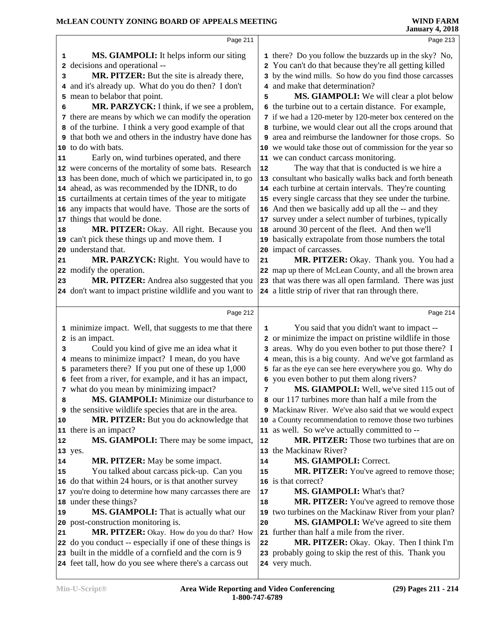|    | Page 211                                                                                                            |    | Page 213                                                               |
|----|---------------------------------------------------------------------------------------------------------------------|----|------------------------------------------------------------------------|
|    | <b>MS. GIAMPOLI:</b> It helps inform our siting<br>1                                                                |    | 1 there? Do you follow the buzzards up in the sky? No,                 |
|    | decisions and operational --<br>2                                                                                   |    | 2 You can't do that because they're all getting killed                 |
|    | MR. PITZER: But the site is already there,<br>3                                                                     |    | 3 by the wind mills. So how do you find those carcasses                |
|    | and it's already up. What do you do then? I don't<br>4                                                              |    | 4 and make that determination?                                         |
|    | mean to belabor that point.<br>5                                                                                    | 5  | MS. GIAMPOLI: We will clear a plot below                               |
|    | MR. PARZYCK: I think, if we see a problem,<br>6                                                                     |    | 6 the turbine out to a certain distance. For example,                  |
|    | there are means by which we can modify the operation<br>7                                                           |    | 7 if we had a 120-meter by 120-meter box centered on the               |
|    | 8 of the turbine. I think a very good example of that                                                               |    | 8 turbine, we would clear out all the crops around that                |
|    | <b>9</b> that both we and others in the industry have done has                                                      |    | 9 area and reimburse the landowner for those crops. So                 |
|    | 10 to do with bats.                                                                                                 |    | 10 we would take those out of commission for the year so               |
| 11 | Early on, wind turbines operated, and there                                                                         |    | 11 we can conduct carcass monitoring.                                  |
|    | 12 were concerns of the mortality of some bats. Research                                                            | 12 | The way that that is conducted is we hire a                            |
|    | 13 has been done, much of which we participated in, to go                                                           |    | 13 consultant who basically walks back and forth beneath               |
|    | 14 ahead, as was recommended by the IDNR, to do                                                                     |    | 14 each turbine at certain intervals. They're counting                 |
|    | 15 curtailments at certain times of the year to mitigate                                                            |    | 15 every single carcass that they see under the turbine.               |
|    | 16 any impacts that would have. Those are the sorts of                                                              |    | 16 And then we basically add up all the -- and they                    |
| 17 | things that would be done.                                                                                          |    | 17 survey under a select number of turbines, typically                 |
| 18 | MR. PITZER: Okay. All right. Because you                                                                            | 18 | around 30 percent of the fleet. And then we'll                         |
|    | 19 can't pick these things up and move them. I                                                                      |    | 19 basically extrapolate from those numbers the total                  |
| 20 | understand that.                                                                                                    |    | 20 impact of carcasses.                                                |
| 21 | MR. PARZYCK: Right. You would have to                                                                               | 21 | MR. PITZER: Okay. Thank you. You had a                                 |
|    | 22 modify the operation.                                                                                            |    | 22 map up there of McLean County, and all the brown area               |
| 23 | MR. PITZER: Andrea also suggested that you                                                                          |    | 23 that was there was all open farmland. There was just                |
|    | 24 don't want to impact pristine wildlife and you want to                                                           |    | 24 a little strip of river that ran through there.                     |
|    | Page 212                                                                                                            |    | Page 214                                                               |
|    | 1 minimize impact. Well, that suggests to me that there                                                             | 1  | You said that you didn't want to impact --                             |
|    | 2 is an impact.                                                                                                     |    | 2 or minimize the impact on pristine wildlife in those                 |
|    | Could you kind of give me an idea what it<br>3                                                                      | 3  | areas. Why do you even bother to put those there? I                    |
|    | 4 means to minimize impact? I mean, do you have                                                                     | 4  | mean, this is a big county. And we've got farmland as                  |
|    | parameters there? If you put one of these up 1,000<br>5                                                             |    | 5 far as the eye can see here everywhere you go. Why do                |
|    | 6 feet from a river, for example, and it has an impact,                                                             |    | 6 you even bother to put them along rivers?                            |
|    | 7 what do you mean by minimizing impact?                                                                            | 7  | MS. GIAMPOLI: Well, we've sited 115 out of                             |
|    | MS. GIAMPOLI: Minimize our disturbance to<br>8                                                                      |    | 8 our 117 turbines more than half a mile from the                      |
|    | the sensitive wildlife species that are in the area.<br>9                                                           |    | 9 Mackinaw River. We've also said that we would expect                 |
| 10 | MR. PITZER: But you do acknowledge that                                                                             |    | 10 a County recommendation to remove those two turbines                |
| 11 | there is an impact?                                                                                                 |    | 11 as well. So we've actually committed to --                          |
| 12 | <b>MS. GIAMPOLI:</b> There may be some impact,                                                                      | 12 | MR. PITZER: Those two turbines that are on                             |
|    |                                                                                                                     |    |                                                                        |
|    | 13 yes.                                                                                                             |    | 13 the Mackinaw River?                                                 |
| 14 | <b>MR. PITZER:</b> May be some impact.                                                                              | 14 | <b>MS. GIAMPOLI: Correct.</b>                                          |
| 15 | You talked about carcass pick-up. Can you                                                                           | 15 | <b>MR. PITZER:</b> You've agreed to remove those;                      |
|    | 16 do that within 24 hours, or is that another survey                                                               |    | 16 is that correct?                                                    |
|    | 17 you're doing to determine how many carcasses there are                                                           | 17 | MS. GIAMPOLI: What's that?                                             |
|    | 18 under these things?                                                                                              | 18 | <b>MR. PITZER:</b> You've agreed to remove those                       |
| 19 | <b>MS. GIAMPOLI:</b> That is actually what our                                                                      |    | 19 two turbines on the Mackinaw River from your plan?                  |
|    | 20 post-construction monitoring is.                                                                                 | 20 | MS. GIAMPOLI: We've agreed to site them                                |
| 21 | MR. PITZER: Okay. How do you do that? How                                                                           |    | 21 further than half a mile from the river.                            |
|    | 22 do you conduct -- especially if one of these things is                                                           | 22 | MR. PITZER: Okay. Okay. Then I think I'm                               |
|    | 23 built in the middle of a cornfield and the corn is 9<br>24 feet tall, how do you see where there's a carcass out |    | 23 probably going to skip the rest of this. Thank you<br>24 very much. |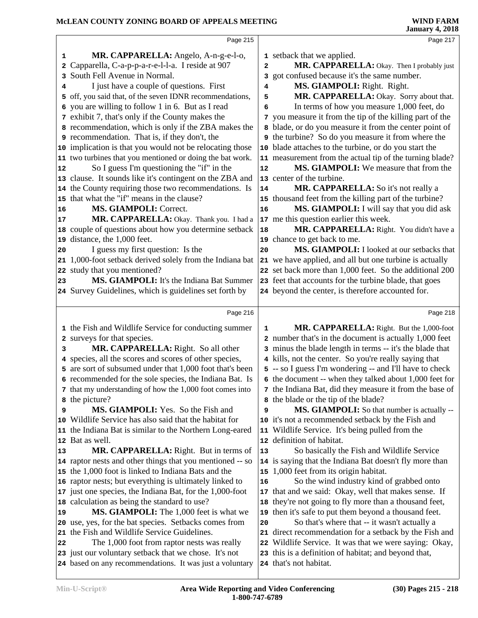|    | Page 215                                                  |                | Page 217                                                  |  |
|----|-----------------------------------------------------------|----------------|-----------------------------------------------------------|--|
|    |                                                           |                |                                                           |  |
| 1  | MR. CAPPARELLA: Angelo, A-n-g-e-l-o,                      |                | 1 setback that we applied.                                |  |
|    | 2 Capparella, C-a-p-p-a-r-e-l-l-a. I reside at 907        | $\overline{a}$ | MR. CAPPARELLA: Okay. Then I probably just                |  |
|    | 3 South Fell Avenue in Normal.                            |                | 3 got confused because it's the same number.              |  |
| 4  | I just have a couple of questions. First                  | 4              | MS. GIAMPOLI: Right. Right.                               |  |
|    | 5 off, you said that, of the seven IDNR recommendations,  | 5              | MR. CAPPARELLA: Okay. Sorry about that.                   |  |
|    | 6 you are willing to follow 1 in 6. But as I read         | 6              | In terms of how you measure 1,000 feet, do                |  |
|    | 7 exhibit 7, that's only if the County makes the          |                | 7 you measure it from the tip of the killing part of the  |  |
|    | 8 recommendation, which is only if the ZBA makes the      |                | 8 blade, or do you measure it from the center point of    |  |
|    | <b>9</b> recommendation. That is, if they don't, the      |                | <b>9</b> the turbine? So do you measure it from where the |  |
|    | 10 implication is that you would not be relocating those  |                | 10 blade attaches to the turbine, or do you start the     |  |
|    | 11 two turbines that you mentioned or doing the bat work. |                | 11 measurement from the actual tip of the turning blade?  |  |
| 12 | So I guess I'm questioning the "if" in the                | 12             | MS. GIAMPOLI: We measure that from the                    |  |
|    | 13 clause. It sounds like it's contingent on the ZBA and  |                | 13 center of the turbine.                                 |  |
|    | 14 the County requiring those two recommendations. Is     | 14             | MR. CAPPARELLA: So it's not really a                      |  |
|    | 15 that what the "if" means in the clause?                |                | 15 thousand feet from the killing part of the turbine?    |  |
| 16 | MS. GIAMPOLI: Correct.                                    | 16             | MS. GIAMPOLI: I will say that you did ask                 |  |
| 17 | MR. CAPPARELLA: Okay. Thank you. I had a                  |                | 17 me this question earlier this week.                    |  |
|    | 18 couple of questions about how you determine setback    | 18             | MR. CAPPARELLA: Right. You didn't have a                  |  |
|    | 19 distance, the 1,000 feet.                              |                | 19 chance to get back to me.                              |  |
| 20 | I guess my first question: Is the                         | 20             | MS. GIAMPOLI: I looked at our setbacks that               |  |
|    | 21 1,000-foot setback derived solely from the Indiana bat |                | 21 we have applied, and all but one turbine is actually   |  |
|    | 22 study that you mentioned?                              |                | 22 set back more than 1,000 feet. So the additional 200   |  |
| 23 | MS. GIAMPOLI: It's the Indiana Bat Summer                 |                | 23 feet that accounts for the turbine blade, that goes    |  |
|    | 24 Survey Guidelines, which is guidelines set forth by    |                | 24 beyond the center, is therefore accounted for.         |  |
|    |                                                           |                |                                                           |  |
|    | Page 216                                                  |                | Page 218                                                  |  |
|    | 1 the Fish and Wildlife Service for conducting summer     | 1              | MR. CAPPARELLA: Right. But the 1,000-foot                 |  |
|    | 2 surveys for that species.                               |                | 2 number that's in the document is actually 1,000 feet    |  |
| 3  | MR. CAPPARELLA: Right. So all other                       |                | 3 minus the blade length in terms -- it's the blade that  |  |
|    | 4 species, all the scores and scores of other species,    |                | 4 kills, not the center. So you're really saying that     |  |
|    | 5 are sort of subsumed under that 1,000 foot that's been  |                | 5 -- so I guess I'm wondering -- and I'll have to check   |  |
|    | 6 recommended for the sole species, the Indiana Bat. Is   |                | 6 the document -- when they talked about 1,000 feet for   |  |
|    | 7 that my understanding of how the 1,000 foot comes into  |                | 7 the Indiana Bat, did they measure it from the base of   |  |
|    | 8 the picture?                                            |                | 8 the blade or the tip of the blade?                      |  |
| 9  | <b>MS. GIAMPOLI:</b> Yes. So the Fish and                 | 9              | MS. GIAMPOLI: So that number is actually --               |  |
|    | 10 Wildlife Service has also said that the habitat for    |                | 10 it's not a recommended setback by the Fish and         |  |
|    | 11 the Indiana Bat is similar to the Northern Long-eared  |                | 11 Wildlife Service. It's being pulled from the           |  |
|    | 12 Bat as well.                                           |                | 12 definition of habitat.                                 |  |
| 13 | MR. CAPPARELLA: Right. But in terms of                    | 13             | So basically the Fish and Wildlife Service                |  |
|    | 14 raptor nests and other things that you mentioned -- so |                | 14 is saying that the Indiana Bat doesn't fly more than   |  |
|    | 15 the 1,000 foot is linked to Indiana Bats and the       | 15             | 1,000 feet from its origin habitat.                       |  |
|    | 16 raptor nests; but everything is ultimately linked to   | 16             | So the wind industry kind of grabbed onto                 |  |
|    | 17 just one species, the Indiana Bat, for the 1,000-foot  |                | 17 that and we said: Okay, well that makes sense. If      |  |
|    | 18 calculation as being the standard to use?              |                | 18 they're not going to fly more than a thousand feet,    |  |
| 19 | <b>MS. GIAMPOLI:</b> The 1,000 feet is what we            |                | 19 then it's safe to put them beyond a thousand feet.     |  |
|    | 20 use, yes, for the bat species. Setbacks comes from     | 20             | So that's where that -- it wasn't actually a              |  |
|    | 21 the Fish and Wildlife Service Guidelines.              |                | 21 direct recommendation for a setback by the Fish and    |  |
| 22 | The 1,000 foot from raptor nests was really               |                | 22 Wildlife Service. It was that we were saying: Okay,    |  |
|    | 23 just our voluntary setback that we chose. It's not     |                | 23 this is a definition of habitat; and beyond that,      |  |
|    |                                                           |                |                                                           |  |
|    | 24 based on any recommendations. It was just a voluntary  |                | 24 that's not habitat.                                    |  |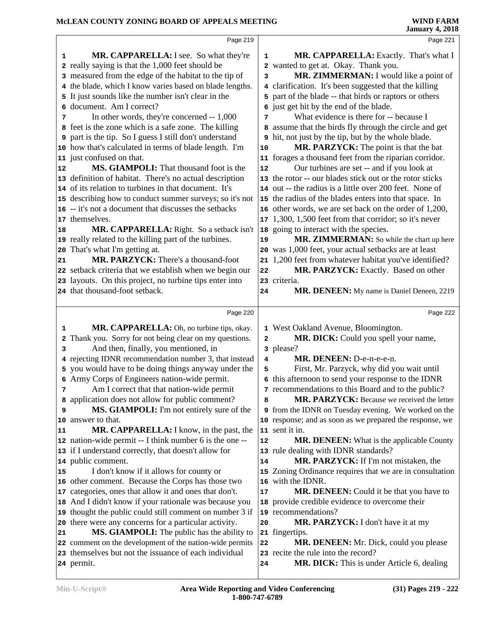#### **McLEAN COUNTY ZONING BOARD OF APPEALS MEETING**

|    |                                                                                                                   |              | January 4, 2010                                                                                        |
|----|-------------------------------------------------------------------------------------------------------------------|--------------|--------------------------------------------------------------------------------------------------------|
|    | Page 219                                                                                                          |              | Page 221                                                                                               |
| 1  | MR. CAPPARELLA: I see. So what they're                                                                            | 1            | MR. CAPPARELLA: Exactly. That's what I                                                                 |
|    | 2 really saying is that the 1,000 feet should be                                                                  |              | 2 wanted to get at. Okay. Thank you.                                                                   |
|    | 3 measured from the edge of the habitat to the tip of                                                             | 3            | MR. ZIMMERMAN: I would like a point of                                                                 |
|    | 4 the blade, which I know varies based on blade lengths.                                                          |              | 4 clarification. It's been suggested that the killing                                                  |
|    | 5 It just sounds like the number isn't clear in the                                                               |              | 5 part of the blade -- that birds or raptors or others                                                 |
|    | 6 document. Am I correct?                                                                                         |              | 6 just get hit by the end of the blade.                                                                |
| 7  | In other words, they're concerned -- 1,000                                                                        | 7            | What evidence is there for -- because I                                                                |
|    | 8 feet is the zone which is a safe zone. The killing                                                              |              | 8 assume that the birds fly through the circle and get                                                 |
|    | 9 part is the tip. So I guess I still don't understand                                                            |              | <b>9</b> hit, not just by the tip, but by the whole blade.                                             |
|    | 10 how that's calculated in terms of blade length. I'm                                                            | 10           | MR. PARZYCK: The point is that the bat                                                                 |
| 12 | 11 just confused on that.<br><b>MS. GIAMPOLI:</b> That thousand foot is the                                       |              | 11 forages a thousand feet from the riparian corridor.                                                 |
|    | 13 definition of habitat. There's no actual description                                                           | 12           | Our turbines are set -- and if you look at<br>13 the rotor -- our blades stick out or the rotor sticks |
|    | 14 of its relation to turbines in that document. It's                                                             |              | 14 out -- the radius is a little over 200 feet. None of                                                |
|    | 15 describing how to conduct summer surveys; so it's not                                                          |              | 15 the radius of the blades enters into that space. In                                                 |
|    | 16 -- it's not a document that discusses the setbacks                                                             |              | 16 other words, we are set back on the order of 1,200,                                                 |
|    | 17 themselves.                                                                                                    |              | 17 1,300, 1,500 feet from that corridor; so it's never                                                 |
| 18 | MR. CAPPARELLA: Right. So a setback isn't                                                                         |              | 18 going to interact with the species.                                                                 |
|    | 19 really related to the killing part of the turbines.                                                            | 19           | MR. ZIMMERMAN: So while the chart up here                                                              |
|    | 20 That's what I'm getting at.                                                                                    |              | 20 was 1,000 feet, your actual setbacks are at least                                                   |
| 21 | MR. PARZYCK: There's a thousand-foot                                                                              |              | 21 1,200 feet from whatever habitat you've identified?                                                 |
|    | 22 setback criteria that we establish when we begin our                                                           | 22           | MR. PARZYCK: Exactly. Based on other                                                                   |
|    | 23 layouts. On this project, no turbine tips enter into                                                           |              | 23 criteria.                                                                                           |
|    | 24 that thousand-foot setback.                                                                                    | 24           | MR. DENEEN: My name is Daniel Deneen, 2219                                                             |
|    |                                                                                                                   |              |                                                                                                        |
|    | Page 220                                                                                                          |              | Page 222                                                                                               |
| 1  | MR. CAPPARELLA: Oh, no turbine tips, okay.                                                                        |              | 1 West Oakland Avenue, Bloomington.                                                                    |
|    | 2 Thank you. Sorry for not being clear on my questions.                                                           | $\mathbf{2}$ | MR. DICK: Could you spell your name,                                                                   |
| 3  | And then, finally, you mentioned, in                                                                              |              | 3 please?                                                                                              |
|    | 4 rejecting IDNR recommendation number 3, that instead                                                            | 4            | MR. DENEEN: D-e-n-e-e-n.                                                                               |
|    | 5 you would have to be doing things anyway under the                                                              | 5            | First, Mr. Parzyck, why did you wait until                                                             |
|    | 6 Army Corps of Engineers nation-wide permit.                                                                     |              | 6 this afternoon to send your response to the IDNR                                                     |
| 7  | Am I correct that that nation-wide permit                                                                         |              | 7 recommendations to this Board and to the public?                                                     |
|    | a application does not allow for public comment?                                                                  | 8            | MR. PARZYCK: Because we received the letter                                                            |
| 9  | MS. GIAMPOLI: I'm not entirely sure of the                                                                        |              | 9 from the IDNR on Tuesday evening. We worked on the                                                   |
|    | 10 answer to that.                                                                                                |              | 10 response; and as soon as we prepared the response, we                                               |
| 11 | MR. CAPPARELLA: I know, in the past, the                                                                          |              | 11 sent it in.                                                                                         |
|    | 12 nation-wide permit -- I think number 6 is the one --                                                           | 12           | <b>MR. DENEEN:</b> What is the applicable County                                                       |
|    | 13 if I understand correctly, that doesn't allow for<br>14 public comment.                                        |              | 13 rule dealing with IDNR standards?<br>MR. PARZYCK: If I'm not mistaken, the                          |
| 15 | I don't know if it allows for county or                                                                           | 14           | 15 Zoning Ordinance requires that we are in consultation                                               |
|    |                                                                                                                   |              |                                                                                                        |
|    |                                                                                                                   |              |                                                                                                        |
|    | 16 other comment. Because the Corps has those two                                                                 |              | 16 with the IDNR.                                                                                      |
|    | 17 categories, ones that allow it and ones that don't.                                                            | 17           | MR. DENEEN: Could it be that you have to                                                               |
|    | 18 And I didn't know if your rationale was because you                                                            |              | 18 provide credible evidence to overcome their                                                         |
|    | 19 thought the public could still comment on number 3 if                                                          |              | 19 recommendations?                                                                                    |
| 21 | 20 there were any concerns for a particular activity.                                                             | 20           | MR. PARZYCK: I don't have it at my                                                                     |
|    | MS. GIAMPOLI: The public has the ability to                                                                       | 22           | 21 fingertips.                                                                                         |
|    | 22 comment on the development of the nation-wide permits<br>23 themselves but not the issuance of each individual |              | MR. DENEEN: Mr. Dick, could you please<br>23 recite the rule into the record?                          |
|    | 24 permit.                                                                                                        | 24           | MR. DICK: This is under Article 6, dealing                                                             |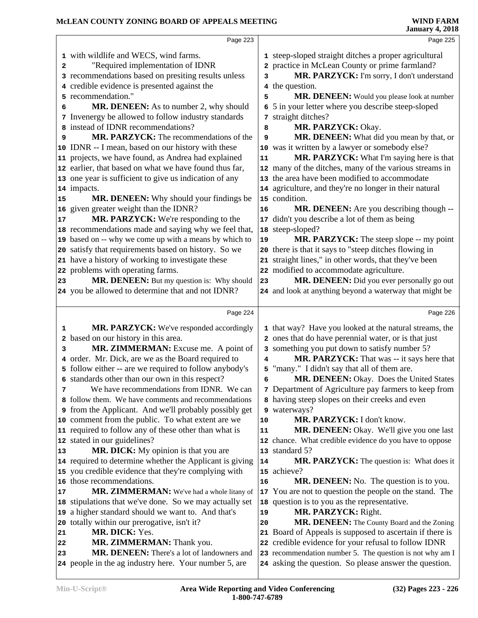|    | Page 223                                                                                                    |    | Page 225                                                                                                           |
|----|-------------------------------------------------------------------------------------------------------------|----|--------------------------------------------------------------------------------------------------------------------|
|    | 1 with wildlife and WECS, wind farms.                                                                       |    | 1 steep-sloped straight ditches a proper agricultural                                                              |
|    | "Required implementation of IDNR                                                                            |    | 2 practice in McLean County or prime farmland?                                                                     |
| 2  |                                                                                                             |    |                                                                                                                    |
|    | 3 recommendations based on presiting results unless                                                         | 3  | MR. PARZYCK: I'm sorry, I don't understand                                                                         |
|    | 4 credible evidence is presented against the                                                                |    | 4 the question.                                                                                                    |
|    | 5 recommendation."                                                                                          | 5  | MR. DENEEN: Would you please look at number                                                                        |
| 6  | MR. DENEEN: As to number 2, why should                                                                      | 6  | 5 in your letter where you describe steep-sloped                                                                   |
|    | 7 Invenergy be allowed to follow industry standards                                                         |    | 7 straight ditches?                                                                                                |
|    | 8 instead of IDNR recommendations?                                                                          | 8  | MR. PARZYCK: Okay.                                                                                                 |
| 9  | MR. PARZYCK: The recommendations of the                                                                     | 9  | MR. DENEEN: What did you mean by that, or                                                                          |
|    | 10 IDNR -- I mean, based on our history with these                                                          |    | 10 was it written by a lawyer or somebody else?                                                                    |
|    | 11 projects, we have found, as Andrea had explained                                                         | 11 | MR. PARZYCK: What I'm saying here is that                                                                          |
|    | 12 earlier, that based on what we have found thus far,                                                      |    | 12 many of the ditches, many of the various streams in                                                             |
|    | 13 one year is sufficient to give us indication of any                                                      |    | 13 the area have been modified to accommodate                                                                      |
|    | 14 impacts.                                                                                                 |    | 14 agriculture, and they're no longer in their natural                                                             |
| 15 | MR. DENEEN: Why should your findings be                                                                     |    | 15 condition.                                                                                                      |
|    | 16 given greater weight than the IDNR?                                                                      | 16 | MR. DENEEN: Are you describing though --                                                                           |
| 17 | MR. PARZYCK: We're responding to the                                                                        |    | 17 didn't you describe a lot of them as being                                                                      |
|    | 18 recommendations made and saying why we feel that,                                                        |    | 18 steep-sloped?                                                                                                   |
|    | 19 based on -- why we come up with a means by which to                                                      | 19 | MR. PARZYCK: The steep slope -- my point                                                                           |
|    | 20 satisfy that requirements based on history. So we                                                        |    | 20 there is that it says to "steep ditches flowing in                                                              |
|    | 21 have a history of working to investigate these                                                           |    | 21 straight lines," in other words, that they've been                                                              |
|    | 22 problems with operating farms.                                                                           |    | 22 modified to accommodate agriculture.                                                                            |
| 23 | MR. DENEEN: But my question is: Why should                                                                  | 23 | MR. DENEEN: Did you ever personally go out                                                                         |
|    | 24 you be allowed to determine that and not IDNR?                                                           |    | 24 and look at anything beyond a waterway that might be                                                            |
|    |                                                                                                             |    |                                                                                                                    |
|    | Page 224                                                                                                    |    | Page 226                                                                                                           |
| 1  | MR. PARZYCK: We've responded accordingly                                                                    |    | 1 that way? Have you looked at the natural streams, the                                                            |
| 2  | based on our history in this area.                                                                          |    | 2 ones that do have perennial water, or is that just                                                               |
| 3  | MR. ZIMMERMAN: Excuse me. A point of                                                                        |    | 3 something you put down to satisfy number 5?                                                                      |
|    | 4 order. Mr. Dick, are we as the Board required to                                                          | 4  | MR. PARZYCK: That was -- it says here that                                                                         |
|    | 5 follow either -- are we required to follow anybody's                                                      | 5  | "many." I didn't say that all of them are.                                                                         |
|    | 6 standards other than our own in this respect?                                                             | 6  | MR. DENEEN: Okay. Does the United States                                                                           |
| 7  | We have recommendations from IDNR. We can                                                                   |    | 7 Department of Agriculture pay farmers to keep from                                                               |
|    | 8 follow them. We have comments and recommendations                                                         |    | 8 having steep slopes on their creeks and even                                                                     |
|    | <b>9</b> from the Applicant. And we'll probably possibly get                                                |    | 9 waterways?                                                                                                       |
|    | 10 comment from the public. To what extent are we                                                           | 10 | MR. PARZYCK: I don't know.                                                                                         |
|    | 11 required to follow any of these other than what is                                                       | 11 | MR. DENEEN: Okay. We'll give you one last                                                                          |
|    | 12 stated in our guidelines?                                                                                |    | 12 chance. What credible evidence do you have to oppose                                                            |
| 13 | MR. DICK: My opinion is that you are                                                                        |    | 13 standard 5?                                                                                                     |
|    | 14 required to determine whether the Applicant is giving                                                    | 14 | <b>MR. PARZYCK:</b> The question is: What does it                                                                  |
|    | 15 you credible evidence that they're complying with                                                        |    | 15 achieve?                                                                                                        |
|    | 16 those recommendations.                                                                                   | 16 | <b>MR. DENEEN:</b> No. The question is to you.                                                                     |
| 17 | MR. ZIMMERMAN: We've had a whole litany of                                                                  |    | 17 You are not to question the people on the stand. The                                                            |
|    | 18 stipulations that we've done. So we may actually set                                                     |    | 18 question is to you as the representative.                                                                       |
|    | 19 a higher standard should we want to. And that's                                                          | 19 | MR. PARZYCK: Right.                                                                                                |
|    | 20 totally within our prerogative, isn't it?                                                                | 20 | MR. DENEEN: The County Board and the Zoning                                                                        |
|    |                                                                                                             |    |                                                                                                                    |
|    |                                                                                                             |    |                                                                                                                    |
| 21 | MR. DICK: Yes.                                                                                              |    | 21 Board of Appeals is supposed to ascertain if there is                                                           |
| 22 | MR. ZIMMERMAN: Thank you.                                                                                   |    | 22 credible evidence for your refusal to follow IDNR                                                               |
| 23 | <b>MR. DENEEN:</b> There's a lot of landowners and<br>24 people in the ag industry here. Your number 5, are |    | 23 recommendation number 5. The question is not why am I<br>24 asking the question. So please answer the question. |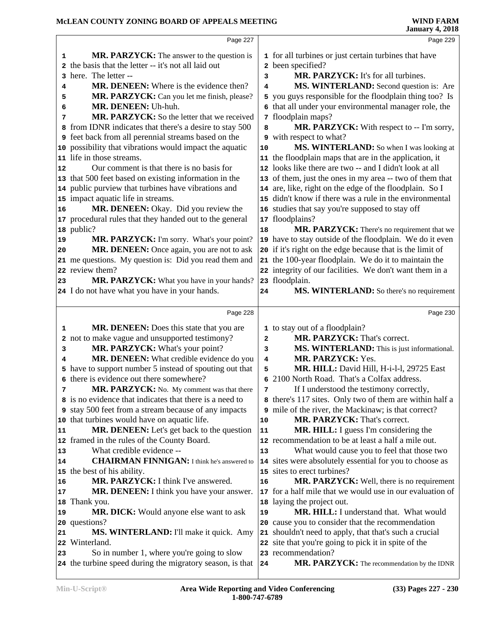|              | Page 227                                                                                                |            | Page 229                                                                                                       |  |
|--------------|---------------------------------------------------------------------------------------------------------|------------|----------------------------------------------------------------------------------------------------------------|--|
| 1            | <b>MR. PARZYCK:</b> The answer to the question is                                                       |            | 1 for all turbines or just certain turbines that have                                                          |  |
| $\mathbf{2}$ | the basis that the letter -- it's not all laid out                                                      |            | 2 been specified?                                                                                              |  |
|              | 3 here. The letter --                                                                                   | 3          | MR. PARZYCK: It's for all turbines.                                                                            |  |
| 4            | <b>MR. DENEEN:</b> Where is the evidence then?                                                          | 4          | MS. WINTERLAND: Second question is: Are                                                                        |  |
| 5            | MR. PARZYCK: Can you let me finish, please?                                                             |            | 5 you guys responsible for the floodplain thing too? Is                                                        |  |
| 6            | MR. DENEEN: Uh-huh.                                                                                     |            | that all under your environmental manager role, the                                                            |  |
| 7            | MR. PARZYCK: So the letter that we received                                                             |            | 7 floodplain maps?                                                                                             |  |
| 8            | from IDNR indicates that there's a desire to stay 500                                                   | 8          | MR. PARZYCK: With respect to -- I'm sorry,                                                                     |  |
|              | <b>9</b> feet back from all perennial streams based on the                                              |            | 9 with respect to what?                                                                                        |  |
|              | 10 possibility that vibrations would impact the aquatic                                                 | 10         | MS. WINTERLAND: So when I was looking at                                                                       |  |
|              | 11 life in those streams.                                                                               |            | 11 the floodplain maps that are in the application, it                                                         |  |
| 12           | Our comment is that there is no basis for                                                               |            | 12 looks like there are two -- and I didn't look at all                                                        |  |
|              | 13 that 500 feet based on existing information in the                                                   |            | 13 of them, just the ones in my area -- two of them that                                                       |  |
|              | 14 public purview that turbines have vibrations and                                                     |            | 14 are, like, right on the edge of the floodplain. So I                                                        |  |
|              | 15 impact aquatic life in streams.                                                                      |            | 15 didn't know if there was a rule in the environmental                                                        |  |
| 16           | MR. DENEEN: Okay. Did you review the                                                                    |            | 16 studies that say you're supposed to stay off                                                                |  |
|              | 17 procedural rules that they handed out to the general                                                 |            | 17 floodplains?                                                                                                |  |
|              | 18 public?                                                                                              | 18         | MR. PARZYCK: There's no requirement that we                                                                    |  |
| 19           | MR. PARZYCK: I'm sorry. What's your point?                                                              |            | 19 have to stay outside of the floodplain. We do it even                                                       |  |
| 20           | MR. DENEEN: Once again, you are not to ask                                                              |            | 20 if it's right on the edge because that is the limit of                                                      |  |
|              | 21 me questions. My question is: Did you read them and                                                  |            | 21 the 100-year floodplain. We do it to maintain the                                                           |  |
|              | 22 review them?                                                                                         |            | 22 integrity of our facilities. We don't want them in a                                                        |  |
| 23           | MR. PARZYCK: What you have in your hands?                                                               |            | 23 floodplain.                                                                                                 |  |
|              | 24 I do not have what you have in your hands.                                                           | 24         | MS. WINTERLAND: So there's no requirement                                                                      |  |
|              |                                                                                                         |            |                                                                                                                |  |
|              | Page 228                                                                                                |            | Page 230                                                                                                       |  |
| 1            | MR. DENEEN: Does this state that you are                                                                |            | 1 to stay out of a floodplain?                                                                                 |  |
|              | 2 not to make vague and unsupported testimony?                                                          | 2          | MR. PARZYCK: That's correct.                                                                                   |  |
| з            | MR. PARZYCK: What's your point?                                                                         | 3          | MS. WINTERLAND: This is just informational.                                                                    |  |
| 4            | MR. DENEEN: What credible evidence do you                                                               | 4          | MR. PARZYCK: Yes.                                                                                              |  |
|              | 5 have to support number 5 instead of spouting out that                                                 | 5          | MR. HILL: David Hill, H-i-l-l, 29725 East                                                                      |  |
|              | 6 there is evidence out there somewhere?                                                                | 6          | 2100 North Road. That's a Colfax address.                                                                      |  |
| 7            | MR. PARZYCK: No. My comment was that there                                                              | 7          | If I understood the testimony correctly,                                                                       |  |
|              | 8 is no evidence that indicates that there is a need to                                                 |            | 8 there's 117 sites. Only two of them are within half a                                                        |  |
|              | <b>9</b> stay 500 feet from a stream because of any impacts                                             | 9          | mile of the river, the Mackinaw; is that correct?                                                              |  |
|              | 10 that turbines would have on aquatic life.                                                            | 10         | MR. PARZYCK: That's correct.                                                                                   |  |
| 11           | MR. DENEEN: Let's get back to the question                                                              | 11         | <b>MR. HILL:</b> I guess I'm considering the                                                                   |  |
|              | 12 framed in the rules of the County Board.                                                             |            | 12 recommendation to be at least a half a mile out.                                                            |  |
| 13           | What credible evidence --                                                                               | 13         | What would cause you to feel that those two                                                                    |  |
| 14           | <b>CHAIRMAN FINNIGAN:</b> I think he's answered to                                                      |            | 14 sites were absolutely essential for you to choose as                                                        |  |
|              | 15 the best of his ability.                                                                             |            | 15 sites to erect turbines?                                                                                    |  |
| 16           | MR. PARZYCK: I think I've answered.                                                                     | 16         | MR. PARZYCK: Well, there is no requirement                                                                     |  |
| 17           | MR. DENEEN: I think you have your answer.                                                               | 17         | for a half mile that we would use in our evaluation of                                                         |  |
| 18           | Thank you.                                                                                              |            | 18 laying the project out.                                                                                     |  |
| 19           | <b>MR. DICK:</b> Would anyone else want to ask                                                          | 19         | MR. HILL: I understand that. What would                                                                        |  |
|              | 20 questions?                                                                                           |            | 20 cause you to consider that the recommendation                                                               |  |
| 21           | MS. WINTERLAND: I'll make it quick. Amy<br>Winterland.                                                  |            | 21 shouldn't need to apply, that that's such a crucial<br>22 site that you're going to pick it in spite of the |  |
| 22           |                                                                                                         |            |                                                                                                                |  |
|              |                                                                                                         |            |                                                                                                                |  |
| 23           | So in number 1, where you're going to slow<br>24 the turbine speed during the migratory season, is that | ${\bf 24}$ | 23 recommendation?<br>MR. PARZYCK: The recommendation by the IDNR                                              |  |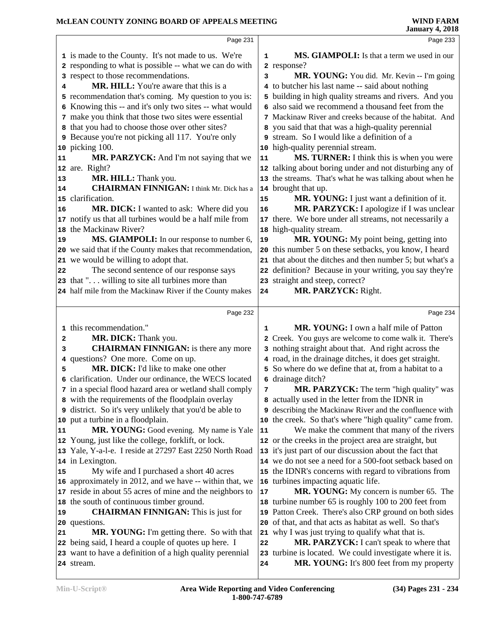|        | Page 231                                                                                                         |             | Page 233                                                                                                           |
|--------|------------------------------------------------------------------------------------------------------------------|-------------|--------------------------------------------------------------------------------------------------------------------|
|        | 1 is made to the County. It's not made to us. We're                                                              | $\mathbf 1$ | MS. GIAMPOLI: Is that a term we used in our                                                                        |
|        | 2 responding to what is possible -- what we can do with                                                          |             | 2 response?                                                                                                        |
|        | 3 respect to those recommendations.                                                                              | 3           | MR. YOUNG: You did. Mr. Kevin -- I'm going                                                                         |
| 4      | <b>MR. HILL:</b> You're aware that this is a                                                                     |             | 4 to butcher his last name -- said about nothing                                                                   |
|        | 5 recommendation that's coming. My question to you is:                                                           |             | 5 building in high quality streams and rivers. And you                                                             |
|        | 6 Knowing this -- and it's only two sites -- what would                                                          |             | 6 also said we recommend a thousand feet from the                                                                  |
|        | 7 make you think that those two sites were essential                                                             |             | 7 Mackinaw River and creeks because of the habitat. And                                                            |
|        | 8 that you had to choose those over other sites?                                                                 |             | 8 you said that that was a high-quality perennial                                                                  |
|        | 9 Because you're not picking all 117. You're only                                                                |             | 9 stream. So I would like a definition of a                                                                        |
|        | 10 picking 100.                                                                                                  |             | 10 high-quality perennial stream.                                                                                  |
| 11     | MR. PARZYCK: And I'm not saying that we                                                                          | 11          | MS. TURNER: I think this is when you were                                                                          |
|        | 12 are. Right?                                                                                                   |             | 12 talking about boring under and not disturbing any of                                                            |
| 13     | MR. HILL: Thank you.                                                                                             |             | 13 the streams. That's what he was talking about when he                                                           |
| 14     | <b>CHAIRMAN FINNIGAN:</b> I think Mr. Dick has a                                                                 |             | 14 brought that up.                                                                                                |
|        | 15 clarification.                                                                                                | 15          | MR. YOUNG: I just want a definition of it.                                                                         |
| 16     | MR. DICK: I wanted to ask: Where did you                                                                         | 16          | MR. PARZYCK: I apologize if I was unclear                                                                          |
|        | 17 notify us that all turbines would be a half mile from                                                         |             | 17 there. We bore under all streams, not necessarily a                                                             |
|        | 18 the Mackinaw River?                                                                                           |             | 18 high-quality stream.                                                                                            |
| 19     | MS. GIAMPOLI: In our response to number 6,                                                                       | 19          | MR. YOUNG: My point being, getting into                                                                            |
|        | 20 we said that if the County makes that recommendation,                                                         |             | 20 this number 5 on these setbacks, you know, I heard                                                              |
|        | 21 we would be willing to adopt that.                                                                            |             | 21 that about the ditches and then number 5; but what's a                                                          |
| 22     | The second sentence of our response says                                                                         |             | 22 definition? Because in your writing, you say they're                                                            |
|        | 23 that " willing to site all turbines more than                                                                 |             | 23 straight and steep, correct?                                                                                    |
|        | 24 half mile from the Mackinaw River if the County makes                                                         | 24          | MR. PARZYCK: Right.                                                                                                |
|        |                                                                                                                  |             |                                                                                                                    |
|        |                                                                                                                  |             |                                                                                                                    |
|        | Page 232                                                                                                         |             | Page 234                                                                                                           |
|        |                                                                                                                  |             |                                                                                                                    |
|        | 1 this recommendation."                                                                                          | 1           | MR. YOUNG: I own a half mile of Patton                                                                             |
| 2<br>3 | MR. DICK: Thank you.                                                                                             |             | Creek. You guys are welcome to come walk it. There's                                                               |
|        | <b>CHAIRMAN FINNIGAN:</b> is there any more                                                                      |             | 3 nothing straight about that. And right across the                                                                |
|        | 4 questions? One more. Come on up.                                                                               |             | 4 road, in the drainage ditches, it does get straight.                                                             |
| 5      | MR. DICK: I'd like to make one other                                                                             |             | 5 So where do we define that at, from a habitat to a                                                               |
|        | 6 clarification. Under our ordinance, the WECS located                                                           |             | 6 drainage ditch?                                                                                                  |
|        | 7 in a special flood hazard area or wetland shall comply                                                         | 7           | MR. PARZYCK: The term "high quality" was                                                                           |
|        | 8 with the requirements of the floodplain overlay                                                                |             | 8 actually used in the letter from the IDNR in                                                                     |
|        | <b>9</b> district. So it's very unlikely that you'd be able to                                                   |             | 9 describing the Mackinaw River and the confluence with                                                            |
| 11     | 10 put a turbine in a floodplain.                                                                                | 11          | 10 the creek. So that's where "high quality" came from.                                                            |
|        | MR. YOUNG: Good evening. My name is Yale                                                                         |             | We make the comment that many of the rivers<br>12 or the creeks in the project area are straight, but              |
|        | 12 Young, just like the college, forklift, or lock.                                                              |             |                                                                                                                    |
|        | 13 Yale, Y-a-l-e. I reside at 27297 East 2250 North Road<br>14 in Lexington.                                     |             | 13 it's just part of our discussion about the fact that<br>14 we do not see a need for a 500-foot setback based on |
| 15     |                                                                                                                  |             |                                                                                                                    |
|        | My wife and I purchased a short 40 acres<br>16 approximately in 2012, and we have -- within that, we             |             | 15 the IDNR's concerns with regard to vibrations from                                                              |
|        |                                                                                                                  | 17          | 16 turbines impacting aquatic life.                                                                                |
|        | 17 reside in about 55 acres of mine and the neighbors to                                                         |             | MR. YOUNG: My concern is number 65. The                                                                            |
| 19     | 18 the south of continuous timber ground.                                                                        |             | 18 turbine number 65 is roughly 100 to 200 feet from                                                               |
|        | <b>CHAIRMAN FINNIGAN:</b> This is just for                                                                       |             | 19 Patton Creek. There's also CRP ground on both sides                                                             |
| 21     | 20 questions.                                                                                                    |             | 20 of that, and that acts as habitat as well. So that's                                                            |
|        | <b>MR. YOUNG:</b> I'm getting there. So with that                                                                | 22          | 21 why I was just trying to qualify what that is.                                                                  |
|        | 22 being said, I heard a couple of quotes up here. I<br>23 want to have a definition of a high quality perennial |             | MR. PARZYCK: I can't speak to where that<br>23 turbine is located. We could investigate where it is.               |
|        | 24 stream.                                                                                                       | 24          | MR. YOUNG: It's 800 feet from my property                                                                          |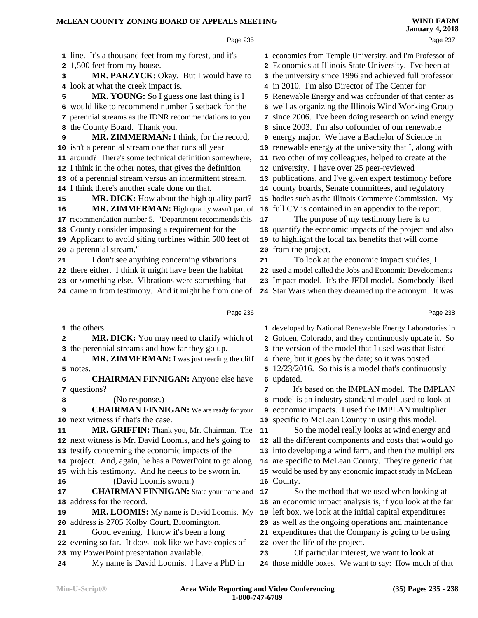|        | Page 235                                                                             |                 | Page 237                                                                                              |
|--------|--------------------------------------------------------------------------------------|-----------------|-------------------------------------------------------------------------------------------------------|
|        | 1 line. It's a thousand feet from my forest, and it's                                |                 | 1 economics from Temple University, and I'm Professor of                                              |
| 2      | 1,500 feet from my house.                                                            |                 | 2 Economics at Illinois State University. I've been at                                                |
| з      | MR. PARZYCK: Okay. But I would have to                                               |                 | 3 the university since 1996 and achieved full professor                                               |
|        | 4 look at what the creek impact is.                                                  |                 | 4 in 2010. I'm also Director of The Center for                                                        |
| 5      | MR. YOUNG: So I guess one last thing is I                                            |                 | 5 Renewable Energy and was cofounder of that center as                                                |
|        | 6 would like to recommend number 5 setback for the                                   |                 | 6 well as organizing the Illinois Wind Working Group                                                  |
|        | 7 perennial streams as the IDNR recommendations to you                               |                 | 7 since 2006. I've been doing research on wind energy                                                 |
| 8      | the County Board. Thank you.                                                         |                 | since 2003. I'm also cofounder of our renewable                                                       |
| 9      | MR. ZIMMERMAN: I think, for the record,                                              |                 | 9 energy major. We have a Bachelor of Science in                                                      |
|        | 10 isn't a perennial stream one that runs all year                                   |                 | 10 renewable energy at the university that I, along with                                              |
|        | 11 around? There's some technical definition somewhere,                              |                 | 11 two other of my colleagues, helped to create at the                                                |
|        | 12 I think in the other notes, that gives the definition                             |                 | 12 university. I have over 25 peer-reviewed                                                           |
|        | 13 of a perennial stream versus an intermittent stream.                              |                 | 13 publications, and I've given expert testimony before                                               |
|        | 14 I think there's another scale done on that.                                       |                 | 14 county boards, Senate committees, and regulatory                                                   |
| 15     | MR. DICK: How about the high quality part?                                           |                 | 15 bodies such as the Illinois Commerce Commission. My                                                |
| 16     | MR. ZIMMERMAN: High quality wasn't part of                                           |                 | 16 full CV is contained in an appendix to the report.                                                 |
|        | 17 recommendation number 5. "Department recommends this                              | 17              | The purpose of my testimony here is to                                                                |
|        | 18 County consider imposing a requirement for the                                    |                 | 18 quantify the economic impacts of the project and also                                              |
|        | 19 Applicant to avoid siting turbines within 500 feet of                             | 19              | to highlight the local tax benefits that will come                                                    |
|        | 20 a perennial stream."                                                              |                 | 20 from the project.                                                                                  |
| 21     | I don't see anything concerning vibrations                                           | 21              | To look at the economic impact studies, I                                                             |
|        | 22 there either. I think it might have been the habitat                              |                 | 22 used a model called the Jobs and Economic Developments                                             |
|        | 23 or something else. Vibrations were something that                                 |                 | 23 Impact model. It's the JEDI model. Somebody liked                                                  |
|        | 24 came in from testimony. And it might be from one of                               |                 | 24 Star Wars when they dreamed up the acronym. It was                                                 |
|        |                                                                                      |                 |                                                                                                       |
|        |                                                                                      |                 |                                                                                                       |
|        | Page 236                                                                             |                 | Page 238                                                                                              |
|        |                                                                                      |                 |                                                                                                       |
| 2      | 1 the others.                                                                        |                 | 1 developed by National Renewable Energy Laboratories in                                              |
|        | MR. DICK: You may need to clarify which of                                           | 2               | Golden, Colorado, and they continuously update it. So                                                 |
| 3<br>4 | the perennial streams and how far they go up.                                        |                 | 3 the version of the model that I used was that listed                                                |
|        | MR. ZIMMERMAN: I was just reading the cliff<br>5 notes.                              |                 | 4 there, but it goes by the date; so it was posted                                                    |
| 6      |                                                                                      |                 | 5 12/23/2016. So this is a model that's continuously<br>6 updated.                                    |
|        | <b>CHAIRMAN FINNIGAN:</b> Anyone else have<br>7 questions?                           | 7               | It's based on the IMPLAN model. The IMPLAN                                                            |
| 8      | (No response.)                                                                       |                 | 8 model is an industry standard model used to look at                                                 |
| 9      | <b>CHAIRMAN FINNIGAN:</b> We are ready for your                                      |                 | 9 economic impacts. I used the IMPLAN multiplier                                                      |
|        | 10 next witness if that's the case.                                                  |                 | 10 specific to McLean County in using this model.                                                     |
| 11     | MR. GRIFFIN: Thank you, Mr. Chairman. The                                            | 11              | So the model really looks at wind energy and                                                          |
|        | 12 next witness is Mr. David Loomis, and he's going to                               | 12 <sub>1</sub> | all the different components and costs that would go                                                  |
|        | 13 testify concerning the economic impacts of the                                    |                 | 13 into developing a wind farm, and then the multipliers                                              |
|        | 14 project. And, again, he has a PowerPoint to go along                              |                 | 14 are specific to McLean County. They're generic that                                                |
|        | 15 with his testimony. And he needs to be sworn in.                                  |                 | 15 would be used by any economic impact study in McLean                                               |
| 16     | (David Loomis sworn.)                                                                |                 | 16 County.                                                                                            |
| 17     | <b>CHAIRMAN FINNIGAN:</b> State your name and                                        | 17              | So the method that we used when looking at                                                            |
| 18     | address for the record.                                                              |                 | 18 an economic impact analysis is, if you look at the far                                             |
| 19     | MR. LOOMIS: My name is David Loomis. My                                              |                 | 19 left box, we look at the initial capital expenditures                                              |
| 20     | address is 2705 Kolby Court, Bloomington.                                            |                 | 20 as well as the ongoing operations and maintenance                                                  |
| 21     | Good evening. I know it's been a long                                                |                 | 21 expenditures that the Company is going to be using                                                 |
|        | 22 evening so far. It does look like we have copies of                               |                 | 22 over the life of the project.                                                                      |
|        | 23 my PowerPoint presentation available.<br>My name is David Loomis. I have a PhD in | 23              | Of particular interest, we want to look at<br>24 those middle boxes. We want to say: How much of that |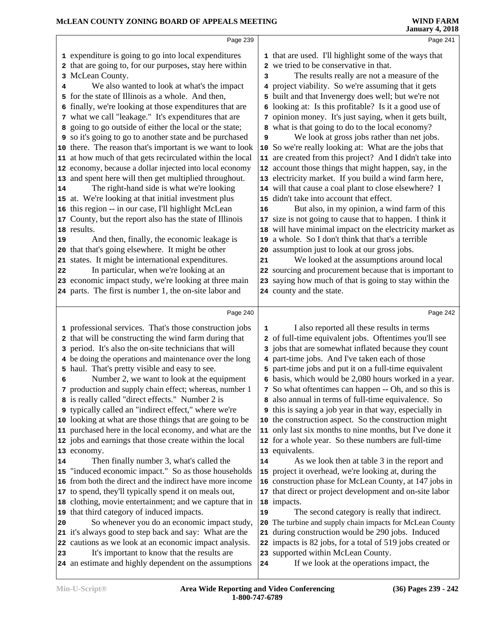|                | Page 239                                                                                              |    | Page 241                                                                                                       |  |
|----------------|-------------------------------------------------------------------------------------------------------|----|----------------------------------------------------------------------------------------------------------------|--|
|                | 1 expenditure is going to go into local expenditures                                                  |    | 1 that are used. I'll highlight some of the ways that                                                          |  |
|                | 2 that are going to, for our purposes, stay here within                                               |    | 2 we tried to be conservative in that.                                                                         |  |
|                | 3 McLean County.                                                                                      | 3  | The results really are not a measure of the                                                                    |  |
| 4              | We also wanted to look at what's the impact                                                           |    | 4 project viability. So we're assuming that it gets                                                            |  |
|                | 5 for the state of Illinois as a whole. And then,                                                     |    | 5 built and that Invenergy does well; but we're not                                                            |  |
|                | 6 finally, we're looking at those expenditures that are                                               |    | 6 looking at: Is this profitable? Is it a good use of                                                          |  |
|                | 7 what we call "leakage." It's expenditures that are                                                  |    | 7 opinion money. It's just saying, when it gets built,                                                         |  |
|                | 8 going to go outside of either the local or the state;                                               |    | 8 what is that going to do to the local economy?                                                               |  |
|                | <b>9</b> so it's going to go to another state and be purchased                                        | 9  | We look at gross jobs rather than net jobs.                                                                    |  |
|                | 10 there. The reason that's important is we want to look                                              |    | 10 So we're really looking at: What are the jobs that                                                          |  |
|                | 11 at how much of that gets recirculated within the local                                             |    | 11 are created from this project? And I didn't take into                                                       |  |
|                | 12 economy, because a dollar injected into local economy                                              |    | 12 account those things that might happen, say, in the                                                         |  |
|                | 13 and spent here will then get multiplied throughout.                                                |    | 13 electricity market. If you build a wind farm here,                                                          |  |
| 14             | The right-hand side is what we're looking                                                             |    | 14 will that cause a coal plant to close elsewhere? I                                                          |  |
|                | 15 at. We're looking at that initial investment plus                                                  |    | 15 didn't take into account that effect.                                                                       |  |
|                | 16 this region -- in our case, I'll highlight McLean                                                  | 16 | But also, in my opinion, a wind farm of this                                                                   |  |
|                | 17 County, but the report also has the state of Illinois                                              | 17 | size is not going to cause that to happen. I think it                                                          |  |
|                | 18 results.                                                                                           |    | 18 will have minimal impact on the electricity market as                                                       |  |
| 19             | And then, finally, the economic leakage is                                                            |    | 19 a whole. So I don't think that that's a terrible                                                            |  |
|                | 20 that that's going elsewhere. It might be other                                                     |    | 20 assumption just to look at our gross jobs.                                                                  |  |
|                | 21 states. It might be international expenditures.                                                    | 21 | We looked at the assumptions around local                                                                      |  |
| 22             | In particular, when we're looking at an                                                               |    | 22 sourcing and procurement because that is important to                                                       |  |
|                | 23 economic impact study, we're looking at three main                                                 |    | 23 saying how much of that is going to stay within the                                                         |  |
|                | 24 parts. The first is number 1, the on-site labor and                                                |    | 24 county and the state.                                                                                       |  |
|                |                                                                                                       |    |                                                                                                                |  |
|                |                                                                                                       |    |                                                                                                                |  |
|                | Page 240                                                                                              |    | Page 242                                                                                                       |  |
|                |                                                                                                       | 1  |                                                                                                                |  |
|                | 1 professional services. That's those construction jobs                                               |    | I also reported all these results in terms                                                                     |  |
|                | 2 that will be constructing the wind farm during that                                                 |    | 2 of full-time equivalent jobs. Oftentimes you'll see                                                          |  |
|                | 3 period. It's also the on-site technicians that will                                                 |    | 3 jobs that are somewhat inflated because they count                                                           |  |
|                | 4 be doing the operations and maintenance over the long                                               |    | 4 part-time jobs. And I've taken each of those                                                                 |  |
| 6              | 5 haul. That's pretty visible and easy to see.                                                        |    | 5 part-time jobs and put it on a full-time equivalent                                                          |  |
|                | Number 2, we want to look at the equipment<br>7 production and supply chain effect; whereas, number 1 |    | 6 basis, which would be 2,080 hours worked in a year.<br>7 So what oftentimes can happen -- Oh, and so this is |  |
|                | 8 is really called "direct effects." Number 2 is                                                      |    | 8 also annual in terms of full-time equivalence. So                                                            |  |
|                | 9 typically called an "indirect effect," where we're                                                  |    | <b>9</b> this is saying a job year in that way, especially in                                                  |  |
|                | 10 looking at what are those things that are going to be                                              |    | 10 the construction aspect. So the construction might                                                          |  |
|                | 11 purchased here in the local economy, and what are the                                              |    | 11 only last six months to nine months, but I've done it                                                       |  |
|                | 12 jobs and earnings that those create within the local                                               |    | 12 for a whole year. So these numbers are full-time                                                            |  |
|                | 13 economy.                                                                                           |    | 13 equivalents.                                                                                                |  |
|                | Then finally number 3, what's called the                                                              | 14 | As we look then at table 3 in the report and                                                                   |  |
|                | 15 "induced economic impact." So as those households                                                  |    | 15 project it overhead, we're looking at, during the                                                           |  |
|                | 16 from both the direct and the indirect have more income                                             |    | 16 construction phase for McLean County, at 147 jobs in                                                        |  |
|                | 17 to spend, they'll typically spend it on meals out,                                                 |    | 17 that direct or project development and on-site labor                                                        |  |
|                | 18 clothing, movie entertainment; and we capture that in                                              |    | 18 impacts.                                                                                                    |  |
|                | 19 that third category of induced impacts.                                                            | 19 | The second category is really that indirect.                                                                   |  |
|                | So whenever you do an economic impact study,                                                          |    | 20 The turbine and supply chain impacts for McLean County                                                      |  |
|                | 21 it's always good to step back and say: What are the                                                |    | 21 during construction would be 290 jobs. Induced                                                              |  |
|                | 22 cautions as we look at an economic impact analysis.                                                |    | 22 impacts is 82 jobs, for a total of 519 jobs created or                                                      |  |
| 14<br>20<br>23 | It's important to know that the results are<br>24 an estimate and highly dependent on the assumptions | 24 | 23 supported within McLean County.<br>If we look at the operations impact, the                                 |  |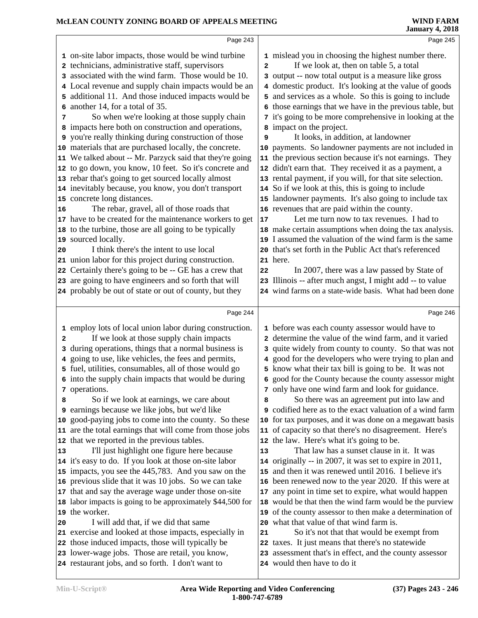|    | Page 243                                                                                             |                | Page 245                                                                               |
|----|------------------------------------------------------------------------------------------------------|----------------|----------------------------------------------------------------------------------------|
|    | 1 on-site labor impacts, those would be wind turbine                                                 |                | 1 mislead you in choosing the highest number there.                                    |
|    | 2 technicians, administrative staff, supervisors                                                     | $\overline{a}$ | If we look at, then on table 5, a total                                                |
|    | 3 associated with the wind farm. Those would be 10.                                                  |                | 3 output -- now total output is a measure like gross                                   |
|    | 4 Local revenue and supply chain impacts would be an                                                 |                | 4 domestic product. It's looking at the value of goods                                 |
|    | 5 additional 11. And those induced impacts would be                                                  |                | 5 and services as a whole. So this is going to include                                 |
| 6  | another 14, for a total of 35.                                                                       |                | 6 those earnings that we have in the previous table, but                               |
| 7  | So when we're looking at those supply chain                                                          |                | 7 it's going to be more comprehensive in looking at the                                |
|    | 8 impacts here both on construction and operations,                                                  |                | 8 impact on the project.                                                               |
|    | <b>9</b> you're really thinking during construction of those                                         | 9              | It looks, in addition, at landowner                                                    |
|    | 10 materials that are purchased locally, the concrete.                                               |                | 10 payments. So landowner payments are not included in                                 |
|    | 11 We talked about -- Mr. Parzyck said that they're going                                            |                | 11 the previous section because it's not earnings. They                                |
|    | 12 to go down, you know, 10 feet. So it's concrete and                                               |                | 12 didn't earn that. They received it as a payment, a                                  |
|    | 13 rebar that's going to get sourced locally almost                                                  |                | 13 rental payment, if you will, for that site selection.                               |
|    | 14 inevitably because, you know, you don't transport                                                 |                | 14 So if we look at this, this is going to include                                     |
|    | 15 concrete long distances.                                                                          |                | 15 landowner payments. It's also going to include tax                                  |
| 16 | The rebar, gravel, all of those roads that                                                           |                | 16 revenues that are paid within the county.                                           |
|    | 17 have to be created for the maintenance workers to get                                             | 17             | Let me turn now to tax revenues. I had to                                              |
|    | 18 to the turbine, those are all going to be typically                                               |                | 18 make certain assumptions when doing the tax analysis.                               |
|    | 19 sourced locally.                                                                                  |                | 19 I assumed the valuation of the wind farm is the same                                |
| 20 | I think there's the intent to use local                                                              |                | 20 that's set forth in the Public Act that's referenced                                |
|    | 21 union labor for this project during construction.                                                 |                | 21 here.                                                                               |
|    | 22 Certainly there's going to be -- GE has a crew that                                               | 22             | In 2007, there was a law passed by State of                                            |
|    | 23 are going to have engineers and so forth that will                                                |                | 23 Illinois -- after much angst, I might add -- to value                               |
|    | 24 probably be out of state or out of county, but they                                               |                | 24 wind farms on a state-wide basis. What had been done                                |
|    |                                                                                                      |                |                                                                                        |
|    | Page 244                                                                                             |                | Page 246                                                                               |
|    | 1 employ lots of local union labor during construction.                                              |                | 1 before was each county assessor would have to                                        |
| 2  | If we look at those supply chain impacts                                                             |                | 2 determine the value of the wind farm, and it varied                                  |
| 3  | during operations, things that a normal business is                                                  |                | 3 quite widely from county to county. So that was not                                  |
| 4  | going to use, like vehicles, the fees and permits,                                                   |                | 4 good for the developers who were trying to plan and                                  |
|    | 5 fuel, utilities, consumables, all of those would go                                                |                | 5 know what their tax bill is going to be. It was not                                  |
|    | 6 into the supply chain impacts that would be during                                                 |                | 6 good for the County because the county assessor might                                |
|    | 7 operations.                                                                                        |                | 7 only have one wind farm and look for guidance.                                       |
| 8  | So if we look at earnings, we care about                                                             | 8              | So there was an agreement put into law and                                             |
| 9  | earnings because we like jobs, but we'd like                                                         |                | <b>9</b> codified here as to the exact valuation of a wind farm                        |
|    | 10 good-paying jobs to come into the county. So these                                                |                | 10 for tax purposes, and it was done on a megawatt basis                               |
|    | 11 are the total earnings that will come from those jobs                                             |                | 11 of capacity so that there's no disagreement. Here's                                 |
|    | 12 that we reported in the previous tables.                                                          |                | 12 the law. Here's what it's going to be.                                              |
| 13 |                                                                                                      |                |                                                                                        |
|    | I'll just highlight one figure here because                                                          | 13             | That law has a sunset clause in it. It was                                             |
|    | 14 it's easy to do. If you look at those on-site labor                                               |                | 14 originally -- in 2007, it was set to expire in 2011,                                |
|    | 15 impacts, you see the 445,783. And you saw on the                                                  |                | 15 and then it was renewed until 2016. I believe it's                                  |
|    | 16 previous slide that it was 10 jobs. So we can take                                                |                | 16 been renewed now to the year 2020. If this were at                                  |
|    | 17 that and say the average wage under those on-site                                                 |                | 17 any point in time set to expire, what would happen                                  |
|    | 18 labor impacts is going to be approximately \$44,500 for                                           |                | 18 would be that then the wind farm would be the purview                               |
|    | 19 the worker.                                                                                       |                | 19 of the county assessor to then make a determination of                              |
| 20 | I will add that, if we did that same                                                                 |                | 20 what that value of that wind farm is.                                               |
|    | 21 exercise and looked at those impacts, especially in                                               | 21             | So it's not that that would be exempt from                                             |
|    | 22 those induced impacts, those will typically be                                                    |                | 22 taxes. It just means that there's no statewide                                      |
|    | 23 lower-wage jobs. Those are retail, you know,<br>24 restaurant jobs, and so forth. I don't want to |                | 23 assessment that's in effect, and the county assessor<br>24 would then have to do it |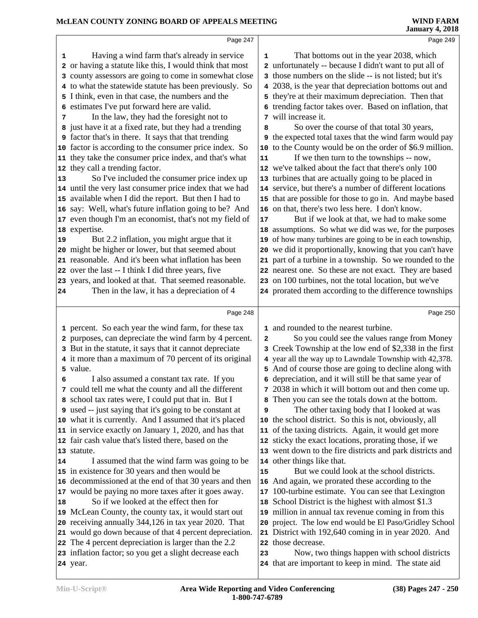|          | Page 247                                                                                                       |              | Page 249                                                                                                        |  |
|----------|----------------------------------------------------------------------------------------------------------------|--------------|-----------------------------------------------------------------------------------------------------------------|--|
| 1        | Having a wind farm that's already in service                                                                   | 1            | That bottoms out in the year 2038, which                                                                        |  |
|          | 2 or having a statute like this, I would think that most                                                       |              | 2 unfortunately -- because I didn't want to put all of                                                          |  |
| 3        | county assessors are going to come in somewhat close                                                           |              | 3 those numbers on the slide -- is not listed; but it's                                                         |  |
|          | 4 to what the statewide statute has been previously. So                                                        |              | 4 2038, is the year that depreciation bottoms out and                                                           |  |
|          | 5 I think, even in that case, the numbers and the                                                              |              | 5 they're at their maximum depreciation. Then that                                                              |  |
|          | 6 estimates I've put forward here are valid.                                                                   |              | 6 trending factor takes over. Based on inflation, that                                                          |  |
| 7        | In the law, they had the foresight not to                                                                      |              | 7 will increase it.                                                                                             |  |
|          | 8 just have it at a fixed rate, but they had a trending                                                        | 8            | So over the course of that total 30 years,                                                                      |  |
|          | <b>9</b> factor that's in there. It says that that trending                                                    |              | <b>9</b> the expected total taxes that the wind farm would pay                                                  |  |
|          | 10 factor is according to the consumer price index. So                                                         |              | 10 to the County would be on the order of \$6.9 million.                                                        |  |
|          | 11 they take the consumer price index, and that's what                                                         | 11           | If we then turn to the townships -- now,                                                                        |  |
|          | 12 they call a trending factor.                                                                                |              | 12 we've talked about the fact that there's only 100                                                            |  |
| 13       | So I've included the consumer price index up                                                                   |              | 13 turbines that are actually going to be placed in                                                             |  |
|          | 14 until the very last consumer price index that we had                                                        |              | 14 service, but there's a number of different locations                                                         |  |
|          | 15 available when I did the report. But then I had to                                                          |              | 15 that are possible for those to go in. And maybe based                                                        |  |
|          | 16 say: Well, what's future inflation going to be? And                                                         |              | 16 on that, there's two less here. I don't know.                                                                |  |
|          | 17 even though I'm an economist, that's not my field of                                                        | 17           | But if we look at that, we had to make some                                                                     |  |
|          | 18 expertise.                                                                                                  |              | 18 assumptions. So what we did was we, for the purposes                                                         |  |
| 19       | But 2.2 inflation, you might argue that it                                                                     |              | 19 of how many turbines are going to be in each township,                                                       |  |
|          | 20 might be higher or lower, but that seemed about                                                             |              | 20 we did it proportionally, knowing that you can't have                                                        |  |
|          | 21 reasonable. And it's been what inflation has been                                                           |              | 21 part of a turbine in a township. So we rounded to the                                                        |  |
|          | 22 over the last -- I think I did three years, five                                                            |              | 22 nearest one. So these are not exact. They are based                                                          |  |
|          | 23 years, and looked at that. That seemed reasonable.                                                          |              | 23 on 100 turbines, not the total location, but we've                                                           |  |
| 24       | Then in the law, it has a depreciation of 4                                                                    |              | 24 prorated them according to the difference townships                                                          |  |
|          |                                                                                                                |              |                                                                                                                 |  |
|          |                                                                                                                |              |                                                                                                                 |  |
|          | Page 248                                                                                                       |              | Page 250                                                                                                        |  |
|          |                                                                                                                |              | 1 and rounded to the nearest turbine.                                                                           |  |
|          | 1 percent. So each year the wind farm, for these tax<br>2 purposes, can depreciate the wind farm by 4 percent. | $\mathbf{2}$ | So you could see the values range from Money                                                                    |  |
|          |                                                                                                                | 3            | Creek Township at the low end of \$2,338 in the first                                                           |  |
|          | 3 But in the statute, it says that it cannot depreciate                                                        |              |                                                                                                                 |  |
|          | 4 it more than a maximum of 70 percent of its original<br>5 value.                                             |              | 4 year all the way up to Lawndale Township with 42,378.                                                         |  |
| 6        |                                                                                                                |              | 5 And of course those are going to decline along with<br>6 depreciation, and it will still be that same year of |  |
|          | I also assumed a constant tax rate. If you<br>7 could tell me what the county and all the different            |              | 7 2038 in which it will bottom out and then come up.                                                            |  |
|          | 8 school tax rates were, I could put that in. But I                                                            | 8            | Then you can see the totals down at the bottom.                                                                 |  |
|          | <b>9</b> used -- just saying that it's going to be constant at                                                 | 9            | The other taxing body that I looked at was                                                                      |  |
|          | 10 what it is currently. And I assumed that it's placed                                                        |              | 10 the school district. So this is not, obviously, all                                                          |  |
|          | 11 in service exactly on January 1, 2020, and has that                                                         |              | 11 of the taxing districts. Again, it would get more                                                            |  |
|          | 12 fair cash value that's listed there, based on the                                                           |              | 12 sticky the exact locations, prorating those, if we                                                           |  |
|          | 13 statute.                                                                                                    |              | 13 went down to the fire districts and park districts and                                                       |  |
|          | I assumed that the wind farm was going to be                                                                   |              | 14 other things like that.                                                                                      |  |
|          | 15 in existence for 30 years and then would be                                                                 | 15           | But we could look at the school districts.                                                                      |  |
|          | 16 decommissioned at the end of that 30 years and then                                                         |              | 16 And again, we prorated these according to the                                                                |  |
|          | 17 would be paying no more taxes after it goes away.                                                           |              | 17 100-turbine estimate. You can see that Lexington                                                             |  |
|          | So if we looked at the effect then for                                                                         |              | 18 School District is the highest with almost \$1.3                                                             |  |
|          | 19 McLean County, the county tax, it would start out                                                           |              | 19 million in annual tax revenue coming in from this                                                            |  |
|          | 20 receiving annually 344,126 in tax year 2020. That                                                           |              | 20 project. The low end would be El Paso/Gridley School                                                         |  |
|          | 21 would go down because of that 4 percent depreciation.                                                       | 21           | District with 192,640 coming in in year 2020. And                                                               |  |
| 14<br>18 | 22 The 4 percent depreciation is larger than the 2.2                                                           |              | 22 those decrease.                                                                                              |  |
|          | 23 inflation factor; so you get a slight decrease each                                                         | 23           | Now, two things happen with school districts                                                                    |  |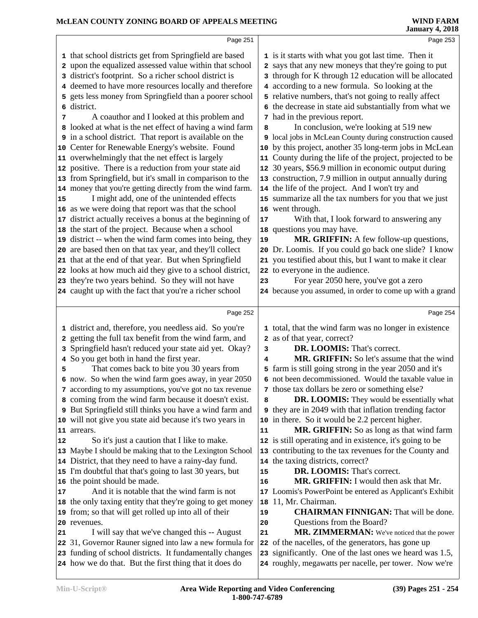|                                                                                                                      |                                                                                                                                                                                                                                                                                                                                                                                                                                                                                                                                                                                                                                                                                                                                                                                                                                                                                                                                                                                                                                                                                                                                                                                                                                                                                                                                                                                                                                                                                                                                                                                            | <b>January 4, 2018</b>                                                                                         |
|----------------------------------------------------------------------------------------------------------------------|--------------------------------------------------------------------------------------------------------------------------------------------------------------------------------------------------------------------------------------------------------------------------------------------------------------------------------------------------------------------------------------------------------------------------------------------------------------------------------------------------------------------------------------------------------------------------------------------------------------------------------------------------------------------------------------------------------------------------------------------------------------------------------------------------------------------------------------------------------------------------------------------------------------------------------------------------------------------------------------------------------------------------------------------------------------------------------------------------------------------------------------------------------------------------------------------------------------------------------------------------------------------------------------------------------------------------------------------------------------------------------------------------------------------------------------------------------------------------------------------------------------------------------------------------------------------------------------------|----------------------------------------------------------------------------------------------------------------|
| Page 251                                                                                                             |                                                                                                                                                                                                                                                                                                                                                                                                                                                                                                                                                                                                                                                                                                                                                                                                                                                                                                                                                                                                                                                                                                                                                                                                                                                                                                                                                                                                                                                                                                                                                                                            | Page 253                                                                                                       |
|                                                                                                                      |                                                                                                                                                                                                                                                                                                                                                                                                                                                                                                                                                                                                                                                                                                                                                                                                                                                                                                                                                                                                                                                                                                                                                                                                                                                                                                                                                                                                                                                                                                                                                                                            | 1 is it starts with what you got last time. Then it                                                            |
|                                                                                                                      |                                                                                                                                                                                                                                                                                                                                                                                                                                                                                                                                                                                                                                                                                                                                                                                                                                                                                                                                                                                                                                                                                                                                                                                                                                                                                                                                                                                                                                                                                                                                                                                            | says that any new moneys that they're going to put                                                             |
|                                                                                                                      | 3                                                                                                                                                                                                                                                                                                                                                                                                                                                                                                                                                                                                                                                                                                                                                                                                                                                                                                                                                                                                                                                                                                                                                                                                                                                                                                                                                                                                                                                                                                                                                                                          | through for K through 12 education will be allocated                                                           |
|                                                                                                                      |                                                                                                                                                                                                                                                                                                                                                                                                                                                                                                                                                                                                                                                                                                                                                                                                                                                                                                                                                                                                                                                                                                                                                                                                                                                                                                                                                                                                                                                                                                                                                                                            | 4 according to a new formula. So looking at the                                                                |
| gets less money from Springfield than a poorer school                                                                |                                                                                                                                                                                                                                                                                                                                                                                                                                                                                                                                                                                                                                                                                                                                                                                                                                                                                                                                                                                                                                                                                                                                                                                                                                                                                                                                                                                                                                                                                                                                                                                            | 5 relative numbers, that's not going to really affect                                                          |
| district.                                                                                                            |                                                                                                                                                                                                                                                                                                                                                                                                                                                                                                                                                                                                                                                                                                                                                                                                                                                                                                                                                                                                                                                                                                                                                                                                                                                                                                                                                                                                                                                                                                                                                                                            | 6 the decrease in state aid substantially from what we                                                         |
| A coauthor and I looked at this problem and                                                                          |                                                                                                                                                                                                                                                                                                                                                                                                                                                                                                                                                                                                                                                                                                                                                                                                                                                                                                                                                                                                                                                                                                                                                                                                                                                                                                                                                                                                                                                                                                                                                                                            | 7 had in the previous report.                                                                                  |
| looked at what is the net effect of having a wind farm                                                               | 8                                                                                                                                                                                                                                                                                                                                                                                                                                                                                                                                                                                                                                                                                                                                                                                                                                                                                                                                                                                                                                                                                                                                                                                                                                                                                                                                                                                                                                                                                                                                                                                          | In conclusion, we're looking at 519 new                                                                        |
|                                                                                                                      |                                                                                                                                                                                                                                                                                                                                                                                                                                                                                                                                                                                                                                                                                                                                                                                                                                                                                                                                                                                                                                                                                                                                                                                                                                                                                                                                                                                                                                                                                                                                                                                            | 9 local jobs in McLean County during construction caused                                                       |
|                                                                                                                      |                                                                                                                                                                                                                                                                                                                                                                                                                                                                                                                                                                                                                                                                                                                                                                                                                                                                                                                                                                                                                                                                                                                                                                                                                                                                                                                                                                                                                                                                                                                                                                                            | 10 by this project, another 35 long-term jobs in McLean                                                        |
|                                                                                                                      |                                                                                                                                                                                                                                                                                                                                                                                                                                                                                                                                                                                                                                                                                                                                                                                                                                                                                                                                                                                                                                                                                                                                                                                                                                                                                                                                                                                                                                                                                                                                                                                            | 11 County during the life of the project, projected to be                                                      |
|                                                                                                                      |                                                                                                                                                                                                                                                                                                                                                                                                                                                                                                                                                                                                                                                                                                                                                                                                                                                                                                                                                                                                                                                                                                                                                                                                                                                                                                                                                                                                                                                                                                                                                                                            | 12 30 years, \$56.9 million in economic output during                                                          |
|                                                                                                                      |                                                                                                                                                                                                                                                                                                                                                                                                                                                                                                                                                                                                                                                                                                                                                                                                                                                                                                                                                                                                                                                                                                                                                                                                                                                                                                                                                                                                                                                                                                                                                                                            | 13 construction, 7.9 million in output annually during                                                         |
|                                                                                                                      |                                                                                                                                                                                                                                                                                                                                                                                                                                                                                                                                                                                                                                                                                                                                                                                                                                                                                                                                                                                                                                                                                                                                                                                                                                                                                                                                                                                                                                                                                                                                                                                            | 14 the life of the project. And I won't try and                                                                |
|                                                                                                                      |                                                                                                                                                                                                                                                                                                                                                                                                                                                                                                                                                                                                                                                                                                                                                                                                                                                                                                                                                                                                                                                                                                                                                                                                                                                                                                                                                                                                                                                                                                                                                                                            | 15 summarize all the tax numbers for you that we just                                                          |
|                                                                                                                      |                                                                                                                                                                                                                                                                                                                                                                                                                                                                                                                                                                                                                                                                                                                                                                                                                                                                                                                                                                                                                                                                                                                                                                                                                                                                                                                                                                                                                                                                                                                                                                                            | 16 went through.                                                                                               |
|                                                                                                                      |                                                                                                                                                                                                                                                                                                                                                                                                                                                                                                                                                                                                                                                                                                                                                                                                                                                                                                                                                                                                                                                                                                                                                                                                                                                                                                                                                                                                                                                                                                                                                                                            | With that, I look forward to answering any                                                                     |
|                                                                                                                      |                                                                                                                                                                                                                                                                                                                                                                                                                                                                                                                                                                                                                                                                                                                                                                                                                                                                                                                                                                                                                                                                                                                                                                                                                                                                                                                                                                                                                                                                                                                                                                                            | 18 questions you may have.                                                                                     |
|                                                                                                                      |                                                                                                                                                                                                                                                                                                                                                                                                                                                                                                                                                                                                                                                                                                                                                                                                                                                                                                                                                                                                                                                                                                                                                                                                                                                                                                                                                                                                                                                                                                                                                                                            | MR. GRIFFIN: A few follow-up questions,                                                                        |
|                                                                                                                      |                                                                                                                                                                                                                                                                                                                                                                                                                                                                                                                                                                                                                                                                                                                                                                                                                                                                                                                                                                                                                                                                                                                                                                                                                                                                                                                                                                                                                                                                                                                                                                                            | 20 Dr. Loomis. If you could go back one slide? I know                                                          |
|                                                                                                                      |                                                                                                                                                                                                                                                                                                                                                                                                                                                                                                                                                                                                                                                                                                                                                                                                                                                                                                                                                                                                                                                                                                                                                                                                                                                                                                                                                                                                                                                                                                                                                                                            | 21 you testified about this, but I want to make it clear                                                       |
|                                                                                                                      |                                                                                                                                                                                                                                                                                                                                                                                                                                                                                                                                                                                                                                                                                                                                                                                                                                                                                                                                                                                                                                                                                                                                                                                                                                                                                                                                                                                                                                                                                                                                                                                            | 22 to everyone in the audience.<br>For year 2050 here, you've got a zero                                       |
|                                                                                                                      |                                                                                                                                                                                                                                                                                                                                                                                                                                                                                                                                                                                                                                                                                                                                                                                                                                                                                                                                                                                                                                                                                                                                                                                                                                                                                                                                                                                                                                                                                                                                                                                            | 24 because you assumed, in order to come up with a grand                                                       |
|                                                                                                                      |                                                                                                                                                                                                                                                                                                                                                                                                                                                                                                                                                                                                                                                                                                                                                                                                                                                                                                                                                                                                                                                                                                                                                                                                                                                                                                                                                                                                                                                                                                                                                                                            |                                                                                                                |
| Page 252                                                                                                             |                                                                                                                                                                                                                                                                                                                                                                                                                                                                                                                                                                                                                                                                                                                                                                                                                                                                                                                                                                                                                                                                                                                                                                                                                                                                                                                                                                                                                                                                                                                                                                                            | Page 254                                                                                                       |
|                                                                                                                      |                                                                                                                                                                                                                                                                                                                                                                                                                                                                                                                                                                                                                                                                                                                                                                                                                                                                                                                                                                                                                                                                                                                                                                                                                                                                                                                                                                                                                                                                                                                                                                                            | 1 total, that the wind farm was no longer in existence                                                         |
|                                                                                                                      |                                                                                                                                                                                                                                                                                                                                                                                                                                                                                                                                                                                                                                                                                                                                                                                                                                                                                                                                                                                                                                                                                                                                                                                                                                                                                                                                                                                                                                                                                                                                                                                            | 2 as of that year, correct?                                                                                    |
|                                                                                                                      | 3                                                                                                                                                                                                                                                                                                                                                                                                                                                                                                                                                                                                                                                                                                                                                                                                                                                                                                                                                                                                                                                                                                                                                                                                                                                                                                                                                                                                                                                                                                                                                                                          | DR. LOOMIS: That's correct.                                                                                    |
|                                                                                                                      | 4                                                                                                                                                                                                                                                                                                                                                                                                                                                                                                                                                                                                                                                                                                                                                                                                                                                                                                                                                                                                                                                                                                                                                                                                                                                                                                                                                                                                                                                                                                                                                                                          | MR. GRIFFIN: So let's assume that the wind                                                                     |
|                                                                                                                      |                                                                                                                                                                                                                                                                                                                                                                                                                                                                                                                                                                                                                                                                                                                                                                                                                                                                                                                                                                                                                                                                                                                                                                                                                                                                                                                                                                                                                                                                                                                                                                                            | 5 farm is still going strong in the year 2050 and it's                                                         |
|                                                                                                                      |                                                                                                                                                                                                                                                                                                                                                                                                                                                                                                                                                                                                                                                                                                                                                                                                                                                                                                                                                                                                                                                                                                                                                                                                                                                                                                                                                                                                                                                                                                                                                                                            | 6 not been decommissioned. Would the taxable value in                                                          |
|                                                                                                                      | 7                                                                                                                                                                                                                                                                                                                                                                                                                                                                                                                                                                                                                                                                                                                                                                                                                                                                                                                                                                                                                                                                                                                                                                                                                                                                                                                                                                                                                                                                                                                                                                                          | those tax dollars be zero or something else?                                                                   |
|                                                                                                                      |                                                                                                                                                                                                                                                                                                                                                                                                                                                                                                                                                                                                                                                                                                                                                                                                                                                                                                                                                                                                                                                                                                                                                                                                                                                                                                                                                                                                                                                                                                                                                                                            | <b>DR. LOOMIS:</b> They would be essentially what                                                              |
|                                                                                                                      |                                                                                                                                                                                                                                                                                                                                                                                                                                                                                                                                                                                                                                                                                                                                                                                                                                                                                                                                                                                                                                                                                                                                                                                                                                                                                                                                                                                                                                                                                                                                                                                            |                                                                                                                |
| 9 But Springfield still thinks you have a wind farm and                                                              |                                                                                                                                                                                                                                                                                                                                                                                                                                                                                                                                                                                                                                                                                                                                                                                                                                                                                                                                                                                                                                                                                                                                                                                                                                                                                                                                                                                                                                                                                                                                                                                            | <b>9</b> they are in 2049 with that inflation trending factor                                                  |
| 10 will not give you state aid because it's two years in                                                             |                                                                                                                                                                                                                                                                                                                                                                                                                                                                                                                                                                                                                                                                                                                                                                                                                                                                                                                                                                                                                                                                                                                                                                                                                                                                                                                                                                                                                                                                                                                                                                                            | 10 in there. So it would be 2.2 percent higher.                                                                |
| 11 arrears.                                                                                                          | 11                                                                                                                                                                                                                                                                                                                                                                                                                                                                                                                                                                                                                                                                                                                                                                                                                                                                                                                                                                                                                                                                                                                                                                                                                                                                                                                                                                                                                                                                                                                                                                                         | MR. GRIFFIN: So as long as that wind farm                                                                      |
| So it's just a caution that I like to make.                                                                          |                                                                                                                                                                                                                                                                                                                                                                                                                                                                                                                                                                                                                                                                                                                                                                                                                                                                                                                                                                                                                                                                                                                                                                                                                                                                                                                                                                                                                                                                                                                                                                                            | 12 is still operating and in existence, it's going to be                                                       |
| 13 Maybe I should be making that to the Lexington School                                                             |                                                                                                                                                                                                                                                                                                                                                                                                                                                                                                                                                                                                                                                                                                                                                                                                                                                                                                                                                                                                                                                                                                                                                                                                                                                                                                                                                                                                                                                                                                                                                                                            | 13 contributing to the tax revenues for the County and                                                         |
| 14 District, that they need to have a rainy-day fund.                                                                |                                                                                                                                                                                                                                                                                                                                                                                                                                                                                                                                                                                                                                                                                                                                                                                                                                                                                                                                                                                                                                                                                                                                                                                                                                                                                                                                                                                                                                                                                                                                                                                            | 14 the taxing districts, correct?                                                                              |
| 15 I'm doubtful that that's going to last 30 years, but                                                              | 15                                                                                                                                                                                                                                                                                                                                                                                                                                                                                                                                                                                                                                                                                                                                                                                                                                                                                                                                                                                                                                                                                                                                                                                                                                                                                                                                                                                                                                                                                                                                                                                         | DR. LOOMIS: That's correct.                                                                                    |
| 16 the point should be made.                                                                                         | 16                                                                                                                                                                                                                                                                                                                                                                                                                                                                                                                                                                                                                                                                                                                                                                                                                                                                                                                                                                                                                                                                                                                                                                                                                                                                                                                                                                                                                                                                                                                                                                                         | MR. GRIFFIN: I would then ask that Mr.                                                                         |
| And it is notable that the wind farm is not                                                                          |                                                                                                                                                                                                                                                                                                                                                                                                                                                                                                                                                                                                                                                                                                                                                                                                                                                                                                                                                                                                                                                                                                                                                                                                                                                                                                                                                                                                                                                                                                                                                                                            | 17 Loomis's PowerPoint be entered as Applicant's Exhibit                                                       |
| 18 the only taxing entity that they're going to get money                                                            | 18                                                                                                                                                                                                                                                                                                                                                                                                                                                                                                                                                                                                                                                                                                                                                                                                                                                                                                                                                                                                                                                                                                                                                                                                                                                                                                                                                                                                                                                                                                                                                                                         | 11, Mr. Chairman.                                                                                              |
| 19 from; so that will get rolled up into all of their                                                                | 19                                                                                                                                                                                                                                                                                                                                                                                                                                                                                                                                                                                                                                                                                                                                                                                                                                                                                                                                                                                                                                                                                                                                                                                                                                                                                                                                                                                                                                                                                                                                                                                         | <b>CHAIRMAN FINNIGAN:</b> That will be done.                                                                   |
| 20 revenues.                                                                                                         | 20<br>21                                                                                                                                                                                                                                                                                                                                                                                                                                                                                                                                                                                                                                                                                                                                                                                                                                                                                                                                                                                                                                                                                                                                                                                                                                                                                                                                                                                                                                                                                                                                                                                   | Questions from the Board?                                                                                      |
| I will say that we've changed this -- August                                                                         |                                                                                                                                                                                                                                                                                                                                                                                                                                                                                                                                                                                                                                                                                                                                                                                                                                                                                                                                                                                                                                                                                                                                                                                                                                                                                                                                                                                                                                                                                                                                                                                            | MR. ZIMMERMAN: We've noticed that the power                                                                    |
| 22 31, Governor Rauner signed into law a new formula for<br>23 funding of school districts. It fundamentally changes |                                                                                                                                                                                                                                                                                                                                                                                                                                                                                                                                                                                                                                                                                                                                                                                                                                                                                                                                                                                                                                                                                                                                                                                                                                                                                                                                                                                                                                                                                                                                                                                            | 22 of the nacelles, of the generators, has gone up<br>23 significantly. One of the last ones we heard was 1.5, |
| 2<br>15<br>5                                                                                                         | 1 that school districts get from Springfield are based<br>upon the equalized assessed value within that school<br>district's footprint. So a richer school district is<br>3<br>4 deemed to have more resources locally and therefore<br>5<br>6<br>8<br>9 in a school district. That report is available on the<br>10 Center for Renewable Energy's website. Found<br>11 overwhelmingly that the net effect is largely<br>12 positive. There is a reduction from your state aid<br>13 from Springfield, but it's small in comparison to the<br>14 money that you're getting directly from the wind farm.<br>I might add, one of the unintended effects<br>16 as we were doing that report was that the school<br>17 district actually receives a bonus at the beginning of<br>18 the start of the project. Because when a school<br>19 district -- when the wind farm comes into being, they<br>20 are based then on that tax year, and they'll collect<br>21 that at the end of that year. But when Springfield<br>22 looks at how much aid they give to a school district,<br>23 they're two years behind. So they will not have<br>24 caught up with the fact that you're a richer school<br>1 district and, therefore, you needless aid. So you're<br>getting the full tax benefit from the wind farm, and<br>2<br>3 Springfield hasn't reduced your state aid yet. Okay?<br>4 So you get both in hand the first year.<br>That comes back to bite you 30 years from<br>6 now. So when the wind farm goes away, in year 2050<br>7 according to my assumptions, you've got no tax revenue | 2<br>17<br>19<br>23<br>8 coming from the wind farm because it doesn't exist.<br>8                              |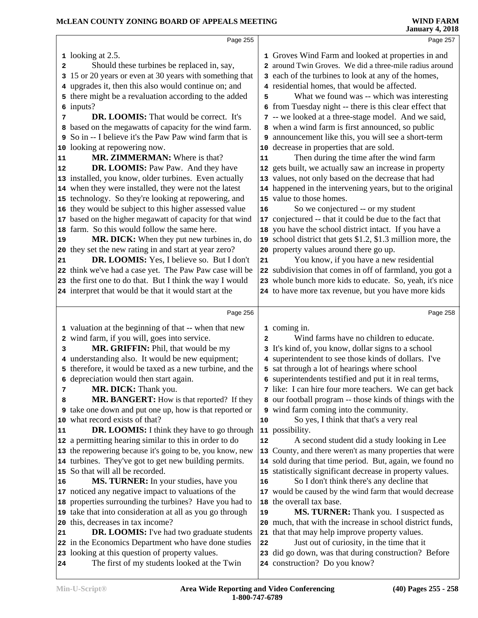|    | Page 255                                                                                                |    | Page 257                                                                                                              |
|----|---------------------------------------------------------------------------------------------------------|----|-----------------------------------------------------------------------------------------------------------------------|
|    |                                                                                                         |    |                                                                                                                       |
|    | $\frac{1}{2}$ looking at 2.5.                                                                           |    | 1 Groves Wind Farm and looked at properties in and                                                                    |
| 2  | Should these turbines be replaced in, say,                                                              |    | 2 around Twin Groves. We did a three-mile radius around                                                               |
|    | 3 15 or 20 years or even at 30 years with something that                                                |    | 3 each of the turbines to look at any of the homes,                                                                   |
|    | 4 upgrades it, then this also would continue on; and                                                    |    | 4 residential homes, that would be affected.                                                                          |
|    | 5 there might be a revaluation according to the added                                                   | 5  | What we found was -- which was interesting                                                                            |
|    | 6 inputs?                                                                                               |    | 6 from Tuesday night -- there is this clear effect that                                                               |
| 7  | <b>DR. LOOMIS:</b> That would be correct. It's                                                          |    | 7 -- we looked at a three-stage model. And we said,                                                                   |
|    | 8 based on the megawatts of capacity for the wind farm.                                                 |    | 8 when a wind farm is first announced, so public                                                                      |
|    | 9 So in -- I believe it's the Paw Paw wind farm that is                                                 |    | 9 announcement like this, you will see a short-term                                                                   |
|    | 10 looking at repowering now.                                                                           |    | 10 decrease in properties that are sold.                                                                              |
| 11 | MR. ZIMMERMAN: Where is that?                                                                           | 11 | Then during the time after the wind farm                                                                              |
| 12 | DR. LOOMIS: Paw Paw. And they have                                                                      |    | 12 gets built, we actually saw an increase in property                                                                |
|    | 13 installed, you know, older turbines. Even actually                                                   |    | 13 values, not only based on the decrease that had                                                                    |
|    | 14 when they were installed, they were not the latest                                                   |    | 14 happened in the intervening years, but to the original                                                             |
|    | 15 technology. So they're looking at repowering, and                                                    |    | 15 value to those homes.                                                                                              |
|    | 16 they would be subject to this higher assessed value                                                  | 16 | So we conjectured -- or my student                                                                                    |
|    | 17 based on the higher megawatt of capacity for that wind                                               |    | 17 conjectured -- that it could be due to the fact that                                                               |
|    | 18 farm. So this would follow the same here.                                                            |    | 18 you have the school district intact. If you have a                                                                 |
| 19 | MR. DICK: When they put new turbines in, do                                                             |    | 19 school district that gets \$1.2, \$1.3 million more, the                                                           |
|    | 20 they set the new rating in and start at year zero?                                                   |    | 20 property values around there go up.                                                                                |
| 21 | DR. LOOMIS: Yes, I believe so. But I don't                                                              | 21 | You know, if you have a new residential                                                                               |
|    | 22 think we've had a case yet. The Paw Paw case will be                                                 |    | 22 subdivision that comes in off of farmland, you got a                                                               |
|    | 23 the first one to do that. But I think the way I would                                                |    | 23 whole bunch more kids to educate. So, yeah, it's nice                                                              |
|    | 24 interpret that would be that it would start at the                                                   |    | 24 to have more tax revenue, but you have more kids                                                                   |
|    | Page 256                                                                                                |    | Page 258                                                                                                              |
|    | 1 valuation at the beginning of that -- when that new                                                   |    | 1 coming in.                                                                                                          |
|    | 2 wind farm, if you will, goes into service.                                                            | 2  | Wind farms have no children to educate.                                                                               |
| 3  | MR. GRIFFIN: Phil, that would be my                                                                     |    | 3 It's kind of, you know, dollar signs to a school                                                                    |
|    | 4 understanding also. It would be new equipment;                                                        |    | 4 superintendent to see those kinds of dollars. I've                                                                  |
|    | 5 therefore, it would be taxed as a new turbine, and the                                                |    | 5 sat through a lot of hearings where school                                                                          |
|    | 6 depreciation would then start again.                                                                  |    | 6 superintendents testified and put it in real terms,                                                                 |
| 7  |                                                                                                         |    |                                                                                                                       |
|    |                                                                                                         |    |                                                                                                                       |
|    | MR. DICK: Thank you.                                                                                    |    | 7 like: I can hire four more teachers. We can get back                                                                |
| 8  | MR. BANGERT: How is that reported? If they                                                              |    | 8 our football program -- those kinds of things with the                                                              |
|    | <b>9</b> take one down and put one up, how is that reported or                                          |    | 9 wind farm coming into the community.                                                                                |
|    | 10 what record exists of that?                                                                          | 10 | So yes, I think that that's a very real                                                                               |
| 11 | <b>DR. LOOMIS:</b> I think they have to go through                                                      |    | 11 possibility.                                                                                                       |
|    | 12 a permitting hearing similar to this in order to do                                                  | 12 | A second student did a study looking in Lee                                                                           |
|    | 13 the repowering because it's going to be, you know, new                                               |    | 13 County, and there weren't as many properties that were                                                             |
|    | 14 turbines. They've got to get new building permits.<br>15 So that will all be recorded.               |    | 14 sold during that time period. But, again, we found no<br>15 statistically significant decrease in property values. |
| 16 |                                                                                                         | 16 | So I don't think there's any decline that                                                                             |
|    | MS. TURNER: In your studies, have you                                                                   |    |                                                                                                                       |
|    | 17 noticed any negative impact to valuations of the                                                     |    | 17 would be caused by the wind farm that would decrease                                                               |
|    | 18 properties surrounding the turbines? Have you had to                                                 | 19 | 18 the overall tax base.                                                                                              |
|    | 19 take that into consideration at all as you go through                                                |    | MS. TURNER: Thank you. I suspected as                                                                                 |
| 21 | 20 this, decreases in tax income?                                                                       |    | 20 much, that with the increase in school district funds,                                                             |
|    | <b>DR. LOOMIS:</b> I've had two graduate students                                                       | 22 | 21 that that may help improve property values.                                                                        |
|    | 22 in the Economics Department who have done studies<br>23 looking at this question of property values. |    | Just out of curiosity, in the time that it<br>23 did go down, was that during construction? Before                    |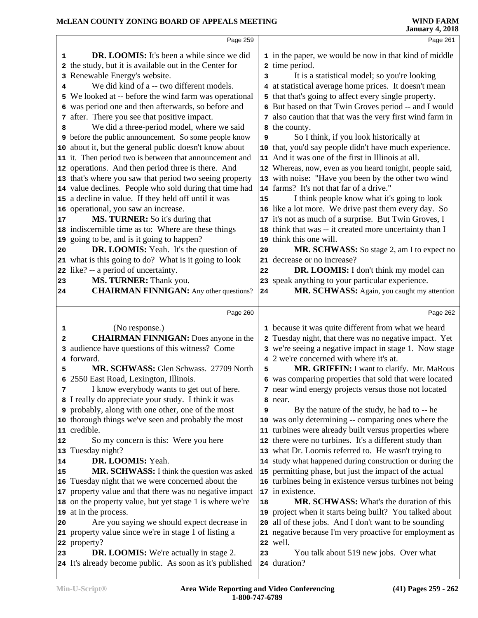### **McLEAN COUNTY ZONING BOARD OF APPEALS MEETING**

|                         | MCLEAN COUNTY ZONING BOARD OF APPEALS MEETING                                                             |    | <b>WIND FARM</b><br><b>January 4, 2018</b>               |
|-------------------------|-----------------------------------------------------------------------------------------------------------|----|----------------------------------------------------------|
|                         | Page 259                                                                                                  |    | Page 261                                                 |
| 1                       | <b>DR. LOOMIS:</b> It's been a while since we did                                                         |    | 1 in the paper, we would be now in that kind of middle   |
| 2                       | the study, but it is available out in the Center for                                                      |    | 2 time period.                                           |
| 3                       | Renewable Energy's website.                                                                               | 3  | It is a statistical model; so you're looking             |
| 4                       | We did kind of a -- two different models.                                                                 |    | 4 at statistical average home prices. It doesn't mean    |
| 5                       | We looked at -- before the wind farm was operational                                                      |    | 5 that that's going to affect every single property.     |
|                         | 6 was period one and then afterwards, so before and                                                       |    | 6 But based on that Twin Groves period -- and I would    |
|                         | 7 after. There you see that positive impact.                                                              |    | 7 also caution that that was the very first wind farm in |
|                         |                                                                                                           |    |                                                          |
| 8                       | We did a three-period model, where we said                                                                |    | 8 the county.                                            |
|                         | <b>9</b> before the public announcement. So some people know                                              | 9  | So I think, if you look historically at                  |
| 10                      | about it, but the general public doesn't know about                                                       |    | 10 that, you'd say people didn't have much experience.   |
|                         | 11 it. Then period two is between that announcement and                                                   |    | 11 And it was one of the first in Illinois at all.       |
| 12                      | operations. And then period three is there. And                                                           |    | 12 Whereas, now, even as you heard tonight, people said, |
| 13                      | that's where you saw that period two seeing property                                                      |    | 13 with noise: "Have you been by the other two wind      |
|                         | 14 value declines. People who sold during that time had                                                   |    | 14 farms? It's not that far of a drive."                 |
|                         | 15 a decline in value. If they held off until it was                                                      | 15 | I think people know what it's going to look              |
| 16                      | operational, you saw an increase.                                                                         |    | 16 like a lot more. We drive past them every day. So     |
| 17                      | MS. TURNER: So it's during that                                                                           |    | 17 it's not as much of a surprise. But Twin Groves, I    |
| 18                      | indiscernible time as to: Where are these things                                                          | 18 | think that was -- it created more uncertainty than I     |
| 19                      | going to be, and is it going to happen?                                                                   | 19 | think this one will.                                     |
| 20                      | <b>DR. LOOMIS:</b> Yeah. It's the question of                                                             | 20 | MR. SCHWASS: So stage 2, am I to expect no               |
| 21                      | what is this going to do? What is it going to look                                                        |    | 21 decrease or no increase?                              |
| 22                      | like? -- a period of uncertainty.                                                                         | 22 | DR. LOOMIS: I don't think my model can                   |
| 23                      | MS. TURNER: Thank you.                                                                                    |    | 23 speak anything to your particular experience.         |
| 24                      | <b>CHAIRMAN FINNIGAN:</b> Any other questions?                                                            | 24 | MR. SCHWASS: Again, you caught my attention              |
|                         |                                                                                                           |    |                                                          |
|                         |                                                                                                           |    |                                                          |
|                         | Page 260                                                                                                  |    | Page 262                                                 |
| 1                       | (No response.)                                                                                            |    | 1 because it was quite different from what we heard      |
| $\overline{\mathbf{2}}$ | <b>CHAIRMAN FINNIGAN:</b> Does anyone in the                                                              |    | 2 Tuesday night, that there was no negative impact. Yet  |
| 3                       | audience have questions of this witness? Come                                                             |    | 3 we're seeing a negative impact in stage 1. Now stage   |
|                         | 4 forward.                                                                                                |    | 4 2 we're concerned with where it's at.                  |
| 5                       | MR. SCHWASS: Glen Schwass. 27709 North                                                                    | 5  | <b>MR. GRIFFIN:</b> I want to clarify. Mr. MaRous        |
|                         | 6 2550 East Road, Lexington, Illinois.                                                                    |    |                                                          |
| 7                       |                                                                                                           |    | 6 was comparing properties that sold that were located   |
|                         | I know everybody wants to get out of here.                                                                |    | 7 near wind energy projects versus those not located     |
|                         | 8 I really do appreciate your study. I think it was                                                       |    | 8 near.                                                  |
|                         | <b>9</b> probably, along with one other, one of the most                                                  | 9  | By the nature of the study, he had to -- he              |
| 10                      | thorough things we've seen and probably the most                                                          |    | 10 was only determining -- comparing ones where the      |
| 11                      | credible.                                                                                                 |    | 11 turbines were already built versus properties where   |
| 12                      | So my concern is this: Were you here                                                                      |    | 12 there were no turbines. It's a different study than   |
|                         | 13 Tuesday night?                                                                                         |    | 13 what Dr. Loomis referred to. He wasn't trying to      |
| 14                      | DR. LOOMIS: Yeah.                                                                                         |    | 14 study what happened during construction or during the |
| 15                      | MR. SCHWASS: I think the question was asked                                                               |    | 15 permitting phase, but just the impact of the actual   |
| 16                      | Tuesday night that we were concerned about the                                                            |    | 16 turbines being in existence versus turbines not being |
| 17                      | property value and that there was no negative impact                                                      |    | 17 in existence.                                         |
| 18                      | on the property value, but yet stage 1 is where we're                                                     | 18 | MR. SCHWASS: What's the duration of this                 |
| 19                      | at in the process.                                                                                        |    | 19 project when it starts being built? You talked about  |
| 20                      | Are you saying we should expect decrease in                                                               |    | 20 all of these jobs. And I don't want to be sounding    |
| 21                      | property value since we're in stage 1 of listing a                                                        |    | 21 negative because I'm very proactive for employment as |
| 22                      | property?                                                                                                 |    | 22 well.                                                 |
| 23                      | <b>DR. LOOMIS:</b> We're actually in stage 2.<br>24 It's already become public. As soon as it's published | 23 | You talk about 519 new jobs. Over what<br>24 duration?   |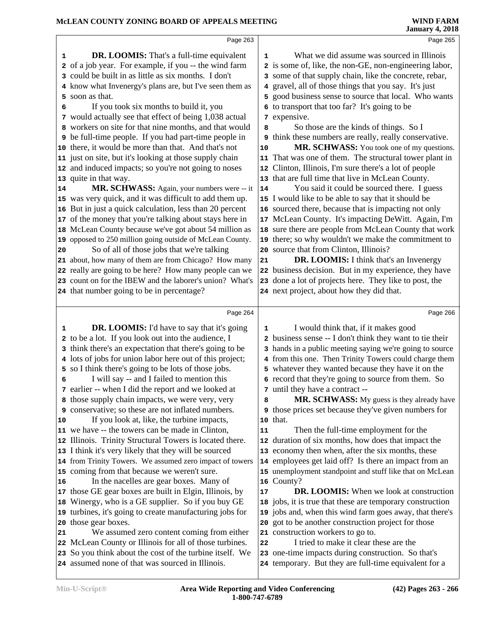|                                                                                                                 |              | <b>January 4, 2018</b>                                                                                      |
|-----------------------------------------------------------------------------------------------------------------|--------------|-------------------------------------------------------------------------------------------------------------|
|                                                                                                                 | Page 263     | Page 265                                                                                                    |
| DR. LOOMIS: That's a full-time equivalent<br>1                                                                  | 1            | What we did assume was sourced in Illinois                                                                  |
| of a job year. For example, if you -- the wind farm<br>2                                                        | $\mathbf{2}$ | is some of, like, the non-GE, non-engineering labor,                                                        |
| could be built in as little as six months. I don't<br>3                                                         | 3            | some of that supply chain, like the concrete, rebar,                                                        |
| know what Invenergy's plans are, but I've seen them as                                                          |              | gravel, all of those things that you say. It's just                                                         |
| soon as that.<br>5.                                                                                             | 5            | good business sense to source that local. Who wants                                                         |
| If you took six months to build it, you<br>6                                                                    |              | 6 to transport that too far? It's going to be                                                               |
| 7 would actually see that effect of being 1,038 actual                                                          | 7            | expensive.                                                                                                  |
| workers on site for that nine months, and that would                                                            | 8            | So those are the kinds of things. So I                                                                      |
| 9 be full-time people. If you had part-time people in                                                           | 9            | think these numbers are really, really conservative.                                                        |
| there, it would be more than that. And that's not<br>10                                                         | 10           | MR. SCHWASS: You took one of my questions.                                                                  |
| 11 just on site, but it's looking at those supply chain                                                         |              | 11 That was one of them. The structural tower plant in                                                      |
| and induced impacts; so you're not going to noses<br>12                                                         | 12           | Clinton, Illinois, I'm sure there's a lot of people                                                         |
| quite in that way.<br>13                                                                                        |              | 13 that are full time that live in McLean County.                                                           |
| MR. SCHWASS: Again, your numbers were -- it<br>14                                                               | 14           | You said it could be sourced there. I guess                                                                 |
| was very quick, and it was difficult to add them up.<br>15                                                      |              | 15 I would like to be able to say that it should be                                                         |
| But in just a quick calculation, less than 20 percent<br>16                                                     |              | 16 sourced there, because that is impacting not only                                                        |
| of the money that you're talking about stays here in<br>17                                                      |              | 17 McLean County. It's impacting DeWitt. Again, I'm                                                         |
| McLean County because we've got about 54 million as<br>18                                                       |              | 18 sure there are people from McLean County that work                                                       |
| 19 opposed to 250 million going outside of McLean County.                                                       |              | 19 there; so why wouldn't we make the commitment to                                                         |
| So of all of those jobs that we're talking<br>20                                                                |              | 20 source that from Clinton, Illinois?                                                                      |
| about, how many of them are from Chicago? How many<br>21                                                        | 21           | DR. LOOMIS: I think that's an Invenergy                                                                     |
| really are going to be here? How many people can we<br>22                                                       |              | 22 business decision. But in my experience, they have                                                       |
| 23 count on for the IBEW and the laborer's union? What's                                                        |              | 23 done a lot of projects here. They like to post, the                                                      |
| 24 that number going to be in percentage?                                                                       |              | 24 next project, about how they did that.                                                                   |
|                                                                                                                 |              |                                                                                                             |
|                                                                                                                 |              |                                                                                                             |
|                                                                                                                 | Page 264     | Page 266                                                                                                    |
| <b>DR. LOOMIS:</b> I'd have to say that it's going<br>1                                                         | 1            | I would think that, if it makes good                                                                        |
| 2 to be a lot. If you look out into the audience, I                                                             |              | business sense -- I don't think they want to tie their                                                      |
| 3 think there's an expectation that there's going to be                                                         |              | hands in a public meeting saying we're going to source                                                      |
| 4 lots of jobs for union labor here out of this project;                                                        |              | from this one. Then Trinity Towers could charge them                                                        |
| 5 so I think there's going to be lots of those jobs.                                                            |              | 5 whatever they wanted because they have it on the                                                          |
| I will say -- and I failed to mention this<br>6                                                                 |              | 6 record that they're going to source from them. So                                                         |
| 7 earlier -- when I did the report and we looked at                                                             | 7            | until they have a contract --                                                                               |
| those supply chain impacts, we were very, very<br>8                                                             | 8            | MR. SCHWASS: My guess is they already have                                                                  |
| conservative; so these are not inflated numbers.                                                                |              | <b>9</b> those prices set because they've given numbers for                                                 |
| If you look at, like, the turbine impacts,<br>10                                                                |              | 10 that.                                                                                                    |
| we have -- the towers can be made in Clinton,<br>11                                                             | 11           | Then the full-time employment for the                                                                       |
| Illinois. Trinity Structural Towers is located there.<br>12                                                     |              | 12 duration of six months, how does that impact the                                                         |
| 13 I think it's very likely that they will be sourced                                                           |              | 13 economy then when, after the six months, these                                                           |
| 14 from Trinity Towers. We assumed zero impact of towers                                                        |              | 14 employees get laid off? Is there an impact from an                                                       |
| coming from that because we weren't sure.<br>15                                                                 |              | 15 unemployment standpoint and stuff like that on McLean                                                    |
| In the nacelles are gear boxes. Many of<br>16                                                                   |              | 16 County?                                                                                                  |
| those GE gear boxes are built in Elgin, Illinois, by<br>17                                                      | 17           | <b>DR. LOOMIS:</b> When we look at construction                                                             |
| Winergy, who is a GE supplier. So if you buy GE<br>18                                                           |              | 18 jobs, it is true that these are temporary construction                                                   |
| turbines, it's going to create manufacturing jobs for<br>19                                                     |              | 19 jobs and, when this wind farm goes away, that there's                                                    |
| those gear boxes.<br>20                                                                                         |              | 20 got to be another construction project for those                                                         |
| We assumed zero content coming from either<br>21                                                                |              | 21 construction workers to go to.                                                                           |
| McLean County or Illinois for all of those turbines.<br>22                                                      | 22           | I tried to make it clear these are the                                                                      |
| So you think about the cost of the turbine itself. We<br>23<br>24 assumed none of that was sourced in Illinois. |              | 23 one-time impacts during construction. So that's<br>24 temporary. But they are full-time equivalent for a |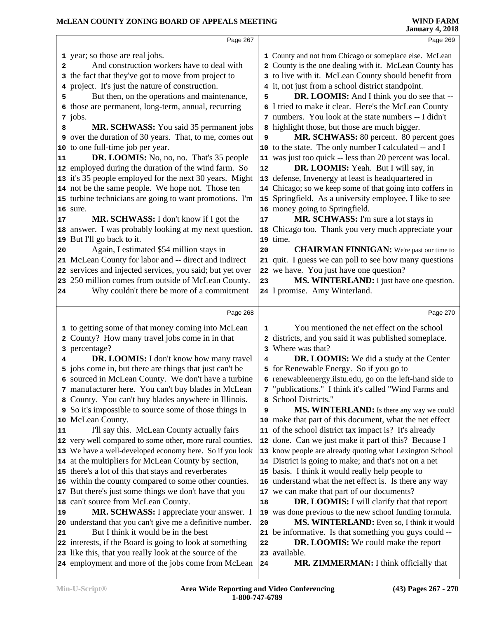|    | Page 267                                                       |              | Page 269                                                               |  |
|----|----------------------------------------------------------------|--------------|------------------------------------------------------------------------|--|
|    | 1 year; so those are real jobs.                                |              | 1 County and not from Chicago or someplace else. McLean                |  |
| 2  | And construction workers have to deal with                     | $\mathbf{2}$ | County is the one dealing with it. McLean County has                   |  |
|    | 3 the fact that they've got to move from project to            |              | 3 to live with it. McLean County should benefit from                   |  |
| 4  | project. It's just the nature of construction.                 |              | 4 it, not just from a school district standpoint.                      |  |
| 5  | But then, on the operations and maintenance,                   | 5            | <b>DR. LOOMIS:</b> And I think you do see that --                      |  |
| 6  | those are permanent, long-term, annual, recurring              |              | 6 I tried to make it clear. Here's the McLean County                   |  |
|    | 7 jobs.                                                        |              | 7 numbers. You look at the state numbers -- I didn't                   |  |
| 8  | MR. SCHWASS: You said 35 permanent jobs                        |              | 8 highlight those, but those are much bigger.                          |  |
|    | <b>9</b> over the duration of 30 years. That, to me, comes out | 9            | MR. SCHWASS: 80 percent. 80 percent goes                               |  |
|    | 10 to one full-time job per year.                              |              | 10 to the state. The only number I calculated -- and I                 |  |
| 11 | <b>DR. LOOMIS:</b> No, no, no. That's 35 people                |              | 11 was just too quick -- less than 20 percent was local.               |  |
|    | 12 employed during the duration of the wind farm. So           | 12           | DR. LOOMIS: Yeah. But I will say, in                                   |  |
|    | 13 it's 35 people employed for the next 30 years. Might        |              | 13 defense, Invenergy at least is headquartered in                     |  |
|    | 14 not be the same people. We hope not. Those ten              |              | 14 Chicago; so we keep some of that going into coffers in              |  |
|    | 15 turbine technicians are going to want promotions. I'm       |              | 15 Springfield. As a university employee, I like to see                |  |
|    | 16 sure.                                                       |              | 16 money going to Springfield.                                         |  |
| 17 | MR. SCHWASS: I don't know if I got the                         | 17           | MR. SCHWASS: I'm sure a lot stays in                                   |  |
|    | 18 answer. I was probably looking at my next question.         |              | 18 Chicago too. Thank you very much appreciate your                    |  |
|    | 19 But I'll go back to it.                                     |              | 19 time.                                                               |  |
| 20 | Again, I estimated \$54 million stays in                       | 20           | <b>CHAIRMAN FINNIGAN:</b> We're past our time to                       |  |
|    | 21 McLean County for labor and -- direct and indirect          |              | 21 quit. I guess we can poll to see how many questions                 |  |
|    | 22 services and injected services, you said; but yet over      |              | 22 we have. You just have one question?                                |  |
|    | 23 250 million comes from outside of McLean County.            | 23           | MS. WINTERLAND: I just have one question.                              |  |
| 24 | Why couldn't there be more of a commitment                     |              | 24 I promise. Amy Winterland.                                          |  |
|    | Page 268                                                       |              | Page 270                                                               |  |
|    |                                                                |              |                                                                        |  |
|    | 1 to getting some of that money coming into McLean             | 1            | You mentioned the net effect on the school                             |  |
|    | 2 County? How many travel jobs come in in that                 |              | districts, and you said it was published someplace.<br>Where was that? |  |
| 4  | 3 percentage?<br>DR. LOOMIS: I don't know how many travel      | 3<br>4       | <b>DR. LOOMIS:</b> We did a study at the Center                        |  |
|    | 5 jobs come in, but there are things that just can't be        |              | 5 for Renewable Energy. So if you go to                                |  |
|    | 6 sourced in McLean County. We don't have a turbine            |              | 6 renewables energy.ilstu.edu, go on the left-hand side to             |  |
|    | 7 manufacturer here. You can't buy blades in McLean            |              | 7 "publications." I think it's called "Wind Farms and                  |  |
|    | 8 County. You can't buy blades anywhere in Illinois.           |              | 8 School Districts."                                                   |  |
|    | 9 So it's impossible to source some of those things in         | 9            | <b>MS. WINTERLAND:</b> Is there any way we could                       |  |
|    | 10 McLean County.                                              |              | 10 make that part of this document, what the net effect                |  |
| 11 | I'll say this. McLean County actually fairs                    |              | 11 of the school district tax impact is? It's already                  |  |
|    | 12 very well compared to some other, more rural counties.      |              | 12 done. Can we just make it part of this? Because I                   |  |
|    | 13 We have a well-developed economy here. So if you look       |              | 13 know people are already quoting what Lexington School               |  |
|    | 14 at the multipliers for McLean County by section,            |              | 14 District is going to make; and that's not on a net                  |  |
|    | 15 there's a lot of this that stays and reverberates           |              | 15 basis. I think it would really help people to                       |  |
|    | 16 within the county compared to some other counties.          |              | 16 understand what the net effect is. Is there any way                 |  |
|    | 17 But there's just some things we don't have that you         |              | 17 we can make that part of our documents?                             |  |
|    | 18 can't source from McLean County.                            | 18           | <b>DR. LOOMIS:</b> I will clarify that that report                     |  |
| 19 | MR. SCHWASS: I appreciate your answer. I                       |              | 19 was done previous to the new school funding formula.                |  |
|    | 20 understand that you can't give me a definitive number.      | 20           | MS. WINTERLAND: Even so, I think it would                              |  |
| 21 | But I think it would be in the best                            |              | 21 be informative. Is that something you guys could --                 |  |
|    | 22 interests, if the Board is going to look at something       | 22           | <b>DR. LOOMIS:</b> We could make the report                            |  |
|    | 23 like this, that you really look at the source of the        |              | 23 available.                                                          |  |
|    | 24 employment and more of the jobs come from McLean            | 24           | MR. ZIMMERMAN: I think officially that                                 |  |
|    |                                                                |              |                                                                        |  |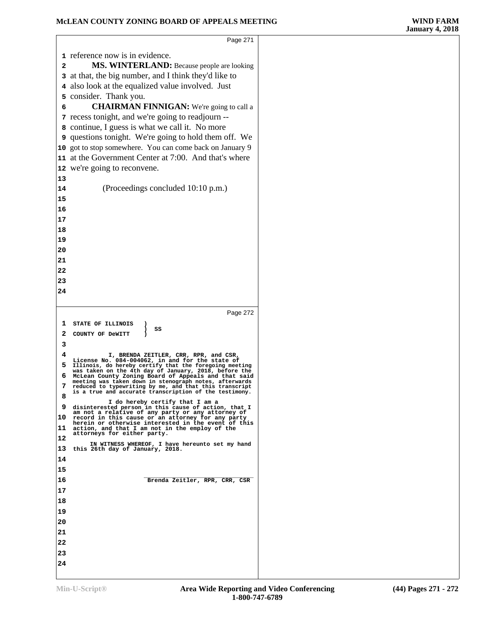$\sqrt{2}$ 

|              | Page 271                                                                                                         |  |
|--------------|------------------------------------------------------------------------------------------------------------------|--|
|              |                                                                                                                  |  |
|              | 1 reference now is in evidence.                                                                                  |  |
| $\mathbf{2}$ | MS. WINTERLAND: Because people are looking                                                                       |  |
|              | 3 at that, the big number, and I think they'd like to                                                            |  |
|              | 4 also look at the equalized value involved. Just                                                                |  |
|              | 5 consider. Thank you.                                                                                           |  |
| 6            | <b>CHAIRMAN FINNIGAN:</b> We're going to call a                                                                  |  |
|              | 7 recess tonight, and we're going to readjourn --                                                                |  |
|              | 8 continue, I guess is what we call it. No more                                                                  |  |
|              | <b>9</b> questions tonight. We're going to hold them off. We                                                     |  |
|              | 10 got to stop somewhere. You can come back on January 9                                                         |  |
|              | 11 at the Government Center at 7:00. And that's where                                                            |  |
|              | 12 we're going to reconvene.                                                                                     |  |
| 13           |                                                                                                                  |  |
| 14           | (Proceedings concluded 10:10 p.m.)                                                                               |  |
| 15           |                                                                                                                  |  |
| 16           |                                                                                                                  |  |
| 17           |                                                                                                                  |  |
| 18           |                                                                                                                  |  |
| 19           |                                                                                                                  |  |
| 20<br>21     |                                                                                                                  |  |
| 22           |                                                                                                                  |  |
| 23           |                                                                                                                  |  |
| 24           |                                                                                                                  |  |
|              |                                                                                                                  |  |
|              |                                                                                                                  |  |
|              |                                                                                                                  |  |
|              | Page 272                                                                                                         |  |
| 1            | STATE OF ILLINOIS<br>)<br>SS                                                                                     |  |
| 2            | ∖<br>COUNTY OF DeWITT                                                                                            |  |
| з            |                                                                                                                  |  |
| 4            | I, BRENDA ZEITLER, CRR, RPR, and CSR,<br>License No. 084-004062, in and for the state of                         |  |
| 5            | Illinois, do hereby certify that the foregoing meeting<br>was taken on the 4th day of January, 2018, before the  |  |
| 6            | McLean County Zoning Board of Appeals and that said<br>meeting was taken down in stenograph notes, afterwards    |  |
| 7            | reduced to typewriting by me, and that this transcript<br>is a true and accurate transcription of the testimony. |  |
| 8            | I do hereby certify that I am a                                                                                  |  |
| 9            | disinterested person in this cause of action, that I<br>am not a relative of any party or any attorney of        |  |
| 10           | record in this cause or an attorney for any party<br>herein or otherwise interested in the event of this         |  |
| 11           | action, and that I am not in the employ of the<br>attorneys for either party.                                    |  |
| 12           | IN WITNESS WHEREOF, I have hereunto set my hand                                                                  |  |
| 13           | this 26th day of January, 2018.                                                                                  |  |
| 14           |                                                                                                                  |  |
| 15           |                                                                                                                  |  |
| 16           | Brenda Zeitler, RPR, CRR, CSR                                                                                    |  |
| 17           |                                                                                                                  |  |
| 18           |                                                                                                                  |  |
| 19           |                                                                                                                  |  |
| 20           |                                                                                                                  |  |
| 21           |                                                                                                                  |  |
| 22           |                                                                                                                  |  |
| 23<br>24     |                                                                                                                  |  |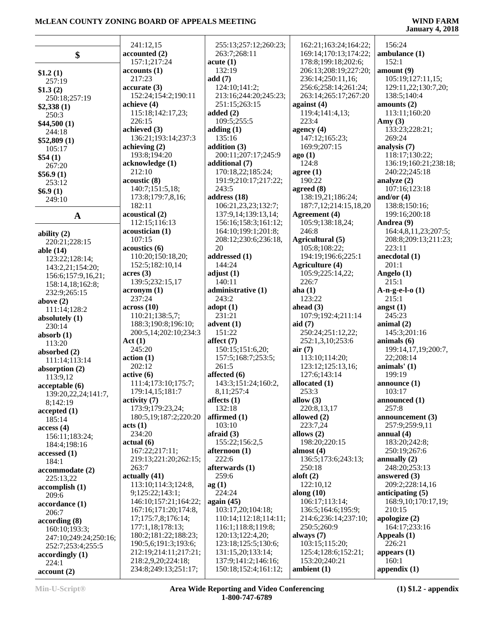|                       | 241:12,15                        | 255:13;257:12;260:23;       | 162:21;163:24;164:22;     | 156:24                   |
|-----------------------|----------------------------------|-----------------------------|---------------------------|--------------------------|
| \$                    | accounted (2)                    | 263:7;268:11                | 169:14;170:13;174:22;     | ambulance (1)            |
|                       | 157:1;217:24                     | acute(1)                    | 178:8;199:18;202:6;       | 152:1                    |
| \$1.2(1)              | accounts(1)                      | 132:19                      | 206:13;208:19;227:20;     | amount(9)                |
| 257:19                | 217:23                           | add(7)                      | 236:14;250:11,16;         | 105:19;127:11,15;        |
| \$1.3(2)              | accurate(3)                      | 124:10;141:2;               | 256:6;258:14;261:24;      | 129:11,22;130:7,20;      |
| 250:18;257:19         | 152:24;154:2;190:11              | 213:16;244:20;245:23;       | 263:14;265:17;267:20      | 138:5;140:4              |
| \$2,338(1)            | achieve (4)                      | 251:15;263:15               | against $(4)$             | amounts $(2)$            |
| 250:3                 | 115:18;142:17,23;                | added $(2)$                 | 119:4;141:4,13;           | 113:11;160:20            |
|                       | 226:15                           | 109:5;255:5                 | 223:4                     | Amy $(3)$                |
| \$44,500(1)<br>244:18 | achieved (3)                     | adding(1)                   | agency $(4)$              | 133:23;228:21;           |
|                       | 136:21;193:14;237:3              | 135:16                      | 147:12;165:23;            | 269:24                   |
| \$52,809(1)           | achieving (2)                    | addition $(3)$              | 169:9;207:15              | analysis (7)             |
| 105:17                | 193:8;194:20                     | 200:11;207:17;245:9         | ago(1)                    | 118:17;130:22;           |
| \$54(1)               | acknowledge (1)                  | additional (7)              | 124:8                     | 136:19;160:21;238:18;    |
| 267:20                | 212:10                           | 170:18,22;185:24;           | agree (1)                 | 240:22;245:18            |
| \$56.9(1)             | acoustic(8)                      | 191:9;210:17;217:22;        | 190:22                    | analyze $(2)$            |
| 253:12                | 140:7;151:5,18;                  | 243:5                       | agreed $(8)$              | 107:16;123:18            |
| \$6.9(1)              | 173:8;179:7,8,16;                | address (18)                | 138:19,21;186:24;         | and/or $(4)$             |
| 249:10                | 182:11                           | 106:21,23,23;132:7;         | 187:7,12;214:15,18,20     | 138:8;150:16;            |
|                       | acoustical (2)                   | 137:9,14;139:13,14;         | <b>Agreement</b> (4)      | 199:16;200:18            |
| $\mathbf{A}$          | 112:15;116:13                    | 156:16;158:3;161:12;        | 105:9;138:18,24;          | Andrea (9)               |
|                       | acoustician (1)                  | 164:10;199:1;201:8;         | 246:8                     | 164:4,8,11,23;207:5;     |
| ability $(2)$         | 107:15                           | 208:12;230:6;236:18,        | Agricultural (5)          | 208:8;209:13;211:23;     |
| 220:21;228:15         | acoustics(6)                     | 20                          | 105:8;108:22;             | 223:11                   |
| able $(14)$           | 110:20;150:18,20;                | addressed (1)               | 194:19;196:6;225:1        | anecdotal $(1)$          |
| 123:22;128:14;        | 152:5;182:10,14                  | 144:24                      | <b>Agriculture (4)</b>    | 201:1                    |
| 143:2,21;154:20;      | acres(3)                         | adjust $(1)$                | 105:9;225:14,22;          | Angelo (1)               |
| 156:6;157:9,16,21;    |                                  | 140:11                      |                           | 215:1                    |
| 158:14,18;162:8;      | 139:5;232:15,17                  |                             | 226:7                     |                          |
| 232:9;265:15          | acronym(1)<br>237:24             | administrative (1)<br>243:2 | aha $(1)$<br>123:22       | $A-n-g-e-l-0$ (1)        |
| above $(2)$           |                                  |                             | ahead $(3)$               | 215:1                    |
| 111:14;128:2          | across(10)                       | $\text{adopt}(1)$           |                           | angst $(1)$              |
| absolutely (1)        | 110:21;138:5,7;                  | 231:21                      | 107:9;192:4;211:14        | 245:23                   |
| 230:14                | 188:3;190:8;196:10;              | advent $(1)$                | aid $(7)$                 | animal $(2)$             |
| absorb $(1)$          | 200:5,14;202:10;234:3            | 151:22                      | 250:24;251:12,22;         | 145:3;201:16             |
| 113:20                | Act(1)                           | affect $(7)$                | 252:1,3,10;253:6          | animals $(6)$            |
| absorbed (2)          | 245:20                           | 150:15;151:6,20;            | air(7)                    | 199:14,17,19;200:7,      |
| 111:14;113:14         | action(1)<br>202:12              | 157:5;168:7;253:5;<br>261:5 | 113:10;114:20;            | 22;208:14                |
| absorption (2)        |                                  | affected (6)                | 123:12;125:13,16;         | animals' $(1)$<br>199:19 |
| 113:9,12              | active(6)<br>111:4;173:10;175:7; | 143:3;151:24;160:2,         | 127:6;143:14              |                          |
| acceptable(6)         |                                  |                             | allocated (1)             | announce (1)<br>103:17   |
| 139:20,22,24;141:7,   | 179:14,15;181:7                  | 8,11;257:4                  | 253:3                     |                          |
| 8;142:19              | activity <sub>7</sub>            | affects $(1)$               | allow $(3)$               | announced (1)            |
| accepted(1)           | 173:9;179:23,24;                 | 132:18                      | 220:8,13,17               | 257:8                    |
| 185:14                | 180:5,19;187:2;220:20            | affirmed $(1)$<br>103:10    | allowed $(2)$<br>223:7,24 | announcement $(3)$       |
| access(4)             | acts (1)                         |                             |                           | 257:9;259:9,11           |
| 156:11;183:24;        | 234:20                           | afraid $(3)$                | allows $(2)$              | annual $(4)$             |
| 184:4;198:16          | actual(6)                        | 155:22;156:2,5              | 198:20;220:15             | 183:20;242:8;            |
| accessed(1)           | 167:22;217:11;                   | afternoon (1)               | almost $(4)$              | 250:19;267:6             |
| 184:1                 | 219:13;221:20;262:15;            | 222:6                       | 136:5;173:6;243:13;       | annually $(2)$           |
| accommodate (2)       | 263:7                            | afterwards (1)              | 250:18                    | 248:20;253:13            |
| 225:13,22             | actually(41)                     | 259:6                       | aloft $(2)$               | answered $(3)$           |
| accomplish (1)        | 113:10;114:3;124:8,              | ag(1)                       | 122:10,12                 | 209:2:228:14,16          |
| 209:6                 | 9;125:22;143:1;                  | 224:24                      | along $(10)$              | anticipating $(5)$       |
| accordance (1)        | 146:10;157:21;164:22;            | again $(45)$                | 106:17;113:14;            | 168:9,10;170:17,19;      |
| 206:7                 | 167:16;171:20;174:8,             | 103:17,20;104:18;           | 136:5;164:6;195:9;        | 210:15                   |
| according(8)          | 17;175:7,8;176:14;               | 110:14;112:18;114:11;       | 214:6;236:14;237:10;      | apologize $(2)$          |
| 160:10;193:3;         | 177:1,18;178:13;                 | 116:1;118:8;119:8;          | 250:5;260:9               | 164:17;233:16            |
| 247:10;249:24;250:16; | 180:2;181:22;188:23;             | 120:13;122:4,20;            | always $(7)$              | Appeals $(1)$            |
| 252:7;253:4;255:5     | 190:5,6;191:3;193:6;             | 123:18;125:5;130:6;         | 103:15;115:20;            | 226:21                   |
| accordingly(1)        | 212:19;214:11;217:21;            | 131:15,20;133:14;           | 125:4;128:6;152:21;       | appears $(1)$            |
| 224:1                 | 218:2,9,20;224:18;               | 137:9;141:2;146:16;         | 153:20;240:21             | 160:1                    |
| account(2)            | 234:8;249:13;251:17;             | 150:18;152:4;161:12;        | ambient $(1)$             | appendix $(1)$           |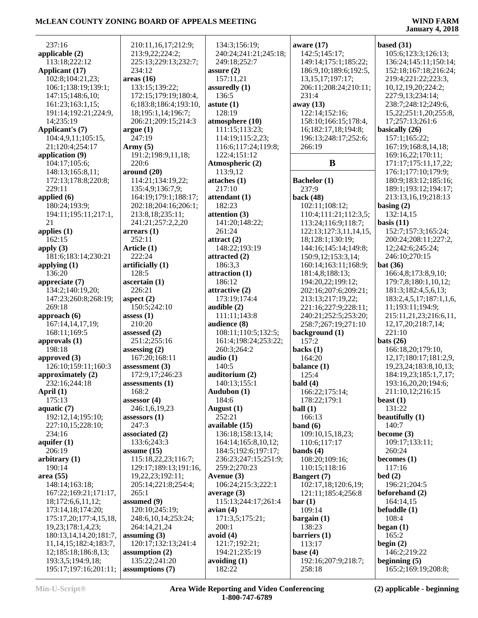| 237:16                      | 210:11,16,17;212:9;     | 134:3;156:19;         | aware $(17)$             | based $(31)$                |
|-----------------------------|-------------------------|-----------------------|--------------------------|-----------------------------|
| applicable (2)              | 213:9,22;224:2;         | 240:24;241:21;245:18; | 142:5;145:17;            | 105:6;123:3;126:13;         |
| 113:18;222:12               | 225:13;229:13;232:7;    | 249:18;252:7          | 149:14;175:1;185:22;     | 136:24;145:11;150:14;       |
|                             |                         |                       |                          |                             |
| <b>Applicant (17)</b>       | 234:12                  | assure $(2)$          | 186:9, 10; 189:6; 192:5, | 152:18;167:18;216:24;       |
| 102:8;104:21,23;            | areas(16)               | 157:11,21             | 13, 15, 17; 197: 17;     | 219:4;221:22;223:3,         |
| 106:1;138:19;139:1;         | 133:15;139:22;          | assuredly (1)         | 206:11;208:24;210:11;    | 10,12,19,20;224:2;          |
| 147:15;148:6,10;            | 172:15;179:19;180:4,    | 136:5                 | 231:4                    | 227:9,13;234:14;            |
| 161:23;163:1,15;            | 6;183:8;186:4;193:10,   | astute $(1)$          | away (13)                | 238:7;248:12;249:6,         |
| 191:14;192:21;224:9,        | 18;195:1,14;196:7;      | 128:19                | 122:14;152:16;           | 15,22;251:1,20;255:8,       |
|                             |                         |                       |                          |                             |
| 14;235:19                   | 206:21;209:15;214:3     | atmosphere (10)       | 158:10;166:15;178:4,     | 17:257:13:261:6             |
| Applicant's (7)             | argue(1)                | 111:15;113:23;        | 16;182:17,18;194:8;      | basically (26)              |
| 104:4,9,11;105:15,          | 247:19                  | 114:19;115:2,23;      | 196:13;248:17;252:6;     | 157:1;165:22;               |
| 21;120:4;254:17             | Army $(5)$              | 116:6;117:24;119:8;   | 266:19                   | 167:19;168:8,14,18;         |
| application (9)             | 191:2;198:9,11,18;      | 122:4;151:12          |                          | 169:16,22;170:11;           |
| 104:17;105:6;               | 220:6                   | Atmospheric (2)       | B                        | 171:17;175:11,17,22;        |
|                             |                         |                       |                          |                             |
| 148:13;165:8,11;            | around $(20)$           | 113:9,12              |                          | 176:1;177:10;179:9;         |
| 172:13;178:8;220:8;         | 114:21;134:19,22;       | attaches (1)          | <b>Bachelor</b> (1)      | 180:9;183:12;185:16;        |
| 229:11                      | 135:4,9;136:7,9;        | 217:10                | 237:9                    | 189:1;193:12;194:17;        |
| applied (6)                 | 164:19;179:1;188:17;    | attendant (1)         | back (48)                | 213:13,16,19;218:13         |
| 180:24;193:9;               | 202:18;204:16;206:1;    | 182:23                | 102:11;108:12;           | basing $(2)$                |
| 194:11;195:11;217:1,        | 213:8,18;235:11;        | attention (3)         | 110:4;111:21;112:3,5;    | 132:14,15                   |
|                             |                         |                       |                          |                             |
| 21                          | 241:21;257:2,2,20       | 141:20;148:22;        | 113:24;116:9;118:7;      | basis $(11)$                |
| applies $(1)$               | $\arrears(1)$           | 261:24                | 122:13;127:3,11,14,15,   | 152:7;157:3;165:24;         |
| 162:15                      | 252:11                  | attract $(2)$         | 18;128:1;130:19;         | 200:24;208:11;227:2,        |
| apply $(3)$                 | Article (1)             | 148:22;193:19         | 144:16;145:14;149:8;     | 12;242:6;245:24;            |
| 181:6;183:14;230:21         | 222:24                  | attracted (2)         | 150:9,12;153:3,14;       | 246:10;270:15               |
| applying $(1)$              | artificially (1)        | 186:3,3               | 160:14;163:11;168:9;     | bat(36)                     |
|                             |                         |                       |                          |                             |
| 136:20                      | 128:5                   | attraction (1)        | 181:4,8;188:13;          | 166:4,8;173:8,9,10;         |
| appreciate (7)              | ascertain(1)            | 186:12                | 194:20,22;199:12;        | 179:7,8;180:1,10,12;        |
| 134:2;140:19,20;            | 226:21                  | attractive (2)        | 202:16;207:6;209:21;     | 181:3;182:4,5,6,13;         |
| 147:23;260:8;268:19;        | aspect $(2)$            | 173:19;174:4          | 213:13;217:19,22;        | 183:2,4,5,17;187:1,1,6,     |
| 269:18                      | 150:5;242:10            | audible (2)           | 221:16;227:9;228:11;     | 11;193:11;194:9;            |
|                             | assess $(1)$            | 111:11;143:8          |                          |                             |
| approach $(6)$              |                         |                       | 240:21;252:5;253:20;     | 215:11,21,23;216:6,11,      |
| 167:14,14,17,19;            | 210:20                  | audience (8)          | 258:7;267:19;271:10      | 12, 17, 20; 218: 7, 14;     |
| 168:11;169:5                | assessed $(2)$          | 108:11;110:5;132:5;   | background (1)           | 221:10                      |
| approvals $(1)$             | 251:2;255:16            | 161:4;198:24;253:22;  | 157:2                    | bats $(26)$                 |
| 198:18                      | assessing $(2)$         | 260:3;264:2           | backs $(1)$              | 166:18,20;179:10,           |
| approved (3)                | 167:20:168:11           | audio $(1)$           | 164:20                   | 12,17;180:17;181:2,9,       |
| 126:10;159:11;160:3         | assessment $(3)$        | 140:5                 | balance (1)              | 19, 23, 24; 183: 8, 10, 13; |
|                             |                         |                       |                          |                             |
| approximately (2)           | 172:9,17;246:23         | auditorium (2)        | 125:4                    | 184:19,23;185:1,7,17;       |
| 232:16;244:18               | assessments $(1)$       | 140:13:155:1          | bald(4)                  | 193:16,20,20;194:6;         |
| April $(1)$                 | 168:2                   | Audubon (1)           | 166:22;175:14;           | 211:10,12;216:15            |
| 175:13                      | assessor (4)            | 184:6                 | 178:22;179:1             | beast $(1)$                 |
| aquatic $(7)$               | 246:1,6,19,23           | August $(1)$          | ball(1)                  | 131:22                      |
| 192:12,14;195:10;           | assessors $(1)$         | 252:21                | 166:13                   | beautifully (1)             |
| 227:10,15;228:10;           | 247:3                   | available (15)        | band $(6)$               | 140:7                       |
|                             |                         |                       |                          |                             |
| 234:16                      | associated $(2)$        | 136:18;158:13,14;     | 109:10,15,18,23;         | become $(3)$                |
| aquifer $(1)$               | 133:6;243:3             | 164:14;165:8,10,12;   | 110:6;117:17             | 109:17;133:11;              |
| 206:19                      | assume $(15)$           | 184:5;192:6;197:17;   | bands $(4)$              | 260:24                      |
| arbitrary $(1)$             | 115:18,22,23;116:7;     | 236:23;247:15;251:9;  | 108:20;109:16;           | becomes $(1)$               |
| 190:14                      | 129:17;189:13;191:16,   | 259:2;270:23          | 110:15;118:16            | 117:16                      |
| area (55)                   | 19, 22, 23; 192: 11;    | Avenue $(3)$          | <b>Bangert</b> (7)       | bed(2)                      |
| 148:14;163:18;              | 205:14;221:8;254:4;     | 106:24;215:3;222:1    | 102:17,18;120:6,19;      | 196:21;204:5                |
|                             |                         |                       |                          |                             |
| 167:22;169:21;171:17,       | 265:1                   | average $(3)$         | 121:11;185:4;256:8       | beforehand (2)              |
| 18;172:6,6,11,12;           | assumed (9)             | 115:13;244:17;261:4   | bar(1)                   | 164:14,15                   |
| 173:14,18;174:20;           | 120:10;245:19;          | avian $(4)$           | 109:14                   | befuddle $(1)$              |
| 175:17,20;177:4,15,18,      | 248:6, 10, 14; 253: 24; | 171:3,5;175:21;       | bargain(1)               | 108:4                       |
| 19,23;178:1,4,23;           | 264:14,21,24            | 200:1                 | 138:23                   | began $(1)$                 |
| 180:13,14,14,20;181:7,      | assuming $(3)$          | avoid $(4)$           | barriers (1)             | 165:2                       |
|                             | 120:17;132:13;241:4     | 121:7;192:21;         |                          |                             |
| 11, 14, 15; 182: 4; 183: 7, |                         |                       | 113:17                   | begin $(2)$                 |
| 12, 185: 18, 186: 8, 13;    | assumption $(2)$        | 194:21;235:19         | base $(4)$               | 146:2;219:22                |
| 193:3,5;194:9,18;           | 135:22;241:20           | avoiding $(1)$        | 192:16;207:9;218:7;      | beginning $(5)$             |
| 195:17;197:16;201:11;       | assumptions (7)         | 182:22                | 258:18                   | 165:2;169:19;208:8;         |
|                             |                         |                       |                          |                             |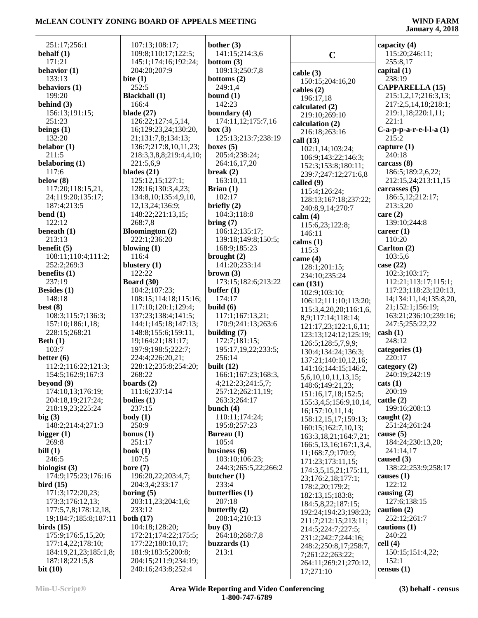| 251:17;256:1                          | 107:13;108:17;                              | bother $(3)$                          |                                              | capacity (4)                      |
|---------------------------------------|---------------------------------------------|---------------------------------------|----------------------------------------------|-----------------------------------|
| behalf $(1)$                          | 109:8;110:17;122:5;                         | 141:15;214:3,6                        | $\mathbf C$                                  | 115:20;246:11;                    |
| 171:21                                | 145:1;174:16;192:24;                        | bottom $(3)$                          |                                              | 255:8,17                          |
| behavior $(1)$                        | 204:20;207:9                                | 109:13;250:7,8                        | cable(3)                                     | capital $(1)$                     |
| 133:13                                | bite $(1)$                                  | bottoms $(2)$                         | 150:15;204:16,20                             | 238:19                            |
| behaviors (1)                         | 252:5                                       | 249:1,4                               | cables $(2)$                                 | <b>CAPPARELLA (15)</b>            |
| 199:20                                | <b>Blackball</b> (1)                        | bound $(1)$                           | 196:17,18                                    | 215:1,2,17;216:3,13;              |
| behind (3)                            | 166:4                                       | 142:23                                | calculated (2)                               | 217:2,5,14,18;218:1;              |
| 156:13;191:15;                        | blade $(27)$                                | boundary (4)                          | 219:10;269:10                                | 219:1,18;220:1,11;                |
| 251:23                                | 126:22;127:4,5,14,                          | 174:11,12;175:7,16                    | calculation (2)                              | 221:1                             |
| beings $(1)$<br>132:20                | 16;129:23,24;130:20,                        | box (3)                               | 216:18;263:16                                | $C-a-p-p-a-r-e-l-l-a(1)$<br>215:2 |
| belabor $(1)$                         | 21;131:7,8;134:13;<br>136:7;217:8,10,11,23; | 125:13;213:7;238:19<br>boxes $(5)$    | call $(13)$                                  | capture $(1)$                     |
| 211:5                                 | 218:3,3,8,8;219:4,4,10;                     | 205:4;238:24;                         | 102:1,14;103:24;                             | 240:18                            |
| belaboring (1)                        | 221:5,6,9                                   | 264:16,17,20                          | 106:9;143:22;146:3;                          | carcass (8)                       |
| 117:6                                 | blades $(21)$                               | break $(2)$                           | 152:3;153:8;180:11;<br>239:7;247:12;271:6,8  | 186:5;189:2,6,22;                 |
| below $(8)$                           | 125:12,15;127:1;                            | 163:10,11                             | called $(9)$                                 | 212:15,24;213:11,15               |
| 117:20;118:15,21,                     | 128:16;130:3,4,23;                          | Brian $(1)$                           | 115:4;126:24;                                | carcasses $(5)$                   |
| 24;119:20;135:17;                     | 134:8, 10; 135:4, 9, 10,                    | 102:17                                | 128:13;167:18;237:22;                        | 186:5,12;212:17;                  |
| 187:4;213:5                           | 12, 13, 24; 136: 9;                         | briefly $(2)$                         | 240:8,9,14;270:7                             | 213:3,20                          |
| bend $(1)$                            | 148:22;221:13,15;                           | 104:3:118:8                           | calm(4)                                      | care $(2)$                        |
| 122:12                                | 268:7,8                                     | bring(7)                              | 115:6,23;122:8;                              | 139:10;244:8                      |
| beneath $(1)$<br>213:13               | <b>Bloomington</b> (2)<br>222:1;236:20      | 106:12;135:17;<br>139:18;149:8;150:5; | 146:11                                       | career $(1)$<br>110:20            |
| benefit $(5)$                         | blowing $(1)$                               | 168:9;185:23                          | calms $(1)$                                  | Carlton (2)                       |
| 108:11;110:4;111:2;                   | 116:4                                       | brought $(2)$                         | 115:3                                        | 103:5,6                           |
| 252:2;269:3                           | blustery $(1)$                              | 141:20;233:14                         | came $(4)$                                   | case $(22)$                       |
| benefits $(1)$                        | 122:22                                      | brown (3)                             | 128:1;201:15;<br>234:10;235:24               | 102:3;103:17;                     |
| 237:19                                | <b>Board</b> (30)                           | 173:15;182:6;213:22                   | can (131)                                    | 112:21;113:17;115:1;              |
| Besides $(1)$                         | 104:2;107:23;                               | buffer $(1)$                          | 102:9;103:10;                                | 117:23;118:23;120:13,             |
| 148:18                                | 108:15;114:18;115:16;                       | 174:17                                | 106:12;111:10;113:20;                        | 14;134:11,14;135:8,20,            |
| best $(8)$                            | 117:10;120:1;129:4;                         | build $(6)$                           | 115:3,4,20,20;116:1,6,                       | 21;152:1;156:19;                  |
| 108:3;115:7;136:3;                    | 137:23;138:4;141:5;                         | 117:1;167:13,21;                      | 8,9;117:14;118:14;                           | 163:21;236:10;239:16;             |
| 157:10;186:1,18;                      | 144:1;145:18;147:13;                        | 170:9;241:13;263:6                    | 121:17,23;122:1,6,11;                        | 247:5;255:22,22                   |
| 228:15;268:21                         | 148:8;155:6;159:11,<br>19;164:21;181:17;    | building $(7)$<br>172:7;181:15;       | 123:13;124:12;125:19;                        | $\cosh(1)$<br>248:12              |
| Beth $(1)$<br>103:7                   | 197:9;198:5;222:7;                          | 195:17,19,22;233:5;                   | 126:5;128:5,7,9,9;                           | categories (1)                    |
| better $(6)$                          | 224:4;226:20,21;                            | 256:14                                | 130:4;134:24;136:3;                          | 220:17                            |
| 112:2;116:22;121:3;                   | 228:12;235:8;254:20;                        | built $(12)$                          | 137:21;140:10,12,16;<br>141:16;144:15;146:2, | category (2)                      |
| 154:5;162:9;167:3                     | 268:22                                      | 166:1;167:23;168:3,                   | 5,6,10,10,11,13,15;                          | 240:19;242:19                     |
| beyond (9)                            | boards $(2)$                                | 4;212:23;241:5,7;                     | 148:6;149:21,23;                             | $\text{cats}(1)$                  |
| 174:10,13;176:19;                     | 111:6;237:14                                | 257:12;262:11,19;                     | 151:16,17,18;152:5;                          | 200:19                            |
| 204:18,19;217:24;                     | bodies $(1)$                                | 263:3;264:17                          | 155:3,4,5;156:9,10,14,                       | cattle(2)                         |
| 218:19,23;225:24                      | 237:15                                      | bunch $(4)$                           | 16; 157: 10, 11, 14;                         | 199:16;208:13                     |
| big(3)                                | body(1)                                     | 110:11;174:24;                        | 158:12,15,17;159:13;                         | caught $(2)$                      |
| 148:2;214:4;271:3<br>bigger $(1)$     | 250:9<br>bonus $(1)$                        | 195:8;257:23<br><b>Bureau</b> (1)     | 160:15;162:7,10,13;                          | 251:24;261:24<br>cause $(5)$      |
| 269:8                                 | 251:17                                      | 105:4                                 | 163:3, 18, 21; 164: 7, 21;                   | 184:24;230:13,20;                 |
| bill $(1)$                            | book $(1)$                                  | business $(6)$                        | 166:5, 13, 16; 167: 1, 3, 4,                 | 241:14,17                         |
| 246:5                                 | 107:5                                       | 103:10;106:23;                        | 11;168:7,9;170:9;<br>171:23;173:11,15;       | caused $(3)$                      |
| biologist $(3)$                       | bore $(7)$                                  | 244:3;265:5,22;266:2                  | 174:3,5,15,21;175:11,                        | 138:22;253:9;258:17               |
| 174:9;175:23;176:16                   | 196:20,22;203:4,7;                          | butcher $(1)$                         | 23;176:2,18;177:1;                           | causes $(1)$                      |
| bird(15)                              | 204:3,4;233:17                              | 233:4                                 | 178:2,20;179:2;                              | 122:12                            |
| 171:3;172:20,23;                      | boring $(5)$                                | butterflies $(1)$                     | 182:13,15;183:8;                             | causing $(2)$                     |
| 173:3;176:12,13;                      | 203:11,23;204:1,6;                          | 207:18                                | 184:5,8,22;187:15;                           | 127:6;138:15                      |
| 177:5,7,8;178:12,18,                  | 233:12                                      | butterfly $(2)$                       | 192:24;194:23;198:23;                        | caution $(2)$                     |
| 19;184:7;185:8;187:11<br>birds $(15)$ | both $(17)$<br>104:18;128:20;               | 208:14;210:13<br>buy $(3)$            | 211:7;212:15;213:11;                         | 252:12;261:7<br>cautions $(1)$    |
| 175:9;176:5,15,20;                    | 172:21;174:22;175:5;                        | 264:18;268:7,8                        | 214:5;224:7;227:5;                           | 240:22                            |
| 177:14,22;178:10;                     | 177:22;180:10,17;                           | buzzards $(1)$                        | 231:2;242:7;244:16;                          | cell(4)                           |
| 184:19,21,23;185:1,8;                 | 181:9;183:5;200:8;                          | 213:1                                 | 248:2;250:8,17;258:7,<br>7;261:22;263:22;    | 150:15;151:4,22;                  |
| 187:18;221:5,8                        | 204:15;211:9;234:19;                        |                                       | 264:11;269:21;270:12,                        | 152:1                             |
| bit $(10)$                            | 240:16;243:8;252:4                          |                                       | 17;271:10                                    | census $(1)$                      |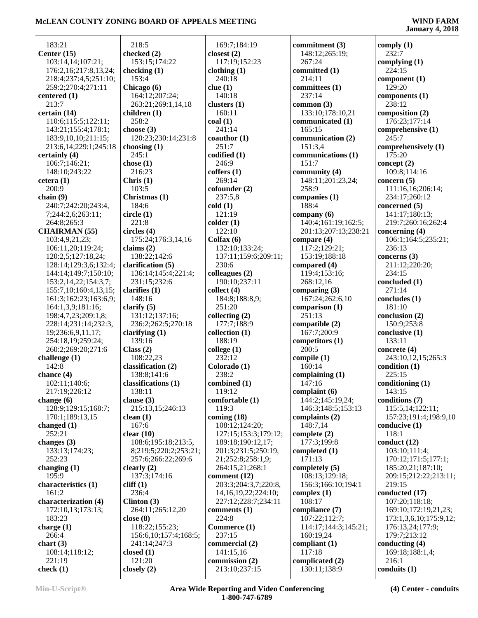| 183:21                                 | 218:5                                  | 169:7;184:19                  | commitment (3)                | comply $(1)$             |
|----------------------------------------|----------------------------------------|-------------------------------|-------------------------------|--------------------------|
| Center $(15)$                          | checked (2)                            | closest $(2)$                 | 148:12;265:19;                | 232:7                    |
| 103:14,14;107:21;                      | 153:15;174:22                          | 117:19;152:23                 | 267:24                        | complying $(1)$          |
| 176:2,16;217:8,13,24;                  | checking $(1)$                         | clothing $(1)$                | committed (1)                 | 224:15                   |
| 218:4;237:4,5;251:10;                  | 153:4                                  | 240:18                        | 214:11                        | component (1)            |
| 259:2;270:4;271:11                     | Chicago (6)                            | clue(1)                       | committees (1)                | 129:20                   |
| centered (1)                           | 164:12;207:24;                         | 140:18                        | 237:14                        | components $(1)$         |
| 213:7                                  | 263:21;269:1,14,18                     | clusters $(1)$                | common $(3)$                  | 238:12                   |
| certain (14)                           | children $(1)$                         | 160:11                        | 133:10;178:10,21              | composition (2)          |
| 110:6;115:5;122:11;                    | 258:2                                  | $\text{coal}(1)$              | communicated (1)              | 176:23;177:14            |
| 143:21;155:4;178:1;                    | choose (3)                             | 241:14                        | 165:15                        | comprehensive (1)        |
| 183:9,10,10;211:15;                    | 120:23;230:14;231:8                    | coauthor $(1)$                | communication (2)             | 245:7                    |
| 213:6,14;229:1;245:18                  | choosing $(1)$                         | 251:7                         | 151:3,4                       | comprehensively (1)      |
| certainly (4)                          | 245:1                                  | codified (1)                  | communications (1)            | 175:20                   |
| 106:7;146:21;                          | chose $(1)$                            | 246:9                         | 151:7                         | concept $(2)$            |
| 148:10;243:22                          | 216:23                                 | coffers(1)                    | community (4)                 | 109:8;114:16             |
| cetera(1)                              | Chris $(1)$                            | 269:14                        | 148:11;201:23,24;             | concern $(5)$            |
| 200:9                                  | 103:5                                  | cofounder(2)                  | 258:9                         | 111:16,16;206:14;        |
| chain $(9)$                            | Christmas (1)                          | 237:5,8                       | companies (1)                 | 234:17;260:12            |
| 240:7;242:20;243:4,                    | 184:6                                  | cold(1)                       | 188:4                         | concerned (5)            |
| 7;244:2,6;263:11;                      | circle(1)                              | 121:19                        | company $(6)$                 | 141:17;180:13;           |
| 264:8;265:3                            | 221:8                                  | $\text{colder} (1)$           | 140:4;161:19;162:5;           | 219:7;260:16;262:4       |
| <b>CHAIRMAN</b> (55)                   | circles(4)                             | 122:10                        | 201:13;207:13;238:21          | concerning $(4)$         |
| 103:4,9,21,23;                         | 175:24;176:3,14,16                     | Colfax $(6)$                  | compare $(4)$                 | 106:1;164:5;235:21;      |
| 106:11,20;119:24;                      | claims $(2)$                           | 132:10;133:24;                | 117:2;129:21;                 | 236:13                   |
| 120:2,5;127:18,24;                     | 138:22;142:6                           | 137:11;159:6;209:11;          | 153:19;188:18                 | concerns $(3)$           |
| 128:14;129:3,6;132:4;                  | clarification (5)                      | 230:6                         | compared (4)                  | 211:12;220:20;           |
| 144:14;149:7;150:10;                   | 136:14;145:4;221:4;                    | colleagues (2)                | 119:4;153:16;                 | 234:15                   |
| 153:2, 14, 22; 154: 3, 7;              | 231:15;232:6                           | 190:10;237:11                 | 268:12,16                     | concluded (1)            |
| 155:7,10;160:4,13,15;                  | clarifies $(1)$                        | collect (4)                   | comparing $(3)$               | 271:14                   |
| 161:3;162:23;163:6,9;                  | 148:16                                 | 184:8;188:8,9;                | 167:24;262:6,10               | concludes (1)            |
| 164:1,3,9;181:16;                      | clarify $(5)$                          | 251:20                        | comparison (1)                | 181:10                   |
| 198:4,7,23;209:1,8;                    | 131:12;137:16;                         | collecting $(2)$              | 251:13                        | conclusion (2)           |
| 228:14;231:14;232:3,                   | 236:2;262:5;270:18<br>clarifying $(1)$ | 177:7;188:9<br>collection (1) | compatible (2)<br>167:7;200:9 | 150:9;253:8              |
| 19;236:6,9,11,17;<br>254:18,19;259:24; | 139:16                                 | 188:19                        | competitors (1)               | conclusive (1)<br>133:11 |
| 260:2;269:20;271:6                     | Class $(2)$                            | college $(1)$                 | 200:5                         | concrete $(4)$           |
| challenge $(1)$                        | 108:22,23                              | 232:12                        | compile $(1)$                 | 243:10,12,15;265:3       |
| 142:8                                  | classification (2)                     | Colorado (1)                  | 160:14                        | condition (1)            |
| chance $(4)$                           | 138:8;141:6                            | 238:2                         | complaining (1)               | 225:15                   |
| 102:11;140:6;                          | classifications (1)                    | combined (1)                  | 147:16                        | conditioning (1)         |
| 217:19;226:12                          | 138:11                                 | 119:12                        | complaint $(6)$               | 143:15                   |
| change $(6)$                           | clause $(3)$                           | comfortable (1)               | 144:2;145:19,24;              | conditions (7)           |
| 128:9;129:15;168:7;                    | 215:13,15;246:13                       | 119:3                         | 146:3;148:5;153:13            | 115:5,14;122:11;         |
| 170:1;189:13,15                        | clean $(1)$                            | coming $(18)$                 | complaints $(2)$              | 157:23;191:4;198:9,10    |
| changed $(1)$                          | 167:6                                  | 108:12;124:20;                | 148:7,14                      | conducive (1)            |
| 252:21                                 | clear $(10)$                           | 127:15;153:3;179:12;          | complete $(2)$                | 118:1                    |
| changes $(3)$                          | 108:6;195:18;213:5,                    | 189:18;190:12,17;             | 177:3;199:8                   | conduct $(12)$           |
| 133:13;174:23;                         | 8;219:5;220:2;253:21;                  | 201:3;231:5;250:19,           | completed (1)                 | 103:10;111:4;            |
| 252:23                                 | 257:6;266:22;269:6                     | 21;252:8;258:1,9;             | 171:13                        | 170:12;171:5;177:1;      |
| changing $(1)$                         | clearly $(2)$                          | 264:15,21;268:1               | completely (5)                | 185:20,21;187:10;        |
| 195:9                                  | 137:3;174:16                           | comment (12)                  | 108:13;129:18;                | 209:15;212:22;213:11;    |
| characteristics (1)                    | cliff(1)                               | 203:3;204:3,7;220:8,          | 156:3;166:10;194:1            | 219:15                   |
| 161:2                                  | 236:4                                  | 14, 16, 19, 22; 224: 10;      | complex $(1)$                 | conducted (17)           |
| characterization (4)                   | Clinton $(3)$                          | 227:12;228:7;234:11           | 108:17                        | 107:20;118:18;           |
| 172:10,13;173:13;                      | 264:11;265:12,20                       | comments $(1)$                | compliance (7)                | 169:10;172:19,21,23;     |
| 183:23                                 | close $(8)$                            | 224:8                         | 107:22;112:7;                 | 173:1,3,6,10;175:9,12;   |
| charge $(1)$                           | 118:22;155:23;                         | Commerce (1)                  | 114:17;144:3;145:21;          | 176:13,24;177:9;         |
| 266:4                                  | 156:6, 10; 157:4; 168:5;               | 237:15                        | 160:19,24                     | 179:7;213:12             |
| chart $(3)$                            | 241:14;247:3                           | commercial (2)                | compliant $(1)$               | conducting $(4)$         |
| 108:14;118:12;                         | closed $(1)$                           | 141:15,16                     | 117:18                        | 169:18;188:1,4;          |
| 221:19                                 | 121:20                                 | commission (2)                | complicated (2)               | 216:1                    |
| check $(1)$                            | closely $(2)$                          | 213:10;237:15                 | 130:11;138:9                  | conduits (1)             |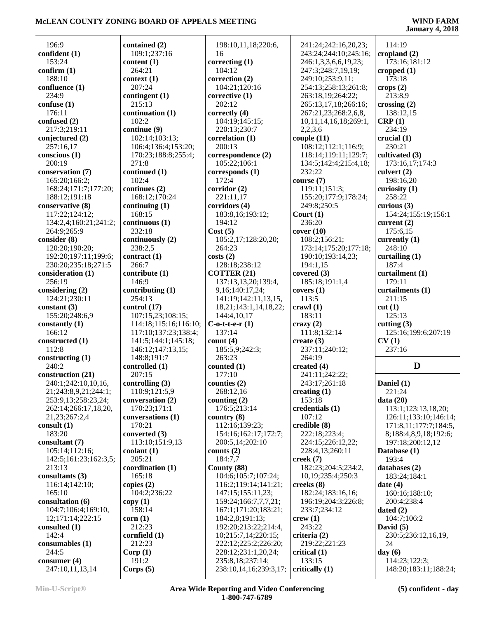**January 4, 2018**

| 196:9                                  | contained (2)               |                 |
|----------------------------------------|-----------------------------|-----------------|
| confident (1)                          | 109:1;237:16                |                 |
| 153:24                                 | content $(1)$               | CO <sub>1</sub> |
| confirm (1)                            | 264:21                      |                 |
| 188:10                                 | context (1)                 | CO <sub>1</sub> |
| confluence (1)<br>234:9                | 207:24                      |                 |
| confuse $(1)$                          | contingent (1)<br>215:13    | CO <sub>1</sub> |
| 176:11                                 | continuation (1)            | <b>COI</b>      |
| confused (2)                           | 102:2                       |                 |
| 217:3;219:11                           | continue (9)                |                 |
| conjectured (2)                        | 102:14;103:13;              | CO <sub>1</sub> |
| 257:16,17                              | 106:4;136:4;153:20;         |                 |
| conscious (1)                          | 170:23;188:8;255:4;         | CO <sub>1</sub> |
| 200:19                                 | 271:8                       |                 |
| conservation (7)                       | continued (1)               | CO <sub>1</sub> |
| 165:20;166:2;                          | 102:4                       |                 |
| 168:24;171:7;177:20;                   | continues (2)               | CO <sub>1</sub> |
| 188:12;191:18                          | 168:12;170:24               |                 |
| conservative (8)                       | continuing $(1)$            | CO <sub>1</sub> |
| 117:22;124:12;                         | 168:15                      |                 |
| 134:2,4;160:21;241:2;                  | continuous (1)              |                 |
| 264:9;265:9                            | 232:18                      | Co              |
| consider (8)                           | continuously (2)            |                 |
| 120:20;190:20;<br>192:20;197:11;199:6; | 238:2,5                     |                 |
| 230:20;235:18;271:5                    | contract (1)<br>266:7       | COS             |
| consideration (1)                      | contribute (1)              | C(              |
| 256:19                                 | 146:9                       |                 |
| considering (2)                        | contributing $(1)$          |                 |
| 124:21;230:11                          | 254:13                      |                 |
| constant $(3)$                         | control (17)                |                 |
| 155:20;248:6,9                         | 107:15,23;108:15;           |                 |
| constantly (1)                         | 114:18;115:16;116:10;       | $C -$           |
| 166:12                                 | 117:10;137:23;138:4;        |                 |
| constructed (1)                        | 141:5;144:1;145:18;         | <b>CO</b>       |
| 112:8                                  | 146:12;147:13,15;           |                 |
| constructing (1)                       | 148:8;191:7                 |                 |
| 240:2                                  | controlled (1)              | <b>CO</b>       |
| construction (21)                      | 207:15                      |                 |
| 240:1;242:10,10,16,                    | controlling (3)             | COI             |
| 21;243:8,9,21;244:1;                   | 110:9;121:5,9               |                 |
| 253:9,13;258:23,24;                    | conversation (2)            | <b>CO</b>       |
| 262:14;266:17,18,20,                   | 170:23;171:1                |                 |
| 21,23;267:2,4<br>consult $(1)$         | conversations (1)<br>170:21 | <b>CO</b>       |
| 183:20                                 | converted (3)               |                 |
| consultant (7)                         | 113:10;151:9,13             |                 |
| 105:14;112:16;                         | $\text{codant}(1)$          | <b>CO</b>       |
| 142:5;161:23;162:3,5;                  | 205:21                      |                 |
| 213:13                                 | coordination (1)            | Co              |
| consultants (3)                        | 165:18                      |                 |
| 116:14;142:10;                         | copies $(2)$                |                 |
| 165:10                                 | 104:2;236:22                |                 |
| consultation (6)                       | copy(1)                     |                 |
| 104:7;106:4;169:10,                    | 158:14                      |                 |
| 12;171:14;222:15                       | corr(1)                     |                 |
| consulted (1)                          | 212:23                      |                 |
| 142:4                                  | cornfield (1)               |                 |
| consumables $(1)$                      | 212:23                      |                 |
| 244:5                                  | Corp(1)                     |                 |
| consumer $(4)$                         | 191:2                       |                 |
| 247:10,11,13,14                        | Corps $(5)$                 |                 |

 198:10,11,18;220:6, 16 **correcting (1)** 104:12 **correction (2)** 104:21;120:16 **corrective (1)** 202:12 **correctly (4)** 104:19;145:15; 220:13;230:7 **correlation (1)** 200:13 **correspondence (2)** 105:22;106:1 **corresponds (1)** 172:4 **corridor (2)** 221:11,17 **corridors (4)** 183:8,16;193:12; 194:12 **Cost (5)** 105:2,17;128:20,20; 264:23 **costs (2)** 128:18;238:12 **COTTER (21)** 137:13,13,20;139:4, 9,16;140:17,24; 141:19;142:11,13,15, 18,21;143:1,14,18,22; 144:4,10,17 **C-o-t-t-e-r (1)** 137:14 **count (4)** 185:5,9;242:3; 263:23 **counted (1)** 177:10 **counties (2)** 268:12,16 **counting (2)** 176:5;213:14 **country (8)** 112:16;139:23; 154:16;162:17;172:7; 200:5,14;202:10 **counts (2)** 184:7,7 **County (88)** 104:6;105:7;107:24; 116:2;119:14;141:21; 147:15;155:11,23; 159:24;166:7,7,7,21; 167:1;171:20;183:21; 184:2,8;191:13; 192:20;213:22;214:4, 10;215:7,14;220:15; 222:12;225:2;226:20; 228:12;231:1,20,24; 235:8,18;237:14; 238:10,14,16;239:3,17;

 241:24;242:16,20,23; 243:24;244:10;245:16; 246:1,3,3,6,6,19,23; 247:3;248:7,19,19; 249:10;253:9,11; 254:13;258:13;261:8; 263:18,19;264:22; 265:13,17,18;266:16; 267:21,23;268:2,6,8, 10,11,14,16,18;269:1, 2,2,3,6 **couple (11)** 108:12;112:1;116:9; 118:14;119:11;129:7; 134:5;142:4;215:4,18; 232:22 **course (7)** 119:11;151:3; 155:20;177:9;178:24; 249:8;250:5 **Court (1)** 236:20 **cover (10)** 108:2;156:21; 173:14;175:20;177:18; 190:10;193:14,23; 194:1,15 **covered (3)** 185:18;191:1,4 **covers (1)** 113:5 **crawl (1)** 183:11 **crazy (2)** 111:8;132:14 **create (3)** 237:11;240:12; 264:19 **created (4)** 241:11;242:22; 243:17;261:18 **creating (1)** 153:18 **credentials (1)** 107:12 **credible (8)** 222:18;223:4; 224:15;226:12,22; 228:4,13;260:11 **creek (7)** 182:23;204:5;234:2, 10,19;235:4;250:3 **creeks (8)** 182:24;183:16,16; 196:19;204:3;226:8; 233:7;234:12 **crew (1)** 243:22 **criteria (2)** 219:22;221:23 **critical (1)** 133:15 **critically (1)**

 114:19 **cropland (2)** 173:16;181:12 **cropped (1)** 173:18 **crops (2)** 213:8,9 **crossing (2)** 138:12,15 **CRP (1)** 234:19 **crucial (1)** 230:21 **cultivated (3)** 173:16,17;174:3 **culvert (2)** 198:16,20 **curiosity (1)** 258:22 **curious (3)** 154:24;155:19;156:1 **current (2)** 175:6,15 **currently (1)** 248:10 **curtailing (1)** 187:4 **curtailment (1)** 179:11 **curtailments (1)** 211:15 **cut (1)** 125:13 **cutting (3)** 125:16;199:6;207:19 **CV (1)** 237:16

#### **D**

**Daniel (1)** 221:24 **data (20)** 113:1;123:13,18,20; 126:11;133:10;146:14; 171:8,11;177:7;184:5, 8;188:4,8,9,18;192:6; 197:18;200:12,12 **Database (1)** 193:4 **databases (2)** 183:24;184:1 **date (4)** 160:16;188:10; 200:4;238:4 **dated (2)** 104:7;106:2 **David (5)** 230:5;236:12,16,19, 24 **day (6)** 114:23;122:3; 148:20;183:11;188:24;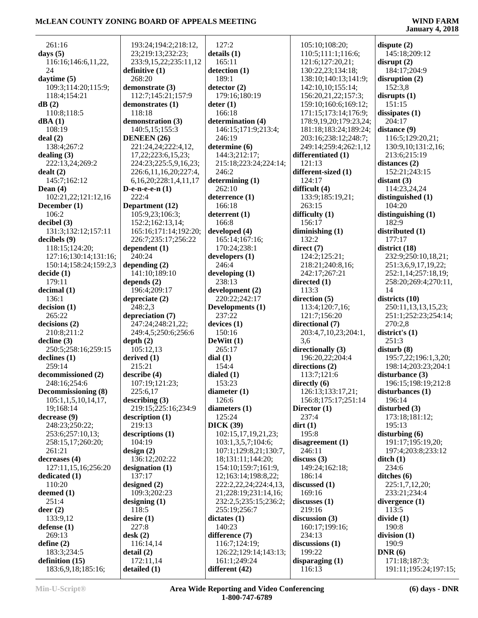261:16 **days (5)** 116:16;146:6,11,22, 24 **daytime (5)** 109:3;114:20;115:9; 118:4;154:21 **dB (2)** 110:8;118:5 **dBA (1)** 108:19 **deal (2)** 138:4;267:2 **dealing (3)** 222:13,24;269:2 **dealt (2)** 145:7;162:12 **Dean (4)** 102:21,22;121:12,16 **December (1)** 106:2 **decibel (3)** 131:3;132:12;157:11 **decibels (9)** 118:15;124:20; 127:16;130:14;131:16; 150:14;158:24;159:2,3 **decide (1)** 179:11 **decimal (1)** 136:1 **decision (1)** 265:22 **decisions (2)** 210:8;211:2 **decline (3)** 250:5;258:16;259:15 **declines (1)** 259:14 **decommissioned (2)** 248:16;254:6 **Decommissioning (8)** 105:1,1,5,10,14,17, 19;168:14 **decrease (9)** 248:23;250:22; 253:6;257:10,13; 258:15,17;260:20; 261:21 **decreases (4)** 127:11,15,16;256:20 **dedicated (1)** 110:20 **deemed (1)** 251:4 **deer (2)** 133:9,12 **defense (1)** 269:13 **define (2)** 183:3;234:5 **definition (15)** 183:6,9,18;185:16;

 193:24;194:2;218:12, 23;219:13;232:23; 233:9,15,22;235:11,12 **definitive (1)** 268:20 **demonstrate (3)** 112:7;145:21;157:9 **demonstrates (1)** 118:18 **demonstration (3)** 140:5,15;155:3 **DENEEN (26)** 221:24,24;222:4,12, 17,22;223:6,15,23; 224:23;225:5,9,16,23; 226:6,11,16,20;227:4, 6,16,20;228:1,4,11,17 **D-e-n-e-e-n (1)**  $222.4$ **Department (12)** 105:9,23;106:3; 152:2;162:13,14; 165:16;171:14;192:20; 226:7;235:17;256:22 **dependent (1)** 240:24 **depending (2)** 141:10;189:10 **depends (2)** 196:4;209:17 **depreciate (2)** 248:2,3 **depreciation (7)** 247:24;248:21,22; 249:4,5;250:6;256:6 **depth (2)** 105:12,13 **derived (1)** 215:21 **describe (4)** 107:19;121:23; 225:6,17 **describing (3)** 219:15;225:16;234:9 **description (1)** 219:13 **descriptions (1)** 104:19 **design (2)** 136:12;202:22 **designation (1)** 137:17 **designed (2)** 109:3;202:23 **designing (1)** 118:5 **desire (1)** 227:8 **desk (2)** 116:14,14 **detail (2)** 172:11,14 **detailed (1)**

 127:2 **details (1)** 165:11 **detection (1)** 189:1 **detector (2)** 179:16;180:19 **deter (1)** 166:18 **determination (4)** 146:15;171:9;213:4; 246:19 **determine (6)** 144:3;212:17; 215:18;223:24;224:14; 246:2 **determining (1)** 262:10 **deterrence (1)** 166:18 **deterrent (1)** 166:8 **developed (4)** 165:14;167:16; 170:24;238:1 **developers (1)** 246:4 **developing (1)** 238:13 **development (2)** 220:22;242:17 **Developments (1)** 237:22 **devices (1)** 150:16 **DeWitt (1)** 265:17 **dial (1)** 154:4 **dialed (1)** 153:23 **diameter (1)** 126:6 **diameters (1)** 125:24 **DICK (39)** 102:15,17,19,21,23; 103:1,3,5,7;104:6; 107:1;129:8,21;130:7, 18;131:11;144:20; 154:10;159:7;161:9, 12;163:14;198:8,22; 222:2,22,24;224:4,13, 21;228:19;231:14,16; 232:2,5;235:15;236:2; 255:19;256:7 **dictates (1)** 140:23 **difference (7)** 116:7;124:19; 126:22;129:14;143:13; 161:1;249:24 **different (42)**

 105:10;108:20; 110:5;111:1;116:6; 121:6;127:20,21; 130:22,23;134:18; 138:10;140:13;141:9; 142:10,10;155:14; 156:20,21,22;157:3; 159:10;160:6;169:12; 171:15;173:14;176:9; 178:9,19,20;179:23,24; 181:18;183:24;189:24; 203:16;238:12;248:7; 249:14;259:4;262:1,12 **differentiated (1)** 121:13 **different-sized (1)** 124:17 **difficult (4)** 133:9;185:19,21; 263:15 **difficulty (1)** 156:17 **diminishing (1)** 132:2 **direct (7)** 124:2;125:21; 218:21;240:8,16; 242:17;267:21 **directed (1)** 113:3 **direction (5)** 113:4;120:7,16; 121:7;156:20 **directional (7)** 203:4,7,10,23;204:1, 3,6 **directionally (3)** 196:20,22;204:4 **directions (2)** 113:7;121:6 **directly (6)** 126:13;133:17,21; 156:8;175:17;251:14 **Director (1)** 237:4 **dirt (1)** 195:8 **disagreement (1)** 246:11 **discuss (3)** 149:24;162:18; 186:14 **discussed (1)** 169:16 **discusses (1)** 219:16 **discussion (3)** 160:17;199:16; 234:13 **discussions (1)** 199:22 **disparaging (1)** 116:13

**disrupt (2)** 184:17;204:9 **disruption (2)** 152:3,8 **disrupts (1)** 151:15 **dissipates (1)** 204:17 **distance (9)** 116:5;129:20,21; 130:9,10;131:2,16; 213:6;215:19 **distances (2)** 152:21;243:15 **distant (3)** 114:23,24,24 **distinguished (1)** 104:20 **distinguishing (1)** 182:9 **distributed (1)** 177:17 **district (18)** 232:9;250:10,18,21; 251:3,6,9,17,19,22; 252:1,14;257:18,19; 258:20;269:4;270:11, 14 **districts (10)** 250:11,13,13,15,23; 251:1;252:23;254:14; 270:2,8 **district's (1)** 251:3 **disturb (8)** 195:7,22;196:1,3,20; 198:14;203:23;204:1 **disturbance (3)** 196:15;198:19;212:8 **disturbances (1)** 196:14 **disturbed (3)** 173:18;181:12; 195:13 **disturbing (6)** 191:17;195:19,20; 197:4;203:8;233:12 **ditch (1)** 234:6 **ditches (6)** 225:1,7,12,20; 233:21;234:4 **divergence (1)** 113:5 **divide (1)** 190:8 **division (1)** 190:9 **DNR (6)** 171:18;187:3;

191:11;195:24;197:15;

**dispute (2)** 145:18;209:12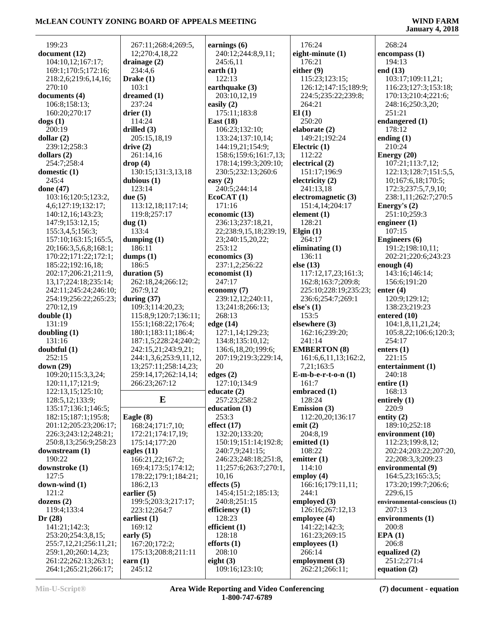| 199:23                               | 267:11;268:4;269:5,      | earnings (6)                               | 176:24                           | 268:24                                |
|--------------------------------------|--------------------------|--------------------------------------------|----------------------------------|---------------------------------------|
| document (12)                        | 12;270:4,18,22           | 240:12;244:8,9,11;                         | eight-minute $(1)$               | encompass(1)                          |
| 104:10,12;167:17;                    | drainage $(2)$           | 245:6,11                                   | 176:21                           | 194:13                                |
| 169:1;170:5;172:16;                  | 234:4,6                  | earth $(1)$                                | either $(9)$                     | end $(13)$                            |
| 218:2,6;219:6,14,16;                 | Drake $(1)$              | 122:13                                     | 115:23;123:15;                   | 103:17;109:11,21;                     |
| 270:10                               | 103:1                    | earthquake (3)                             | 126:12;147:15;189:9;             | 116:23;127:3;153:18;                  |
| documents (4)                        | dreamed (1)              | 203:10,12,19                               | 224:5;235:22;239:8;              | 170:13;210:4;221:6;                   |
| 106:8;158:13;                        | 237:24                   | easily $(2)$                               | 264:21                           | 248:16;250:3,20;                      |
| 160:20;270:17                        | drier $(1)$              | 175:11;183:8                               | El(1)                            | 251:21                                |
| $\text{dogs} (1)$                    | 114:24                   | East $(18)$                                | 250:20                           | endangered (1)                        |
| 200:19                               | drilled $(3)$            | 106:23;132:10;                             | elaborate (2)                    | 178:12                                |
| dollar $(2)$                         | 205:15,18,19             | 133:24;137:10,14;                          | 149:21;192:24                    | ending $(1)$                          |
| 239:12:258:3                         | drive(2)                 | 144:19,21;154:9;                           | Electric $(1)$                   | 210:24                                |
| dollars $(2)$                        | 261:14,16                | 158:6;159:6;161:7,13;                      | 112:22                           | Energy (20)                           |
| 254:7;258:4                          | drop(4)                  | 178:14;199:3;209:10;                       | electrical (2)                   | 107:21;113:7,12;                      |
| domestic (1)                         | 130:15;131:3,13,18       | 230:5;232:13;260:6                         | 151:17;196:9                     | 122:13;128:7;151:5,5,                 |
| 245:4                                | dubious (1)              | easy $(2)$                                 | electricity (2)                  | 10;167:6,18;170:5;                    |
| done (47)                            | 123:14                   | 240:5;244:14                               | 241:13,18                        | 172:3;237:5,7,9,10;                   |
| 103:16;120:5;123:2,                  | due $(5)$                | EcoCAT(1)<br>171:16                        | electromagnetic (3)              | 238:1,11;262:7;270:5                  |
| 4,6;127:19;132:17;                   | 113:12,18;117:14;        |                                            | 151:4,14;204:17                  | Energy's $(2)$                        |
| 140:12,16;143:23;                    | 119:8;257:17             | economic (13)                              | element (1)<br>128:21            | 251:10;259:3                          |
| 147:9;153:12,15;<br>155:3,4,5;156:3; | dug(1)<br>133:4          | 236:13;237:18,21,                          | Elgin $(1)$                      | engineer $(1)$<br>107:15              |
| 157:10;163:15;165:5,                 | dumping $(1)$            | 22;238:9,15,18;239:19,<br>23;240:15,20,22; | 264:17                           | <b>Engineers</b> (6)                  |
| 20;166:3,5,6,8;168:1;                | 186:11                   | 253:12                                     | eliminating $(1)$                | 191:2;198:10,11;                      |
| 170:22;171:22;172:1;                 | dumps $(1)$              | economics (3)                              | 136:11                           | 202:21;220:6;243:23                   |
| 185:22;192:16,18;                    | 186:5                    | 237:1,2;256:22                             | else $(13)$                      | enough $(4)$                          |
| 202:17;206:21;211:9,                 | duration $(5)$           | economist (1)                              | 117:12,17,23;161:3;              | 143:16;146:14;                        |
| 13, 17; 224: 18; 235: 14;            | 262:18,24;266:12;        | 247:17                                     | 162:8;163:7;209:8;               | 156:6;191:20                          |
| 242:11;245:24;246:10;                | 267:9,12                 | economy $(7)$                              | 225:10;228:19;235:23;            | enter $(4)$                           |
| 254:19;256:22;265:23;                | during $(37)$            | 239:12,12;240:11,                          | 236:6;254:7;269:1                | 120:9;129:12;                         |
| 270:12,19                            | 109:3;114:20,23;         | 13;241:8;266:13;                           | else's $(1)$                     | 138:23;219:23                         |
| double(1)                            | 115:8,9;120:7;136:11;    | 268:13                                     | 153:5                            | entered $(10)$                        |
| 131:19                               | 155:1;168:22;176:4;      | edge (14)                                  | elsewhere (3)                    | 104:1,8,11,21,24;                     |
| doubling $(1)$                       | 180:1;183:11;186:4;      | 127:1,14;129:23;                           | 162:16;239:20;                   | 105:8,22;106:6;120:3;                 |
| 131:16                               | 187:1,5;228:24;240:2;    | 134:8;135:10,12;                           | 241:14                           | 254:17                                |
| doubtful (1)                         | 242:15,21;243:9,21;      | 136:6,18,20;199:6;                         | <b>EMBERTON</b> (8)              | enters $(1)$                          |
| 252:15                               | 244:1,3,6;253:9,11,12,   | 207:19;219:3;229:14,                       | 161:6,6,11,13;162:2,             | 221:15                                |
| down $(29)$                          | 13;257:11;258:14,23;     | 20                                         | 7,21;163:5                       | entertainment (1)                     |
| 109:20;115:3,3,24;                   | 259:14,17;262:14,14;     | edges $(2)$                                | $E-m-b-e-r-t-o-n(1)$             | 240:18                                |
| 120:11,17;121:9;                     | 266:23;267:12            | 127:10;134:9                               | 161:7                            | entire $(1)$                          |
| 122:13,15;125:10;                    |                          | educate $(2)$                              | embraced $(1)$                   | 168:13                                |
| 128:5, 12; 133:9;                    | E                        | 257:23:258:2                               | 128:24                           | entirely $(1)$                        |
| 135:17;136:1;146:5;                  |                          | education (1)                              | <b>Emission</b> (3)              | 220:9                                 |
| 182:15;187:1;195:8;                  | Eagle $(8)$              | 253:3                                      | 112:20,20;136:17                 | entity $(2)$                          |
| 201:12;205:23;206:17;                | 168:24;171:7,10;         | effect $(17)$                              | emit $(2)$                       | 189:10;252:18                         |
| 226:3;243:12;248:21;                 | 172:21;174:17,19;        | 132:20;133:20;                             | 204:8,19                         | environment (10)                      |
| 250:8,13;256:9;258:23                | 175:14:177:20            | 150:19;151:14;192:8;                       | emitted (1)                      | 112:23;199:8,12;                      |
| downstream (1)                       | eagles $(11)$            | 240:7,9;241:15;                            | 108:22                           | 202:24;203:22;207:20,                 |
| 190:22                               | 166:21,22;167:2;         | 246:23;248:18;251:8,                       | emitter $(1)$                    | 22;208:3,3;209:23                     |
| downstroke (1)                       | 169:4;173:5;174:12;      | 11;257:6;263:7;270:1,                      | 114:10                           | environmental (9)                     |
| 127:5                                | 178:22;179:1;184:21;     | 10,16                                      | employ $(4)$                     | 164:5,23;165:3,5;                     |
| down-wind $(1)$                      | 186:2,13                 | effects $(5)$                              | 166:16;179:11,11;                | 173:20;199:7;206:6;                   |
| 121:2                                | earlier $(5)$            | 145:4;151:2;185:13;                        | 244:1                            | 229:6,15                              |
| dozens $(2)$                         | 199:5;203:3;217:17;      | 240:8;251:15                               | employed (3)                     | environmental-conscious (1)<br>207:13 |
| 119:4;133:4<br>Dr(28)                | 223:12;264:7             | efficiency $(1)$<br>128:23                 | 126:16;267:12,13<br>employee (4) | environments (1)                      |
| 141:21;142:3;                        | earliest $(1)$<br>169:12 | efficient $(1)$                            | 141:22:142:3:                    | 200:8                                 |
| 253:20;254:3,8,15;                   | early $(5)$              | 128:18                                     | 161:23;269:15                    | EPA(1)                                |
| 255:7,12,21;256:11,21;               | 167:20;172:2;            | efforts $(1)$                              | employees (1)                    | 206:8                                 |
| 259:1,20;260:14,23;                  | 175:13;208:8;211:11      | 208:10                                     | 266:14                           | equalized $(2)$                       |
| 261:22;262:13;263:1;                 | earn $(1)$               | eight $(3)$                                | employment (3)                   | 251:2;271:4                           |
| 264:1;265:21;266:17;                 | 245:12                   | 109:16;123:10;                             | 262:21;266:11;                   | equation $(2)$                        |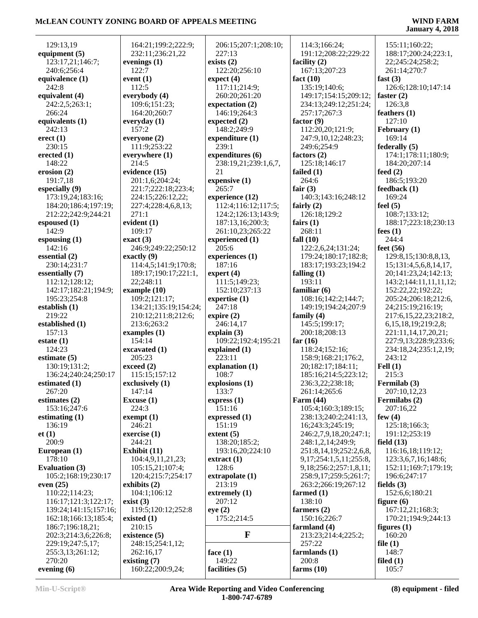| 129:13,19             | 164:21;199:2;222:9;   | 206:15;207:1;208:10; | 114:3;166:24;                 | 155:11;160:22;            |
|-----------------------|-----------------------|----------------------|-------------------------------|---------------------------|
| equipment $(5)$       | 232:11;236:21,22      | 227:13               | 191:12;208:22;229:22          | 188:17;200:24;223:1,      |
| 123:17,21;146:7;      | evenings $(1)$        | exists $(2)$         | facility $(2)$                | 22;245:24;258:2;          |
| 240:6;256:4           | 122:7                 | 122:20;256:10        | 167:13;207:23                 | 261:14;270:7              |
| equivalence (1)       | event $(1)$           | expect (4)           | fact $(10)$                   | fast $(3)$                |
| 242:8                 | 112:5                 | 117:11;214:9;        | 135:19;140:6;                 | 126:6;128:10;147:14       |
| equivalent (4)        | everybody (4)         | 260:20;261:20        | 149:17;154:15;209:12;         | faster $(2)$              |
| 242:2,5;263:1;        | 109:6;151:23;         | expectation (2)      | 234:13;249:12;251:24;         | 126:3,8                   |
| 266:24                | 164:20;260:7          | 146:19;264:3         | 257:17;267:3                  | feathers $(1)$            |
| equivalents (1)       | everyday (1)          | expected $(2)$       | factor $(9)$                  | 127:10                    |
| 242:13                | 157:2                 | 148:2;249:9          | 112:20,20;121:9;              | February (1)              |
| erect (1)             | everyone $(2)$        | expenditure $(1)$    | 247:9,10,12;248:23;           | 169:14                    |
| 230:15                | 111:9;253:22          | 239:1                | 249:6;254:9                   | federally $(5)$           |
| erected $(1)$         | everywhere (1)        | expenditures (6)     | factors $(2)$                 | 174:1;178:11;180:9;       |
| 148:22                | 214:5                 | 238:19,21;239:1,6,7, | 125:18;146:17                 | 184:20;207:14             |
| erosion(2)            | evidence (15)         | 21                   | failed $(1)$                  | feed $(2)$                |
| 191:7,18              | 201:1,6;204:24;       | expensive (1)        | 264:6                         | 186:5;193:20              |
| especially (9)        | 221:7;222:18;223:4;   | 265:7                | fair $(3)$                    | feedback (1)              |
| 173:19,24;183:16;     | 224:15;226:12,22;     | experience (12)      | 140:3;143:16;248:12           | 169:24                    |
| 184:20;186:4;197:19;  | 227:4;228:4,6,8,13;   | 112:4;116:12;117:5;  | fairly $(2)$                  | feel $(5)$                |
| 212:22;242:9;244:21   | 271:1                 | 124:2;126:13;143:9;  | 126:18;129:2                  | 108:7;133:12;             |
| espoused $(1)$        | evident $(1)$         | 187:13,16;200:3;     | fairs $(1)$                   | 188:17;223:18;230:13      |
| 142:9                 | 109:17                | 261:10,23;265:22     | 268:11                        | fees $(1)$                |
| espousing $(1)$       | exact $(3)$           | experienced (1)      | fall $(10)$                   | 244:4                     |
| 142:16                | 246:9;249:22;250:12   | 205:6                | 122:2,6,24;131:24;            | feet $(56)$               |
| essential(2)          | exactly $(9)$         | experiences (1)      | 179:24;180:17;182:8;          | 129:8,15;130:8,8,13,      |
| 230:14;231:7          | 114:4,5;141:9;170:8;  | 187:16               | 183:17;193:23;194:2           | 15;131:4,5,6,8,14,17,     |
| essentially (7)       | 189:17;190:17;221:1,  | expert $(4)$         | falling $(1)$                 | 20;141:23,24;142:13;      |
| 112:12;128:12;        | 22;248:11             | 111:5;149:23;        | 193:11                        | 143:2;144:11,11,11,12;    |
| 142:17;182:21;194:9;  | example $(10)$        | 152:10;237:13        | familiar $(6)$                | 152:22,22;192:22;         |
| 195:23;254:8          | 109:2;121:17;         | expertise (1)        | 108:16;142:2;144:7;           | 205:24;206:18;212:6,      |
| establish $(1)$       | 134:21;135:19;154:24; | 247:18               | 149:19;194:24;207:9           | 24;215:19;216:19;         |
| 219:22                | 210:12;211:8;212:6;   | expire $(2)$         | family $(4)$                  | 217:6,15,22,23;218:2,     |
| established (1)       | 213:6;263:2           | 246:14,17            | 145:5;199:17;                 | 6, 15, 18, 19; 219: 2, 8; |
| 157:13                | examples $(1)$        | explain $(3)$        | 200:18;208:13                 | 221:11,14,17,20,21;       |
| estate $(1)$          | 154:14                | 109:22;192:4;195:21  | far $(16)$                    | 227:9,13;228:9;233:6;     |
| 124:23                | excavated (1)         | explained (1)        | 118:24;152:16;                | 234:18,24;235:1,2,19;     |
| estimate $(5)$        | 205:23                | 223:11               | 158:9;168:21;176:2,           | 243:12                    |
| 130:19;131:2;         | exceed (2)            | explanation (1)      | 20;182:17;184:11;             | Fell $(1)$                |
| 136:24;240:24;250:17  | 115:15;157:12         | 108:7                | 185:16;214:5;223:12;          | 215:3                     |
| estimated $(1)$       | exclusively (1)       | explosions (1)       | 236:3,22;238:18;              | Fermilab (3)              |
| 267:20                | 147:14                | 133:7                | 261:14;265:6                  | 207:10,12,23              |
| estimates (2)         | Excuse $(1)$          | express(1)           | <b>Farm (44)</b>              | Fermilabs (2)             |
| 153:16;247:6          | 224:3                 | 151:16               | 105:4;160:3;189:15;           | 207:16,22                 |
| estimating $(1)$      | exempt (1)            | expressed $(1)$      | 238:13;240:2;241:13,          | few $(4)$                 |
| 136:19                | 246:21                | 151:19               | 16;243:3;245:19;              | 125:18;166:3;             |
| et(1)                 | exercise $(1)$        | extent $(5)$         | 246:2,7,9,18,20;247:1;        | 191:12;253:19             |
| 200:9                 | 244:21                | 138:20;185:2;        | 248:1,2,14;249:9;             | field $(13)$              |
| European (1)          | Exhibit (11)          | 193:16,20;224:10     | 251:8,14,19;252:2,6,8,        | 116:16,18;119:12;         |
| 178:10                | 104:4,9,11,21,23;     | $ext{react}(1)$      | 9, 17; 254: 1, 5, 11; 255: 8, | 123:3,6,7,16;148:6;       |
| Evaluation (3)        | 105:15,21;107:4;      | 128:6                | 9,18;256:2;257:1,8,11;        | 152:11;169:7;179:19;      |
| 105:2;168:19;230:17   | 120:4;215:7;254:17    | extrapolate (1)      | 258:9,17;259:5;261:7;         | 196:6;247:17              |
| even $(25)$           | exhibits $(2)$        | 213:19               | 263:2;266:19;267:12           | fields $(3)$              |
| 110:22;114:23;        | 104:1;106:12          | extremely $(1)$      | farmed $(1)$                  | 152:6,6;180:21            |
| 116:17;121:3;122:17;  | exist(3)              | 207:12               | 138:10                        | figure $(6)$              |
| 139:24;141:15;157:16; | 119:5;120:12;252:8    | eye(2)               | farmers $(2)$                 | 167:12,21;168:3;          |
| 162:18;166:13;185:4;  | existed $(1)$         | 175:2;214:5          | 150:16;226:7                  | 170:21;194:9;244:13       |
| 186:7;196:18,21;      | 210:15                |                      | farmland $(4)$                | figures $(1)$             |
| 202:3;214:3,6;226:8;  | existence (5)         | $\mathbf{F}$         | 213:23;214:4;225:2;           | 160:20                    |
| 229:19;247:5,17;      | 248:15;254:1,12;      |                      | 257:22                        | file $(1)$                |
| 255:3,13;261:12;      | 262:16,17             | face $(1)$           | farmlands $(1)$               | 148:7                     |
| 270:20                | existing $(7)$        | 149:22               | 200:8                         | filed $(1)$               |
| evening $(6)$         | 160:22;200:9,24;      | facilities (5)       | farms $(10)$                  | 105:7                     |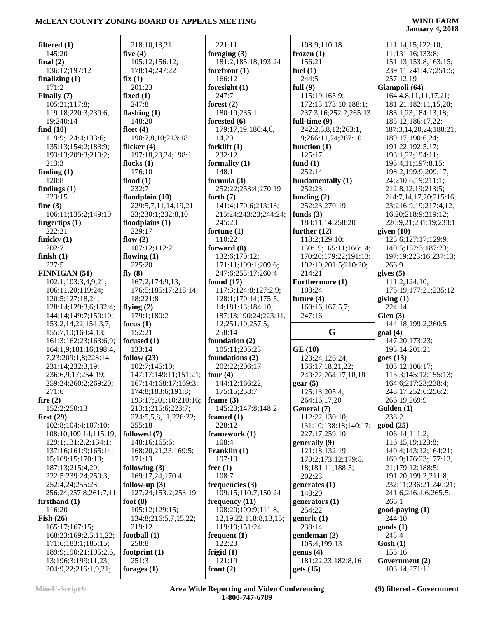| filtered $(1)$                              | 218:10,13,21           | 221:11                                   | 108:9;110:18                    | 111:14,15;122:10,               |
|---------------------------------------------|------------------------|------------------------------------------|---------------------------------|---------------------------------|
| 145:20                                      | five $(4)$             | foraging $(3)$                           | frozen $(1)$                    | 11;131:16;133:8;                |
| final $(2)$                                 | 105:12;156:12;         | 181:2;185:18;193:24                      | 156:21                          | 151:13;153:8;163:15;            |
| 136:12;197:12                               | 178:14;247:22          | forefront $(1)$                          | fuel $(1)$                      | 239:11;241:4,7;251:5;           |
| finalizing $(1)$                            | fix(1)                 | 166:12                                   | 244:5                           | 257:12,19                       |
| 171:2                                       | 201:23                 | foresight $(1)$                          | full $(9)$                      | Giampoli (64)                   |
| Finally (7)                                 | fixed $(1)$            | 247:7                                    | 115:19;165:9;                   | 164:4,8,11,11,17,21;            |
| 105:21;117:8;                               | 247:8                  | forest $(2)$                             | 172:13;173:10;188:1;            | 181:21;182:11,15,20;            |
| 119:18;220:3;239:6,                         | flashing $(1)$         | 180:19:235:1                             | 237:3,16;252:2;265:13           | 183:1,23;184:13,18;             |
| 19;240:14                                   | 148:20                 | forested (6)                             | full-time $(9)$                 | 185:12;186:17,22;               |
| find $(10)$                                 | fleet $(4)$            | 179:17,19;180:4,6,                       | 242:2,5,8,12;263:1,             | 187:3,14,20,24;188:21;          |
| 119:9;124:4;133:6;                          | 190:7,8,10;213:18      | 14,20                                    | 9;266:11,24;267:10              | 189:17;190:6,24;                |
| 135:13;154:2;183:9;                         | flicker (4)            | forklift $(1)$                           | function $(1)$                  | 191:22;192:5,17;                |
| 193:13;209:3;210:2;                         | 197:18,23,24;198:1     | 232:12                                   | 125:17                          | 193:1,22;194:11;                |
| 213:3                                       | flocks $(1)$           | formality $(1)$                          | fund $(1)$                      | 195:4,11;197:8,15;              |
| finding $(1)$                               | 176:10                 | 148:1                                    | 252:14                          | 198:2;199:9;209:17,             |
| 120:8                                       | flood $(1)$            | formula $(3)$                            | fundamentally (1)               | 24;210:6,19;211:1;              |
| findings $(1)$                              | 232:7                  | 252:22;253:4;270:19                      | 252:23                          | 212:8,12,19;213:5;              |
| 223:15                                      | floodplain (10)        | forth $(7)$                              | funding $(2)$                   | 214:7,14,17,20;215:16,          |
| fine $(3)$                                  | 229:5,7,11,14,19,21,   | 141:4;170:6;213:13;                      | 252:23;270:19                   | 23;216:9,19;217:4,12,           |
| 106:11;135:2;149:10                         | 23;230:1;232:8,10      | 215:24;243:23;244:24;                    | funds $(3)$                     | 16,20;218:9;219:12;             |
| fingertips $(1)$                            | floodplains $(1)$      | 245:20                                   | 188:11,14;258:20                | 220:9,21;231:19;233:1           |
| 222:21                                      | 229:17                 | fortune $(1)$                            | further $(12)$                  | given $(10)$                    |
| finicky $(1)$                               | flow $(2)$             | 110:22                                   | 118:2;129:10;                   | 125:6;127:17;129:9;             |
| 202:7                                       | 107:12;112:2           | forward (8)                              | 130:19;165:11;166:14;           | 140:5;152:3;187:23;             |
| finish $(1)$                                | flowing $(1)$          | 132:6;170:12;                            | 170:20;179:22;191:13;           | 197:19;223:16;237:13;           |
| 227:5                                       | 225:20                 |                                          | 192:10;201:5;210:20;            | 266:9                           |
|                                             |                        | 171:11;199:1;209:6;                      |                                 |                                 |
| <b>FINNIGAN (51)</b>                        | fly $(8)$              | 247:6;253:17;260:4                       | 214:21                          | gives $(5)$                     |
| 102:1;103:3,4,9,21;                         | 167:2;174:9,13;        | found $(17)$                             | Furthermore (1)                 | 111:2;124:10;                   |
| 106:11,20;119:24;                           | 176:5;185:17;218:14,   | 117:3;124:8;127:2,9;                     | 108:24                          | 175:19;177:21;235:12            |
| 120:5;127:18,24;                            | 18;221:8               | 128:1;170:14;175:5,<br>14;181:13;184:10; | future $(4)$<br>160:16;167:5,7; | giving $(1)$<br>224:14          |
| 128:14;129:3,6;132:4;                       | flying $(2)$           |                                          |                                 |                                 |
|                                             |                        |                                          |                                 |                                 |
| 144:14;149:7;150:10;                        | 179:1;180:2            | 187:13;190:24;223:11,                    | 247:16                          | Glen(3)                         |
| 153:2, 14, 22; 154: 3, 7;                   | focus $(1)$            | 12;251:10;257:5;                         |                                 | 144:18;199:2;260:5              |
| 155:7,10;160:4,13;                          | 152:21                 | 258:14                                   | G                               | goal(4)                         |
| 161:3;162:23;163:6,9;                       | focused $(1)$          | foundation (2)                           |                                 | 147:20;173:23;                  |
| 164:1,9;181:16;198:4,                       | 133:14                 | 105:11;205:23                            | GE(10)                          | 193:14;201:21                   |
| 7,23;209:1,8;228:14;                        | follow $(23)$          | foundations (2)                          | 123:24;126:24;                  | goes(13)                        |
| 231:14;232:3,19;                            | 102:7;145:10;          | 202:22;206:17                            | 136:17,18,21,22;                | 103:12;106:17;                  |
| 236:6,9,17;254:19;                          | 147:17;149:11;151:21;  | four $(4)$                               | 243:22;264:17,18,18             | 115:3;145:12;155:13;            |
| 259:24;260:2;269:20;                        | 167:14;168:17;169:3;   | 144:12;166:22;                           | $\text{ gear}(5)$               | 164:6;217:23;238:4;             |
| 271:6                                       | 174:8;183:6;191:8;     | 175:15;258:7                             | 125:13;205:4;                   | 248:17;252:6;256:2;             |
| fire $(2)$                                  | 193:17;201:10;210:16;  | frame $(3)$                              | 264:16.17.20                    | 266:19;269:9                    |
| 152:2;250:13                                | 213:1;215:6;223:7;     | 145:23;147:8;148:2                       | General (7)                     | Golden (1)                      |
| first $(29)$                                | 224:5,5,8,11;226:22;   | framed $(1)$                             | 112:22;130:10;                  | 238:2                           |
| 102:8;104:4;107:10;                         | 255:18                 | 228:12                                   | 131:10;138:18;140:17;           | good (25)                       |
| 108:10;109:14;115:19;                       | followed (7)           | framework (1)                            | 227:17;259:10                   | 106:14;111:2;                   |
| 129:1;131:2,2;134:1;                        | 148:16;165:6;          | 108:4                                    | generally (9)                   | 116:15,19;123:8;                |
| 137:16;161:9;165:14,                        | 168:20,21,23;169:5;    | Franklin (1)                             | 121:18;132:19;                  | 140:4;143:12;164:21;            |
| 15;169:15;170:13;                           | 171:13                 | 197:13                                   | 170:2;173:12;179:8,             | 169:9;176:23;177:13,            |
| 187:13;215:4,20;                            | following $(3)$        | free $(1)$                               | 18;181:11;188:5;                | 21;179:12;188:5;                |
| 222:5;239:24;250:3;                         | 169:17,24;170:4        | 108:7                                    | 202:23                          | 191:20;199:2;211:8;             |
| 252:4,24;255:23;                            | follow-up $(3)$        | frequencies $(3)$                        | generates $(1)$                 | 232:11;236:21;240:21;           |
| 256:24;257:8;261:7,11                       | 127:24;153:2;253:19    | 109:15;110:7;150:24                      | 148:20                          | 241:6;246:4,6;265:5;            |
| firsthand $(1)$                             | foot $(8)$             | frequency $(11)$                         | generators $(1)$                | 266:1                           |
|                                             |                        |                                          |                                 |                                 |
| 116:20                                      | 105:12;129:15;         | 108:20;109:9;111:8,                      | 254:22                          | good-paying (1)<br>244:10       |
| Fish $(26)$                                 | 134:8;216:5,7,15,22;   | 12, 19, 22; 118: 8, 13, 15;              | generic $(1)$                   |                                 |
| 165:17;167:15;                              | 219:12                 | 119:19;151:24                            | 238:14                          | goods(1)                        |
| 168:23;169:2,5,11,22;                       | football $(1)$         | frequent $(1)$                           | gentleman (2)                   | 245:4                           |
| 171:6;183:1;185:15;                         | 258:8                  | 122:23                                   | 105:4;199:13                    | $\cosh(1)$                      |
| 189:9;190:21;195:2,6,                       | footprint $(1)$        | frigid $(1)$                             | genus(4)                        | 155:16                          |
| 13;196:3;199:11,23;<br>204:9,22;216:1,9,21; | 251:3<br>forages $(1)$ | 121:19<br>front $(2)$                    | 181:22,23;182:8,16<br>gets (15) | Government (2)<br>103:14;271:11 |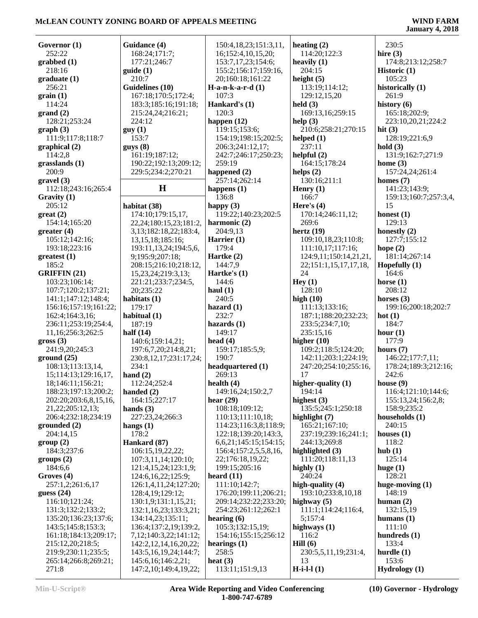| Governor (1)          | Guidance (4)                 | 150:4,18,23;151:3,11,       | heating $(2)$          | 230:5                  |
|-----------------------|------------------------------|-----------------------------|------------------------|------------------------|
| 252:22                | 168:24;171:7;                | 16;152:4,10,15,20;          | 114:20;122:3           | hire $(3)$             |
| graphed(1)            | 177:21;246:7                 | 153:7,17,23;154:6;          | heavily $(1)$          | 174:8;213:12;258:7     |
| 218:16                | guide(1)                     | 155:2;156:17;159:16,        | 204:15                 | <b>Historic</b> $(1)$  |
|                       |                              |                             |                        |                        |
| graduate(1)           | 210:7                        | 20;160:18;161:22            | height $(5)$           | 105:23                 |
| 256:21                | Guidelines (10)              | $H-a-n-k-a-r-d(1)$          | 113:19;114:12;         | historically (1)       |
| grain(1)              | 167:18;170:5;172:4;          | 107:3                       | 129:12,15,20           | 261:9                  |
| 114:24                | 183:3;185:16;191:18;         | Hankard's (1)               | held $(3)$             | history $(6)$          |
| grand(2)              | 215:24,24;216:21;            | 120:3                       | 169:13,16;259:15       | 165:18;202:9;          |
| 128:21;253:24         | 224:12                       | happen $(12)$               | help $(3)$             | 223:10,20,21;224:2     |
| graph(3)              | guy(1)                       | 119:15;153:6;               | 210:6;258:21;270:15    | hit $(3)$              |
| 111:9;117:8;118:7     | 153:7                        | 154:19;198:15;202:5;        | helped $(1)$           | 128:19;221:6,9         |
|                       |                              |                             | 237:11                 | hold(3)                |
| graphical(2)          | guys(8)                      | 206:3;241:12,17;            |                        |                        |
| 114:2,8               | 161:19;187:12;               | 242:7;246:17;250:23;        | helpful (2)            | 131:9;162:7;271:9      |
| grasslands(1)         | 190:22;192:13;209:12;        | 259:19                      | 164:15;178:24          | home $(3)$             |
| 200:9                 | 229:5;234:2;270:21           | happened (2)                | helps $(2)$            | 157:24,24;261:4        |
| gravel(3)             |                              | 257:14;262:14               | 130:16;211:1           | homes $(7)$            |
| 112:18;243:16;265:4   | H                            | happens $(1)$               | Henry $(1)$            | 141:23;143:9;          |
| Gravity (1)           |                              | 136:8                       | 166:7                  | 159:13;160:7;257:3,4,  |
| 205:12                | habitat (38)                 | happy $(3)$                 | Here's $(4)$           | 15                     |
| $gr(2)$               | 174:10;179:15,17,            | 119:22;140:23;202:5         | 170:14;246:11,12;      | honest $(1)$           |
| 154:14;165:20         | 22, 24; 180: 15, 23; 181: 2, | harmonic (2)                | 269:6                  | 129:13                 |
|                       |                              | 204:9,13                    | hertz $(19)$           | honestly $(2)$         |
| greater(4)            | 3, 13; 182: 18, 22; 183: 4,  |                             |                        |                        |
| 105:12;142:16;        | 13,15,18;185:16;             | Harrier $(1)$               | 109:10,18,23;110:8;    | 127:7;155:12           |
| 193:18;223:16         | 193:11, 13, 24; 194: 5, 6,   | 179:4                       | 111:10,17;117:16;      | hope $(2)$             |
| greatest (1)          | 9;195:9;207:18;              | Hartke $(2)$                | 124:9,11;150:14,21,21, | 181:14;267:14          |
| 185:2                 | 208:15;216:10;218:12,        | 144:7,9                     | 22;151:1,15,17,17,18,  | Hopefully $(1)$        |
| <b>GRIFFIN</b> (21)   | 15,23,24;219:3,13;           | Hartke's $(1)$              | 24                     | 164:6                  |
| 103:23;106:14;        | 221:21;233:7;234:5,          | 144:6                       | Hey(1)                 | horse $(1)$            |
| 107:7;120:2;137:21;   | 20;235:22                    | haul $(1)$                  | 128:10                 | 208:12                 |
| 141:1;147:12;148:4;   | habitats $(1)$               | 240:5                       | high $(10)$            | horses $(3)$           |
|                       | 179:17                       | hazard $(1)$                | 111:13;133:16;         | 199:16;200:18;202:7    |
| 156:16;157:19;161:22; |                              |                             |                        |                        |
| 162:4;164:3,16;       | habitual (1)                 | 232:7                       | 187:1;188:20;232:23;   | hot $(1)$              |
| 236:11;253:19;254:4,  | 187:19                       | hazards $(1)$               | 233:5;234:7,10;        | 184:7                  |
| 11,16;256:3;262:5     | half $(14)$                  | 149:17                      | 235:15,16              | hour $(1)$             |
| $\text{gross} (3)$    | 140:6;159:14,21;             | head $(4)$                  | higher $(10)$          | 177:9                  |
| 241:9,20;245:3        | 197:6,7,20;214:8,21;         | 159:17;185:5,9;             | 109:2;118:5;124:20;    | hours $(7)$            |
| ground(25)            | 230:8, 12, 17; 231: 17, 24;  | 190:7                       | 142:11;203:1;224:19;   | 146:22;177:7,11;       |
| 108:13;113:13,14,     | 234:1                        | headquartered (1)           | 247:20;254:10;255:16,  | 178:24;189:3;212:16;   |
| 15;114:13;129:16,17,  | hand $(2)$                   | 269:13                      | 17                     | 242:6                  |
| 18;146:11;156:21;     | 112:24;252:4                 | health $(4)$                | higher-quality (1)     | house $(9)$            |
| 188:23;197:13;200:2;  | handed $(2)$                 | 149:16,24;150:2,7           | 194:14                 | 116:4;121:10;144:6;    |
|                       |                              |                             |                        |                        |
| 202:20;203:6,8,15,16, | 164:15;227:17                | hear $(29)$                 | highest $(3)$          | 155:13,24;156:2,8;     |
| 21,22;205:12,13;      | hands $(3)$                  | 108:18;109:12;              | 135:5;245:1;250:18     | 158:9;235:2            |
| 206:4;232:18;234:19   | 227:23,24;266:3              | 110:13;111:10,18;           | highlight $(7)$        | households (1)         |
| grounded(2)           | hangs $(1)$                  | 114:23;116:3,8;118:9;       | 165:21;167:10;         | 240:15                 |
| 204:14,15             | 178:2                        | 122:18;139:20;143:3,        | 237:19;239:16;241:1;   | houses $(1)$           |
| group(2)              | Hankard (87)                 | 6, 6, 21; 145: 15; 154: 15; | 244:13;269:8           | 118:2                  |
| 184:3;237:6           | 106:15,19,22,22;             | 156:4;157:2,5,5,8,16,       | highlighted (3)        | hub(1)                 |
| groups (2)            | 107:3,11,14;120:10;          | 22;176:18,19,22;            | 111:20;118:11,13       | 125:14                 |
| 184:6,6               | 121:4,15,24;123:1,9;         | 199:15;205:16               | highly $(1)$           | huge $(1)$             |
| Groves (4)            | 124:6, 16, 22; 125: 9;       | heard $(11)$                | 240:24                 | 128:21                 |
| 257:1,2;261:6,17      | 126:1,4,11,24;127:20;        | 111:10;142:7;               | high-quality $(4)$     | huge-moving $(1)$      |
|                       |                              |                             |                        |                        |
| guess $(24)$          | 128:4,19;129:12;             | 176:20;199:11;206:21;       | 193:10;233:8,10,18     | 148:19                 |
| 116:10;121:24;        | 130:1,9;131:1,15,21;         | 209:14;232:22;233:20;       | highway $(5)$          | human $(2)$            |
| 131:3;132:2;133:2;    | 132:1,16,23;133:3,21;        | 254:23;261:12;262:1         | 111:1;114:24;116:4,    | 132:15,19              |
| 135:20;136:23;137:6;  | 134:14,23;135:11;            | hearing $(6)$               | 5:157:4                | humans $(1)$           |
| 143:5;145:8;153:3;    | 136:4;137:2,19;139:2,        | 105:3;132:15,19;            | highways $(1)$         | 111:10                 |
| 161:18;184:13;209:17; | 7, 12, 140: 3, 22, 141: 12;  | 154:16;155:15;256:12        | 116:2                  | hundreds $(1)$         |
| 215:12,20;218:5;      | 142:2, 12, 14, 16, 20, 22;   | hearings $(1)$              | Hill(6)                | 133:4                  |
| 219:9;230:11;235:5;   | 143:5, 16, 19, 24; 144: 7;   | 258:5                       | 230:5,5,11,19;231:4,   | hurdle $(1)$           |
| 265:14;266:8;269:21;  | 145:6, 16; 146:2,21;         | heat $(3)$                  | 13                     | 153:6                  |
|                       |                              |                             |                        |                        |
| 271:8                 | 147:2, 10; 149:4, 19, 22;    | 113:11;151:9,13             | $H-i-l(1)$             | <b>Hydrology</b> $(1)$ |

**Min-U-Script® Area Wide Reporting and Video Conferencing 1-800-747-6789**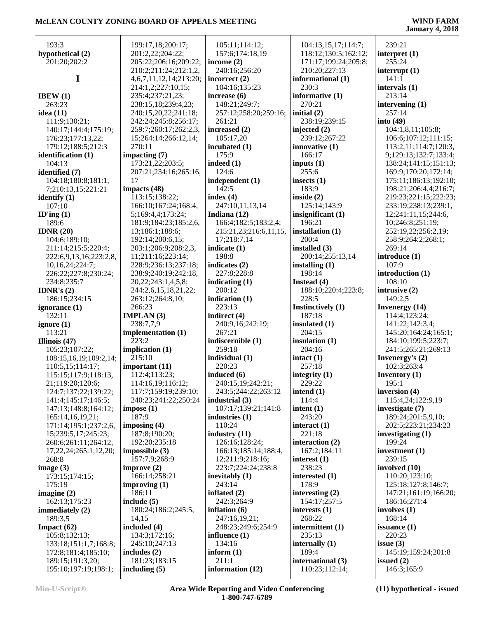| 193:3                       | 199:17,18;200:17;             | 105:11;114:12;            | 104:13,15,17;114:7;  | 239:21                 |
|-----------------------------|-------------------------------|---------------------------|----------------------|------------------------|
| hypothetical (2)            | 201:2,22;204:22;              | 157:6;174:18,19           | 118:12;130:5;162:12; | interpret $(1)$        |
|                             |                               |                           |                      |                        |
| 201:20;202:2                | 205:22;206:16;209:22;         | income $(2)$              | 171:17;199:24;205:8; | 255:24                 |
|                             | 210:2;211:24;212:1,2,         | 240:16;256:20             | 210:20;227:13        | interrupt $(1)$        |
| 1                           | 4, 6, 7, 11, 12, 14; 213: 20; | incorrect $(2)$           | informational (1)    | 141:1                  |
|                             | 214:1,2;227:10,15;            | 104:16;135:23             | 230:3                | intervals (1)          |
| IBEW $(1)$                  | 235:4;237:21,23;              | increase (6)              | informative (1)      | 213:14                 |
|                             |                               |                           | 270:21               |                        |
| 263:23                      | 238:15,18;239:4,23;           | 148:21;249:7;             |                      | intervening $(1)$      |
| idea $(11)$                 | 240:15,20,22;241:18;          | 257:12;258:20;259:16;     | initial $(2)$        | 257:14                 |
| 111:9;130:21;               | 242:24;245:8;256:17;          | 261:21                    | 238:19;239:15        | into $(49)$            |
| 140:17;144:4;175:19;        | 259:7;260:17;262:2,3,         | increased $(2)$           | injected $(2)$       | 104:1,8,11;105:8;      |
| 176:23;177:13,22;           | 15;264:14;266:12,14;          | 105:17,20                 | 239:12;267:22        | 106:6;107:12;111:15;   |
| 179:12;188:5;212:3          | 270:11                        | incubated (1)             | innovative (1)       | 113:2,11;114:7;120:3,  |
|                             |                               |                           | 166:17               |                        |
| identification (1)          | impacting $(7)$               | 175:9                     |                      | 9;129:13;132:7;133:4;  |
| 104:13                      | 173:21,22;203:5;              | indeed $(1)$              | inputs $(1)$         | 138:24;141:15;151:13;  |
| identified (7)              | 207:21;234:16;265:16,         | 124:6                     | 255:6                | 169:9;170:20;172:14;   |
| 104:18;180:8;181:1,         | 17                            | independent (1)           | insects $(1)$        | 175:11;186:13;192:10;  |
| 7;210:13,15;221:21          | impacts (48)                  | 142:5                     | 183:9                | 198:21;206:4,4;216:7;  |
| identify $(1)$              | 113:15;138:22;                | index $(4)$               | inside $(2)$         | 219:23;221:15;222:23;  |
|                             |                               |                           |                      |                        |
| 107:10                      | 166:10;167:24;168:4,          | 247:10,11,13,14           | 125:14;143:9         | 233:19;238:13;239:1,   |
| ID'ing $(1)$                | 5;169:4,4;173:24;             | Indiana (12)              | insignificant (1)    | 12;241:11,15;244:6,    |
| 189:6                       | 181:9;184:23;185:2,6,         | 166:4;182:5;183:2,4;      | 196:21               | 10;246:8;251:19;       |
| IDNR $(20)$                 | 13;186:1;188:6;               | 215:21,23;216:6,11,15,    | installation (1)     | 252:19,22;256:2,19;    |
| 104:6;189:10;               | 192:14;200:6,15;              | 17;218:7,14               | 200:4                | 258:9;264:2;268:1;     |
| 211:14;215:5;220:4;         | 203:1;206:9;208:2,3,          | indicate (1)              | installed (3)        | 269:14                 |
|                             |                               |                           |                      |                        |
| 222:6,9,13,16;223:2,8,      | 11;211:16;223:14;             | 198:8                     | 200:14;255:13,14     | introduce (1)          |
| 10,16,24;224:7;             | 228:9;236:13;237:18;          | indicates (2)             | installing $(1)$     | 107:9                  |
| 226:22;227:8;230:24;        | 238:9;240:19;242:18,          | 227:8;228:8               | 198:14               | introduction (1)       |
| 234:8;235:7                 | 20, 22; 243: 1, 4, 5, 8;      | indicating $(1)$          | Instead (4)          | 108:10                 |
| IDNR's $(2)$                | 244:2,6,15,18,21,22;          | 200:12                    | 188:10;220:4;223:8;  | intrusive (2)          |
| 186:15;234:15               | 263:12;264:8,10;              | indication (1)            | 228:5                | 149:2,5                |
|                             |                               |                           |                      |                        |
|                             |                               |                           |                      |                        |
| ignorance (1)               | 266:23                        | 223:13                    | Instinctively (1)    | <b>Invenergy</b> (14)  |
| 132:11                      | <b>IMPLAN</b> $(3)$           | indirect (4)              | 187:18               | 114:4;123:24;          |
| ignore $(1)$                | 238:7,7,9                     | 240:9,16;242:19;          | insulated $(1)$      | 141:22;142:3,4;        |
|                             |                               | 267:21                    | 204:15               |                        |
| 113:21                      | implementation (1)            |                           |                      | 145:20;164:24;165:1;   |
| Illinois (47)               | 223:2                         | indiscernible (1)         | insulation (1)       | 184:10;199:5;223:7;    |
| 105:23;107:22;              | implication $(1)$             | 259:18                    | 204:16               | 241:5;265:21;269:13    |
| 108:15,16,19;109:2,14;      | 215:10                        | individual (1)            | intact(1)            | Invenergy's (2)        |
| 110:5,15;114:17;            | important $(11)$              | 220:23                    | 257:18               | 102:3;263:4            |
| 115:15;117:9;118:13,        | 112:4;113:23;                 | induced (6)               | integrity $(1)$      | <b>Inventory</b> $(1)$ |
| 21;119:20;120:6;            | 114:16,19;116:12;             | 240:15,19;242:21;         | 229:22               | 195:1                  |
|                             |                               |                           |                      |                        |
| 124:7;137:22;139:22;        | 117:7;159:19;239:10;          | 243:5;244:22;263:12       | intend $(1)$         | inversion (4)          |
| 141:4;145:17;146:5;         | 240:23;241:22;250:24          | industrial $(3)$          | 114:4                | 115:4,24;122:9,19      |
| 147:13;148:8;164:12;        | impose(1)                     | 107:17;139:21;141:8       | intent $(1)$         | investigate (7)        |
| 165:14,16,19,21;            | 187:9                         | industries (1)            | 243:20               | 189:24;201:5,9,10;     |
| 171:14;195:1;237:2,6,       | imposing $(4)$                | 110:24                    | interact $(1)$       | 202:5;223:21;234:23    |
| 15;239:5,17;245:23;         | 187:8;190:20;                 | industry $(11)$           | 221:18               | investigating $(1)$    |
| 260:6;261:11;264:12,        | 192:20;235:18                 | 126:16;128:24;            | interaction $(2)$    | 199:24                 |
|                             |                               |                           |                      |                        |
| 17, 22, 24; 265: 1, 12, 20; | impossible $(3)$              | 166:13;185:14;188:4,      | 167:2;184:11         | investment (1)         |
| 268:8                       | 157:7,9;268:9                 | 12;211:9;218:16;          | interest (1)         | 239:15                 |
| image $(3)$                 | improve $(2)$                 | 223:7;224:24;238:8        | 238:23               | involved (10)          |
| 173:15;174:15;              | 166:14;258:21                 | inevitably (1)            | interested (1)       | 110:20;123:10;         |
| 175:19                      | improving $(1)$               | 243:14                    | 178:9                | 125:18;127:8;146:7;    |
| imagine $(2)$               | 186:11                        | inflated (2)              | interesting $(2)$    | 147:21;161:19;166:20;  |
| 162:13;175:23               | include $(5)$                 | 242:3;264:9               | 154:17;257:5         | 186:16;271:4           |
|                             | 180:24;186:2;245:5,           | inflation $(6)$           | interests $(1)$      | involves $(1)$         |
| immediately $(2)$           |                               |                           |                      |                        |
| 189:3,5                     | 14,15                         | 247:16,19,21;             | 268:22               | 168:14                 |
| Impact $(62)$               | included (4)                  | 248:23;249:6;254:9        | intermittent (1)     | issuance $(1)$         |
| 105:8;132:13;               | 134:3;172:16;                 | influence $(1)$           | 235:13               | 220:23                 |
| 133:18;151:1,7;168:8;       | 245:10;247:13                 | 134:16                    | internally $(1)$     | issue $(3)$            |
| 172:8;181:4;185:10;         | includes $(2)$                | inform $(1)$              | 189:4                | 145:19;159:24;201:8    |
| 189:15;191:3,20;            | 181:23;183:15                 | 211:1<br>information (12) | international (3)    | issued $(2)$           |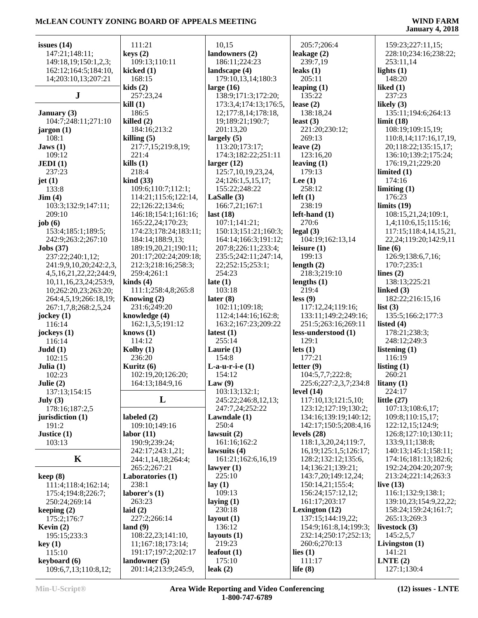| issues $(14)$                                 | 111:21                                   | 10,15                      | 205:7;206:4                        | 159:23;227:11,15;             |
|-----------------------------------------------|------------------------------------------|----------------------------|------------------------------------|-------------------------------|
| 147:21;148:11;                                | keys(2)                                  | landowners (2)             | leakage (2)                        | 228:10;234:16;238:22;         |
| 149:18,19;150:1,2,3;                          | 109:13;110:11                            | 186:11;224:23              | 239:7,19                           | 253:11,14                     |
| 162:12;164:5;184:10,                          | kicked $(1)$                             | landscape (4)              | leaks $(1)$                        | lights $(1)$                  |
| 14;203:10,13;207:21                           | 168:15                                   | 179:10,13,14;180:3         | 205:11                             | 148:20                        |
|                                               | kids(2)                                  | large $(16)$               | leaping $(1)$                      | liked $(1)$                   |
| ${\bf J}$                                     | 257:23,24                                | 138:9;171:3;172:20;        | 135:22                             | 237:23                        |
|                                               | kill(1)                                  | 173:3,4;174:13;176:5,      | lease $(2)$                        | likely $(3)$                  |
| January $(3)$                                 | 186:5                                    | 12;177:8,14;178:18,        | 138:18,24                          | 135:11;194:6;264:13           |
| 104:7;248:11;271:10                           | killed $(2)$                             | 19;189:21;190:7;           | least $(3)$                        | limit(18)                     |
| jargon (1)                                    | 184:16;213:2                             | 201:13,20                  | 221:20;230:12;                     | 108:19;109:15,19;             |
| 108:1                                         | killing $(5)$                            | largely $(5)$              | 269:13                             | 110:8,14;117:16,17,19,        |
| Jaws $(1)$                                    | 217:7,15;219:8,19;                       | 113:20;173:17;             | leave $(2)$                        | 20;118:22;135:15,17;          |
| 109:12                                        | 221:4                                    | 174:3;182:22;251:11        | 123:16,20                          | 136:10;139:2;175:24;          |
| JEDI(1)                                       | kills(1)                                 | larger $(12)$              | leaving $(1)$                      | 176:19,21;229:20              |
| 237:23                                        | 218:4                                    | 125:7, 10, 19, 23, 24,     | 179:13                             | limited $(1)$                 |
| jet $(1)$                                     | $\operatorname{kind}(33)$                | 24;126:1,5,15,17;          | Lee $(1)$                          | 174:16                        |
| 133:8                                         | 109:6;110:7;112:1;                       | 155:22;248:22              | 258:12                             | limiting $(1)$                |
| $\text{Jim} (4)$                              | 114:21;115:6;122:14,                     | LaSalle $(3)$              | $left(1\right)$                    | 176:23                        |
| 103:3;132:9;147:11;                           | 22;126:22;134:6;                         | 166:7,21;167:1             | 238:19                             | limits(19)                    |
| 209:10                                        | 146:18;154:1;161:16;                     | last $(18)$                | $left$ -hand $(1)$                 | 108:15,21,24;109:1,           |
| job $(6)$                                     | 165:22,24;170:23;                        | 107:1;141:21;              | 270:6                              | 1,4;110:6,15;115:16;          |
| 153:4;185:1;189:5;                            | 174:23;178:24;183:11;                    | 150:13;151:21;160:3;       | legal(3)                           | 117:15;118:4,14,15,21,        |
| 242:9;263:2;267:10                            | 184:14;188:9,13;                         | 164:14;166:3;191:12;       | 104:19;162:13,14                   | 22,24;119:20;142:9,11         |
| $\textbf{Jobs}$ (37)                          | 189:19,20,21;190:11;                     | 207:8;226:11;233:4;        | leisure $(1)$                      | line $(6)$                    |
| 237:22;240:1,12;                              | 201:17;202:24;209:18;                    | 235:5;242:11;247:14,       | 199:13                             | 126:9;138:6,7,16;             |
| 241:9,9,10,20;242:2,3,                        | 212:3;218:16;258:3;                      | 22;252:15;253:1;<br>254:23 | length $(2)$                       | 170:7;235:1                   |
| 4,5,16,21,22,22;244:9,                        | 259:4;261:1                              |                            | 218:3;219:10                       | lines $(2)$                   |
| 10,11,16,23,24;253:9,<br>10;262:20,23;263:20; | $\text{kinds}(4)$<br>111:1;258:4,8;265:8 | late $(1)$<br>103:18       | lengths $(1)$<br>219:4             | 138:13;225:21<br>linked $(3)$ |
|                                               | Knowing (2)                              | later $(8)$                | less(9)                            | 182:22;216:15,16              |
| 264:4,5,19;266:18,19;<br>267:1,7,8;268:2,5,24 | 231:6;249:20                             | 102:11;109:18;             | 117:12,24;119:16;                  | list $(3)$                    |
| jockey $(1)$                                  | knowledge (4)                            | 112:4;144:16;162:8;        | 133:11;149:2;249:16;               | 135:5;166:2;177:3             |
| 116:14                                        | 162:1,3,5;191:12                         | 163:2;167:23;209:22        | 251:5;263:16;269:11                | listed $(4)$                  |
| jockeys $(1)$                                 | knows $(1)$                              | latest $(1)$               | less-understood (1)                | 178:21;238:3;                 |
| 116:14                                        | 114:12                                   | 255:14                     | 129:1                              | 248:12;249:3                  |
| Judd(1)                                       | Kolby $(1)$                              | Laurie $(1)$               | lets $(1)$                         | listening (1)                 |
| 102:15                                        | 236:20                                   | 154:8                      | 177:21                             | 116:19                        |
| Julia $(1)$                                   | Kuritz $(6)$                             | $L-a-u-r-i-e(1)$           | letter $(9)$                       | listing $(1)$                 |
| 102:23                                        | 102:19,20;126:20;                        | 154:12                     | 104:5,7,7;222:8;                   | 260:21                        |
| Julie $(2)$                                   | 164:13;184:9,16                          | Law(9)                     | 225:6;227:2,3,7;234:8              | litany $(1)$                  |
| 137:13;154:15                                 |                                          | 103:13;132:1;              | level $(14)$                       | 224:17                        |
| July $(3)$                                    | L                                        | 245:22;246:8,12,13;        | 117:10,13;121:5,10;                | little $(27)$                 |
| 178:16;187:2,5                                |                                          | 247:7,24;252:22            | 123:12;127:19;130:2;               | 107:13;108:6,17;              |
| jurisdiction $(1)$                            | labeled $(2)$                            | Lawndale $(1)$             | 134:16;139:19;140:12;              | 109:8;110:15,17;              |
| 191:2                                         | 109:10;149:16                            | 250:4                      | 142:17;150:5;208:4,16              | 122:12,15;124:9;              |
| Justice $(1)$                                 | labor(11)                                | lawsuit $(2)$              | levels $(28)$                      | 126:8;127:10;130:11;          |
| 103:13                                        | 190:9;239:24;                            | 161:16;162:2               | 118:1,3,20,24;119:7,               | 133:9,11;138:8;               |
|                                               | 242:17;243:1,21;                         | lawsuits $(4)$             | 16, 19; 125: 1, 5; 126: 17;        | 140:13;145:1;158:11;          |
| $\mathbf K$                                   | 244:1,14,18;264:4;                       | 161:21;162:6,16,19         | 128:2;132:12;135:6,                | 174:16;181:13;182:6;          |
|                                               | 265:2;267:21                             | lawyer $(1)$               | 14;136:21;139:21;                  | 192:24;204:20;207:9;          |
| keep(8)                                       | Laboratories (1)                         | 225:10                     | 143:7,20;149:12,24;                | 213:24;221:14;263:3           |
| 111:4;118:4;162:14;                           | 238:1                                    | lay(1)                     | 150:14,21;155:4;                   | live $(13)$                   |
| 175:4;194:8;226:7;<br>250:24;269:14           | laborer's $(1)$<br>263:23                | 109:13                     | 156:24;157:12,12;<br>161:17;203:17 | 116:1;132:9;138:1;            |
|                                               |                                          | laying $(1)$<br>230:18     | Lexington (12)                     | 139:10,23;154:9,22,22;        |
| keeping $(2)$<br>175:2;176:7                  |                                          |                            |                                    | 158:24;159:24;161:7;          |
|                                               | laid $(2)$                               |                            |                                    |                               |
|                                               | 227:2;266:14                             | layout $(1)$               | 137:15;144:19,22;                  | 265:13;269:3                  |
| Kevin $(2)$                                   | land $(9)$                               | 136:12                     | 154:9;161:8,14;199:3;              | livestock (3)                 |
| 195:15;233:3                                  | 108:22,23;141:10,                        | layouts $(1)$              | 232:14;250:17;252:13;              | 145:2,5,7                     |
| key(1)                                        | 11;167:18;173:14;                        | 219:23                     | 260:6;270:13                       | Livingston $(1)$              |
| 115:10<br>keyboard (6)                        | 191:17;197:2;202:17<br>landowner $(5)$   | leafout $(1)$<br>175:10    | lies $(1)$<br>111:17               | 141:21<br>LNTE(2)             |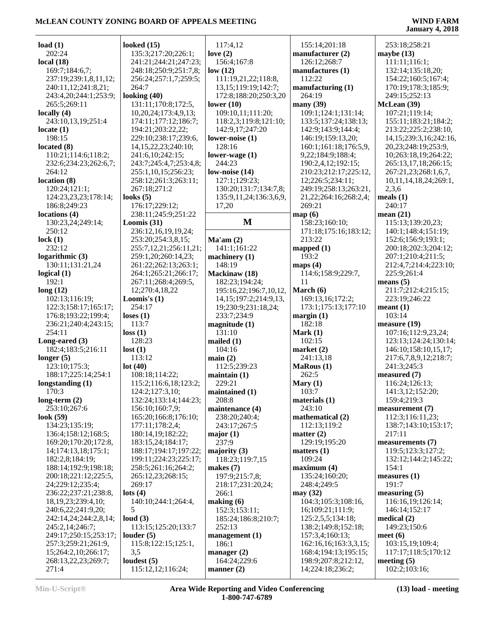| load $(1)$                      | looked $(15)$            | 117:4,12                    | 155:14;201:18               | 253:18;258:21                  |
|---------------------------------|--------------------------|-----------------------------|-----------------------------|--------------------------------|
| 202:24                          | 135:3;217:20;226:1;      | love $(2)$                  | manufacturer (2)            | maybe $(13)$                   |
| local $(18)$                    | 241:21;244:21;247:23;    | 156:4;167:8                 | 126:12;268:7                | 111:11;116:1;                  |
|                                 |                          |                             |                             |                                |
| 169:7;184:6,7;                  | 248:18;250:9;251:7,8;    | low(12)                     | manufactures (1)            | 132:14;135:18,20;              |
| 237:19;239:1,8,11,12;           | 256:24;257:1,7;259:5;    | 111:19,21,22;118:8,         | 112:22                      | 154:22;160:5;167:4;            |
| 240:11,12;241:8,21;             | 264:7                    | 13, 15; 119: 19; 142: 7;    | manufacturing $(1)$         | 170:19;178:3;185:9;            |
| 243:4,20;244:1;253:9;           | looking $(40)$           | 172:8;188:20;250:3,20       | 264:19                      | 249:15;252:13                  |
| 265:5;269:11                    | 131:11;170:8;172:5,      | lower $(10)$                | many $(39)$                 | McLean (39)                    |
| locally $(4)$                   | 10,20,24;173;4,9,13;     | 109:10,11;111:20;           | 109:1;124:1;131:14;         | 107:21;119:14;                 |
| 243:10,13,19;251:4              | 174:11;177:12;186:7;     | 118:2,3;119:8;121:10;       | 133:5;137:24;138:13;        | 155:11;183:21;184:2;           |
| locate $(1)$                    | 194:21;203:22,22;        | 142:9,17;247:20             | 142:9;143:9;144:4;          | 213:22;225:2;238:10,           |
| 198:15                          | 229:10;238:17;239:6,     | lower-noise (1)             | 146:19;159:13,20;           | 14, 15; 239: 3, 16; 242: 16,   |
| located $(8)$                   | 14, 15, 22, 23; 240: 10; | 128:16                      | 160:1;161:18;176:5,9,       | 20,23;248:19;253:9,            |
| 110:21;114:6;118:2;             | 241:6,10;242:15;         | lower-wage $(1)$            | 9,22;184:9;188:4;           | 10;263:18,19;264:22;           |
| 232:6;234:23;262:6,7;           | 243:7;245:4,7;253:4,8;   | 244:23                      | 190:2,4,12;192:15;          | 265:13,17,18;266:15;           |
| 264:12                          | 255:1,10,15;256:23;      | low-noise $(14)$            | 210:23;212:17;225:12,       | 267:21,23;268:1,6,7,           |
| location (8)                    | 258:12;261:3;263:11;     | 127:1;129:23;               |                             | 10, 11, 14, 18, 24; 269: 1,    |
|                                 |                          |                             | 12;226:5;234:11;            |                                |
| 120:24;121:1;                   | 267:18;271:2             | 130:20;131:7;134:7,8;       | 249:19;258:13;263:21,       | 2,3,6                          |
| 124:23,23,23;178:14;            | looks $(5)$              | 135:9,11,24;136:3,6,9,      | 21, 22; 264: 16; 268: 2, 4; | meals $(1)$                    |
| 186:8;249:23                    | 176:17;229:12;           | 17,20                       | 269:21                      | 240:17                         |
| locations (4)                   | 238:11;245:9;251:22      |                             | map(6)                      | mean $(21)$                    |
| 130:23,24;249:14;               | Loomis (31)              | M                           | 158:23;160:10;              | 115:13;139:20,23;              |
| 250:12                          | 236:12,16,19,19,24;      |                             | 171:18;175:16;183:12;       | 140:1;148:4;151:19;            |
| lock(1)                         | 253:20;254:3,8,15;       | Ma'am(2)                    | 213:22                      | 152:6;156:9;193:1;             |
| 232:12                          | 255:7,12,21;256:11,21;   | 141:1;161:22                | mapped $(1)$                | 200:18;202:3;204:12;           |
| logarithmic $(3)$               | 259:1,20;260:14,23;      | machinery (1)               | 193:2                       | 207:1;210:4;211:5;             |
| 130:11;131:21,24                | 261:22;262:13;263:1;     | 148:19                      | maps $(4)$                  | 212:4,7;214:4;223:10;          |
| logical $(1)$                   | 264:1;265:21;266:17;     | Mackinaw (18)               | 114:6;158:9;229:7,          | 225:9;261:4                    |
| 192:1                           | 267:11;268:4;269:5,      | 182:23;194:24;              | 11                          | means $(5)$                    |
| long(12)                        | 12;270:4,18,22           | 195:16,22;196:7,10,12,      | March (6)                   | 211:7;212:4;215:15;            |
| 102:13;116:19;                  | Loomis's $(1)$           |                             | 169:13,16;172:2;            | 223:19;246:22                  |
|                                 |                          | 14, 15; 197: 2; 214: 9, 13, |                             |                                |
| 122:3;158:17;165:17;            | 254:17                   | 19;230:9;231:18,24;         | 173:1;175:13;177:10         | meant(1)                       |
|                                 |                          |                             |                             |                                |
| 176:8;193:22;199:4;             | loses $(1)$              | 233:7;234:9                 | margin(1)                   | 103:14                         |
| 236:21;240:4;243:15;            | 113:7                    | magnitude(1)                | 182:18                      | measure (19)                   |
| 254:11                          | loss(1)                  | 131:10                      | Mark $(1)$                  | 107:16;112:9,23,24;            |
| Long-eared (3)                  | 128:23                   | mailed $(1)$                | 102:15                      | 123:13;124:24;130:14;          |
| 182:4;183:5;216:11              | lost(1)                  | 104:16                      | market $(2)$                | 146:10;158:10,15,17;           |
| longer $(5)$                    | 113:12                   | main(2)                     | 241:13,18                   | 217:6,7,8,9,12;218:7;          |
| 123:10;175:3;                   | lot(40)                  | 112:5;239:23                | <b>MaRous</b> (1)           | 241:3;245:3                    |
| 188:17;225:14;254:1             | 108:18;114:22;           | maintain(1)                 | 262:5                       | measured (7)                   |
| longstanding (1)                | 115:2;116:6,18;123:2;    | 229:21                      | Mary $(1)$                  | 116:24;126:13;                 |
| 170:3                           | 124:2;127:3,10;          | maintained (1)              | 103:7                       | 141:3,12;152:20;               |
|                                 | 132:24;133:14;144:23;    | 208:8                       | materials (1)               | 159:4;219:3                    |
| long-term $(2)$<br>253:10;267:6 | 156:10;160:7,9;          | maintenance (4)             | 243:10                      | measurement (7)                |
|                                 |                          |                             | mathematical (2)            | 112:3;116:11,23;               |
| look $(59)$                     | 165:20;166:8;176:10;     | 238:20;240:4;               |                             |                                |
| 134:23;135:19;                  | 177:11;178:2,4;          | 243:17;267:5                | 112:13;119:2                | 138:7;143:10;153:17;           |
| 136:4;158:12;168:5;             | 180:14,19;182:22;        | major $(1)$                 | matter $(2)$                | 217:11                         |
| 169:20;170:20;172:8,            | 183:15,24;184:17;        | 237:9                       | 129:19;195:20               | measurements (7)               |
| 14;174:13,18;175:1;             | 188:17;194:17;197:22;    | majority $(3)$              | matters $(1)$               | 119:5;123:3;127:2;             |
| 182:2,8;184:19;                 | 199:11;224:23;225:17;    | 118:23;119:7,15             | 109:24                      | 132:12;144:2;145:22;           |
| 188:14;192:9;198:18;            | 258:5;261:16;264:2;      | makes $(7)$                 | maximum (4)                 | 154:1                          |
| 200:18;221:12;225:5,            | 265:12,23;268:15;        | 197:9;215:7,8;              | 135:24;160:20;              | measures $(1)$                 |
| 24;229:12;235:4;                | 269:17                   | 218:17;231:20,24;           | 248:4:249:5                 | 191:7                          |
| 236:22;237:21;238:8,            | $\text{lots} (4)$        | 266:1                       | may $(32)$                  | measuring (5)                  |
| 18, 19, 23; 239: 4, 10;         | 140:10;244:1;264:4,      | making (6)                  | 104:3;105:3;108:16,         | 116:16,19;126:14;              |
| 240:6,22;241:9,20;              | 5                        | 152:3;153:11;               | 16;109:21;111:9;            | 146:14;152:17                  |
| 242:14,24;244:2,8,14;           | loud $(3)$               | 185:24;186:8;210:7;         | 125:2,5,5;134:18;           | medical $(2)$                  |
| 245:2,14;246:7;                 | 113:15;125:20;133:7      | 252:13                      | 138:2;149:8;152:18;         | 149:23;150:6                   |
| 249:17;250:15;253:17;           | louder(5)                | management(1)               | 157:3,4;160:13;             | meet $(6)$                     |
| 257:3;259:21;261:9,             | 115:8;122:15;125:1,      | 186:1                       | 162:16,16;163:3,3,15;       | 103:15,19;109:4;               |
| 15;264:2,10;266:17;             | 3,5                      | manager $(2)$               | 168:4;194:13;195:15;        | 117:17;118:5;170:12            |
| 268:13,22,23;269:7;             | loudest $(5)$            | 164:24;229:6                | 198:9;207:8;212:12,         | meeting $(5)$<br>102:2;103:16; |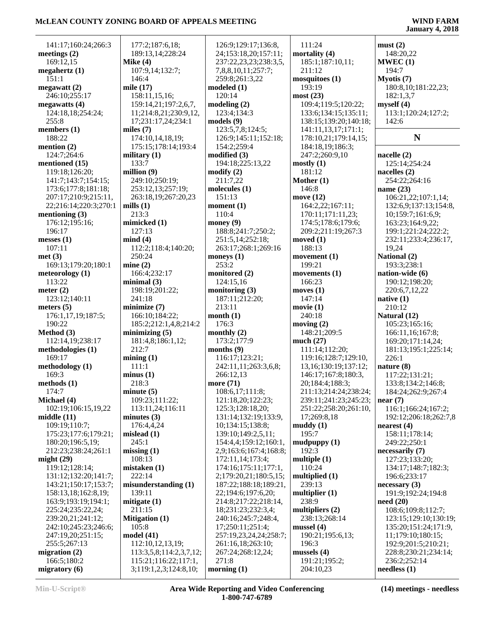| 141:17;160:24;266:3            | 177:2;187:6,18;                               | 126:9;129:17;136:8,          | 111:24                      | must(2)                                        |
|--------------------------------|-----------------------------------------------|------------------------------|-----------------------------|------------------------------------------------|
| meetings $(2)$                 | 189:13,14;228:24                              | 24;153:18,20;157:11;         | mortality (4)               | 148:20,22                                      |
| 169:12,15                      | Mike $(4)$                                    | 237:22,23,23;238:3,5,        | 185:1;187:10,11;            | MWEC(1)                                        |
| megahertz $(1)$                | 107:9,14;132:7;                               | 7,8,8,10,11;257:7;           | 211:12                      | 194:7                                          |
| 151:1                          | 146:4                                         | 259:8;261:3,22               | mosquitoes (1)              | Myotis $(7)$                                   |
| megawatt(2)                    | mile $(17)$                                   | modeled(1)                   | 193:19                      | 180:8, 10:181:22, 23;                          |
| 246:10;255:17                  | 158:11,15,16;                                 | 120:14                       | most(23)                    | 182:1,3,7                                      |
| megawatts $(4)$                | 159:14,21;197:2,6,7,                          | modeling(2)                  | 109:4;119:5;120:22;         | myself(4)                                      |
| 124:18,18;254:24;              | 11;214:8,21;230:9,12,                         | 123:4;134:3                  | 133:6;134:15;135:11;        | 113:1;120:24;127:2;                            |
| 255:8                          | 17;231:17,24;234:1                            | models(9)                    | 138:15;139:20;140:18;       | 142:6                                          |
| members $(1)$                  | miles (7)                                     | 123:5,7,8;124:5;             | 141:11,13,17;171:1;         |                                                |
| 188:22                         | 174:10,14,18,19;                              | 126:9;145:11;152:18;         | 178:10,21;179:14,15;        | ${\bf N}$                                      |
| mention $(2)$                  | 175:15;178:14;193:4                           | 154:2;259:4                  | 184:18,19;186:3;            |                                                |
| 124:7;264:6                    | military $(1)$                                | modified (3)                 | 247:2;260:9,10              | nacelle $(2)$                                  |
| mentioned (15)                 | 133:7                                         | 194:18;225:13,22             | mostly(1)                   | 125:14;254:24                                  |
| 119:18;126:20;                 | million $(9)$                                 | $\text{modify}(2)$           | 181:12                      | nacelles $(2)$                                 |
| 141:7;143:7;154:15;            | 249:10;250:19;                                | 211:7,22                     | Mother (1)                  | 254:22;264:16                                  |
| 173:6;177:8;181:18;            | 253:12,13;257:19;                             | molecules $(1)$              | 146:8                       | name $(23)$                                    |
| 207:17;210:9;215:11,           | 263:18,19;267:20,23                           | 151:13                       | move (12)                   | 106:21,22;107:1,14;                            |
| 22;216:14;220:3;270:1          | mills $(1)$                                   | moment $(1)$                 | 164:2,22;167:11;            | 132:6,9;137:13;154:8,                          |
| mentioning $(3)$               | 213:3                                         | 110:4                        | 170:11;171:11,23;           | 10;159:7;161:6,9;                              |
| 176:12;195:16;                 | mimicked (1)                                  | money $(9)$                  | 174:5;178:6;179:6;          | 163:23;164:9,22;                               |
| 196:17                         | 127:13                                        | 188:8;241:7;250:2;           | 209:2;211:19;267:3          | 199:1;221:24;222:2;                            |
| messes $(1)$                   | mind(4)                                       | 251:5,14;252:18;             | moved $(1)$                 | 232:11;233:4;236:17,                           |
| 107:11                         | 112:2;118:4;140:20;                           | 263:17;268:1;269:16          | 188:13                      | 19,24                                          |
| met(3)                         | 250:24                                        | moneys $(1)$                 | movement (1)                | National (2)                                   |
| 169:13;179:20;180:1            | mine(2)                                       | 253:2                        | 199:21                      | 193:3;238:1                                    |
| meteorology $(1)$              | 166:4;232:17                                  | monitored (2)                | movements $(1)$             | nation-wide (6)                                |
| 113:22                         | minimal(3)                                    | 124:15,16                    | 166:23                      | 190:12;198:20;                                 |
| meter $(2)$                    | 198:19;201:22;                                | monitoring $(3)$             | moves (1)                   | 220:6,7,12,22                                  |
| 123:12;140:11                  | 241:18                                        | 187:11;212:20;               | 147:14                      | native $(1)$                                   |
| meters $(5)$                   | minimize $(7)$                                | 213:11                       | movie(1)                    | 210:12                                         |
| 176:1,17,19;187:5;             | 166:10;184:22;                                | month(1)                     | 240:18                      | Natural (12)                                   |
| 190:22<br>Method (3)           | 185:2;212:1,4,8;214:2                         | 176:3                        | moving $(2)$                | 105:23;165:16;                                 |
| 112:14,19;238:17               | minimizing $(5)$<br>181:4,8;186:1,12;         | monthly $(2)$<br>173:2;177:9 | 148:21;209:5<br>much $(27)$ | 166:11,16;167:8;<br>169:20;171:14,24;          |
| methodologies (1)              | 212:7                                         | months $(9)$                 | 111:14;112:20;              | 181:13;195:1;225:14;                           |
| 169:17                         | mining(1)                                     | 116:17;123:21;               | 119:16;128:7;129:10,        | 226:1                                          |
| methodology (1)                | 111:1                                         | 242:11,11;263:3,6,8;         | 13, 16; 130: 19; 137: 12;   | nature $(8)$                                   |
| 169:3                          | minus(1)                                      | 266:12,13                    | 146:17;167:8;180:3,         | 117:22;131:21;                                 |
| methods $(1)$                  | 218:3                                         | more (71)                    | 20;184:4;188:3;             | 133:8;134:2;146:8;                             |
| 174:7                          | minute(5)                                     | 108:6,17;111:8;              | 211:13;214:24;238:24;       | 184:24;262:9;267:4                             |
| Michael (4)                    | 109:23;111:22;                                | 121:18,20;122:23;            | 239:11;241:23;245:23;       | near $(7)$                                     |
| 102:19;106:15,19,22            | 113:11,24;116:11                              | 125:3;128:18,20;             | 251:22;258:20;261:10,       | 116:1;166:24;167:2;                            |
| middle $(11)$                  | minutes $(3)$                                 | 131:14;132:19;133:9,         | 17;269:8,18                 | 192:12;206:18;262:7,8                          |
| 109:19;110:7;                  | 176:4,4,24                                    | 10;134:15;138:8;             | muddy(1)                    | nearest $(4)$                                  |
| 175:23;177:6;179:21;           | mislead $(1)$                                 | 139:10;149:2,5,11;           | 195:7                       | 158:11;178:14;                                 |
| 180:20;196:5,19;               | 245:1                                         | 154:4,4;159:12;160:1,        | mudpuppy $(1)$              | 249:22;250:1                                   |
| 212:23;238:24;261:1            | missing $(1)$                                 | 2,9;163:6;167:4;168:8;       | 192:3                       | necessarily (7)                                |
| might $(29)$                   | 108:13                                        | 172:11,14;173:4;             | multiple $(1)$              | 127:23;133:20;                                 |
| 119:12;128:14;                 | mistaken(1)                                   | 174:16;175:11;177:1,         | 110:24                      | 134:17;148:7;182:3;                            |
| 131:12;132:20;141:7;           | 222:14                                        | 2;179:20,21;180:5,15;        | multiplied (1)              | 196:6;233:17                                   |
| 143:21;150:17;153:7;           | misunderstanding (1)                          | 187:22;188:18;189:21,        | 239:13                      | necessary(3)                                   |
| 158:13,18;162:8,19;            | 139:11                                        | 22;194:6;197:6,20;           | multiplier $(1)$            | 191:9;192:24;194:8                             |
| 163:9;193:19;194:1;            | mitigate $(1)$                                | 214:8;217:22;218:14,         | 238:9                       | need(20)                                       |
| 225:24;235:22,24;              | 211:15                                        | 18;231:23;232:3,4;           | multipliers $(2)$           | 108:6;109:8;112:7;                             |
| 239:20,21;241:12;              | <b>Mitigation (1)</b>                         | 240:16;245:7;248:4,          | 238:13;268:14               | 123:15;129:10;130:19;                          |
| 242:10;245:23;246:6;           |                                               | 17;250:11;251:4;             | mussel(4)                   | 135:20;151:24;171:9,                           |
|                                | 105:8                                         |                              |                             |                                                |
| 247:19,20;251:15;              | model(41)                                     | 257:19,23,24,24;258:7;       | 190:21;195:6,13;            | 11;179:10;180:15;                              |
| 255:5;267:13                   | 112:10,12,13,19;                              | 261:16,18;263:10;            | 196:3                       | 192:9;201:5;210:21;                            |
| migration $(2)$                | 113:3,5,8;114:2,3,7,12;                       | 267:24;268:12,24;            | mussels $(4)$               | 228:8;230:21;234:14;                           |
| 166:5;180:2<br>migratory $(6)$ | 115:21;116:22;117:1,<br>3;119:1,2,3;124:8,10; | 271:8<br>morning $(1)$       | 191:21;195:2;<br>204:10,23  | 236:2;252:14<br>$\boldsymbol{\text{needs}}(1)$ |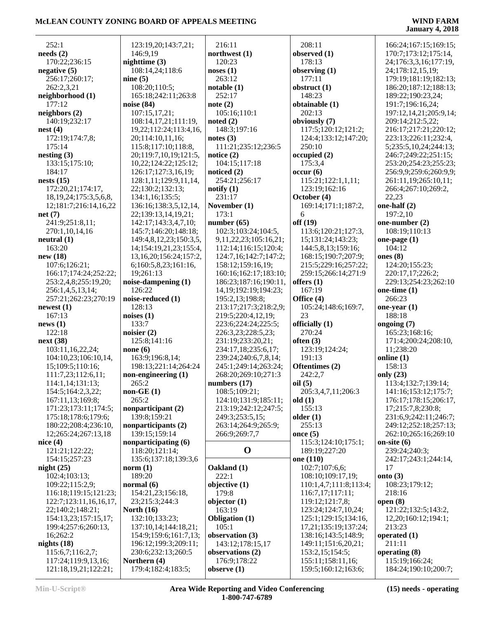| 252:1                        | 123:19,20;143:7,21;          | 216:11                    | 208:11                 | 166:24;167:15;169:15;  |
|------------------------------|------------------------------|---------------------------|------------------------|------------------------|
| needs(2)                     | 146:9,19                     | northwest $(1)$           | observed (1)           | 170:7;173:12;175:14,   |
| 170:22;236:15                | nighttime $(3)$              | 120:23                    | 178:13                 | 24;176:3,3,16;177:19,  |
| negative $(5)$               | 108:14,24;118:6              | noses(1)                  | observing $(1)$        | 24;178:12,15,19;       |
| 256:17;260:17;               | nine $(5)$                   | 263:12                    | 177:11                 | 179:19;181:19;182:13;  |
| 262:2,3,21                   | 108:20;110:5;                | notable(1)                | obstruct $(1)$         | 186:20;187:12;188:13;  |
| neighborhood (1)             | 165:18;242:11;263:8          | 252:17                    | 148:23                 | 189:22;190:23,24;      |
| 177:12                       | noise (84)                   | note $(2)$                | obtainable (1)         | 191:7;196:16,24;       |
| neighbors (2)                | 107:15,17,21;                | 105:16;110:1              | 202:13                 | 197:12,14,21;205:9,14; |
| 140:19;232:17                | 108:14,17,21;111:19,         | noted $(2)$               | obviously (7)          | 209:14;212:5,22;       |
| nest(4)                      | 19, 22; 112: 24; 113: 4, 16, | 148:3;197:16              | 117:5;120:12;121:2;    | 216:17;217:21;220:12;  |
| 172:19;174:7,8;              | 20;114:10,11,16;             | notes $(3)$               | 124:4;133:12;147:20;   | 223:13;226:11;232:4,   |
| 175:14                       | 115:8;117:10;118:8,          | 111:21;235:12;236:5       | 250:10                 | 5;235:5,10,24;244:13;  |
| nesting(3)                   | 20;119:7,10,19;121:5,        | notice $(2)$              | occupied(2)            | 246:7;249:22;251:15;   |
| 133:15;175:10;               | 10,22;124:22;125:12;         | 104:15;117:18             | 175:3,4                | 253:20;254:23;255:23;  |
| 184:17                       | 126:17;127:3,16,19;          | noticed $(2)$             | occur(6)               | 256:9,9;259:6;260:9,9; |
| nests $(15)$                 | 128:1,11;129:9,11,14,        | 254:21;256:17             | 115:21;122:1,1,11;     | 261:11,19;265:10,11;   |
| 172:20,21;174:17,            | 22;130:2;132:13;             | notify(1)                 | 123:19;162:16          | 266:4;267:10;269:2,    |
| 18, 19, 24; 175: 3, 5, 6, 8, | 134:1,16;135:5;              | 231:17                    | October (4)            | 22,23                  |
| 12;181:7;216:14,16,22        | 136:16;138:3,5,12,14,        | November (1)              | 169:14;171:1;187:2,    | one-half (2)           |
| net(7)                       | 22;139:13,14,19,21;          | 173:1                     | 6                      | 197:2,10               |
| 241:9;251:8,11;              | 142:17;143:3,4,7,10;         | number $(65)$             | off(19)                | one-number (2)         |
| 270:1,10,14,16               | 145:7;146:20;148:18;         | 102:3;103:24;104:5,       | 113:6;120:21;127:3,    | 108:19;110:13          |
| neutral (1)                  | 149:4,8,12,23;150:3,5,       | 9,11,22,23;105:16,21;     | 15;131:24;143:23;      | one-page $(1)$         |
| 163:20                       | 14;154:19,21,23;155:4,       | 112:14;116:15;120:4;      | 144:5,8,13;159:16;     | 104:12                 |
| new(18)                      | 13, 16, 20; 156: 24; 157: 2, | 124:7,16;142:7;147:2;     | 168:15;190:7;207:9;    | ones $(8)$             |
| 107:6;126:21;                | 6;160:5,8,23;161:16,         | 158:12;159:16,19;         | 215:5;229:16;257:22;   | 124:20;155:23;         |
| 166:17;174:24;252:22;        | 19;261:13                    | 160:16;162:17;183:10;     | 259:15;266:14;271:9    | 220:17,17;226:2;       |
| 253:2,4,8;255:19,20;         | noise-dampening (1)          | 186:23;187:16;190:11,     | offers $(1)$           | 229:13;254:23;262:10   |
| 256:1,4,5,13,14;             | 126:22                       | 14, 19; 192: 19; 194: 23; | 167:19                 | one-time $(1)$         |
| 257:21;262:23;270:19         | noise-reduced (1)            | 195:2,13;198:8;           | Office (4)             | 266:23                 |
| newest(1)                    | 128:13                       | 213:17;217:3;218:2,9;     | 105:24;148:6;169:7,    | one-year $(1)$         |
| 167:13                       | noises $(1)$                 | 219:5;220:4,12,19;        | 23                     | 188:18                 |
| news(1)                      | 133:7                        | 223:6;224:24;225:5;       | officially (1)         | ongoing (7)            |
| 122:18                       | noisier $(2)$                | 226:3,23;228:5,23;        | 270:24                 | 165:23;168:16;         |
| next(38)                     | 125:8;141:16                 | 231:19;233:20,21;         | often $(3)$            | 171:4;200:24;208:10,   |
| 103:11,16,22,24;             | none $(6)$                   | 234:17,18;235:6,17;       | 123:19;124:24;         | 11;238:20              |
| 104:10,23;106:10,14,         | 163:9;196:8,14;              | 239:24;240:6,7,8,14;      | 191:13                 | online $(1)$           |
| 15;109:5;110:16;             | 198:13;221:14;264:24         | 245:1;249:14;263:24;      | Oftentimes (2)         | 158:13                 |
| 111:7,23;112:6,11;           | non-engineering (1)          | 268:20;269:10;271:3       | 242:2,7                | only (23)              |
| 114:1,14;131:13;             | 265:2                        | numbers $(17)$            | oil(5)                 | 113:4;132:7;139:14;    |
| 154:5;164:2,3,22;            | $non-GE(1)$                  | 108:5;109:21;             | 205:3,4,7,11;206:3     | 141:16;153:12;175:7;   |
| 167:11,13;169:8;             | 265:2                        | 124:10;131:9;185:11;      | old $(1)$              | 176:17;178:15;206:17,  |
| 171:23;173:11;174:5;         | nonparticipant (2)           | 213:19;242:12;247:5;      | 155:13                 | 17;215:7,8;230:8;      |
| 175:18;178:6;179:6;          | 139:8;159:21                 | 249:3;253:5,15;           | older $(1)$            | 231:6,9;242:11;246:7;  |
| 180:22;208:4;236:10,         | nonparticipants (2)          | 263:14;264:9;265:9;       | 255:13                 | 249:12;252:18;257:13;  |
| 12;265:24;267:13,18          | 139:15:159:14                | 266:9;269:7,7             | once $(5)$             | 262:10:265:16:269:10   |
| nice $(4)$                   | nonparticipating (6)         |                           | 115:3;124:10;175:1;    | on-site $(6)$          |
| 121:21;122:22;               | 118:20;121:14;               | $\mathbf 0$               | 189:19;227:20          | 239:24;240:3;          |
| 154:15;257:23                | 135:6;137:18;139:3,6         |                           | one (110)              | 242:17;243:1;244:14,   |
| night $(25)$                 | norm $(1)$                   | Oakland (1)               | 102:7;107:6,6;         | 17                     |
| 102:4;103:13;                | 189:20                       | 222:1                     | 108:10;109:17,19;      | onto $(3)$             |
| 109:22;115:2,9;              | normal $(6)$                 | objective (1)             | 110:1,4,7;111:8;113:4; | 108:23;179:12;         |
| 116:18;119:15;121:23;        | 154:21,23;156:18,            | 179:8                     | 116:7,17;117:11;       | 218:16                 |
| 122:7;123:11,16,16,17,       | 23;215:3;244:3               | objector $(1)$            | 119:12;121:7,8;        | open $(8)$             |
| 22;140:2;148:21;             | North $(16)$                 | 163:19                    | 123:24;124:7,10,24;    | 121:22;132:5;143:2,    |
| 154:13,23;157:15,17;         | 132:10;133:23;               | <b>Obligation</b> (1)     | 125:1;129:15;134:16,   | 12,20;160:12;194:1;    |
| 199:4;257:6;260:13,          | 137:10,14;144:18,21;         | 105:1                     | 17,21;135:19;137:24;   | 213:23                 |
| 16;262:2                     | 154:9;159:6;161:7,13;        | observation (3)           | 138:16;143:5;148:9;    | operated $(1)$         |
| nights $(18)$                | 196:12;199:3;209:11;         | 143:12;178:15,17          | 149:11;151:6,20,21;    | 211:11                 |
| 115:6,7;116:2,7;             | 230:6;232:13;260:5           | observations (2)          | 153:2,15;154:5;        | operating (8)          |
| 117:24;119:9,13,16;          | Northern (4)                 | 176:9;178:22              | 155:11;158:11,16;      | 115:19;166:24;         |
| 121:18,19,21;122:21;         | 179:4;182:4;183:5;           | observe $(1)$             | 159:5;160:12;163:6;    | 184:24;190:10;200:7;   |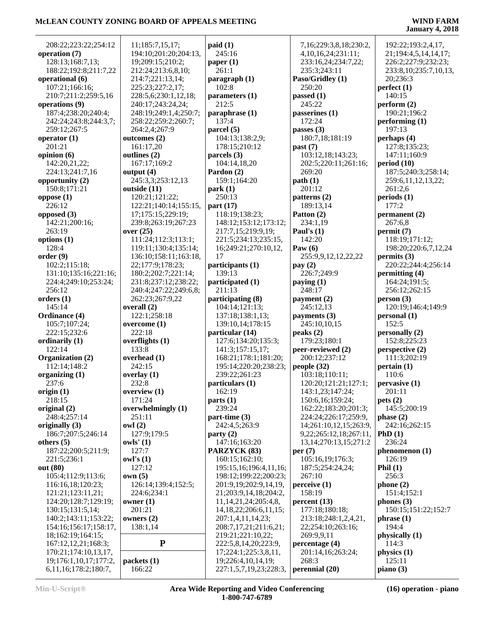| 208:22;223:22;254:12       | 11;185:7,15,17;                      | paid(1)                          | 7,16;229:3,8,18;230:2,          | 192:22;193:2,4,17,        |
|----------------------------|--------------------------------------|----------------------------------|---------------------------------|---------------------------|
| operation (7)              | 194:10;201:20;204:13,                | 245:16                           | 4, 10, 16, 24; 231: 11;         | 21;194:4,5,14,14,17;      |
| 128:13;168:7,13;           | 19;209:15;210:2;                     | paper $(1)$                      | 233:16,24;234:7,22;             | 226:2;227:9;232:23;       |
| 188:22;192:8;211:7,22      | 212:24;213:6,8,10;                   | 261:1                            | 235:3;243:11                    | 233:8, 10; 235:7, 10, 13, |
| operational (6)            | 214:7;221:13,14;                     | paragnch(1)                      | Paso/Gridley (1)                | 20;236:3                  |
| 107:21;166:16;             | 225:23;227:2,17;                     | 102:8                            | 250:20                          | perfect(1)                |
| 210:7;211:2;259:5,16       | 228:5,6;230:1,12,18;                 | parameters (1)                   | passed $(1)$                    | 140:15                    |
| operations (9)             | 240:17;243:24,24;                    | 212:5                            | 245:22                          | perform $(2)$             |
| 187:4;238:20;240:4;        | 248:19;249:1,4;250:7;                |                                  | passerines (1)                  | 190:21;196:2              |
|                            |                                      | paraphrase (1)<br>137:4          | 172:24                          | performing $(1)$          |
| 242:24;243:8;244:3,7;      | 258:22;259:2;260:7;<br>264:2,4;267:9 | parcel (5)                       |                                 | 197:13                    |
| 259:12;267:5               |                                      |                                  | passes $(3)$<br>180:7,18;181:19 |                           |
| operator $(1)$             | outcomes (2)                         | 104:13;138:2,9;<br>178:15:210:12 |                                 | perhaps (4)               |
| 201:21                     | 161:17,20                            |                                  | past (7)                        | 127:8;135:23;             |
| opinion (6)                | outlines (2)                         | parcels (3)                      | 103:12,18;143:23;               | 147:11;160:9              |
| 142:20,21,22;              | 167:17;169:2                         | 104:14,18,20                     | 202:5;220:11;261:16;            | period(10)                |
| 224:13;241:7,16            | output $(4)$                         | Pardon (2)                       | 269:20                          | 187:5;240:3;258:14;       |
| opportunity $(2)$          | 245:3,3;253:12,13                    | 159:1;164:20                     | path(1)                         | 259:6,11,12,13,22;        |
| 150:8;171:21               | outside $(11)$                       | park(1)                          | 201:12                          | 261:2,6                   |
| oppose $(1)$               | 120:21;121:22;                       | 250:13                           | patterns (2)                    | periods(1)                |
| 226:12                     | 122:21;140:14;155:15,                | part $(17)$                      | 189:13,14                       | 177:2                     |
| opposed $(3)$              | 17;175:15;229:19;                    | 118:19;138:23;                   | Patton (2)                      | permanent (2)             |
| 142:21;200:16;             | 239:8;263:19;267:23                  | 148:12;153:12;173:12;            | 234:1,19                        | 267:6,8                   |
| 263:19                     | over $(25)$                          | 217:7,15;219:9,19;               | Paul's $(1)$                    | permit(7)                 |
| options $(1)$              | 111:24;112:3;113:1;                  | 221:5;234:13;235:15,             | 142:20                          | 118:19;171:12;            |
| 128:4                      | 119:11;130:4;135:14;                 | 16;249:21;270:10,12,             | Paw $(6)$                       | 198:20;220:6,7,12,24      |
| order(9)                   | 136:10;158:11;163:18,                | 17                               | 255:9,9,12,12,22,22             | permits (3)               |
| 102:2;115:18;              | 22;177:9;178:23;                     | participants (1)                 | pay $(2)$                       | 220:22;244:4;256:14       |
| 131:10;135:16;221:16;      | 180:2;202:7;221:14;                  | 139:13                           | 226:7;249:9                     | permitting (4)            |
| 224:4;249:10;253:24;       | 231:8;237:12;238:22;                 | participated (1)                 | paying $(1)$                    | 164:24;191:5;             |
| 256:12                     | 240:4;247:22;249:6,8;                | 211:13                           | 248:17                          | 256:12;262:15             |
| orders $(1)$               | 262:23;267:9,22                      | participating (8)                | payment $(2)$                   | person(3)                 |
| 145:14                     | overall (2)                          | 104:14;121:13;                   | 245:12,13                       | 120:19;146:4;149:9        |
| Ordinance (4)              | 122:1;258:18                         | 137:18;138:1,13;                 | payments (3)                    | personal (1)              |
| 105:7;107:24;              | overcome (1)                         | 139:10,14;178:15                 | 245:10,10,15                    | 152:5                     |
| 222:15;232:6               | 222:18                               | particular (14)                  | peaks(2)                        | personally (2)            |
| ordinarily (1)             | overflights (1)                      | 127:6;134:20;135:3;              | 179:23;180:1                    | 152:8;225:23              |
| 122:14                     | 133:8                                | 141:3;157:15,17;                 | peer-reviewed (2)               | perspective (2)           |
| Organization (2)           | overhead (1)                         | 168:21;178:1;181:20;             | 200:12;237:12                   | 111:3;202:19              |
| 112:14;148:2               | 242:15                               | 195:14;220:20;238:23;            | people $(32)$                   | pertain(1)                |
| organizing $(1)$           | overlay $(1)$                        | 239:22;261:23                    | 103:18;110:11;                  | 110:6                     |
| 237:6                      | 232:8                                | particulars (1)                  | 120:20;121:21;127:1;            | pervasive (1)             |
| origin $(1)$               | overview $(1)$                       | 162:19                           | 143:1,23;147:24;                | 201:11                    |
| 218:15                     | 171:24                               | parts $(1)$                      | 150:6,16;159:24;                | pets(2)                   |
| original $(2)$             | overwhelmingly (1)                   | 239:24                           | 162:22;183:20;201:3;            | 145:5;200:19              |
| 248:4;257:14               | 251:11                               | $part-time (3)$                  | 224:24;226:17;259:9,            | phase $(2)$               |
| originally (3)             | owl(2)                               | 242:4,5;263:9                    | 14;261:10,12,15;263:9,          | 242:16;262:15             |
| 186:7;207:5;246:14         | 127:9;179:5                          | party(2)                         | 9,22;265:12,18;267:11,          | PhD(1)                    |
| others $(5)$               | owls' (1)                            | 147:16;163:20                    | 13, 14; 270: 13, 15; 271: 2     | 236:24                    |
| 187:22;200:5;211:9;        | 127:7                                | PARZYCK (83)                     | per(7)                          | phenomenon(1)             |
| 221:5;236:1                | owl's $(1)$                          | 160:15;162:10;                   | 105:16,19;176:3;                | 126:19                    |
| out (80)                   | 127:12                               | 195:15,16;196:4,11,16;           | 187:5;254:24,24;                | Phil $(1)$                |
| 105:4;112:9;113:6;         | own(5)                               | 198:12;199:22;200:23;            | 267:10                          | 256:3                     |
| 116:16,18;120:23;          | 126:14;139:4;152:5;                  | 201:9,19;202:9,14,19,            | perceive(1)                     | phone(2)                  |
| 121:21;123:11,21;          | 224:6;234:1                          | 21;203:9,14,18;204:2,            | 158:19                          | 151:4;152:1               |
| 124:20;128:7;129:19;       | owner $(1)$                          | 11, 14, 21, 24; 205: 4, 8,       | percent(13)                     | phones $(3)$              |
| 130:15;131:5,14;           | 201:21                               | 14, 18, 22; 206: 6, 11, 15;      | 177:18;180:18;                  | 150:15;151:22;152:7       |
| 140:2;143:11;153:22;       | owners $(2)$                         | 207:1,4,11,14,23;                | 213:18;248:1,2,4,21,            | phrase(1)                 |
| 154:16;156:17;158:17,      | 138:1,14                             | 208:7,17,21;211:6,21;            | 22;254:10;263:16;               | 194:4                     |
| 18;162:19;164:15;          |                                      |                                  |                                 |                           |
|                            |                                      | 219:21;221:10,22;                | 269:9,9,11                      | physically (1)            |
| 167:12,12,21;168:3;        | ${\bf P}$                            | 222:5,8,14,20;223:9,             | percentage (4)                  | 114:3                     |
| 170:21;174:10,13,17,       |                                      | 17;224:1;225:3,8,11,             | 201:14,16;263:24;               | physics (1)               |
| 19;176:1,10,17;177:2,      | packets (1)                          | 19;226:4,10,14,19;               | 268:3                           | 125:11                    |
| 6, 11, 16; 178: 2; 180: 7, | 166:22                               | 227:1,5,7,19,23;228:3,           | perennial (20)                  | piano $(3)$               |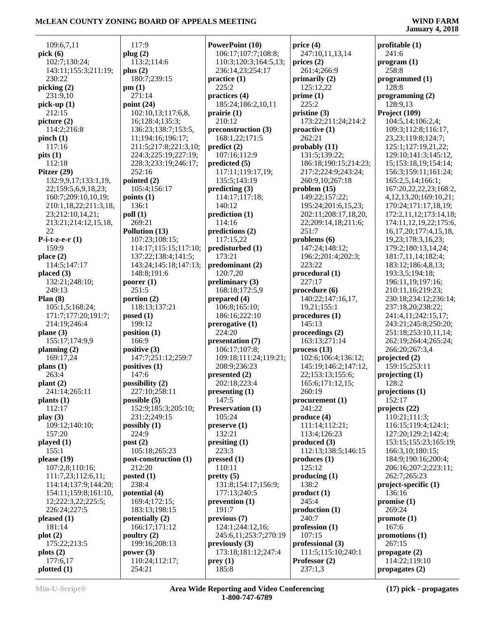|                            | 117:9                      | PowerPoint (10)          | price $(4)$                           |                                                  |
|----------------------------|----------------------------|--------------------------|---------------------------------------|--------------------------------------------------|
| 109:6,7,11<br>pick(6)      | plug (2)                   | 106:17;107:7;108:8;      | 247:10,11,13,14                       | profitable $(1)$<br>241:6                        |
| 102:7;130:24;              | 113:2;114:6                | 110:3;120:3;164:5,13;    | $\text{prices}$ (2)                   | program (1)                                      |
| 143:11;155:3;211:19;       | plus $(2)$                 | 236:14,23;254:17         | 261:4;266:9                           | 258:8                                            |
| 230:22                     | 180:7;239:15               | practive(1)              | primarily $(2)$                       | programmed (1)                                   |
| picking (2)                | pm(1)                      | 225:2                    | 125:12,22                             | 128:8                                            |
| 231:9,10                   | 271:14                     | practices (4)            | prime(1)                              | programming $(2)$                                |
| pick-up $(1)$              | point $(24)$               | 185:24;186:2,10,11       | 225:2                                 | 128:9,13                                         |
| 212:15                     | 102:10,13;117:6,8,         | prairie(1)               | pristine $(3)$                        | Project (109)                                    |
| picture $(2)$              | 16;128:4;135:3;            | 210:12                   | 173:22;211:24;214:2                   | 104:5,14;106:2,4;                                |
| 114:2:216:8                | 136:23;138:7;153:5,        | preconstruction (3)      | $\text{proactive}(1)$                 | 109:3;112:8;116:17,                              |
| pinch(1)                   | 11;194:16;196:17;          | 168:1,22;171:5           | 262:21                                | 23, 23; 119: 8; 124: 7;                          |
| 117:16                     | 211:5;217:8;221:3,10;      | predict(2)               | probably (11)                         | 125:1;127:19,21,22;                              |
| pits(1)                    | 224:3;225:19;227:19;       | 107:16;112:9             | 131:5;139:22;                         | 129:10;141:3;145:12,                             |
| 112:18                     | 228:3;233:19;246:17;       | predicted (5)            | 186:18;190:15;214:23;                 | 15;153:18,19;154:14;                             |
| Pitzer (29)                | 252:16                     | 117:11;119:17,19;        | 217:2;224:9;243:24;                   | 156:3;159:11;161:24;                             |
| 132:9,9,17;133:1,19,       | pointed $(2)$              | 135:5;143:19             | 260:9,10;267:18                       | 165:2,5,14;166:1;                                |
| 22;159:5,6,9,18,23;        | 105:4;156:17               | predicting (3)           | problem(15)                           | 167:20,22,22,23;168:2,                           |
| 160:7;209:10,10,19;        | points $(1)$               | 114:17;117:18;           | 149:22;157:22;                        | 4, 12, 13, 20; 169: 10, 21;                      |
| 210:1,18,22;211:3,18,      | 136:1                      | 140:12                   | 195:24;201:6,15,23;                   | 170:24;171:17,18,19;                             |
| 23;212:10,14,21;           | $\text{poll}(1)$<br>269:21 | prediction (1)<br>114:16 | 202:11;208:17,18,20,                  | 172:2,11,12;173:14,18;<br>174:11,12,19,22;175:6, |
| 213:21;214:12,15,18,<br>22 | Pollution (13)             | predictions (2)          | 22;209:14,18;211:6;<br>251:7          | 16, 17, 20; 177: 4, 15, 18,                      |
| P-i-t-z-e- $r(1)$          | 107:23;108:15;             | 117:15,22                | problems $(6)$                        | 19,23;178:3,16,23;                               |
| 159:9                      | 114:17;115:15;117:10;      | predisturbed (1)         | 147:24;148:12;                        | 179:2;180:13,14,24;                              |
| place $(2)$                | 137:22;138:4;141:5;        | 173:21                   | 196:2;201:4;202:3;                    | 181:7,11,14;182:4;                               |
| 114:5;147:17               | 143:24;145:18;147:13;      | predominant (2)          | 223:22                                | 183:12;186:4,8,13;                               |
| placed $(3)$               | 148:8;191:6                | 120:7,20                 | procedural (1)                        | 193:3,5;194:18;                                  |
| 132:21;248:10;             | poorer $(1)$               | preliminary (3)          | 227:17                                | 196:11,19;197:16;                                |
| 249:13                     | 251:5                      | 168:18;172:5,9           | procedure (6)                         | 210:11,16;219:23;                                |
| Plan $(8)$                 | portion $(2)$              | prepared (4)             | 140:22;147:16,17,                     | 230:18;234:12;236:14;                            |
| 105:1,5;168:24;            | 118:13;137:21              | 106:8;165:10;            | 19,21;155:1                           | 237:18,20;238:22;                                |
| 171:7;177:20;191:7;        | posed $(1)$                | 186:16;222:10            | procedures (1)                        | 241:4,11;242:15,17;                              |
| 214:19;246:4               | 199:12                     | prerogative (1)          | 145:13                                | 243:21;245:8;250:20;                             |
| plane $(3)$                | position $(1)$             | 224:20                   | proceedings $(2)$                     | 251:18;253:10,11,14;                             |
| 155:17;174:9,9             | 166:9                      | presentation (7)         | 163:13:271:14                         | 262:19;264:4;265:24;                             |
| planning $(2)$             | positive (3)               | 106:17;107:8;            | process(13)                           | 266:20;267:3,4                                   |
| 169:17,24                  | 147:7;251:12;259:7         | 109:18;111:24;119:21;    | 102:6;106:4;136:12;                   | projected (2)                                    |
| plans $(1)$                | positives (1)              | 208:9;236:23             | 145:19;146:2;147:12,                  | 159:15;253:11                                    |
| 263:4                      | 147:6                      | presented (2)            | 22;153:13;155:6;                      | projecting $(1)$                                 |
| plant(2)                   | possibility (2)            | 202:18;223:4             | 165:6;171:12,15;                      | 128:2                                            |
| 241:14;265:11              | 227:10;258:11              | presenting (1)           | 260:19                                | projections $(1)$                                |
| plants $(1)$               | possible $(5)$             | 147:5                    | procurrent(1)                         | 152:17                                           |
| 112:17                     | 152:9;185:3;205:10;        | <b>Preservation (1)</b>  | 241:22                                | projects (22)                                    |
| play $(3)$                 | 231:2;249:15               | 105:24                   | produce (4)                           | 110:21;111:3;                                    |
| 109:12;140:10;             | possibly $(1)$             | preserve(1)              | 111:14;112:21;                        | 116:15;119:4;124:1;                              |
| 157:20                     | 224:9                      | 132:21<br>presiting (1)  | 113:4;126:23                          | 127:20:129:2:142:4:                              |
| played $(1)$<br>155:1      | post(2)<br>105:18;265:23   | 223:3                    | produced $(3)$<br>112:13;138:5;146:15 | 153:15;155:23;165:19;<br>166:3,10;180:15;        |
| please $(19)$              | post-construction (1)      | pressed (1)              | produces(1)                           | 184:9;190:16;200:4;                              |
| 107:2,8;110:16;            | 212:20                     | 110:11                   | 125:12                                | 206:16;207:2;223:11;                             |
| 111:7,23;112:6,11;         | posted $(1)$               | pretty(5)                | producing (1)                         | 262:7;265:23                                     |
| 114:14;137:9;144:20;       | 238:4                      | 131:8;154:17;156:9;      | 138:2                                 | $project-specific(1)$                            |
| 154:11;159:8;161:10,       | potential (4)              | 177:13;240:5             | product(1)                            | 136:16                                           |
| 12;222:3,22;225:5;         | 169:4;172:15;              | prevention (1)           | 245:4                                 | promise(1)                                       |
| 226:24;227:5               | 183:13;198:15              | 191:7                    | production <sub>(1)</sub>             | 269:24                                           |
| pleased $(1)$              | potentially $(2)$          | previous (7)             | 240:7                                 | promote $(1)$                                    |
| 181:14                     | 166:17;171:12              | 124:1;244:12,16;         | profession(1)                         | 167:6                                            |
| plot(2)                    | poultry $(2)$              | 245:6,11;253:7;270:19    | 107:15                                | promotions (1)                                   |
| 175:22;213:5               | 199:16;208:13              | previously $(3)$         | professional (3)                      | 267:15                                           |
| plots(2)                   | power $(3)$                | 173:18;181:12;247:4      | 111:5;115:10;240:1                    | propagate $(2)$                                  |
| 177:6,17                   | 110:24;112:17;             | prey(1)                  | Professor (2)                         | 114:22;119:10                                    |
| plotted(1)                 | 254:21                     | 185:8                    | 237:1,3                               | propagates $(2)$                                 |
|                            |                            |                          |                                       |                                                  |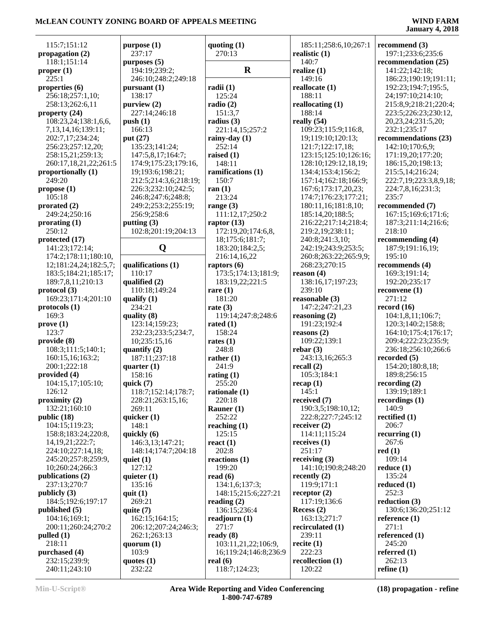| 115:7;151:12<br>propagation $(2)$ | purpose (1)<br>237:17 | quoting $(1)$<br>270:13 | 185:11;258:6,10;267:1<br>realistic $(1)$ | recommend $(3)$<br>197:1;233:6;235:6 |
|-----------------------------------|-----------------------|-------------------------|------------------------------------------|--------------------------------------|
| 118:1;151:14                      | purposes $(5)$        |                         | 140:7                                    | recommendation (25)                  |
| proper (1)                        | 194:19;239:2;         | $\mathbf R$             | realize $(1)$                            | 141:22;142:18;                       |
| 225:1                             | 246:10:248:2:249:18   |                         | 149:16                                   | 186:23;190:19;191:11;                |
|                                   |                       |                         |                                          |                                      |
| properties $(6)$                  | pursuant $(1)$        | radii(1)                | reallocate (1)                           | 192:23;194:7;195:5,                  |
| 256:18;257:1,10;                  | 138:17                | 125:24                  | 188:11                                   | 24;197:10;214:10;                    |
| 258:13;262:6,11                   | purview (2)           | radio $(2)$             | reallocating $(1)$                       | 215:8,9;218:21;220:4;                |
| property (24)                     | 227:14:246:18         | 151:3,7                 | 188:14                                   | 223:5;226:23;230:12,                 |
| 108:23,24;138:1,6,6,              | push(1)               | radius $(3)$            | really $(54)$                            | 20,23,24;231:5,20;                   |
| 7, 13, 14, 16; 139: 11;           | 166:13                | 221:14,15;257:2         | 109:23;115:9;116:8,                      | 232:1;235:17                         |
| 202:7,17;234:24;                  | put (27)              | rainy-day (1)           | 19;119:10;120:13;                        | recommendations (23)                 |
| 256:23;257:12,20;                 | 135:23;141:24;        | 252:14                  | 121:7;122:17,18;                         | 142:10;170:6,9;                      |
| 258:15,21;259:13;                 | 147:5,8,17;164:7;     | raised $(1)$            | 123:15;125:10;126:16;                    | 171:19,20;177:20;                    |
| 260:17,18,21,22;261:5             | 174:9;175:23;179:16,  | 148:11                  | 128:10;129:12,18,19;                     | 186:15,20;198:13;                    |
| proportionally (1)                | 19;193:6;198:21;      | ramifications (1)       | 134:4;153:4;156:2;                       | 215:5,14;216:24;                     |
| 249:20                            | 212:5;214:3,6;218:19; | 150:7                   | 157:14;162:18;166:9;                     | 222:7,19;223:3,8,9,18;               |
| propose $(1)$                     | 226:3;232:10;242:5;   | ran $(1)$               | 167:6;173:17,20,23;                      | 224:7,8,16;231:3;                    |
| 105:18                            | 246:8;247:6;248:8;    | 213:24                  | 174:7;176:23;177:21;                     | 235:7                                |
| prorated (2)                      | 249:2;253:2;255:19;   | range $(3)$             | 180:11,16;181:8,10;                      | recommended (7)                      |
| 249:24;250:16                     | 256:9;258:6           | 111:12,17;250:2         | 185:14,20;188:5;                         | 167:15;169:6;171:6;                  |
|                                   | putting $(3)$         | raptor $(13)$           | 216:22;217:14;218:4;                     | 187:3;211:14;216:6;                  |
| prorating $(1)$<br>250:12         | 102:8;201:19;204:13   | 172:19,20;174:6,8,      |                                          | 218:10                               |
|                                   |                       |                         | 219:2,19;238:11;                         |                                      |
| protected (17)                    |                       | 18;175:6;181:7;         | 240:8;241:3,10;                          | recommending $(4)$                   |
| 141:23;172:14;                    | Q                     | 183:20;184:2,5;         | 242:19;243:9;253:5;                      | 187:9;191:16,19;                     |
| 174:2;178:11;180:10,              |                       | 216:14,16,22            | 260:8;263:22;265:9,9;                    | 195:10                               |
| 12;181:24,24;182:5,7;             | qualifications (1)    | raptors $(6)$           | 268:23;270:15                            | recommends (4)                       |
| 183:5;184:21;185:17;              | 110:17                | 173:5;174:13;181:9;     | reason $(4)$                             | 169:3;191:14;                        |
| 189:7,8,11;210:13                 | qualified (2)         | 183:19,22;221:5         | 138:16,17;197:23;                        | 192:20;235:17                        |
| protocol (3)                      | 110:18;149:24         | rare $(1)$              | 239:10                                   | reconvene $(1)$                      |
| 169:23;171:4;201:10               | qualify $(1)$         | 181:20                  | reasonable (3)                           | 271:12                               |
| $proto \text{cols} (1)$           | 234:21                | rate $(3)$              | 147:2;247:21,23                          | record $(16)$                        |
| 169:3                             | quality $(8)$         | 119:14;247:8;248:6      | reasoning $(2)$                          | 104:1,8,11;106:7;                    |
| prove(1)                          | 123:14;159:23;        | rated $(1)$             | 191:23;192:4                             | 120:3;140:2;158:8;                   |
| 123:7                             | 232:23;233:5;234:7,   | 158:24                  | reasons $(2)$                            | 164:10;175:4;176:17;                 |
| provide (8)                       | 10;235:15,16          | rates $(1)$             | 109:22;139:1                             | 209:4;222:23;235:9;                  |
| 108:3;111:5;140:1;                | quantify $(2)$        | 248:8                   | rebar $(3)$                              | 236:18;256:10;266:6                  |
| 160:15,16;163:2;                  | 187:11;237:18         | rather $(1)$            | 243:13,16;265:3                          | recorded $(5)$                       |
| 200:1;222:18                      | quarter $(1)$         | 241:9                   | recall $(2)$                             | 154:20;180:8,18;                     |
| provided (4)                      | 158:16                | rating $(1)$            | 105:3;184:1                              | 189:8;256:15                         |
| 104:15,17;105:10;                 | quick $(7)$           | 255:20                  | recap(1)                                 | recording $(2)$                      |
| 126:12                            | 118:7;152:14;178:7;   | rationale $(1)$         | 145:1                                    | 139:19;189:1                         |
| proximity $(2)$                   | 228:21;263:15,16;     | 220:18                  | received $(7)$                           | recordings $(1)$                     |
| 132:21;160:10                     | 269:11                | Rauner $(1)$            | 190:3,5;198:10,12;                       | 140:9                                |
| public $(18)$                     | quicker $(1)$         | 252:22                  | 222:8;227:7;245:12                       | rectified $(1)$                      |
| 104:15;119:23;                    | 148:1                 | reaching $(1)$          | receiver $(2)$                           | 206:7                                |
| 158:8;183:24;220:8,               | quickly (6)           | 125:15                  | 114:11;115:24                            | recurring $(1)$                      |
| 14, 19, 21; 222: 7;               | 146:3,13;147:21;      | react $(1)$             | receives $(1)$                           | 267:6                                |
| 224:10;227:14,18;                 | 148:14;174:7;204:18   | 202:8                   | 251:17                                   | red(1)                               |
| 245:20;257:8;259:9,               | quiet $(1)$           | reactions $(1)$         | receiving $(3)$                          | 109:14                               |
| 10;260:24;266:3                   | 127:12                | 199:20                  | 141:10;190:8;248:20                      | reduce $(1)$                         |
| publications (2)                  | quieter $(1)$         | read $(6)$              | recently $(2)$                           | 135:24                               |
| 237:13;270:7                      | 135:16                | 134:1,6;137:3;          | 119:9;171:1                              | reduced $(1)$                        |
| publicly $(3)$                    | quit $(1)$            | 148:15;215:6;227:21     | receptor $(2)$                           | 252:3                                |
| 184:5;192:6;197:17                | 269:21                | reading $(2)$           | 117:19;136:6                             | reduction $(3)$                      |
| published $(5)$                   |                       | 136:15;236:4            | Recess $(2)$                             | 130:6;136:20;251:12                  |
|                                   | quite $(7)$           |                         |                                          |                                      |
| 104:16;169:1;                     | 162:15;164:15;        | readjourn $(1)$         | 163:13;271:7                             | reference $(1)$                      |
| 200:11;260:24;270:2               | 206:12;207:24;246:3;  | 271:7                   | recirculated (1)                         | 271:1                                |
| pulled $(1)$                      | 262:1;263:13          | ready $(8)$             | 239:11                                   | referenced (1)                       |
| 218:11                            | quorum $(1)$          | 103:11,21,22;106:9,     | recite $(1)$                             | 245:20                               |
| purchased (4)                     | 103:9                 | 16;119:24;146:8;236:9   | 222:23                                   | referred $(1)$                       |
| 232:15;239:9;                     | quotes $(1)$          | real $(6)$              | recollection $(1)$                       | 262:13                               |
| 240:11;243:10                     | 232:22                | 118:7;124:23;           | 120:22                                   | refine $(1)$                         |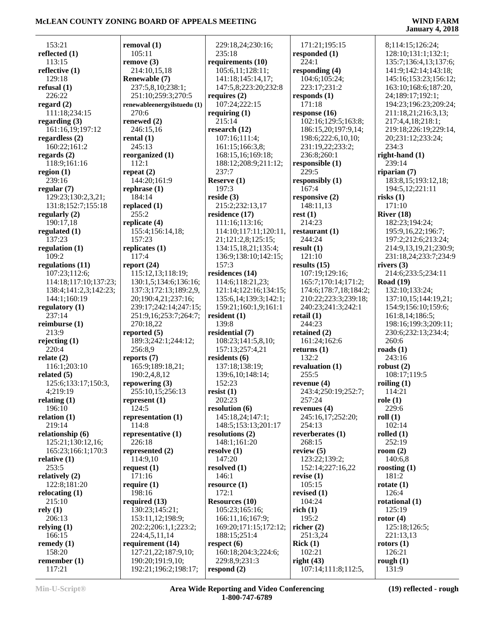105:11

270:6

**rental (1)** 245:13

 112:1 **repeat (2)**

184:14

 $255:2$ 

157:23

117:4

256:8,9

124:5

114:8

226:18

171:16

198:16

 153:21 **reflected (1)** 113:15 **reflective (1)** 129:18 **refusal (1)** 226:22 **regard (2)** 111:18;234:15 **regarding (3)** 161:16,19;197:12 **regardless (2)** 160:22;161:2 **regards (2)** 118:9;161:16 **region (1)** 239:16 **regular (7)** 129:23;130:2,3,21; 131:8;152:7;155:18 **regularly (2)** 190:17,18 **regulated (1)** 137:23 **regulation (1)** 109:2 **regulations (11)** 107:23;112:6; 114:18;117:10;137:23; 138:4;141:2,3;142:23; 144:1;160:19 **regulatory (1)** 237:14 **reimburse (1)** 213:9 **rejecting (1)** 220:4 **relate (2)** 116:1;203:10 **related (5)** 125:6;133:17;150:3, 4;219:19 **relating (1)** 196:10 **relation (1)** 219:14 **relationship (6)** 125:21;130:12,16; 165:23;166:1;170:3 **relative (1)** 253:5 **relatively (2)** 122:8;181:20 **relocating (1)** 215:10 **rely (1)** 206:13 **relying (1)** 166:15 **remedy (1)** 158:20 **remember (1)** 117:21

**removal (1) remove (3)** 214:10,15,18 **Renewable (7)** 237:5,8,10;238:1; 251:10;259:3;270:5 **renewableenergyilstuedu (1) renewed (2)** 246:15,16 **reorganized (1)** 144:20;161:9 **rephrase (1) replaced (1) replicate (4)** 155:4;156:14,18; **replicates (1) report (24)** 115:12,13;118:19; 130:1,5;134:6;136:16; 137:3;172:13;189:2,9, 20;190:4,21;237:16; 239:17;242:14;247:15; 251:9,16;253:7;264:7; 270:18,22 **reported (5)** 189:3;242:1;244:12; **reports (7)** 165:9;189:18,21; 190:2,4,8,12 **repowering (3)** 255:10,15;256:13 **represent (1) representation (1) representative (1) represented (2)** 114:9,10 **request (1) require (1) required (13)** 130:23;145:21; 153:11,12;198:9; 202:2;206:1,1;223:2; 224:4,5,11,14 **requirement (14)** 127:21,22;187:9,10; 190:20;191:9,10; 192:21;196:2;198:17; 229:18,24;230:16; 235:18 **requirements (10)** 105:6,11;128:11; 141:18;145:14,17; 147:5,8;223:20;232:8 **requires (2)** 107:24;222:15 **requiring (1)** 215:14 **research (12)** 107:16;111:4; 161:15;166:3,8; 168:15,16;169:18; 188:12;208:9;211:12; 237:7 **Reserve (1)** 197:3 **reside (3)** 215:2;232:13,17 **residence (17)** 111:16;113:16; 114:10;117:11;120:11, 21;121:2,8;125:15; 134:15,18,21;135:4; 136:9;138:10;142:15; 157:3 **residences (14)** 114:6;118:21,23; 121:14;122:16;134:15; 135:6,14;139:3;142:1; 159:21;160:1,9;161:1 **resident (1)** 139:8 **residential (7)** 108:23;141:5,8,10; 157:13;257:4,21 **residents (6)** 137:18;138:19; 139:6,10;148:14; 152:23 **resist (1)** 202:23 **resolution (6)** 145:18,24;147:1; 148:5;153:13;201:17 **resolutions (2)** 148:1;161:20 **resolve (1)** 147:20 **resolved (1)** 146:1 **resource (1)** 172:1 **Resources (10)** 105:23;165:16; 166:11,16;167:9; 169:20;171:15;172:12; 188:15;251:4 **respect (6)** 160:18;204:3;224:6; 229:8,9;231:3 **respond (2)**

 171:21;195:15 **responded (1)** 224:1 **responding (4)** 104:6;105:24; 223:17;231:2 **responds (1)** 171:18 **response (16)** 102:16;129:5;163:8; 186:15,20;197:9,14; 198:6;222:6,10,10; 231:19,22;233:2; 236:8;260:1 **responsible (1)** 229:5 **responsibly (1)** 167:4 **responsive (2)** 148:11,13 **rest (1)** 214:23 **restaurant (1)** 244:24 **result (1)** 121:10 **results (15)** 107:19;129:16; 165:7;170:14;171:2; 174:6;178:7,18;184:2; 210:22;223:3;239:18; 240:23;241:3;242:1 **retail (1)** 244:23 **retained (2)** 161:24;162:6 **returns (1)** 132:2 **revaluation (1)** 255:5 **revenue (4)** 243:4;250:19;252:7; 257:24 **revenues (4)** 245:16,17;252:20; 254:13 **reverberates (1)** 268:15 **review (5)** 123:22;139:2; 152:14;227:16,22 **revise (1)** 105:15 **revised (1)** 104:24 **rich (1)** 195:2 **richer (2)** 251:3,24 **Rick (1)** 102:21 **right (43)** 107:14;111:8;112:5,

 8;114:15;126:24; 128:10;131:1;132:1; 135:7;136:4,13;137:6; 141:9;142:14;143:18; 145:16;153:23;156:12; 163:10;168:6;187:20, 24;189:17;192:1; 194:23;196:23;209:24; 211:18,21;216:3,13; 217:4,4,18;218:1; 219:18;226:19;229:14, 20;231:12;233:24; 234:3 **right-hand (1)** 239:14 **riparian (7)** 183:8,15;193:12,18; 194:5,12;221:11 **risks (1)** 171:10 **River (18)** 182:23;194:24; 195:9,16,22;196:7; 197:2;212:6;213:24; 214:9,13,19,21;230:9; 231:18,24;233:7;234:9 **rivers (3)** 214:6;233:5;234:11 **Road (19)** 132:10;133:24; 137:10,15;144:19,21; 154:9;156:10;159:6; 161:8,14;186:5; 198:16;199:3;209:11; 230:6;232:13;234:4; 260:6 **roads (1)** 243:16 **robust (2)** 108:17;119:5 **roiling (1)** 114:21 **role (1)** 229:6 **roll (1)** 102:14 **rolled (1)** 252:19 **room (2)** 140:6,8 **roosting (1)** 181:2 **rotate (1)** 126:4 **rotational (1)** 125:19 **rotor (4)** 125:18;126:5; 221:13,13 **rotors (1)** 126:21 **rough (1)** 131:9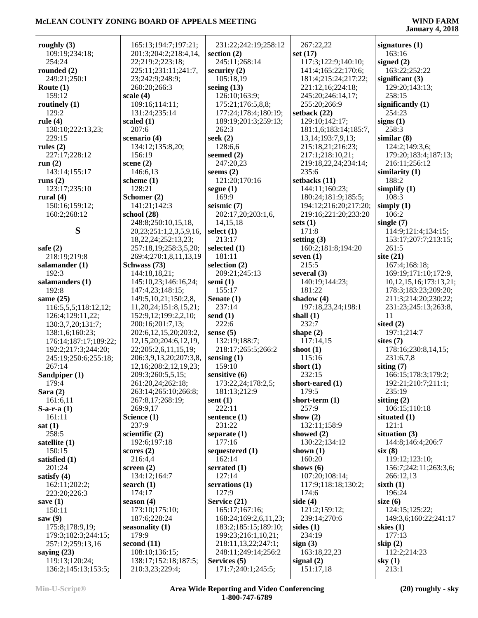| roughly $(3)$         | 165:13;194:7;197:21;            | 231:22;242:19;258:12  | 267:22,22              | signatures $(1)$             |
|-----------------------|---------------------------------|-----------------------|------------------------|------------------------------|
| 109:19;234:18;        | 201:3;204:2;218:4,14,           | section $(2)$         | set $(17)$             | 163:16                       |
| 254:24                | 22;219:2;223:18;                | 245:11:268:14         | 117:3;122:9;140:10;    | signed $(2)$                 |
| rounded $(2)$         | 225:11;231:11;241:7,            | security $(2)$        | 141:4;165:22;170:6;    | 163:22;252:22                |
| 249:21;250:1          | 23;242:9;248:9;                 | 105:18,19             | 181:4;215:24;217:22;   | significant $(3)$            |
|                       |                                 |                       |                        |                              |
| Route $(1)$           | 260:20;266:3                    | seeing $(13)$         | 221:12,16;224:18;      | 129:20;143:13;               |
| 159:12                | scale $(4)$                     | 126:10;163:9;         | 245:20;246:14,17;      | 258:15                       |
| routinely $(1)$       | 109:16;114:11;                  | 175:21;176:5,8,8;     | 255:20;266:9           | significantly $(1)$          |
| 129:2                 | 131:24;235:14                   | 177:24;178:4;180:19;  | setback $(22)$         | 254:23                       |
| rule $(4)$            | scaled $(1)$                    | 189:19;201:3;259:13;  | 129:10;142:17;         | signs(1)                     |
| 130:10;222:13,23;     | 207:6                           | 262:3                 | 181:1,6;183:14;185:7,  | 258:3                        |
| 229:15                | scenario (4)                    | seek $(2)$            | 13, 14; 193: 7, 9, 13; | similar(8)                   |
| rules $(2)$           | 134:12;135:8,20;                | 128:6,6               | 215:18,21;216:23;      | 124:2;149:3,6;               |
| 227:17;228:12         | 156:19                          | seemed $(2)$          | 217:1;218:10,21;       | 179:20;183:4;187:13;         |
|                       |                                 | 247:20,23             |                        |                              |
| run $(2)$             | scene $(2)$                     |                       | 219:18,22,24;234:14;   | 216:11;256:12                |
| 143:14;155:17         | 146:6,13                        | seems $(2)$           | 235:6                  | similarity (1)               |
| runs $(2)$            | scheme $(1)$                    | 121:20;170:16         | setbacks (11)          | 188:2                        |
| 123:17;235:10         | 128:21                          | segue $(1)$           | 144:11;160:23;         | simplify $(1)$               |
| rural $(4)$           | Schomer (2)                     | 169:9                 | 180:24;181:9;185:5;    | 108:3                        |
| 150:16;159:12;        | 141:21;142:3                    | seismic $(7)$         | 194:12;216:20;217:20;  | simply $(1)$                 |
| 160:2;268:12          | school $(28)$                   | 202:17,20;203:1,6,    | 219:16;221:20;233:20   | 106:2                        |
|                       | 248:8;250:10,15,18,             | 14, 15, 18            | sets $(1)$             | single $(7)$                 |
| S                     | 20, 23; 251: 1, 2, 3, 5, 9, 16, | select $(1)$          | 171:8                  | 114:9;121:4;134:15;          |
|                       |                                 | 213:17                |                        |                              |
|                       | 18, 22, 24; 252: 13, 23;        |                       | setting $(3)$          | 153:17;207:7;213:15;         |
| safe $(2)$            | 257:18,19;258:3,5,20;           | selected (1)          | 160:2;181:8;194:20     | 261:5                        |
| 218:19;219:8          | 269:4;270:1,8,11,13,19          | 181:11                | seven $(1)$            | site $(21)$                  |
| salamander (1)        | Schwass (73)                    | selection (2)         | 215:5                  | 167:4;168:18;                |
| 192:3                 | 144:18,18,21;                   | 209:21;245:13         | several $(3)$          | 169:19;171:10;172:9,         |
| salamanders (1)       | 145:10,23;146:16,24;            | semi $(1)$            | 140:19;144:23;         | 10, 12, 15, 16; 173: 13, 21; |
| 192:8                 | 147:4,23;148:15;                | 155:17                | 181:22                 | 178:3;183:23;209:20;         |
| same $(25)$           | 149:5, 10, 21; 150:2, 8,        | Senate $(1)$          | shadow $(4)$           | 211:3;214:20;230:22;         |
| 116:5,5,5;118:12,12;  | 11,20,24;151:8,15,21;           | 237:14                | 197:18,23,24;198:1     | 231:23;245:13;263:8,         |
|                       | 152:9,12;199:2,2,10;            | send $(1)$            | shall $(1)$            | 11                           |
| 126:4;129:11,22;      |                                 |                       |                        |                              |
| 130:3,7,20;131:7;     | 200:16;201:7,13;                | 222:6                 | 232:7                  | sited $(2)$                  |
| 138:1,6;160:23;       | 202:6, 12, 15, 20; 203: 2,      | sense $(5)$           | shape $(2)$            | 197:1;214:7                  |
| 176:14;187:17;189:22; | 12, 15, 20; 204: 6, 12, 19,     | 132:19;188:7;         | 117:14,15              | sites $(7)$                  |
| 192:2;217:3;244:20;   | 22;205:2,6,11,15,19;            | 218:17;265:5;266:2    | shoot $(1)$            | 178:16;230:8,14,15;          |
| 245:19;250:6;255:18;  | 206:3,9,13,20;207:3,8,          | sensing $(1)$         | 115:16                 | 231:6,7,8                    |
| 267:14                | 12, 16; 208: 2, 12, 19, 23;     | 159:10                | short $(1)$            | siting $(7)$                 |
| Sandpiper (1)         | 209:3;260:5,5,15;               | sensitive (6)         | 232:15                 | 166:15;178:3;179:2;          |
| 179:4                 | 261:20,24;262:18;               | 173:22,24;178:2,5;    | short-eared (1)        | 192:21;210:7;211:1;          |
| Sara $(2)$            | 263:14;265:10;266:8;            | 181:13;212:9          | 179:5                  | 235:19                       |
|                       |                                 | sent $(1)$            | short-term $(1)$       |                              |
| 161:6,11              | 267:8,17;268:19;                |                       |                        | sitting $(2)$                |
| $S-a-r-a(1)$          | 269:9,17                        | 222:11                | 257:9                  | 106:15;110:18                |
| 161:11                | Science (1)                     | sentence $(1)$        | show $(2)$             | situated $(1)$               |
| sat(1)                | 237:9                           | 231:22                | 132:11;158:9           | 121:1                        |
| 258:5                 | scientific $(2)$                | separate $(1)$        | showed $(2)$           | situation $(3)$              |
| satellite $(1)$       | 192:6;197:18                    | 177:16                | 130:22;134:12          | 144:8;146:4;206:7            |
| 150:15                | scores(2)                       | sequestered (1)       | shown $(1)$            | six(8)                       |
| satisfied (1)         | 216:4,4                         | 162:14                | 160:20                 | 119:12;123:10;               |
| 201:24                | screen $(2)$                    | serrated $(1)$        | shows $(6)$            | 156:7;242:11;263:3,6;        |
| satisfy $(4)$         | 134:12;164:7                    | 127:14                | 107:20;108:14;         | 266:12,13                    |
| 162:11;202:2;         | search $(1)$                    | serrations (1)        | 117:9;118:18;130:2;    | sixth $(1)$                  |
|                       |                                 |                       |                        |                              |
| 223:20;226:3          | 174:17                          | 127:9                 | 174:6                  | 196:24                       |
| save $(1)$            | season $(4)$                    | Service (21)          | side $(4)$             | size $(6)$                   |
| 150:11                | 173:10;175:10;                  | 165:17;167:16;        | 121:2;159:12;          | 124:15;125:22;               |
| saw $(9)$             | 187:6;228:24                    | 168:24;169:2,6,11,23; | 239:14;270:6           | 149:3,6;160:22;241:17        |
| 175:8;178:9,19;       | seasonality $(1)$               | 183:2;185:15;189:10;  | sides $(1)$            | skies $(1)$                  |
| 179:3;182:3;244:15;   | 179:9                           | 199:23;216:1,10,21;   | 234:19                 | 177:13                       |
| 257:12;259:13,16      | second $(11)$                   | 218:11,13,22;247:1;   | sign(3)                | skip $(2)$                   |
| saying $(23)$         | 108:10;136:15;                  | 248:11;249:14;256:2   | 163:18,22,23           | 112:2;214:23                 |
| 119:13;120:24;        | 138:17;152:18;187:5;            | Services (5)          | signal $(2)$           | sky $(1)$                    |
| 136:2;145:13;153:5;   | 210:3,23;229:4;                 | 171:7;240:1;245:5;    | 151:17,18              | 213:1                        |
|                       |                                 |                       |                        |                              |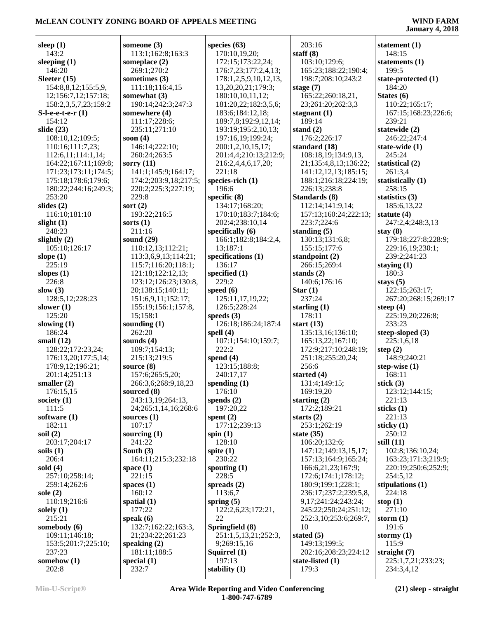# **January 4, 2018**

| sleep $(1)$                                 | someone (3)                      |
|---------------------------------------------|----------------------------------|
| 143:2                                       | 113:1;162:8;16                   |
| sleeping $(1)$                              | someplace (2)                    |
| 146:20                                      | 269:1;270:2                      |
| Sleeter $(15)$                              | sometimes (3)                    |
| 154:8,8,12;155:5,9,<br>12;156:7,12;157:18;  | 111:18;116:4,1<br>somewhat $(3)$ |
| 158:2,3,5,7,23;159:2                        | 190:14;242:3;2                   |
| S-l-e-e-t-e-r (1)                           | somewhere (4)                    |
| 154:12                                      | 111:17;228:6;                    |
| slide $(23)$                                | 235:11;271:10                    |
| 108:10,12;109:5;                            | soon $(4)$                       |
| 110:16;111:7,23;                            | 146:14;222:10                    |
| 112:6,11;114:1,14;                          | 260:24;263:5                     |
| 164:22;167:11;169:8;                        | sorry $(11)$                     |
| 171:23;173:11;174:5;                        | 141:1;145:9;16                   |
| 175:18;178:6;179:6;<br>180:22;244:16;249:3; | 174:2;203:9,18<br>220:2;225:3;22 |
| 253:20                                      | 229:8                            |
| slides $(2)$                                | sort $(2)$                       |
| 116:10;181:10                               | 193:22;216:5                     |
| slight $(1)$                                | sorts $(1)$                      |
| 248:23                                      | 211:16                           |
| slightly $(2)$                              | sound (29)                       |
| 105:10;126:17                               | 110:12,13;112                    |
| slope $(1)$                                 | 113:3,6,9,13;1                   |
| 225:19                                      | 115:7;116:20;1                   |
| slopes $(1)$                                | 121:18;122:12.                   |
| 226:8                                       | 123:12;126:23                    |
| slow $(3)$<br>128:5,12;228:23               | 20;138:15;140<br>151:6,9,11;152  |
| slower $(1)$                                | 155:19;156:1;1                   |
| 125:20                                      | 15;158:1                         |
| slowing $(1)$                               | sounding $(1)$                   |
| 186:24                                      | 262:20                           |
| small $(12)$                                | sounds $(4)$                     |
| 128:22;172:23,24;                           | 109:7;154:13;                    |
| 176:13,20;177:5,14;                         | 215:13;219:5                     |
| 178:9,12;196:21;<br>201:14;251:13           | source (8)<br>157:6;265:5,20     |
| smaller $(2)$                               | 266:3,6;268:9,                   |
| 176:15,15                                   | sourced (8)                      |
| society (1)                                 | 243:13,19;264                    |
| 111:5                                       | 24;265:1,14,16                   |
| software (1)                                | sources $(1)$                    |
| 182:11                                      | 107:17                           |
| soil $(2)$                                  | sourcing (1)                     |
| 203:17;204:17                               | 241:22                           |
| soils (1)<br>206:4                          | South (3)<br>164:11;215:3;2      |
| sold (4)                                    | space $(1)$                      |
| 257:10;258:14;                              | 221:15                           |
| 259:14;262:6                                | spaces $(1)$                     |
| sole $(2)$                                  | 160:12                           |
| 110:19;216:6                                | spatial (1)                      |
| solely $(1)$                                | 177:22                           |
| 215:21                                      | speak $(6)$                      |
| somebody (6)<br>109:11;146:18;              | 132:7;162:22;1                   |
| 153:5;201:7;225:10;                         | 21;234:22;261<br>speaking $(2)$  |
| 237:23                                      | 181:11;188:5                     |
| somehow (1)                                 | special (1)                      |
| 202:8                                       | 232:7                            |

| someone (3)              | species (           |
|--------------------------|---------------------|
| 113:1;162:8;163:3        | 170:10              |
| someplace (2)            | 172:15              |
| 269:1;270:2              | 176:7,              |
| sometimes (3)            | 178:1,2             |
| 111:18;116:4,15          | 13,20,2             |
| somewhat (3)             | 180:10              |
| 190:14;242:3;247:3       | 181:20              |
| somewhere (4)            | 183:6;              |
| 111:17;228:6;            | 189:7,              |
| 235:11;271:10            | 193:19              |
| soon $(4)$               | 197:16              |
| 146:14;222:10;           | 200:1,2             |
| 260:24;263:5             | 201:4,4             |
| sorry (11)               | 216:2,4             |
| 141:1;145:9;164:17;      | 221:18              |
| 174:2;203:9,18;217:5;    | species-r           |
| 220:2;225:3;227:19;      | 196:6               |
| 229:8                    | specific (          |
| sort $(2)$               | 134:17              |
| 193:22;216:5             | 170:10              |
| sorts $(1)$              | 202:4;              |
| 211:16                   | specifica           |
| sound (29)               | 166:1;              |
| 110:12,13;112:21;        | 13;187              |
| 113:3,6,9,13;114:21;     | specifica           |
| 115:7;116:20;118:1;      | 136:17              |
| 121:18;122:12,13;        | specified           |
| 123:12;126:23;130:8,     | 229:2               |
| 20;138:15;140:11;        | speed (6)           |
| 151:6,9,11;152:17;       | 125:11              |
| 155:19;156:1;157:8,      | 126:5;              |
| 15;158:1<br>sounding (1) | speeds (3<br>126:18 |
| 262:20                   | spell $(4)$         |
| sounds (4)               | 107:1;              |
| 109:7;154:13;            | 222:2               |
| 215:13;219:5             | spend (4)           |
| source (8)               | 123:15              |
| 157:6;265:5,20;          | 240:17              |
| 266:3,6;268:9,18,23      | spending            |
| sourced (8)              | 176:10              |
| 243:13,19;264:13,        | spends (2           |
| 24;265:1,14,16;268:6     | 197:20              |
| sources $(1)$            | spent $(2)$         |
| 107:17                   | 177:12              |
| sourcing $(1)$           | spin $(1)$          |
| 241:22                   | 128:10              |
| South (3)                | spite $(1)$         |
| 164:11;215:3;232:18      | 230:22              |
| space (1)                | spouting            |
| 221:15                   | 228:5               |
| spaces (1)               | spreads (           |
| 160:12                   | 113:6,              |
| spatial (1)              | spring (5           |
| 177:22                   | 122:2,0             |
| speak (6)                | 22                  |
| 132:7;162:22;163:3,      | Springfio           |
| 21;234:22;261:23         | 251:1,              |
| speaking (2)             | 9;269:              |
| 181:11;188:5             | Squirrel            |
| special (1)              | 197:13              |
|                          |                     |

| species (63)                             | 20 <sup>°</sup>           |
|------------------------------------------|---------------------------|
| 170:10,19,20;                            | staff                     |
| 172:15;173:22,24;                        | 10 <sup>°</sup>           |
| 176:7,23;177:2,4,13;                     | 16.                       |
| 178:1,2,5,9,10,12,13,                    | 19                        |
| 13,20,20,21;179:3;                       | stage                     |
| 180:10,10,11,12;                         | 16                        |
| 181:20,22;182:3,5,6;                     | 23:                       |
| 183:6;184:12,18;<br>189:7,8;192:9,12,14; | stagn<br>18               |
| 193:19;195:2,10,13;                      | stand                     |
| 197:16,19;199:24;                        | 17 <sub>0</sub>           |
| 200:1,2,10,15,17;                        | stand                     |
| 201:4,4;210:13;212:9;                    | 10 <sub>i</sub>           |
| 216:2,4,4,6,17,20;                       | $21\,$                    |
| 221:18                                   | 14                        |
| species-rich (1)                         | 18 <sup>°</sup>           |
| 196:6                                    | 22 <sub>0</sub>           |
| specific (8)                             | <b>Stand</b>              |
| 134:17;168:20;                           | 11 <sup>2</sup><br>15'    |
| 170:10;183:7;184:6;<br>202:4;238:10,14   | 22.                       |
| specifically (6)                         | stand                     |
| 166:1;182:8;184:2,4,                     | 13                        |
| 13;187:1                                 | 15.                       |
| specifications (1)                       | stand                     |
| 136:17                                   | 26 <sub>0</sub>           |
| specified (1)                            | stand                     |
| 229:2                                    | 14                        |
| speed (6)                                | Star                      |
| 125:11,17,19,22;                         | 23′                       |
| 126:5;228:24                             | starli<br>17 <sup>°</sup> |
| speeds (3)<br>126:18;186:24;187:4        | start                     |
| spell (4)                                | 13.                       |
| 107:1;154:10;159:7;                      | 16                        |
| 222:2                                    | 17 <sub>2</sub>           |
| spend (4)                                | 25                        |
| 123:15;188:8;                            | 25 <sub>0</sub>           |
| 240:17,17                                | start                     |
| spending (1)                             | 13                        |
| 176:10                                   | 16                        |
| spends $(2)$                             | starti                    |
| 197:20,22<br>spent $(2)$                 | $17^{\prime}$<br>start:   |
| 177:12;239:13                            | 25.                       |
| spin $(1)$                               | state                     |
| 128:10                                   | 10                        |
| spite (1)                                | 14 <sup>′</sup>           |
| 230:22                                   | 15'                       |
| spouting (1)                             | 16 <sub>0</sub>           |
| 228:5                                    | 17 <sub>2</sub>           |
| spreads (2)                              | 18                        |
| 113:6,7                                  | 23 <sub>0</sub>           |
| spring $(5)$<br>122:2,6,23;172:21,       | 9,1<br>24:                |
| 22                                       | 25 <sub>2</sub>           |
| Springfield (8)                          | 10                        |
| 251:1,5,13,21;252:3,                     | state                     |
| 9;269:15,16                              | 14 <sub>2</sub>           |
| Squirrel (1)                             | 20 <sup>°</sup>           |
| 197:13                                   | state                     |
| stability (1)                            | 17 <sub>2</sub>           |

 203:16 **staff (8)** 103:10;129:6; 165:23;188:22;190:4; 198:7;208:10;243:2 **stage (7)** 165:22;260:18,21, 23;261:20;262:3,3 **stagnant (1)** 189:14 **stand (2)** 176:2;226:17 **standard (18)** 108:18,19;134:9,13, 21;135:4,8,13;136:22; 141:12,12,13;185:15; 188:1;216:18;224:19; 226:13;238:8 **Standards (8)** 112:14;141:9,14; 157:13;160:24;222:13; 223:7;224:6 **standing (5)** 130:13;131:6,8; 155:15;177:6 **standpoint (2)** 266:15;269:4 **stands (2)** 140:6;176:16 **Star (1)** 237:24 **starling (1)** 178:11 **start (13)** 135:13,16;136:10; 165:13,22;167:10; 172:9;217:10;248:19; 251:18;255:20,24; 256:6 **started (4)** 131:4;149:15; 169:19,20 **starting (2)** 172:2;189:21 **starts (2)** 253:1;262:19 **state (35)** 106:20;132:6; 147:12;149:13,15,17; 157:13;164:9;165:24; 166:6,21,23;167:9; 172:6;174:1;178:12; 180:9;199:1;228:1; 236:17;237:2;239:5,8, 9,17;241:24;243:24; 245:22;250:24;251:12; 252:3,10;253:6;269:7, 10 **stated (5)** 149:13;199:5; 202:16;208:23;224:12 **state-listed (1)** 179:3

**statement (1)** 148:15 **statements (1)** 199:5 **state-protected (1)** 184:20 **States (6)** 110:22;165:17; 167:15;168:23;226:6; 239:21 **statewide (2)** 246:22;247:4 **state-wide (1)** 245:24 **statistical (2)** 261:3,4 **statistically (1)** 258:15 **statistics (3)** 185:6,13,22 **statute (4)** 247:2,4;248:3,13 **stay (8)** 179:18;227:8;228:9; 229:16,19;230:1; 239:2;241:23 **staying (1)** 180:3 **stays (5)** 122:15;263:17; 267:20;268:15;269:17 **steep (4)** 225:19,20;226:8; 233:23 **steep-sloped (3)** 225:1,6,18 **step (2)** 148:9;240:21 **step-wise (1)** 168:11 **stick (3)** 123:12;144:15; 221:13 **sticks (1)** 221:13 **sticky (1)** 250:12 **still (11)** 102:8;136:10,24; 163:23;171:3;219:9; 220:19;250:6;252:9; 254:5,12 **stipulations (1)** 224:18 **stop (1)** 271:10 **storm (1)** 191:6 **stormy (1)** 115:9 **straight (7)**

 225:1,7,21;233:23; 234:3,4,12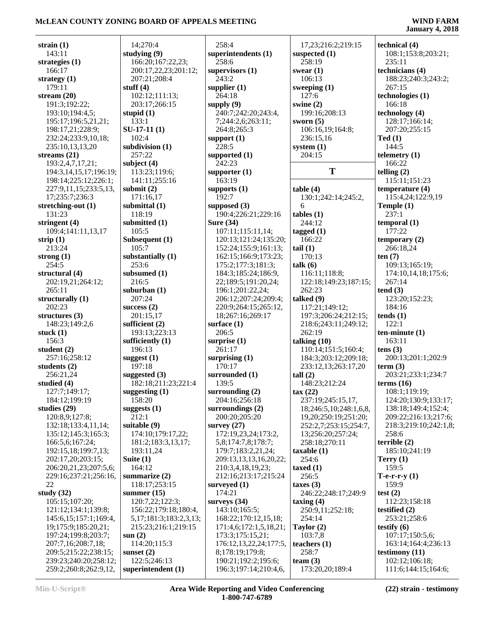| strain $(1)$           | 14;270:4                      |
|------------------------|-------------------------------|
| 143:11                 | studying (9)                  |
|                        |                               |
| strategies (1)         | 166:20;167:22,23;             |
| 166:17                 | 200:17,22,23;201:12;          |
| strategy $(1)$         | 207:21;208:4                  |
| 179:11                 | stuff $(4)$                   |
|                        |                               |
| stream $(20)$          | 102:12;111:13;                |
| 191:3;192:22;          | 203:17;266:15                 |
| 193:10;194:4,5;        | stupid $(1)$                  |
| 195:17;196:5,21,21;    | 133:1                         |
|                        |                               |
| 198:17,21;228:9;       | $SU-17-11(1)$                 |
| 232:24;233:9,10,18;    | 102:4                         |
| 235:10,13,13,20        | subdivision (1)               |
| streams (21)           | 257:22                        |
|                        |                               |
| 193:2,4,7,17,21;       | subject $(4)$                 |
| 194:3,14,15,17;196:19; | 113:23;119:6;                 |
| 198:14;225:12;226:1;   | 141:11;255:16                 |
| 227:9,11,15;233:5,13,  | submit $(2)$                  |
|                        |                               |
| 17;235:7;236:3         | 171:16,17                     |
| stretching-out (1)     | submittal (1)                 |
| 131:23                 | 118:19                        |
| stringent (4)          | submitted (1)                 |
|                        |                               |
| 109:4;141:11,13,17     | 105:5                         |
| strip $(1)$            | Subsequent (1)                |
| 213:24                 | 105:7                         |
| strong $(1)$           | substantially (1)             |
|                        |                               |
| 254:5                  | 253:6                         |
| structural (4)         | subsumed (1)                  |
| 202:19,21;264:12;      | 216:5                         |
| 265:11                 | suburban $(1)$                |
| structurally (1)       | 207:24                        |
|                        |                               |
| 202:23                 | success $(2)$                 |
| structures $(3)$       | 201:15,17                     |
| 148:23;149:2,6         | sufficient (2)                |
| stuck (1)              | 193:13;223:13                 |
| 156:3                  | sufficiently $(1)$            |
| student (2)            |                               |
|                        | 196:13                        |
| 257:16;258:12          | suggest $(1)$                 |
| students (2)           | 197:18                        |
| 256:21,24              | suggested $(3)$               |
| studied (4)            | 182:18;211:23;221:4           |
|                        |                               |
| 127:7;149:17;          | suggesting $(1)$              |
| 184:12;199:19          | 158:20                        |
| studies (29)           | suggests (1)                  |
| 120:8,9;127:8;         | 212:1                         |
| 132:18;133:4,11,14;    | suitable (9)                  |
| 135:12;145:3;165:3;    |                               |
|                        | 174:10;179:17,22;             |
| 166:5,6;167:24;        | 181:2;183:3,13,17;            |
| 192:15,18;199:7,13;    | 193:11,24                     |
| 202:17,20;203:15;      | Suite (1)                     |
|                        |                               |
| 206:20,21,23;207:5,6;  | 164:12                        |
| 229:16;237:21;256:16,  | summarize (2)                 |
| 22                     | 118:17;253:15                 |
| study $(32)$           | summer $(15)$                 |
| 105:15;107:20;         | 120:7,22;122:3;               |
|                        |                               |
| 121:12;134:1;139:8;    | 156:22;179:18;180:4,          |
| 145:6,15;157:1;169:4,  | 5, 17; 181: 3; 183: 2, 3, 13; |
| 19;175:9;185:20,21;    | 215:23;216:1;219:15           |
| 197:24;199:8;203:7;    | sum(2)                        |
| 207:7,16;208:7,18;     | 114:20;115:3                  |
|                        |                               |
| 209:5;215:22;238:15;   | sunset $(2)$                  |
| 239:23;240:20;258:12;  | 122:5;246:13                  |
| 259:2;260:8;262:9,12,  | superintendent (1)            |

| 14;270:4                                      | 258:4              |
|-----------------------------------------------|--------------------|
| studying (9)                                  | superint           |
| 166:20;167:22,23;                             | 258:6              |
| 200:17,22,23;201:12;                          | supervis           |
| 207:21;208:4                                  | 243:2              |
| stuff $(4)$                                   | supplier           |
| 102:12;111:13;                                | 264:18             |
| 203:17;266:15                                 | supply (           |
| stupid (1)                                    | 240:7;             |
| 133:1                                         | 7;244:             |
| $SU-17-11(1)$                                 | 264:8;             |
| 102:4                                         | support            |
| subdivision (1)                               | 228:5              |
| 257:22                                        | supporte           |
| subject (4)                                   | 242:23             |
| 113:23;119:6;                                 | supporte<br>163:19 |
| 141:11;255:16<br>submit (2)                   |                    |
| 171:16,17                                     | supports<br>192:7  |
| submittal (1)                                 | suppose            |
| 118:19                                        | 190:4;             |
| submitted (1)                                 | <b>Sure (34</b>    |
| 105:5                                         | 107:11             |
| Subsequent (1)                                | 120:13             |
| 105:7                                         | 152:24             |
| substantially (1)                             | 162:15             |
| 253:6                                         | 175:2;             |
| subsumed (1)                                  | 184:3;             |
| 216:5                                         | 22;189             |
| suburban (1)                                  | 196:1;             |
| 207:24                                        | 206:12             |
| success $(2)$<br>201:15,17                    | 220:9;<br>18;267   |
| sufficient (2)                                | surface (          |
| 193:13;223:13                                 | 206:5              |
| sufficiently (1)                              | surprise           |
| 196:13                                        | 261:17             |
| suggest (1)                                   | surprisii          |
| 197:18                                        | 170:17             |
| suggested (3)                                 | surroun            |
| 182:18;211:23;221:4                           | 139:5              |
| suggesting (1)                                | surroun            |
| 158:20                                        | 204:16             |
| suggests $(1)$                                | surroun<br>200:20  |
| 212:1<br>suitable (9)                         | survey (2          |
| 174:10;179:17,22;                             | 172:19             |
| 181:2;183:3,13,17;                            | 5,8;17             |
| 193:11,24                                     | 179:7;             |
| Suite (1)                                     | 209:13             |
| 164:12                                        | 210:3,             |
| summarize (2)                                 | 212:16             |
| 118:17;253:15                                 | surveyed           |
| summer $(15)$                                 | 174:21             |
| 120:7,22;122:3;                               | surveys            |
| 156:22;179:18;180:4,                          | 143:10             |
| 5,17;181:3;183:2,3,13;<br>215:23;216:1;219:15 | 168:22<br>171:4,   |
| sum(2)                                        | 173:3;             |
| 114:20;115:3                                  | 176:12             |
| sunset $(2)$                                  |                    |
|                                               |                    |
| 122:5;246:13                                  | 8;178:<br>190:21   |

| 258:4                         | 17,23;216:2;2           |
|-------------------------------|-------------------------|
| superintendents (1)           | suspected $(1)$         |
| 258:6                         | 258:19                  |
| supervisors (1)               | swear $(1)$             |
| 243:2                         | 106:13                  |
| supplier $(1)$                | sweeping $(1)$          |
| 264:18                        | $12\bar{7}$ :6          |
| supply (9)                    | swine $(2)$             |
| 240:7;242:20;243:4,           | 199:16;208:13           |
| 7;244:2,6;263:11;             | sworn $(5)$             |
| 264:8;265:3                   | 106:16,19;164           |
| support (1)                   | 236:15,16               |
| 228:5                         | system $(1)$            |
| supported (1)                 | 204:15                  |
| 242:23                        |                         |
| supporter (1)                 | Т                       |
| 163:19                        |                         |
| supports (1)                  | table(4)                |
| 192:7                         | 130:1;242:14;           |
| supposed (3)                  | 6                       |
| 190:4;226:21;229:16           | tables(1)               |
| <b>Sure (34)</b>              | 244:12                  |
| 107:11;115:11,14;             | tagged $(1)$            |
| 120:13;121:24;135:20;         | 166:22                  |
| 152:24;155:9;161:13;          | tail(1)                 |
| 162:15;166:9;173:23;          | 170:13                  |
| 175:2;177:3;181:3;            | talk (6)                |
| 184:3;185:24;186:9,           | 116:11;118:8;           |
| 22;189:5;191:20,24;           | 122:18;149:23           |
| 196:1;201:22,24;              | 262:23                  |
| 206:12;207:24;209:4;          | talked (9)              |
| 220:9;264:15;265:12,          | 117:21;149:12           |
| 18;267:16;269:17              | 197:3;206:24;           |
| surface (1)                   | 218:6;243:11;           |
| 206:5                         | 262:19<br>talking (10)  |
| surprise (1)<br>261:17        | 110:14;151:5;           |
| surprising (1)                | 184:3;203:12;           |
| 170:17                        | 233:12,13;263           |
| surrounded (1)                | tall(2)                 |
| 139:5                         | 148:23;212:24           |
| surrounding (2)               | $\tan(22)$              |
| 204:16;256:18                 | 237:19;245:1:           |
| surroundings (2)              | 18;246:5,10;2           |
| 200:20;205:20                 | 19,20;250:19;           |
| survey $(27)$                 | 252:2,7;253:1           |
| 172:19,23,24;173:2,           | 13;256:20;257           |
| 5,8;174:7,8;178:7;            | 258:18;270:11           |
| 179:7;183:2,21,24;            | taxable(1)              |
| 209:13,13,13,16,20,22;        | 254:6                   |
| 210:3,4,18,19,23;             | taxed $(1)$             |
| 212:16;213:17;215:24          | 256:5                   |
| surveyed (1)                  | taxes $(3)$             |
| 174:21                        | 246:22;248:17           |
| surveys (34)<br>143:10;165:5; | taxing(4)               |
| 168:22;170:12,15,18;          | 250:9,11;252:<br>254:14 |
| 171:4,6;172:1,5,18,21;        | Taylor (2)              |
| 173:3;175:15,21;              | 103:7,8                 |
| 176:12,13,22,24;177:5,        | teachers (1)            |
| 8;178:19;179:8;               | 258:7                   |
| 190:21;192:2;195:6;           | team $(3)$              |
| 196:3;197:14;210:4,6,         | 173:20,20;189           |

| 17,23;216:2;219:15            | technical (4)          |
|-------------------------------|------------------------|
| suspected (1)                 | 108:1;153:8;203:21;    |
|                               |                        |
| 258:19                        | 235:11                 |
| swear (1)                     | technicians (4)        |
|                               |                        |
| 106:13                        | 188:23;240:3;243:2;    |
| sweeping (1)                  | 267:15                 |
|                               |                        |
| 127:6                         | technologies (1)       |
| swine (2)                     | 166:18                 |
| 199:16;208:13                 | technology (4)         |
|                               |                        |
| sworn (5)                     | 128:17;166:14;         |
| 106:16,19;164:8;              | 207:20;255:15          |
|                               |                        |
| 236:15,16                     | Ted(1)                 |
| system (1)                    | 144:5                  |
|                               |                        |
| 204:15                        | telemetry $(1)$        |
|                               | 166:22                 |
| T                             |                        |
|                               | telling $(2)$          |
|                               | 115:11;151:23          |
|                               | temperature (4)        |
| table (4)                     |                        |
| 130:1;242:14;245:2,           | 115:4,24;122:9,19      |
| 6                             | Temple (1)             |
|                               |                        |
| tables (1)                    | 237:1                  |
| 244:12                        | temporal (1)           |
|                               |                        |
| tagged (1)                    | 177:22                 |
| 166:22                        | temporary (2)          |
|                               | 266:18,24              |
| tail(1)                       |                        |
| 170:13                        | ten $(7)$              |
| talk (6)                      | 109:13;165:19;         |
|                               |                        |
| 116:11;118:8;                 | 174:10,14,18;175:6;    |
| 122:18;149:23;187:15;         | 267:14                 |
|                               |                        |
| 262:23                        | tend(3)                |
| talked (9)                    | 123:20;152:23;         |
| 117:21;149:12;                | 184:16                 |
|                               |                        |
| 197:3;206:24;212:15;          | tends(1)               |
| 218:6;243:11;249:12;          | 122:1                  |
|                               |                        |
| 262:19                        | $ten-minute(1)$        |
| talking (10)                  | 163:11                 |
| 110:14;151:5;160:4;           | tens(3)                |
|                               |                        |
| 184:3;203:12;209:18;          | 200:13;201:1;202:9     |
| 233:12,13;263:17,20           | term (3)               |
|                               |                        |
| tall $(2)$                    | 203:21;233:1;234:7     |
| 148:23;212:24                 | terms $(16)$           |
| tax (22)                      |                        |
|                               | 108:1;119:19;          |
| 237:19;245:15,17,             | 124:20;130:9;133:17;   |
| 18;246:5,10;248:1,6,8,        | 138:18;149:4;152:4;    |
|                               |                        |
| 19,20;250:19;251:20;          | 209:22;216:13;217:6;   |
| 252:2,7;253:15;254:7,         | 218:3;219:10;242:1,8;  |
| 13;256:20;257:24;             | 258:6                  |
|                               |                        |
| 258:18;270:11                 | terrible (2)           |
| taxable (1)                   | 185:10;241:19          |
|                               |                        |
| 254:6                         | Terry $(1)$            |
| taxed (1)                     | 159:5                  |
|                               |                        |
| 256:5                         | <b>T-e-r-r-y</b> $(1)$ |
| taxes(3)                      | 159:9                  |
| 246:22;248:17;249:9           | test $(2)$             |
|                               |                        |
| taxing (4)                    | 112:23;158:18          |
| 250:9,11;252:18;              | testified (2)          |
|                               |                        |
| 254:14                        | 253:21;258:6           |
| Taylor (2)                    | testify (6)            |
|                               |                        |
| 103:7,8                       | 107:17;150:5,6;        |
| teachers (1)                  | 163:14;164:4;236:13    |
| 258:7                         |                        |
|                               |                        |
|                               | testimony (11)         |
|                               | 102:12;106:18;         |
| team $(3)$<br>173:20,20;189:4 | 111:6;144:15;164:6;    |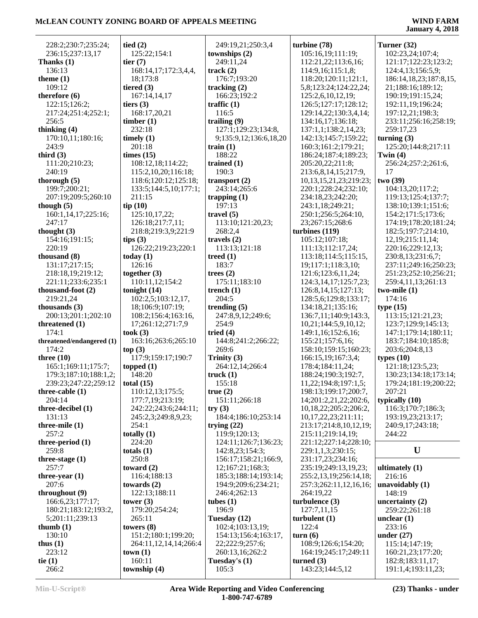| 228:2;230:7;235:24;       | tied $(2)$            | 249:19,21;250:3,4      | turbine (78)                 | Turner (32)            |
|---------------------------|-----------------------|------------------------|------------------------------|------------------------|
| 236:15;237:13,17          | 125:22;154:1          | townships (2)          | 105:16,19;111:19;            | 102:23,24;107:4;       |
|                           | tier $(7)$            |                        |                              |                        |
| Thanks $(1)$              |                       | 249:11,24              | 112:21,22;113:6,16;          | 121:17;122:23;123:2;   |
| 136:13                    | 168:14,17;172:3,4,4,  | track(2)               | 114:9,16;115:1,8;            | 124:4,13;156:5,9;      |
| theme $(1)$               | 18;173:8              | 176:7;193:20           | 118:20;120:11;121:1,         | 186:14,18,23;187:8,15, |
| 109:12                    | tiered $(3)$          | tracking $(2)$         | 5,8;123:24;124:22,24;        | 21;188:16;189:12;      |
| therefore (6)             | 167:14,14,17          | 166:23;192:2           | 125:2,6,10,12,19;            | 190:19;191:15,24;      |
| 122:15;126:2;             | tiers $(3)$           | traffic $(1)$          | 126:5;127:17;128:12;         | 192:11,19;196:24;      |
| 217:24;251:4;252:1;       | 168:17,20,21          | 116:5                  | 129:14,22;130:3,4,14;        | 197:12,21;198:3;       |
| 256:5                     | timber(1)             | trailing $(9)$         | 134:16,17;136:18;            | 233:11;256:16;258:19;  |
| thinking $(4)$            | 232:18                | 127:1;129:23;134:8,    | 137:1,1;138:2,14,23;         | 259:17,23              |
| 170:10,11;180:16;         | timely $(1)$          | 9;135:9,12;136:6,18,20 | 142:13;145:7;159:22;         | turning $(3)$          |
| 243:9                     | 201:18                | train $(1)$            | 160:3;161:2;179:21;          | 125:20;144:8;217:11    |
| third $(3)$               | times (15)            | 188:22                 | 186:24;187:4;189:23;         | Twin $(4)$             |
| 111:20;210:23;            | 108:12,18;114:22;     | trained $(1)$          | 205:20,22;211:8;             | 256:24;257:2;261:6,    |
| 240:19                    | 115:2,10,20;116:18;   | 190:3                  | 213:6,8,14,15;217:9,         | 17                     |
| thorough $(5)$            | 118:6;120:12;125:18;  | transport $(2)$        | 10, 13, 15, 21, 23; 219: 23; | two (39)               |
| 199:7;200:21;             | 133:5;144:5,10;177:1; | 243:14;265:6           | 220:1;228:24;232:10;         | 104:13,20;117:2;       |
| 207:19;209:5;260:10       | 211:15                | trapping $(1)$         | 234:18,23;242:20;            | 119:13;125:4;137:7;    |
| though $(5)$              | tip(10)               | 197:13                 | 243:1,18;249:21;             | 138:10;139:1;151:6;    |
| 160:1,14,17;225:16;       | 125:10,17,22;         | travel $(5)$           | 250:1;256:5;264:10,          | 154:2;171:5;173:6;     |
| 247:17                    | 126:18;217:7,11;      | 113:10;121:20,23;      | 23;267:15;268:6              | 174:19;178:20;181:24;  |
| thought $(3)$             | 218:8;219:3,9;221:9   | 268:2,4                | turbines (119)               | 182:5;197:7;214:10,    |
| 154:16;191:15;            | tips $(3)$            | travels $(2)$          | 105:12;107:18;               | 12,19;215:11,14;       |
| 220:19                    | 126:22;219:23;220:1   | 113:13;121:18          | 111:13;112:17,24;            | 220:16;229:12,13;      |
| thousand (8)              | today $(1)$           | treed $(1)$            | 113:18;114:5;115:15,         | 230:8,13;231:6,7;      |
| 131:17;217:15;            | 126:16                | 183:7                  | 19;117:1;118:3,10;           | 237:11;249:16;250:23;  |
| 218:18,19;219:12;         | together $(3)$        | trees $(2)$            | 121:6;123:6,11,24;           | 251:23;252:10;256:21;  |
| 221:11;233:6;235:1        | 110:11,12;154:2       | 175:11;183:10          | 124:3, 14, 17; 125: 7, 23;   | 259:4,11,13;261:13     |
| thousand-foot (2)         | tonight $(14)$        | trench $(1)$           | 126:8, 14, 15; 127: 13;      | $two$ -mile $(1)$      |
| 219:21,24                 | 102:2,5;103:12,17,    | 204:5                  | 128:5,6;129:8;133:17;        | 174:16                 |
| thousands $(3)$           | 18;106:9;107:19;      | trending $(5)$         | 134:18,21;135:16;            | type(15)               |
| 200:13;201:1;202:10       | 108:2;156:4;163:16,   | 247:8,9,12;249:6;      | 136:7,11;140:9;143:3,        | 113:15;121:21,23;      |
| threatened (1)            | 17;261:12;271:7,9     | 254:9                  | 10,21;144:5,9,10,12;         | 123:7;129:9;145:13;    |
| 174:1                     | took(3)               | tried $(4)$            | 149:1,16;152:6,16;           | 147:1;179:14;180:11;   |
| threatened/endangered (1) | 163:16;263:6;265:10   | 144:8;241:2;266:22;    | 155:21;157:6,16;             | 183:7;184:10;185:8;    |
| 174:2                     | top(3)                | 269:6                  | 158:10;159:15;160:23;        | 203:6;204:8,13         |
| three $(10)$              | 117:9;159:17;190:7    | Trinity $(3)$          | 166:15,19;167:3,4;           | types $(10)$           |
| 165:1;169:11;175:7;       | topped $(1)$          | 264:12,14;266:4        | 178:4;184:11,24;             | 121:18;123:5,23;       |
| 179:3;187:10;188:1,2;     | 148:20                | truek(1)               | 188:24;190:3;192:7,          | 130:23;134:18;173:14;  |
| 239:23:247:22:259:12      | total $(15)$          | 155:18                 | 11,22;194:8;197:1,5;         | 179:24;181:19;200:22;  |
| three-cable $(1)$         | 110:12,13;175:5;      | true(2)                | 198:13;199:17;200:7,         | 207:21                 |
| 204:14                    | 177:7,19;213:19;      | 151:11;266:18          | 14;201:2,21,22;202:6,        | typically $(10)$       |
| three-decibel (1)         | 242:22;243:6;244:11;  | try(3)                 | 10,18,22;205:2;206:2,        | 116:3;170:7;186:3;     |
| 131:13                    | 245:2,3;249:8,9,23;   | 184:4;186:10;253:14    | 10,17,22,23;211:11;          | 193:19,23;213:17;      |
| three-mile $(1)$          | 254:1                 | trying $(22)$          | 213:17;214:8,10,12,19;       | 240:9,17;243:18;       |
| 257:2                     | totally $(1)$         | 119:9;120:13;          | 215:11;219:14,19;            | 244:22                 |
| three-period $(1)$        | 224:20                | 124:11;126:7;136:23;   | 221:12;227:14;228:10;        |                        |
| 259:8                     | totals $(1)$          | 142:8,23;154:3;        | 229:1,1,3;230:15;            | U                      |
| three-stage $(1)$         | 250:8                 | 156:17;158:21;166:9,   | 231:17,23;234:16;            |                        |
| 257:7                     | toward $(2)$          | 12;167:21;168:3;       | 235:19;249:13,19,23;         | ultimately $(1)$       |
| three-year $(1)$          | 116:4;188:13          | 185:3;188:14;193:14;   | 255:2,13,19;256:14,18;       | 216:16                 |
| 207:6                     | towards $(2)$         | 194:9;209:6;234:21;    | 257:3;262:11,12,16,16;       | unavoidably $(1)$      |
| throughout (9)            | 122:13;188:11         | 246:4;262:13           | 264:19,22                    | 148:19                 |
| 166:6,23;177:17;          | tower $(3)$           | tubes $(1)$            | turbulence $(3)$             | uncertainty $(2)$      |
| 180:21;183:12;193:2,      | 179:20;254:24;        | 196:9                  | 127:7,11,15                  | 259:22;261:18          |
| 5;201:11;239:13           | 265:11                | Tuesday (12)           | turbulent $(1)$              | unclear $(1)$          |
| thumb $(1)$               | towers $(8)$          | 102:4;103:13,19;       | 122:4                        | 233:16                 |
| 130:10                    | 151:2;180:1;199:20;   | 154:13;156:4;163:17,   | turn(6)                      | under $(27)$           |
| thus $(1)$                | 264:11,12,14,14;266:4 | 22;222:9;257:6;        | 108:9;126:6;154:20;          | 115:14;147:19;         |
| 223:12                    | town(1)               | 260:13,16;262:2        | 164:19;245:17;249:11         | 160:21,23;177:20;      |
| tie $(1)$                 | 160:11                | Tuesday's (1)          | turned $(3)$                 | 182:8;183:11,17;       |
| 266:2                     | township (4)          | 105:3                  | 143:23;144:5,12              | 191:1,4;193:11,23;     |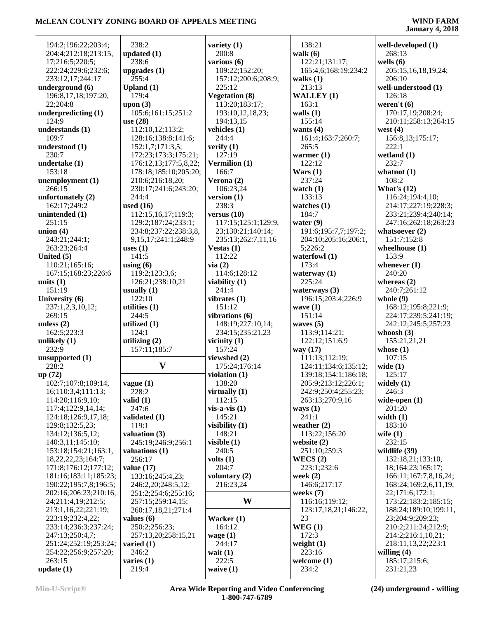÷,

| 194:2;196:22;203:4;     | 238:2                           | variety $(1)$            | 138:21                       | well-developed (1)    |
|-------------------------|---------------------------------|--------------------------|------------------------------|-----------------------|
| 204:4;212:18;213:15,    | updated $(1)$                   | 200:8                    | walk $(6)$                   | 268:13                |
| 17;216:5;220:5;         | 238:6                           | various (6)              | 122:21;131:17;               | wells $(6)$           |
| 222:24;229:6;232:6;     | upgrades $(1)$                  | 109:22;152:20;           | 165:4,6;168:19;234:2         | 205:15,16,18,19,24;   |
| 233:12,17;244:17        | 255:4                           | 157:12;200:6;208:9;      | walks $(1)$                  | 206:10                |
| underground (6)         | Upland $(1)$                    | 225:12                   | 213:13                       | well-understood (1)   |
| 196:8,17,18;197:20,     | 179:4                           | <b>Vegetation (8)</b>    | <b>WALLEY</b> (1)            | 126:18                |
| 22;204:8                | upon $(3)$                      | 113:20;183:17;           | 163:1                        | weren't $(6)$         |
| underpredicting (1)     | 105:6;161:15;251:2              | 193:10,12,18,23;         | walls $(1)$                  | 170:17,19;208:24;     |
| 124:9                   | use $(28)$                      | 194:13,15                | 155:14                       | 210:11;258:13;264:15  |
| understands (1)         | 112:10,12;113:2;                | vehicles $(1)$           | wants $(4)$                  | west $(4)$            |
| 109:7                   | 128:16;138:8;141:6;             | 244:4                    | 161:4;163:7;260:7;           | 156:8,13;175:17;      |
| understood (1)          | 152:1,7;171:3,5;                | verify $(1)$             | 265:5                        | 222:1                 |
| 230:7                   | 172:23;173:3;175:21;            | 127:19                   | warmer $(1)$                 | wetland $(1)$         |
| undertake (1)           | 176:12,13;177:5,8,22;           | Vermilion (1)            | 122:12                       | 232:7                 |
| 153:18                  | 178:18;185:10;205:20;           | 166:7                    | Wars $(1)$                   | whatnot $(1)$         |
| unemployment (1)        | 210:6;216:18,20;                | Verona $(2)$             | 237:24                       | 108:2                 |
| 266:15                  | 230:17;241:6;243:20;            | 106:23,24                | watch $(1)$                  | What's $(12)$         |
| unfortunately (2)       | 244:4                           | version $(1)$            | 133:13                       | 116:24;194:4,10;      |
| 162:17;249:2            | used $(16)$                     | 238:3                    | watches $(1)$                | 214:17;227:19;228:3;  |
| unintended (1)          | 112:15,16,17;119:3;             | versus $(10)$            | 184:7                        | 233:21;239:4;240:14;  |
| 251:15                  | 129:2;187:24;233:1;             | 117:15;125:1;129:9,      | water $(9)$                  | 247:16;262:18;263:23  |
| union (4)               | 234:8;237:22;238:3,8,           | 23;130:21;140:14;        | 191:6;195:7,7;197:2;         | whatsoever $(2)$      |
| 243:21;244:1;           | 9, 15, 17; 241: 1; 248: 9       | 235:13;262:7,11,16       | 204:10;205:16;206:1,         | 151:7;152:8           |
| 263:23;264:4            | uses $(1)$                      | Vestas $(1)$             | 5;226:2                      | wheelhouse $(1)$      |
| United (5)              | 141:5                           | 112:22                   | waterfowl $(1)$              | 153:9                 |
| 110:21;165:16;          | using $(6)$                     | via(2)                   | 173:4                        | whenever $(1)$        |
| 167:15;168:23;226:6     | 119:2;123:3,6;                  | 114:6;128:12             | waterway $(1)$               | 240:20                |
| units $(1)$             | 126:21;238:10,21                | viability $(1)$          | 225:24                       | whereas $(2)$         |
| 151:19                  | usually $(1)$                   | 241:4                    | waterways $(3)$              | 240:7;261:12          |
| University (6)          | 122:10                          | vibrates $(1)$           | 196:15;203:4;226:9           | whole $(9)$           |
| 237:1,2,3,10,12;        | utilities $(1)$                 | 151:12                   | wave $(1)$                   | 168:12;195:8;221:9;   |
| 269:15                  | 244:5                           | vibrations (6)           | 151:14                       | 224:17;239:5;241:19;  |
| unless $(2)$            | utilized $(1)$                  | 148:19;227:10,14;        | waves $(5)$                  | 242:12;245:5;257:23   |
| 162:5;223:3             | 124:1                           | 234:15;235:21,23         | 113:9;114:21;                | whoosh $(3)$          |
| unlikely (1)<br>232:9   | utilizing $(2)$<br>157:11;185:7 | vicinity $(1)$<br>157:24 | 122:12;151:6,9               | 155:21,21,21          |
| unsupported (1)         |                                 | viewshed (2)             | way $(17)$<br>111:13;112:19; | whose $(1)$<br>107:15 |
| 228:2                   | $\mathbf{V}$                    | 175:24;176:14            | 124:11;134:6;135:12;         | wide $(1)$            |
| up (72)                 |                                 | violation $(1)$          | 139:18;154:1;186:18;         | 125:17                |
| 102:7;107:8;109:14,     | vague(1)                        | 138:20                   | 205:9;213:12;226:1;          | widely $(1)$          |
| 16;110:3,4;111:13;      | 228:2                           | virtually $(1)$          | 242:9;250:4;255:23;          | 246:3                 |
| 114:20;116:9,10;        | valid $(1)$                     | 112:15                   | 263:13;270:9,16              | wide-open $(1)$       |
| 117:4;122:9,14,14;      | 247:6                           | $vis-a-vis (1)$          | ways $(1)$                   | 201:20                |
| 124:18;126:9,17,18;     | validated (1)                   | 145:21                   | 241:1                        | width $(1)$           |
| 129:8;132:5,23;         | 119:1                           | visibility $(1)$         | weather $(2)$                | 183:10                |
| 134:12;136:5,12;        | valuation (3)                   | 148:21                   | 113:22;156:20                | wife $(1)$            |
| 140:3,11;145:10;        | 245:19;246:9;256:1              | visible $(1)$            | website $(2)$                | 232:15                |
| 153:18;154:21;163:1,    | valuations (1)                  | 240:5                    | 251:10;259:3                 | wildlife (39)         |
| 18, 22, 22, 23; 164: 7; | 256:17                          | volts $(1)$              | WECS(2)                      | 132:18,21;133:10,     |
| 171:8;176:12;177:12;    | value $(17)$                    | 204:7                    | 223:1;232:6                  | 18;164:23;165:17;     |
| 181:16;183:11;185:23;   | 133:16;245:4,23;                | voluntary $(2)$          | week $(2)$                   | 166:11;167:7,8,16,24; |
| 190:22;195:7,8;196:5;   | 246:2,20;248:5,12;              | 216:23,24                | 146:6;217:17                 | 168:24;169:2,6,11,19, |
| 202:16;206:23;210:16,   | 251:2;254:6;255:16;             |                          | weeks $(7)$                  | 22;171:6;172:1;       |
| 24;211:4,19;212:5;      | 257:15;259:14,15;               | W                        | 116:16;119:12;               | 173:22;183:2;185:15;  |
| 213:1,16,22;221:19;     | 260:17,18,21;271:4              |                          | 123:17,18,21;146:22,         | 188:24;189:10;199:11, |
| 223:19;232:4,22;        | values $(6)$                    | Wacker $(1)$             | 23                           | 23;204:9;209:23;      |
| 233:14;236:3;237:24;    | 250:2;256:23;                   | 164:12                   | WEG(1)                       | 210:2;211:24;212:9;   |
| 247:13;250:4,7;         | 257:13,20;258:15,21             | wage $(1)$               | 172:3                        | 214:2;216:1,10,21;    |
| 251:24;252:19;253:24;   | varied $(1)$                    | 244:17                   | weight $(1)$                 | 218:11,13,22;223:1    |
| 254:22;256:9;257:20;    | 246:2                           | wait $(1)$               | 223:16                       | willing $(4)$         |
| 263:15                  | varies $(1)$                    | 222:5                    | welcome $(1)$                | 185:17;215:6;         |
| update (1)              | 219:4                           | waive $(1)$              | 234:2                        | 231:21,23             |
|                         |                                 |                          |                              |                       |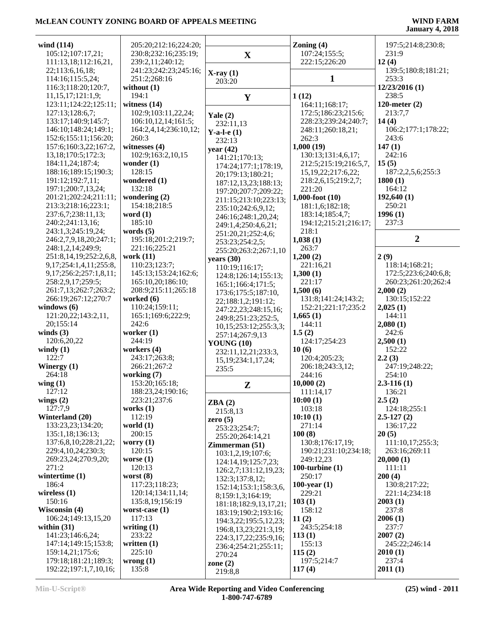| wind (114)                    | 205:20;212:16;224:20; |                           | Zoning $(4)$            | 197:5;214:8;230:8;   |
|-------------------------------|-----------------------|---------------------------|-------------------------|----------------------|
| 105:12;107:17,21;             | 230:8;232:16;235:19;  | $\mathbf X$               | 107:24;155:5;           | 231:9                |
| 111:13,18;112:16,21,          | 239:2,11;240:12;      |                           | 222:15;226:20           | 12(4)                |
|                               |                       |                           |                         |                      |
| 22;113:6,16,18;               | 241:23;242:23;245:16; | $X-ray(1)$                |                         | 139:5;180:8;181:21;  |
| 114:16;115:5,24;              | 251:2;268:16          | 203:20                    | 1                       | 253:3                |
| 116:3;118:20;120:7,           | without $(1)$         |                           |                         | 12/23/2016 (1)       |
| 11,15,17;121:1,9;             | 194:1                 | $\mathbf{Y}$              | 1(12)                   | 238:5                |
| 123:11;124:22;125:11;         | witness $(14)$        |                           | 164:11;168:17;          | 120-meter $(2)$      |
| 127:13;128:6,7;               | 102:9;103:11,22,24;   | Yale $(2)$                | 172:5;186:23;215:6;     | 213:7,7              |
| 133:17;140:9;145:7;           | 106:10,12,14;161:5;   | 232:11,13                 | 228:23;239:24;240:7;    | 14(4)                |
| 146:10;148:24;149:1;          | 164:2,4,14;236:10,12; |                           | 248:11;260:18,21;       | 106:2;177:1;178:22;  |
| 152:6;155:11;156:20;          | 260:3                 | Y-a-l-e $(1)$             | 262:3                   | 243:6                |
| 157:6;160:3,22;167:2,         | witnesses (4)         | 232:13                    | 1,000(19)               | 147(1)               |
|                               | 102:9;163:2,10,15     | year $(42)$               |                         |                      |
| 13,18;170:5;172:3;            |                       | 141:21;170:13;            | 130:13;131:4,6,17;      | 242:16               |
| 184:11,24;187:4;              | wonder $(1)$          | 174:24;177:1;178:19,      | 212:5;215:19;216:5,7,   | 15(5)                |
| 188:16;189:15;190:3;          | 128:15                | 20;179:13;180:21;         | 15, 19, 22; 217: 6, 22; | 187:2,2,5,6;255:3    |
| 191:12;192:7,11;              | wondered (1)          | 187:12,13,23;188:13;      | 218:2,6,15;219:2,7;     | 1800(1)              |
| 197:1;200:7,13,24;            | 132:18                | 197:20;207:7;209:22;      | 221:20                  | 164:12               |
| 201:21;202:24;211:11;         | wondering $(2)$       | 211:15;213:10;223:13;     | $1,000$ -foot $(10)$    | 192,640(1)           |
| 213:3;218:16;223:1;           | 154:18;218:5          | 235:10;242:6,9,12;        | 181:1,6;182:18;         | 250:21               |
| 237:6,7;238:11,13;            | word $(1)$            | 246:16;248:1,20,24;       | 183:14;185:4,7;         | 1996(1)              |
| 240:2;241:13,16;              | 185:10                |                           | 194:12;215:21;216:17;   | 237:3                |
| 243:1,3;245:19,24;            | words $(5)$           | 249:1,4;250:4,6,21;       | 218:1                   |                      |
| 246:2,7,9,18,20;247:1;        | 195:18;201:2;219:7;   | 251:20,21;252:4,6;        |                         | $\overline{2}$       |
|                               |                       | 253:23;254:2,5;           | 1,038(1)                |                      |
| 248:1,2,14;249:9;             | 221:16;225:21         | 255:20;263:2;267:1,10     | 263:7                   |                      |
| 251:8,14,19;252:2,6,8,        | work $(11)$           | years $(30)$              | 1,200(2)                | 2(9)                 |
| 9, 17; 254: 1, 4, 11; 255: 8, | 110:23;123:7;         | 110:19;116:17;            | 221:16,21               | 118:14;168:21;       |
| 9,17;256:2;257:1,8,11;        | 145:13;153:24;162:6;  | 124:8;126:14;155:13;      | 1,300(1)                | 172:5;223:6;240:6,8; |
| 258:2,9,17;259:5;             | 165:10,20;186:10;     | 165:1;166:4;171:5;        | 221:17                  | 260:23;261:20;262:4  |
| 261:7,13;262:7;263:2;         | 208:9;215:11;265:18   | 173:6;175:5;187:10,       | 1,500(6)                | 2,000(2)             |
| 266:19;267:12;270:7           | worked $(6)$          | 22;188:1,2;191:12;        | 131:8;141:24;143:2;     | 130:15;152:22        |
| windows $(6)$                 | 110:24;159:11;        |                           | 152:21;221:17;235:2     | 2,025(1)             |
| 121:20,22;143:2,11,           | 165:1;169:6;222:9;    | 247:22,23;248:15,16;      | 1,665(1)                | 144:11               |
| 20;155:14                     | 242:6                 | 249:8;251:23;252:5,       | 144:11                  | 2,080(1)             |
| winds $(3)$                   | worker $(1)$          | 10,15;253:12;255:3,3;     | 1.5(2)                  | 242:6                |
|                               | 244:19                | 257:14;267:9,13           |                         |                      |
| 120:6,20,22                   |                       | <b>YOUNG (10)</b>         | 124:17;254:23           | 2,500(1)             |
| windy $(1)$                   | workers $(4)$         | 232:11,12,21;233:3,       | 10(6)                   | 152:22               |
| 122:7                         | 243:17;263:8;         | 15, 19; 234: 1, 17, 24;   | 120:4;205:23;           | 2.2(3)               |
| Winergy $(1)$                 | 266:21;267:2          | 235:5                     | 206:18;243:3,12;        | 247:19;248:22;       |
| 264:18                        | working $(7)$         |                           | 244:16                  | 254:10               |
| wing(1)                       | 153:20;165:18;        | ${\bf z}$                 | 10,000(2)               | $2.3 - 116(1)$       |
| 127:12                        | 188:23,24;190:16;     |                           | 111:14,17               | 136:21               |
| wings $(2)$                   | 223:21;237:6          | ZBA(2)                    | 10:00(1)                | 2.5(2)               |
| 127:7,9                       | works $(1)$           |                           | 103:18                  | 124:18;255:1         |
| Winterland (20)               | 112:19                | 215:8,13                  | 10:10(1)                | $2.5 - 127(2)$       |
| 133:23,23;134:20;             | world $(1)$           | zero $(5)$                | 271:14                  | 136:17,22            |
| 135:1,18;136:13;              | 200:15                | 253:23;254:7;             | 100(8)                  | 20(5)                |
| 137:6,8,10;228:21,22;         | worry $(1)$           | 255:20;264:14,21          | 130:8;176:17,19;        | 111:10,17;255:3;     |
|                               |                       | Zimmerman (51)            |                         |                      |
| 229:4,10,24;230:3;            | 120:15                | 103:1,2,19;107:6;         | 190:21;231:10;234:18;   | 263:16;269:11        |
| 269:23,24;270:9,20;           | worse $(1)$           | 124:14,19;125:7,23;       | 249:12,23               | 20,000(1)            |
| 271:2                         | 120:13                | 126:2,7;131:12,19,23;     | 100-turbine $(1)$       | 111:11               |
| wintertime $(1)$              | worst $(8)$           | 132:3;137:8,12;           | 250:17                  | 200(4)               |
| 186:4                         | 117:23;118:23;        | 152:14;153:1;158:3,6,     | $100$ -year $(1)$       | 130:8;217:22;        |
| wireless $(1)$                | 120:14;134:11,14;     | 8;159:1,3;164:19;         | 229:21                  | 221:14;234:18        |
| 150:16                        | 135:8,19;156:19       | 181:18;182:9,13,17,21;    | 103(1)                  | 2003(1)              |
| Wisconsin (4)                 | worst-case $(1)$      |                           | 158:12                  | 237:8                |
| 106:24;149:13,15,20           | 117:13                | 183:19;190:2;193:16;      | 11(2)                   | 2006(1)              |
| within $(31)$                 | writing $(1)$         | 194:3,22;195:5,12,23;     | 243:5;254:18            | 237:7                |
| 141:23;146:6,24;              | 233:22                | 196:8, 13, 23; 221:3, 19; | 113(1)                  | 2007(2)              |
| 147:14;149:15;153:8;          | written $(1)$         | 224:3,17,22;235:9,16;     | 155:13                  |                      |
|                               |                       | 236:4;254:21;255:11;      |                         | 245:22;246:14        |
| 159:14,21;175:6;              | 225:10                | 270:24                    | 115(2)                  | 2010(1)              |
| 179:18;181:21;189:3;          | wrong(1)              | zone $(2)$                | 197:5;214:7             | 237:4                |
| 192:22;197:1,7,10,16;         | 135:8                 | 219:8,8                   | 117(4)                  | 2011(1)              |